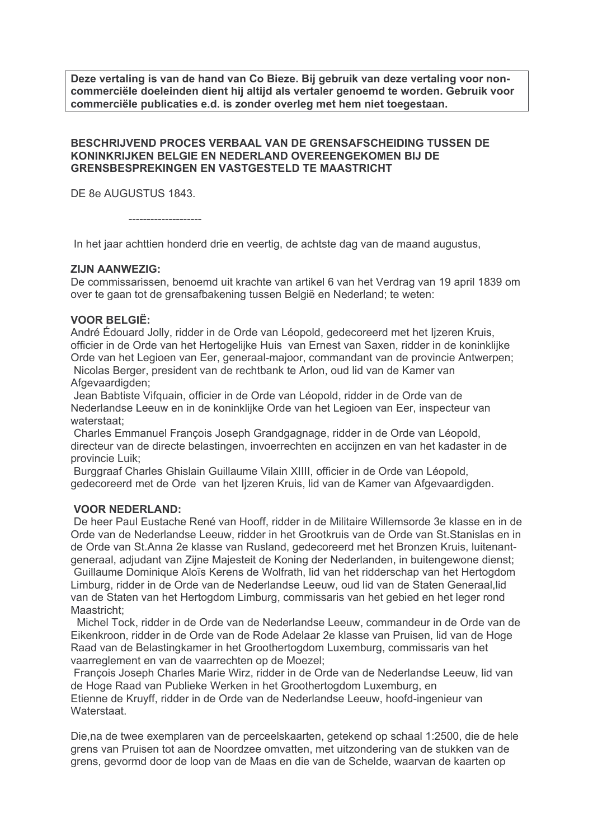Deze vertaling is van de hand van Co Bieze. Bij gebruik van deze vertaling voor noncommerciële doeleinden dient hij altijd als vertaler genoemd te worden. Gebruik voor commerciële publicaties e.d. is zonder overleg met hem niet toegestaan.

## BESCHRIJVEND PROCES VERBAAL VAN DE GRENSAFSCHEIDING TUSSEN DE KONINKRIJKEN BELGIE EN NEDERLAND OVEREENGEKOMEN BIJ DE **GRENSBESPREKINGEN EN VASTGESTELD TE MAASTRICHT**

DE 8e AUGUSTUS 1843.

In het jaar achttien honderd drie en veertig, de achtste dag van de maand augustus,

## **ZI.IN AANWEZIG:**

De commissarissen, benoemd uit krachte van artikel 6 van het Verdrag van 19 april 1839 om over te gaan tot de grensafbakening tussen België en Nederland; te weten:

## **VOOR BELGIË:**

André Édouard Jolly, ridder in de Orde van Léopold, gedecoreerd met het lizeren Kruis, officier in de Orde van het Hertogelijke Huis van Ernest van Saxen, ridder in de koninklijke Orde van het Legioen van Eer, generaal-majoor, commandant van de provincie Antwerpen: Nicolas Berger, president van de rechtbank te Arlon, oud lid van de Kamer van Afgevaardigden;

Jean Babtiste Vifquain, officier in de Orde van Léopold, ridder in de Orde van de Nederlandse Leeuw en in de koninklijke Orde van het Legioen van Eer, inspecteur van waterstaat;

Charles Emmanuel Francois Joseph Grandgagnage, ridder in de Orde van Léopold. directeur van de directe belastingen, invoerrechten en acciinzen en van het kadaster in de provincie Luik:

Burggraaf Charles Ghislain Guillaume Vilain XIIII, officier in de Orde van Léopold, gedecoreerd met de Orde van het lizeren Kruis, lid van de Kamer van Afgevaardigden.

## **VOOR NEDERLAND:**

De heer Paul Eustache René van Hooff, ridder in de Militaire Willemsorde 3e klasse en in de Orde van de Nederlandse Leeuw, ridder in het Grootkruis van de Orde van St. Stanislas en in de Orde van St.Anna 2e klasse van Rusland, gedecoreerd met het Bronzen Kruis, luitenantgeneraal, adjudant van Zijne Majesteit de Koning der Nederlanden, in buitengewone dienst: Guillaume Dominique Aloïs Kerens de Wolfrath, lid van het ridderschap van het Hertogdom Limburg, ridder in de Orde van de Nederlandse Leeuw, oud lid van de Staten Generaal. lid van de Staten van het Hertogdom Limburg, commissaris van het gebied en het leger rond Maastricht:

Michel Tock, ridder in de Orde van de Nederlandse Leeuw, commandeur in de Orde van de Eikenkroon, ridder in de Orde van de Rode Adelaar 2e klasse van Pruisen, lid van de Hoge Raad van de Belastingkamer in het Groothertogdom Luxemburg, commissaris van het vaarreglement en van de vaarrechten op de Moezel;

Francois Joseph Charles Marie Wirz, ridder in de Orde van de Nederlandse Leeuw, lid van de Hoge Raad van Publieke Werken in het Groothertogdom Luxemburg, en Etienne de Kruyff, ridder in de Orde van de Nederlandse Leeuw, hoofd-ingenieur van Waterstaat.

Die na de twee exemplaren van de perceelskaarten, getekend op schaal 1:2500, die de hele grens van Pruisen tot aan de Noordzee omvatten, met uitzondering van de stukken van de grens, gevormd door de loop van de Maas en die van de Schelde, waarvan de kaarten op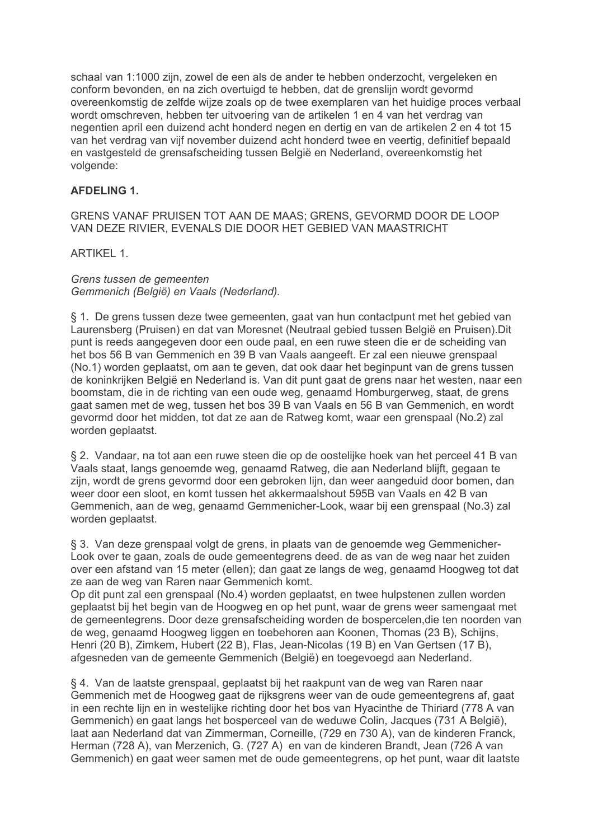schaal van 1:1000 zijn, zowel de een als de ander te hebben onderzocht, vergeleken en conform bevonden, en na zich overtuigd te hebben, dat de grenslijn wordt gevormd overeenkomstig de zelfde wijze zoals op de twee exemplaren van het huidige proces verbaal wordt omschreven, hebben ter uitvoering van de artikelen 1 en 4 van het verdrag van negentien april een duizend acht honderd negen en dertig en van de artikelen 2 en 4 tot 15 van het verdrag van vijf november duizend acht honderd twee en veertig, definitief bepaald en vastgesteld de grensafscheiding tussen België en Nederland, overeenkomstig het volgende:

# **AFDELING 1.**

GRENS VANAF PRUISEN TOT AAN DE MAAS: GRENS, GEVORMD DOOR DE LOOP VAN DEZE RIVIER, EVENALS DIE DOOR HET GEBIED VAN MAASTRICHT

**ARTIKEL 1.** 

Grens tussen de gemeenten Gemmenich (België) en Vaals (Nederland).

§ 1. De grens tussen deze twee gemeenten, gaat van hun contactpunt met het gebied van Laurensberg (Pruisen) en dat van Moresnet (Neutraal gebied tussen België en Pruisen). Dit punt is reeds aangegeven door een oude paal, en een ruwe steen die er de scheiding van het bos 56 B van Gemmenich en 39 B van Vaals aangeeft. Er zal een nieuwe grenspaal (No.1) worden geplaatst, om aan te geven, dat ook daar het beginpunt van de grens tussen de koninkrijken België en Nederland is. Van dit punt gaat de grens naar het westen, naar een boomstam, die in de richting van een oude weg, genaamd Homburgerweg, staat, de grens gaat samen met de weg, tussen het bos 39 B van Vaals en 56 B van Gemmenich, en wordt gevormd door het midden, tot dat ze aan de Ratweg komt, waar een grenspaal (No.2) zal worden geplaatst.

§ 2. Vandaar, na tot aan een ruwe steen die op de oostelijke hoek van het perceel 41 B van Vaals staat, langs genoemde weg, genaamd Ratweg, die aan Nederland blijft, gegaan te zijn, wordt de grens gevormd door een gebroken lijn, dan weer aangeduid door bomen, dan weer door een sloot, en komt tussen het akkermaalshout 595B van Vaals en 42 B van Gemmenich, aan de weg, genaamd Gemmenicher-Look, waar bij een grenspaal (No.3) zal worden geplaatst.

§ 3. Van deze grenspaal volgt de grens, in plaats van de genoemde weg Gemmenicher-Look over te gaan, zoals de oude gemeentegrens deed, de as van de weg naar het zuiden over een afstand van 15 meter (ellen); dan gaat ze langs de weg, genaamd Hoogweg tot dat ze aan de weg van Raren naar Gemmenich komt.

Op dit punt zal een grenspaal (No.4) worden geplaatst, en twee hulpstenen zullen worden geplaatst bij het begin van de Hoogweg en op het punt, waar de grens weer samengaat met de gemeentegrens. Door deze grensafscheiding worden de bospercelen, die ten noorden van de weg, genaamd Hoogweg liggen en toebehoren aan Koonen, Thomas (23 B), Schijns, Henri (20 B), Zimkem, Hubert (22 B), Flas, Jean-Nicolas (19 B) en Van Gertsen (17 B), afgesneden van de gemeente Gemmenich (België) en toegevoegd aan Nederland.

§ 4. Van de laatste grenspaal, geplaatst bij het raakpunt van de weg van Raren naar Gemmenich met de Hoogweg gaat de rijksgrens weer van de oude gemeentegrens af, gaat in een rechte lijn en in westelijke richting door het bos van Hyacinthe de Thiriard (778 A van Gemmenich) en gaat langs het bosperceel van de weduwe Colin, Jacques (731 A België), laat aan Nederland dat van Zimmerman, Corneille, (729 en 730 A), van de kinderen Franck, Herman (728 A), van Merzenich, G. (727 A) en van de kinderen Brandt, Jean (726 A van Gemmenich) en gaat weer samen met de oude gemeentegrens, op het punt, waar dit laatste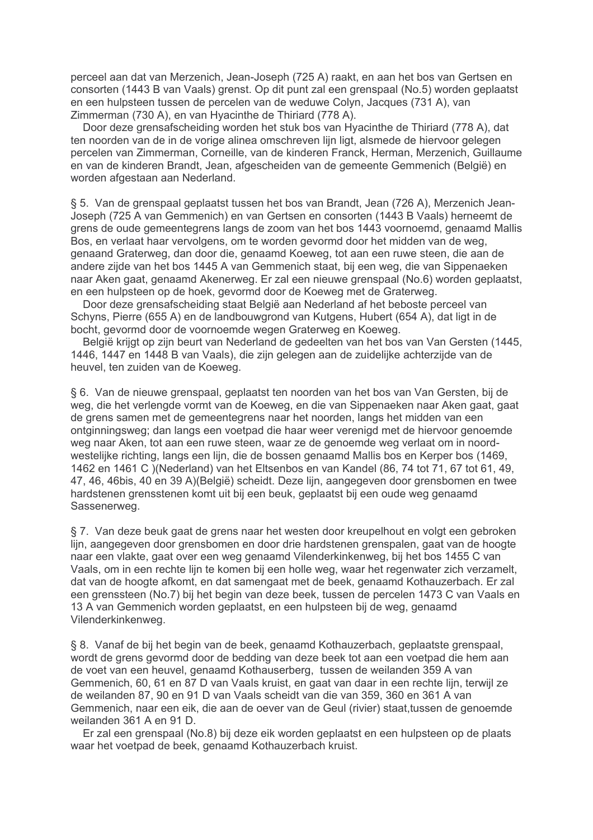perceel aan dat van Merzenich, Jean-Joseph (725 A) raakt, en aan het bos van Gertsen en consorten (1443 B van Vaals) grenst. Op dit punt zal een grenspaal (No.5) worden geplaatst en een hulpsteen tussen de percelen van de weduwe Colyn, Jacques (731 A), van Zimmerman (730 A), en van Hyacinthe de Thiriard (778 A).

Door deze grensafscheiding worden het stuk bos van Hyacinthe de Thiriard (778 A), dat ten noorden van de in de vorige alinea omschreven lijn ligt, alsmede de hiervoor gelegen percelen van Zimmerman, Corneille, van de kinderen Franck, Herman, Merzenich, Guillaume en van de kinderen Brandt, Jean, afgescheiden van de gemeente Gemmenich (België) en worden afgestaan aan Nederland.

§ 5. Van de grenspaal geplaatst tussen het bos van Brandt, Jean (726 A), Merzenich Jean-Joseph (725 A van Gemmenich) en van Gertsen en consorten (1443 B Vaals) herneemt de grens de oude gemeentegrens langs de zoom van het bos 1443 voornoemd, genaamd Mallis Bos, en verlaat haar vervolgens, om te worden gevormd door het midden van de weg. genaand Graterweg, dan door die, genaamd Koeweg, tot aan een ruwe steen, die aan de andere zijde van het bos 1445 A van Gemmenich staat, bij een weg, die van Sippenaeken naar Aken gaat, genaamd Akenerweg. Er zal een nieuwe grenspaal (No.6) worden geplaatst, en een hulpsteen op de hoek, gevormd door de Koeweg met de Graterweg.

Door deze grensafscheiding staat België aan Nederland af het beboste perceel van Schyns, Pierre (655 A) en de landbouwgrond van Kutgens, Hubert (654 A), dat ligt in de bocht, gevormd door de voornoemde wegen Graterweg en Koeweg.

België krijgt op zijn beurt van Nederland de gedeelten van het bos van Van Gersten (1445, 1446, 1447 en 1448 B van Vaals), die zijn gelegen aan de zuidelijke achterzijde van de heuvel, ten zuiden van de Koeweg.

§ 6. Van de nieuwe grenspaal, geplaatst ten noorden van het bos van Van Gersten, bij de weg, die het verlengde vormt van de Koeweg, en die van Sippenaeken naar Aken gaat, gaat de grens samen met de gemeentegrens naar het noorden, langs het midden van een ontginningsweg; dan langs een voetpad die haar weer verenigd met de hiervoor genoemde weg naar Aken, tot aan een ruwe steen, waar ze de genoemde weg verlaat om in noordwestelijke richting, langs een lijn, die de bossen genaamd Mallis bos en Kerper bos (1469. 1462 en 1461 C )(Nederland) van het Eltsenbos en van Kandel (86, 74 tot 71, 67 tot 61, 49, 47, 46, 46bis, 40 en 39 A)(België) scheidt. Deze lijn, aangegeven door grensbomen en twee hardstenen grensstenen komt uit bij een beuk, geplaatst bij een oude weg genaamd Sassenerweg.

§ 7. Van deze beuk gaat de grens naar het westen door kreupelhout en volgt een gebroken lijn, aangegeven door grensbomen en door drie hardstenen grenspalen, gaat van de hoogte naar een vlakte, gaat over een weg genaamd Vilenderkinkenweg, bij het bos 1455 C van Vaals, om in een rechte lijn te komen bij een holle weg, waar het regenwater zich verzamelt, dat van de hoogte afkomt, en dat samengaat met de beek, genaamd Kothauzerbach. Er zal een grenssteen (No.7) bij het begin van deze beek, tussen de percelen 1473 C van Vaals en 13 A van Gemmenich worden geplaatst, en een hulpsteen bij de weg, genaamd Vilenderkinkenweg.

§ 8. Vanaf de bij het begin van de beek, genaamd Kothauzerbach, geplaatste grenspaal, wordt de grens gevormd door de bedding van deze beek tot aan een voetpad die hem aan de voet van een heuvel, genaamd Kothauserberg, tussen de weilanden 359 A van Gemmenich, 60, 61 en 87 D van Vaals kruist, en gaat van daar in een rechte lijn, terwijl ze de weilanden 87, 90 en 91 D van Vaals scheidt van die van 359, 360 en 361 A van Gemmenich, naar een eik, die aan de oever van de Geul (rivier) staat, tussen de genoemde weilanden 361 A en 91 D.

Er zal een grenspaal (No.8) bij deze eik worden geplaatst en een hulpsteen op de plaats waar het voetpad de beek, genaamd Kothauzerbach kruist.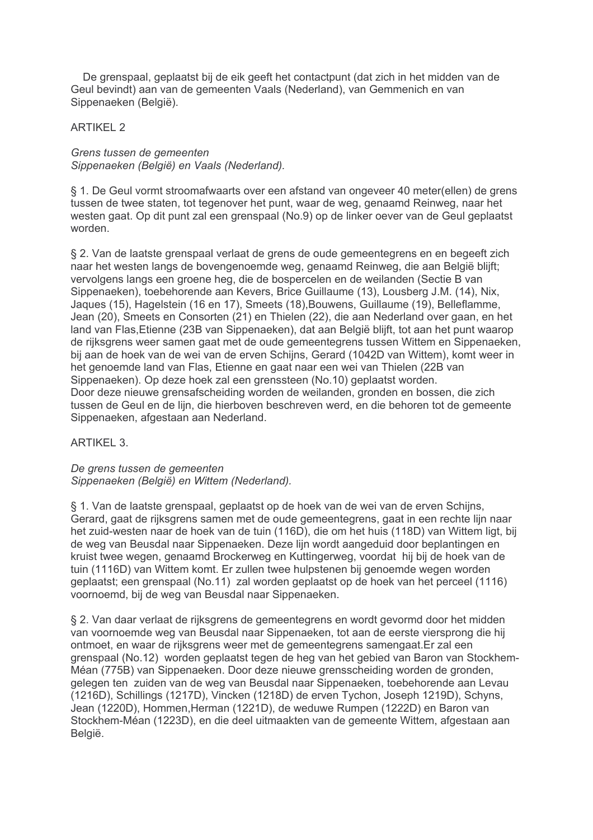De grenspaal, geplaatst bij de eik geeft het contactpunt (dat zich in het midden van de Geul bevindt) aan van de gemeenten Vaals (Nederland), van Gemmenich en van Sippenaeken (België).

**ARTIKEL 2** 

Grens tussen de gemeenten Sippenaeken (België) en Vaals (Nederland).

§ 1. De Geul vormt stroomafwaarts over een afstand van ongeveer 40 meter(ellen) de grens tussen de twee staten, tot tegenover het punt, waar de weg, genaamd Reinweg, naar het westen gaat. Op dit punt zal een grenspaal (No.9) op de linker oever van de Geul geplaatst worden.

§ 2. Van de laatste grenspaal verlaat de grens de oude gemeentegrens en en begeeft zich naar het westen langs de bovengenoemde weg, genaamd Reinweg, die aan België blijft; vervolgens langs een groene heg, die de bospercelen en de weilanden (Sectie B van Sippenaeken), toebehorende aan Kevers, Brice Guillaume (13), Lousberg J.M. (14), Nix, Jaques (15), Hagelstein (16 en 17), Smeets (18), Bouwens, Guillaume (19), Belleflamme, Jean (20), Smeets en Consorten (21) en Thielen (22), die aan Nederland over gaan, en het land van Flas, Etienne (23B van Sippenaeken), dat aan België blijft, tot aan het punt waarop de rijksgrens weer samen gaat met de oude gemeentegrens tussen Wittem en Sippenaeken, bij aan de hoek van de wei van de erven Schijns, Gerard (1042D van Wittem), komt weer in het genoemde land van Flas, Etienne en gaat naar een wei van Thielen (22B van Sippenaeken). Op deze hoek zal een grenssteen (No.10) geplaatst worden. Door deze nieuwe grensafscheiding worden de weilanden, gronden en bossen, die zich tussen de Geul en de lijn, die hierboven beschreven werd, en die behoren tot de gemeente Sippenaeken, afgestaan aan Nederland.

**ARTIKEL 3.** 

De grens tussen de gemeenten Sippenaeken (België) en Wittem (Nederland).

§ 1. Van de laatste grenspaal, geplaatst op de hoek van de wei van de erven Schijns, Gerard, gaat de rijksgrens samen met de oude gemeentegrens, gaat in een rechte lijn naar het zuid-westen naar de hoek van de tuin (116D), die om het huis (118D) van Wittem ligt, bij de weg van Beusdal naar Sippenaeken. Deze lijn wordt aangeduid door beplantingen en kruist twee wegen, genaamd Brockerweg en Kuttingerweg, voordat hij bij de hoek van de tuin (1116D) van Wittem komt. Er zullen twee hulpstenen bij genoemde wegen worden geplaatst; een grenspaal (No.11) zal worden geplaatst op de hoek van het perceel (1116) voornoemd, bij de weg van Beusdal naar Sippenaeken.

§ 2. Van daar verlaat de rijksgrens de gemeentegrens en wordt gevormd door het midden van voornoemde weg van Beusdal naar Sippenaeken, tot aan de eerste viersprong die hij ontmoet. en waar de rijksgrens weer met de gemeentegrens samengaat. Er zal een grenspaal (No.12) worden geplaatst tegen de heg van het gebied van Baron van Stockhem-Méan (775B) van Sippenaeken. Door deze nieuwe grensscheiding worden de gronden, gelegen ten zuiden van de weg van Beusdal naar Sippenaeken, toebehorende aan Levau (1216D), Schillings (1217D), Vincken (1218D) de erven Tychon, Joseph 1219D), Schyns, Jean (1220D). Hommen.Herman (1221D), de weduwe Rumpen (1222D) en Baron van Stockhem-Méan (1223D), en die deel uitmaakten van de gemeente Wittem, afgestaan aan België.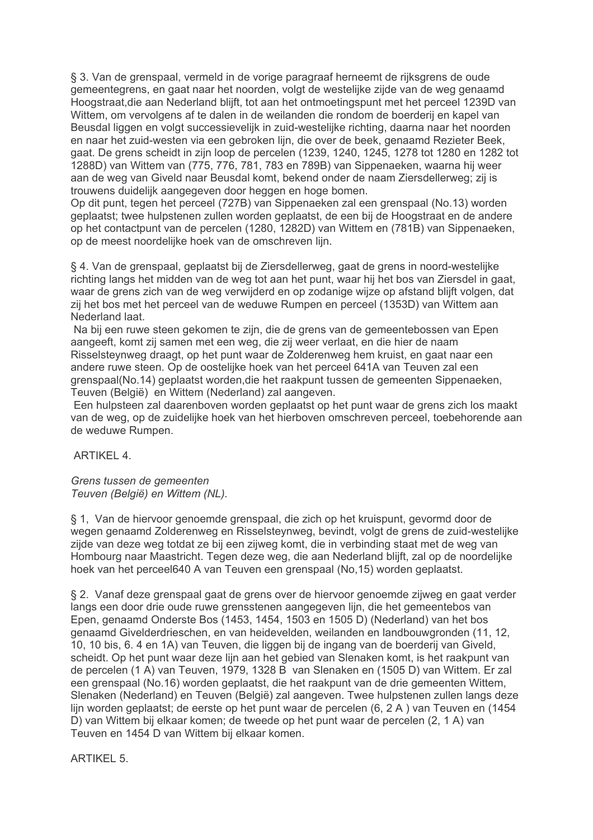§ 3. Van de grenspaal, vermeld in de vorige paragraaf herneemt de rijksgrens de oude gemeentegrens, en gaat naar het noorden, volgt de westelijke zijde van de weg genaamd Hoogstraat, die aan Nederland blijft, tot aan het ontmoetingspunt met het perceel 1239D van Wittem, om vervolgens af te dalen in de weilanden die rondom de boerderij en kapel van Beusdal liggen en volgt successievelijk in zuid-westelijke richting, daarna naar het noorden en naar het zuid-westen via een gebroken lijn, die over de beek, genaamd Rezieter Beek, gaat. De grens scheidt in zijn loop de percelen (1239, 1240, 1245, 1278 tot 1280 en 1282 tot 1288D) van Wittem van (775, 776, 781, 783 en 789B) van Sippenaeken, waarna hij weer aan de weg van Giveld naar Beusdal komt, bekend onder de naam Ziersdellerweg; zij is trouwens duidelijk aangegeven door heggen en hoge bomen.

Op dit punt, tegen het perceel (727B) van Sippenaeken zal een grenspaal (No.13) worden geplaatst; twee hulpstenen zullen worden geplaatst, de een bij de Hoogstraat en de andere op het contactpunt van de percelen (1280, 1282D) van Wittem en (781B) van Sippenaeken, op de meest noordelijke hoek van de omschreven lijn.

§ 4. Van de grenspaal, geplaatst bij de Ziersdellerweg, gaat de grens in noord-westelijke richting langs het midden van de weg tot aan het punt, waar hij het bos van Ziersdel in gaat, waar de grens zich van de weg verwijderd en op zodanige wijze op afstand blijft volgen, dat zij het bos met het perceel van de weduwe Rumpen en perceel (1353D) van Wittem aan Nederland laat.

Na bij een ruwe steen gekomen te zijn, die de grens van de gemeentebossen van Epen aangeeft, komt zij samen met een weg, die zij weer verlaat, en die hier de naam Risselsteynweg draagt, op het punt waar de Zolderenweg hem kruist, en gaat naar een andere ruwe steen. Op de oostelijke hoek van het perceel 641A van Teuven zal een grenspaal(No.14) geplaatst worden, die het raakpunt tussen de gemeenten Sippenaeken, Teuven (België) en Wittem (Nederland) zal aangeven.

Een hulpsteen zal daarenboven worden geplaatst op het punt waar de grens zich los maakt van de weg, op de zuidelijke hoek van het hierboven omschreven perceel, toebehorende aan de weduwe Rumpen.

ARTIKFI 4

Grens tussen de gemeenten Teuven (België) en Wittem (NL).

§ 1. Van de hiervoor genoemde grenspaal, die zich op het kruispunt, gevormd door de wegen genaamd Zolderenweg en Risselstevnweg, bevindt, volgt de grens de zuid-westelijke zijde van deze weg totdat ze bij een zijweg komt, die in verbinding staat met de weg van Hombourg naar Maastricht. Tegen deze weg, die aan Nederland blijft, zal op de noordelijke hoek van het perceel640 A van Teuven een grenspaal (No.15) worden geplaatst.

§ 2. Vanaf deze grenspaal gaat de grens over de hiervoor genoemde zijweg en gaat verder langs een door drie oude ruwe grensstenen aangegeven lijn, die het gemeentebos van Epen, genaamd Onderste Bos (1453, 1454, 1503 en 1505 D) (Nederland) van het bos genaamd Givelderdrieschen, en van heidevelden, weilanden en landbouwgronden (11, 12, 10, 10 bis, 6, 4 en 1A) van Teuven, die liggen bij de ingang van de boerderij van Giveld, scheidt. Op het punt waar deze lijn aan het gebied van Slenaken komt, is het raakpunt van de percelen (1 A) van Teuven, 1979, 1328 B van Slenaken en (1505 D) van Wittem. Er zal een grenspaal (No.16) worden geplaatst, die het raakpunt van de drie gemeenten Wittem. Slenaken (Nederland) en Teuven (België) zal aangeven. Twee hulpstenen zullen langs deze lijn worden geplaatst; de eerste op het punt waar de percelen (6, 2 A) van Teuven en (1454 D) van Wittem bij elkaar komen; de tweede op het punt waar de percelen (2, 1 A) van Teuven en 1454 D van Wittem bij elkaar komen.

**ARTIKEL 5.**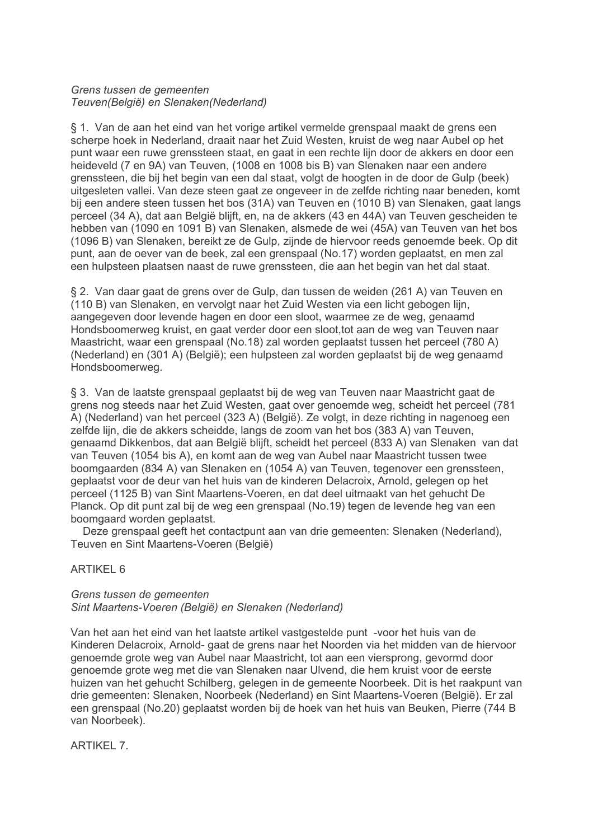## Grens tussen de gemeenten Teuven(België) en Slenaken(Nederland)

§ 1. Van de aan het eind van het vorige artikel vermelde grenspaal maakt de grens een scherpe hoek in Nederland, draait naar het Zuid Westen, kruist de weg naar Aubel op het punt waar een ruwe grenssteen staat, en gaat in een rechte lijn door de akkers en door een heideveld (7 en 9A) van Teuven, (1008 en 1008 bis B) van Slenaken naar een andere grenssteen, die bij het begin van een dal staat, volgt de hoogten in de door de Gulp (beek) uitgesleten vallei. Van deze steen gaat ze ongeveer in de zelfde richting naar beneden, komt bij een andere steen tussen het bos (31A) van Teuven en (1010 B) van Slenaken, gaat langs perceel (34 A), dat aan België blijft, en, na de akkers (43 en 44A) van Teuven gescheiden te hebben van (1090 en 1091 B) van Slenaken, alsmede de wei (45A) van Teuven van het bos (1096 B) van Slenaken, bereikt ze de Gulp, zijnde de hiervoor reeds genoemde beek. Op dit punt, aan de oever van de beek, zal een grenspaal (No.17) worden geplaatst, en men zal een hulpsteen plaatsen naast de ruwe grenssteen, die aan het begin van het dal staat.

§ 2. Van daar gaat de grens over de Gulp, dan tussen de weiden (261 A) van Teuven en (110 B) van Slenaken, en vervolgt naar het Zuid Westen via een licht gebogen lijn, aangegeven door levende hagen en door een sloot, waarmee ze de weg, genaamd Hondsboomerweg kruist, en gaat verder door een sloot, tot aan de weg van Teuven naar Maastricht, waar een grenspaal (No.18) zal worden geplaatst tussen het perceel (780 A) (Nederland) en (301 A) (België); een hulpsteen zal worden geplaatst bij de weg genaamd Hondsboomerweg.

§ 3. Van de laatste grenspaal geplaatst bij de weg van Teuven naar Maastricht gaat de grens nog steeds naar het Zuid Westen, gaat over genoemde weg, scheidt het perceel (781 A) (Nederland) van het perceel (323 A) (België). Ze volgt, in deze richting in nagenoeg een zelfde lijn, die de akkers scheidde, langs de zoom van het bos (383 A) van Teuven, genaamd Dikkenbos, dat aan België blijft, scheidt het perceel (833 A) van Slenaken van dat van Teuven (1054 bis A), en komt aan de weg van Aubel naar Maastricht tussen twee boomgaarden (834 A) van Slenaken en (1054 A) van Teuven, tegenover een grenssteen, geplaatst voor de deur van het huis van de kinderen Delacroix, Arnold, gelegen op het perceel (1125 B) van Sint Maartens-Voeren, en dat deel uitmaakt van het gehucht De Planck. Op dit punt zal bij de weg een grenspaal (No.19) tegen de levende heg van een boomgaard worden geplaatst.

Deze grenspaal geeft het contactpunt aan van drie gemeenten: Slenaken (Nederland). Teuven en Sint Maartens-Voeren (België)

# ARTIKFI 6

## Grens tussen de gemeenten Sint Maartens-Voeren (België) en Slenaken (Nederland)

Van het aan het eind van het laatste artikel vastgestelde punt -voor het huis van de Kinderen Delacroix. Arnold- gaat de grens naar het Noorden via het midden van de hiervoor genoemde grote weg van Aubel naar Maastricht, tot aan een viersprong, gevormd door genoemde grote weg met die van Slenaken naar Ulvend, die hem kruist voor de eerste huizen van het gehucht Schilberg, gelegen in de gemeente Noorbeek. Dit is het raakpunt van drie gemeenten: Slenaken, Noorbeek (Nederland) en Sint Maartens-Voeren (België). Er zal een grenspaal (No.20) geplaatst worden bij de hoek van het huis van Beuken, Pierre (744 B van Noorbeek).

ARTIKFI 7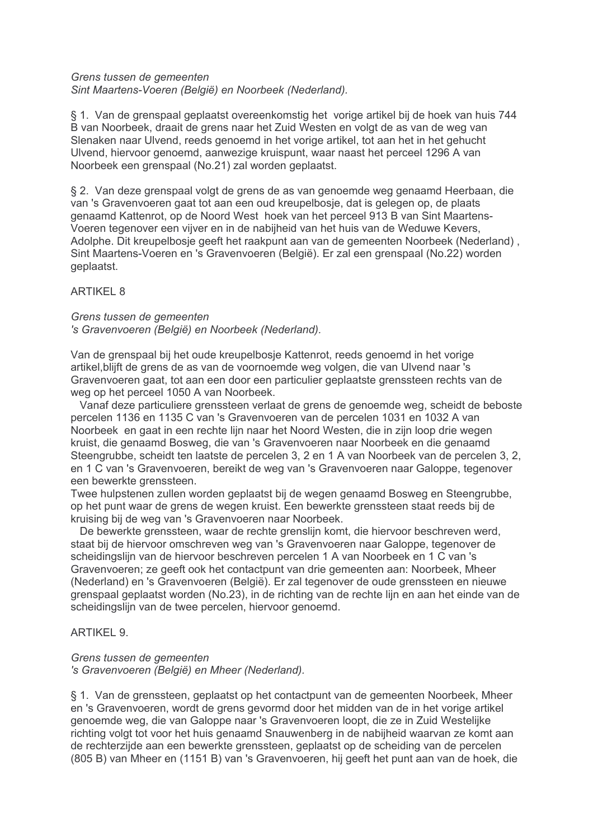## Grens tussen de gemeenten Sint Maartens-Voeren (België) en Noorbeek (Nederland).

§ 1. Van de grenspaal geplaatst overeenkomstig het vorige artikel bij de hoek van huis 744 B van Noorbeek, draait de grens naar het Zuid Westen en volgt de as van de weg van Slenaken naar Ulvend, reeds genoemd in het vorige artikel, tot aan het in het gehucht Ulvend, hiervoor genoemd, aanwezige kruispunt, waar naast het perceel 1296 A van Noorbeek een grenspaal (No.21) zal worden geplaatst.

§ 2. Van deze grenspaal volgt de grens de as van genoemde weg genaamd Heerbaan, die van 's Gravenvoeren gaat tot aan een oud kreupelbosje, dat is gelegen op, de plaats genaamd Kattenrot, op de Noord West hoek van het perceel 913 B van Sint Maartens-Voeren tegenover een vijver en in de nabijheid van het huis van de Weduwe Kevers. Adolphe. Dit kreupelbosie geeft het raakpunt aan van de gemeenten Noorbeek (Nederland). Sint Maartens-Voeren en 's Gravenvoeren (België). Er zal een grenspaal (No.22) worden geplaatst.

# **ARTIKEL 8**

#### Grens tussen de gemeenten 's Gravenvoeren (België) en Noorbeek (Nederland).

Van de grenspaal bij het oude kreupelbosje Kattenrot, reeds genoemd in het vorige artikel, blijft de grens de as van de voornoemde weg volgen, die van Ulvend naar 's Gravenvoeren gaat, tot aan een door een particulier geplaatste grenssteen rechts van de weg op het perceel 1050 A van Noorbeek.

Vanaf deze particuliere grenssteen verlaat de grens de genoemde weg, scheidt de beboste percelen 1136 en 1135 C van 's Gravenvoeren van de percelen 1031 en 1032 A van Noorbeek en gaat in een rechte lijn naar het Noord Westen, die in zijn loop drie wegen kruist, die genaamd Bosweg, die van 's Gravenvoeren naar Noorbeek en die genaamd Steengrubbe, scheidt ten laatste de percelen 3, 2 en 1 A van Noorbeek van de percelen 3, 2. en 1 C van 's Gravenvoeren, bereikt de weg van 's Gravenvoeren naar Galoppe, tegenover een bewerkte grenssteen.

Twee hulpstenen zullen worden geplaatst bij de wegen genaamd Bosweg en Steengrubbe, op het punt waar de grens de wegen kruist. Een bewerkte grenssteen staat reeds bij de kruising bij de weg van 's Gravenvoeren naar Noorbeek.

De bewerkte grenssteen, waar de rechte grenslijn komt, die hiervoor beschreven werd. staat bij de hiervoor omschreven weg van 's Gravenvoeren naar Galoppe, tegenover de scheidingslijn van de hiervoor beschreven percelen 1 A van Noorbeek en 1 C van 's Gravenvoeren; ze geeft ook het contactpunt van drie gemeenten aan: Noorbeek, Mheer (Nederland) en 's Gravenvoeren (België). Er zal tegenover de oude grenssteen en nieuwe grenspaal geplaatst worden (No.23), in de richting van de rechte lijn en aan het einde van de scheidingslijn van de twee percelen, hiervoor genoemd.

# ARTIKEL 9.

## Grens tussen de gemeenten

's Gravenvoeren (België) en Mheer (Nederland).

§ 1. Van de grenssteen, geplaatst op het contactpunt van de gemeenten Noorbeek, Mheer en 's Gravenvoeren, wordt de grens gevormd door het midden van de in het vorige artikel genoemde weg, die van Galoppe naar 's Gravenvoeren loopt, die ze in Zuid Westelijke richting volgt tot voor het huis genaamd Snauwenberg in de nabijheid waarvan ze komt aan de rechterzijde aan een bewerkte grenssteen, geplaatst op de scheiding van de percelen (805 B) van Mheer en (1151 B) van 's Gravenvoeren, hij geeft het punt aan van de hoek, die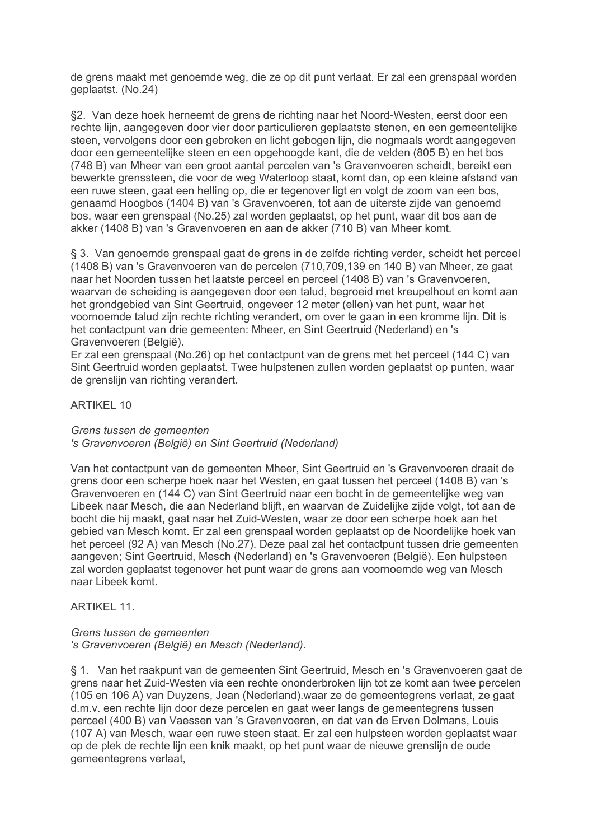de grens maakt met genoemde weg, die ze op dit punt verlaat. Er zal een grenspaal worden qeplaatst. (No.24)

§2. Van deze hoek herneemt de grens de richting naar het Noord-Westen, eerst door een rechte lijn, aangegeven door vier door particulieren geplaatste stenen, en een gemeentelijke steen, vervolgens door een gebroken en licht gebogen lijn, die nogmaals wordt aangegeven door een gemeentelijke steen en een opgehoogde kant, die de velden (805 B) en het bos (748 B) van Mheer van een groot aantal percelen van 's Gravenvoeren scheidt, bereikt een bewerkte grenssteen, die voor de weg Waterloop staat, komt dan, op een kleine afstand van een ruwe steen, gaat een helling op, die er tegenover ligt en volgt de zoom van een bos, genaamd Hoogbos (1404 B) van 's Gravenvoeren, tot aan de uiterste zijde van genoemd bos, waar een grenspaal (No.25) zal worden geplaatst, op het punt, waar dit bos aan de akker (1408 B) van 's Gravenvoeren en aan de akker (710 B) van Mheer komt.

§ 3. Van genoemde grenspaal gaat de grens in de zelfde richting verder, scheidt het perceel (1408 B) van 's Gravenvoeren van de percelen (710,709,139 en 140 B) van Mheer, ze gaat naar het Noorden tussen het laatste perceel en perceel (1408 B) van 's Gravenvoeren, waarvan de scheiding is aangegeven door een talud, begroeid met kreupelhout en komt aan het grondgebied van Sint Geertruid, ongeveer 12 meter (ellen) van het punt, waar het voornoemde talud zijn rechte richting verandert, om over te gaan in een kromme lijn. Dit is het contactpunt van drie gemeenten: Mheer, en Sint Geertruid (Nederland) en 's Gravenvoeren (België).

Er zal een grenspaal (No.26) op het contactpunt van de grens met het perceel (144 C) van Sint Geertruid worden geplaatst. Twee hulpstenen zullen worden geplaatst op punten, waar de grenslijn van richting verandert.

# **ARTIKEL 10**

Grens tussen de gemeenten

's Gravenvoeren (België) en Sint Geertruid (Nederland)

Van het contactpunt van de gemeenten Mheer, Sint Geertruid en 's Gravenvoeren draait de grens door een scherpe hoek naar het Westen, en gaat tussen het perceel (1408 B) van 's Gravenvoeren en (144 C) van Sint Geertruid naar een bocht in de gemeentelijke weg van Libeek naar Mesch, die aan Nederland blijft, en waarvan de Zuidelijke zijde volgt, tot aan de bocht die hij maakt, gaat naar het Zuid-Westen, waar ze door een scherpe hoek aan het gebied van Mesch komt. Er zal een grenspaal worden geplaatst op de Noordelijke hoek van het perceel (92 A) van Mesch (No.27). Deze paal zal het contactpunt tussen drie gemeenten aangeven: Sint Geertruid, Mesch (Nederland) en 's Gravenvoeren (België). Een hulpsteen zal worden geplaatst tegenover het punt waar de grens aan voornoemde weg van Mesch naar Libeek komt.

# **ARTIKEL 11.**

Grens tussen de gemeenten 's Gravenvoeren (België) en Mesch (Nederland).

§ 1. Van het raakpunt van de gemeenten Sint Geertruid, Mesch en 's Gravenvoeren gaat de grens naar het Zuid-Westen via een rechte ononderbroken lijn tot ze komt aan twee percelen (105 en 106 A) van Duyzens, Jean (Nederland) waar ze de gemeentegrens verlaat, ze gaat d.m.v. een rechte lijn door deze percelen en gaat weer langs de gemeentegrens tussen perceel (400 B) van Vaessen van 's Gravenvoeren, en dat van de Erven Dolmans, Louis (107 A) van Mesch, waar een ruwe steen staat. Er zal een hulpsteen worden geplaatst waar op de plek de rechte lijn een knik maakt, op het punt waar de nieuwe grenslijn de oude gemeentegrens verlaat,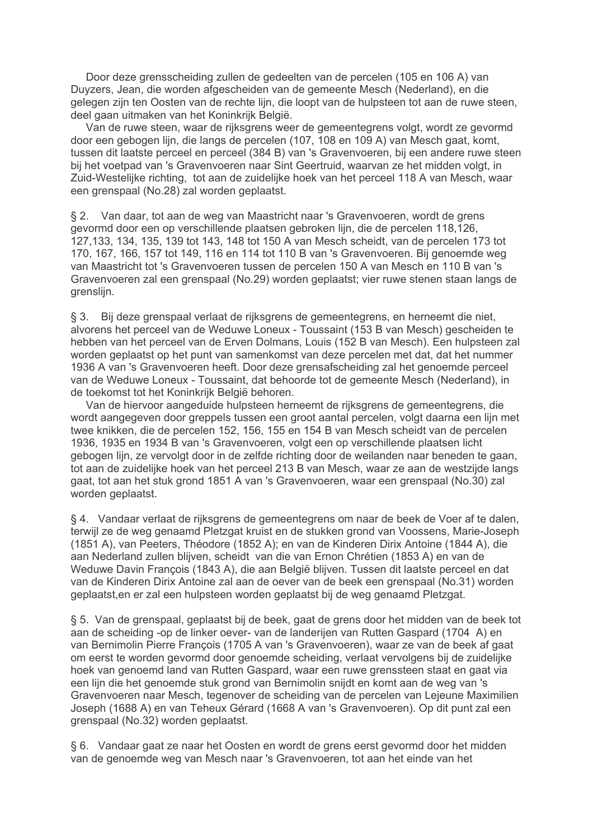Door deze grensscheiding zullen de gedeelten van de percelen (105 en 106 A) van Duyzers, Jean, die worden afgescheiden van de gemeente Mesch (Nederland), en die gelegen zijn ten Oosten van de rechte lijn, die loopt van de hulpsteen tot aan de ruwe steen, deel gaan uitmaken van het Koninkrijk België.

Van de ruwe steen, waar de rijksgrens weer de gemeentegrens volgt, wordt ze gevormd door een gebogen lijn, die langs de percelen (107, 108 en 109 A) van Mesch gaat, komt, tussen dit laatste perceel en perceel (384 B) van 's Gravenvoeren, bij een andere ruwe steen bij het voetpad van 's Gravenvoeren naar Sint Geertruid, waarvan ze het midden volgt, in Zuid-Westelijke richting, tot aan de zuidelijke hoek van het perceel 118 A van Mesch, waar een grenspaal (No.28) zal worden geplaatst.

§ 2. Van daar, tot aan de weg van Maastricht naar 's Gravenvoeren, wordt de grens gevormd door een op verschillende plaatsen gebroken lijn, die de percelen 118,126, 127,133, 134, 135, 139 tot 143, 148 tot 150 A van Mesch scheidt, van de percelen 173 tot 170, 167, 166, 157 tot 149, 116 en 114 tot 110 B van 's Gravenvoeren. Bij genoemde weg van Maastricht tot 's Gravenvoeren tussen de percelen 150 A van Mesch en 110 B van 's Gravenvoeren zal een grenspaal (No.29) worden geplaatst; vier ruwe stenen staan langs de arensliin.

Bij deze grenspaal verlaat de rijksgrens de gemeentegrens, en herneemt die niet,  $\S 3.$ alvorens het perceel van de Weduwe Loneux - Toussaint (153 B van Mesch) gescheiden te hebben van het perceel van de Erven Dolmans, Louis (152 B van Mesch). Een hulpsteen zal worden geplaatst op het punt van samenkomst van deze percelen met dat, dat het nummer 1936 A van 's Gravenvoeren heeft. Door deze grensafscheiding zal het genoemde perceel van de Weduwe Loneux - Toussaint, dat behoorde tot de gemeente Mesch (Nederland), in de toekomst tot het Koninkrijk België behoren.

Van de hiervoor aangeduide hulpsteen herneemt de rijksgrens de gemeentegrens, die wordt aangegeven door greppels tussen een groot aantal percelen, volgt daarna een lijn met twee knikken, die de percelen 152, 156, 155 en 154 B van Mesch scheidt van de percelen 1936, 1935 en 1934 B van 's Gravenvoeren, volgt een op verschillende plaatsen licht gebogen lijn, ze vervolgt door in de zelfde richting door de weilanden naar beneden te gaan. tot aan de zuidelijke hoek van het perceel 213 B van Mesch, waar ze aan de westzijde langs gaat, tot aan het stuk grond 1851 A van 's Gravenvoeren, waar een grenspaal (No.30) zal worden geplaatst.

§ 4. Vandaar verlaat de rijksgrens de gemeentegrens om naar de beek de Voer af te dalen, terwijl ze de weg genaamd Pletzgat kruist en de stukken grond van Voossens. Marie-Joseph (1851 A), van Peeters, Théodore (1852 A); en van de Kinderen Dirix Antoine (1844 A), die aan Nederland zullen blijven, scheidt van die van Ernon Chrétien (1853 A) en van de Weduwe Davin François (1843 A), die aan België blijven. Tussen dit laatste perceel en dat van de Kinderen Dirix Antoine zal aan de oever van de beek een grenspaal (No.31) worden geplaatst, en er zal een hulpsteen worden geplaatst bij de weg genaamd Pletzgat.

§ 5. Van de grenspaal, geplaatst bij de beek, gaat de grens door het midden van de beek tot aan de scheiding -op de linker oever- van de landerijen van Rutten Gaspard (1704 A) en van Bernimolin Pierre François (1705 A van 's Gravenvoeren), waar ze van de beek af gaat om eerst te worden gevormd door genoemde scheiding, verlaat vervolgens bij de zuidelijke hoek van genoemd land van Rutten Gaspard, waar een ruwe grenssteen staat en gaat via een lijn die het genoemde stuk grond van Bernimolin snijdt en komt aan de weg van 's Gravenvoeren naar Mesch, tegenover de scheiding van de percelen van Lejeune Maximilien Joseph (1688 A) en van Teheux Gérard (1668 A van 's Gravenvoeren). Op dit punt zal een grenspaal (No.32) worden geplaatst.

§ 6. Vandaar gaat ze naar het Oosten en wordt de grens eerst gevormd door het midden van de genoemde weg van Mesch naar 's Gravenvoeren, tot aan het einde van het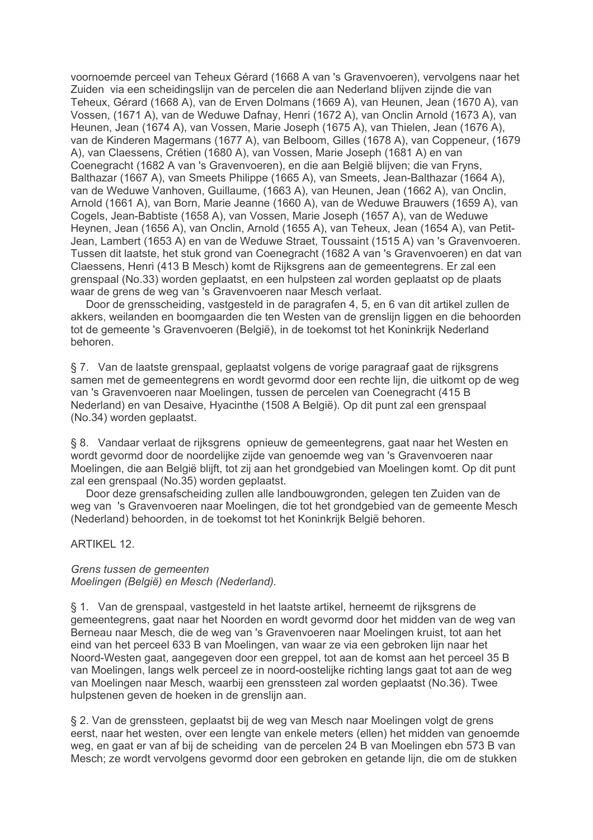voornoemde perceel van Teheux Gérard (1668 A van 's Gravenvoeren), vervolgens naar het Zuiden via een scheidingslijn van de percelen die aan Nederland blijven zijnde die van Teheux, Gérard (1668 A), van de Erven Dolmans (1669 A), van Heunen, Jean (1670 A), van Vossen, (1671 A), van de Weduwe Dafnay, Henri (1672 A), van Onclin Arnold (1673 A), van Heunen, Jean (1674 A), van Vossen, Marie Joseph (1675 A), van Thielen, Jean (1676 A), van de Kinderen Magermans (1677 A), van Belboom, Gilles (1678 A), van Coppeneur, (1679 A), van Claessens, Crétien (1680 A), van Vossen, Marie Joseph (1681 A) en van Coenegracht (1682 A van 's Gravenvoeren), en die aan België blijven; die van Fryns, Balthazar (1667 A), van Smeets Philippe (1665 A), van Smeets, Jean-Balthazar (1664 A), van de Weduwe Vanhoven, Guillaume, (1663 A), van Heunen, Jean (1662 A), van Onclin, Arnold (1661 A), van Born, Marie Jeanne (1660 A), van de Weduwe Brauwers (1659 A), van Cogels, Jean-Babtiste (1658 A), van Vossen, Marie Joseph (1657 A), van de Weduwe Heynen, Jean (1656 A), van Onclin, Arnold (1655 A), van Teheux, Jean (1654 A), van Petit-Jean, Lambert (1653 A) en van de Weduwe Straet, Toussaint (1515 A) van 's Gravenvoeren. Tussen dit laatste, het stuk grond van Coenegracht (1682 A van 's Gravenvoeren) en dat van Claessens, Henri (413 B Mesch) komt de Rijksgrens aan de gemeentegrens. Er zal een grenspaal (No.33) worden geplaatst, en een hulpsteen zal worden geplaatst op de plaats waar de grens de weg van 's Gravenvoeren naar Mesch verlaat.

Door de grensscheiding, vastgesteld in de paragrafen 4, 5, en 6 van dit artikel zullen de akkers, weilanden en boomgaarden die ten Westen van de grenslijn liggen en die behoorden tot de gemeente 's Gravenvoeren (België), in de toekomst tot het Koninkrijk Nederland behoren.

§ 7. Van de laatste grenspaal, geplaatst volgens de vorige paragraaf gaat de rijksgrens samen met de gemeentegrens en wordt gevormd door een rechte lijn, die uitkomt op de weg van 's Gravenvoeren naar Moelingen, tussen de percelen van Coenegracht (415 B Nederland) en van Desaive, Hyacinthe (1508 A België). Op dit punt zal een grenspaal (No.34) worden geplaatst.

§ 8. Vandaar verlaat de rijksgrens opnieuw de gemeentegrens, gaat naar het Westen en wordt gevormd door de noordelijke zijde van genoemde weg van 's Gravenvoeren naar Moelingen, die aan België blijft, tot zij aan het grondgebied van Moelingen komt. Op dit punt zal een grenspaal (No.35) worden geplaatst.

Door deze grensafscheiding zullen alle landbouwgronden, gelegen ten Zuiden van de weg van 's Gravenvoeren naar Moelingen, die tot het grondgebied van de gemeente Mesch (Nederland) behoorden, in de toekomst tot het Koninkrijk België behoren.

ARTIKFI 12

## Grens tussen de gemeenten Moelingen (België) en Mesch (Nederland).

§ 1. Van de grenspaal, vastgesteld in het laatste artikel, herneemt de rijksgrens de gemeentegrens, gaat naar het Noorden en wordt gevormd door het midden van de weg van Berneau naar Mesch, die de weg van 's Gravenvoeren naar Moelingen kruist, tot aan het eind van het perceel 633 B van Moelingen, van waar ze via een gebroken lijn naar het Noord-Westen gaat, aangegeven door een greppel, tot aan de komst aan het perceel 35 B van Moelingen, langs welk perceel ze in noord-oostelijke richting langs gaat tot aan de weg van Moelingen naar Mesch, waarbij een grenssteen zal worden geplaatst (No.36). Twee hulpstenen geven de hoeken in de grenslijn aan.

§ 2. Van de grenssteen, geplaatst bij de weg van Mesch naar Moelingen volgt de grens eerst, naar het westen, over een lengte van enkele meters (ellen) het midden van genoemde weg, en gaat er van af bij de scheiding van de percelen 24 B van Moelingen ebn 573 B van Mesch; ze wordt vervolgens gevormd door een gebroken en getande lijn, die om de stukken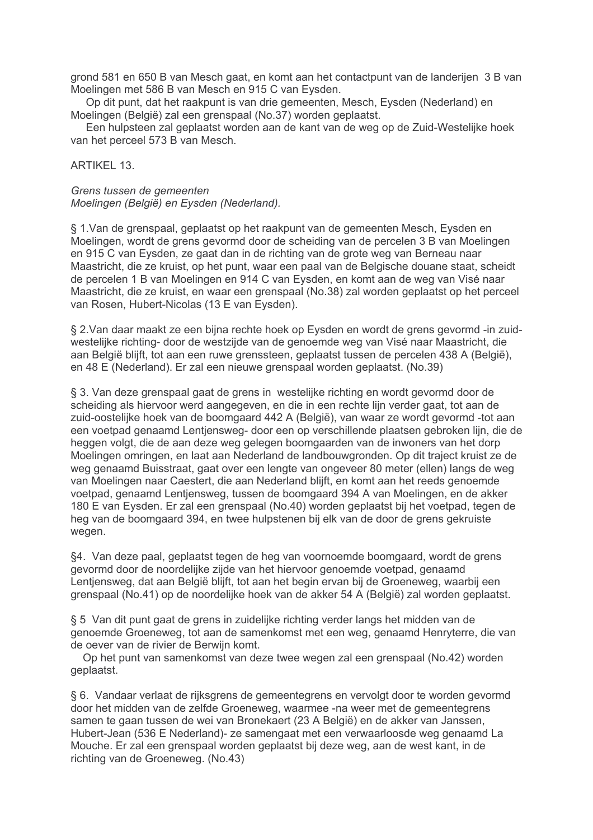grond 581 en 650 B van Mesch gaat, en komt aan het contactpunt van de landerijen 3 B van Moelingen met 586 B van Mesch en 915 C van Eysden.

Op dit punt, dat het raakpunt is van drie gemeenten, Mesch, Eysden (Nederland) en Moelingen (België) zal een grenspaal (No.37) worden geplaatst.

Een hulpsteen zal geplaatst worden aan de kant van de weg op de Zuid-Westelijke hoek van het perceel 573 B van Mesch.

## **ARTIKEL 13.**

Grens tussen de gemeenten Moelingen (België) en Eysden (Nederland).

§ 1. Van de grenspaal, geplaatst op het raakpunt van de gemeenten Mesch, Eysden en Moelingen, wordt de grens gevormd door de scheiding van de percelen 3 B van Moelingen en 915 C van Eysden, ze gaat dan in de richting van de grote weg van Berneau naar Maastricht, die ze kruist, op het punt, waar een paal van de Belgische douane staat, scheidt de percelen 1 B van Moelingen en 914 C van Eysden, en komt aan de weg van Visé naar Maastricht, die ze kruist, en waar een grenspaal (No.38) zal worden geplaatst op het perceel van Rosen, Hubert-Nicolas (13 E van Eysden).

§ 2. Van daar maakt ze een bijna rechte hoek op Eysden en wordt de grens gevormd -in zuidwestelijke richting- door de westzijde van de genoemde weg van Visé naar Maastricht, die aan België blijft, tot aan een ruwe grenssteen, geplaatst tussen de percelen 438 A (België), en 48 E (Nederland). Er zal een nieuwe grenspaal worden geplaatst. (No.39)

§ 3. Van deze grenspaal gaat de grens in westelijke richting en wordt gevormd door de scheiding als hiervoor werd aangegeven, en die in een rechte lijn verder gaat, tot aan de zuid-oostelijke hoek van de boomgaard 442 A (België), van waar ze wordt gevormd -tot aan een voetpad genaamd Lentjensweg- door een op verschillende plaatsen gebroken lijn, die de heggen volgt, die de aan deze weg gelegen boomgaarden van de inwoners van het dorp Moelingen omringen, en laat aan Nederland de landbouwgronden. Op dit traject kruist ze de weg genaamd Buisstraat, gaat over een lengte van ongeveer 80 meter (ellen) langs de weg van Moelingen naar Caestert, die aan Nederland blijft, en komt aan het reeds genoemde voetpad, genaamd Lentjensweg, tussen de boomgaard 394 A van Moelingen, en de akker 180 E van Eysden. Er zal een grenspaal (No.40) worden geplaatst bij het voetpad, tegen de heg van de boomgaard 394, en twee hulpstenen bij elk van de door de grens gekruiste wegen.

§4. Van deze paal, geplaatst tegen de heg van voornoemde boomgaard, wordt de grens gevormd door de noordelijke zijde van het hiervoor genoemde voetpad, genaamd Lentjensweg, dat aan België blijft, tot aan het begin ervan bij de Groeneweg, waarbij een grenspaal (No.41) op de noordelijke hoek van de akker 54 A (België) zal worden geplaatst.

§ 5 Van dit punt gaat de grens in zuidelijke richting verder langs het midden van de genoemde Groeneweg, tot aan de samenkomst met een weg, genaamd Henryterre, die van de oever van de rivier de Berwijn komt.

Op het punt van samenkomst van deze twee wegen zal een grenspaal (No.42) worden geplaatst.

§ 6. Vandaar verlaat de rijksgrens de gemeentegrens en vervolgt door te worden gevormd door het midden van de zelfde Groeneweg, waarmee -na weer met de gemeentegrens samen te gaan tussen de wei van Bronekaert (23 A België) en de akker van Janssen, Hubert-Jean (536 E Nederland)- ze samengaat met een verwaarloosde weg genaamd La Mouche. Er zal een grenspaal worden geplaatst bij deze weg, aan de west kant, in de richting van de Groeneweg. (No.43)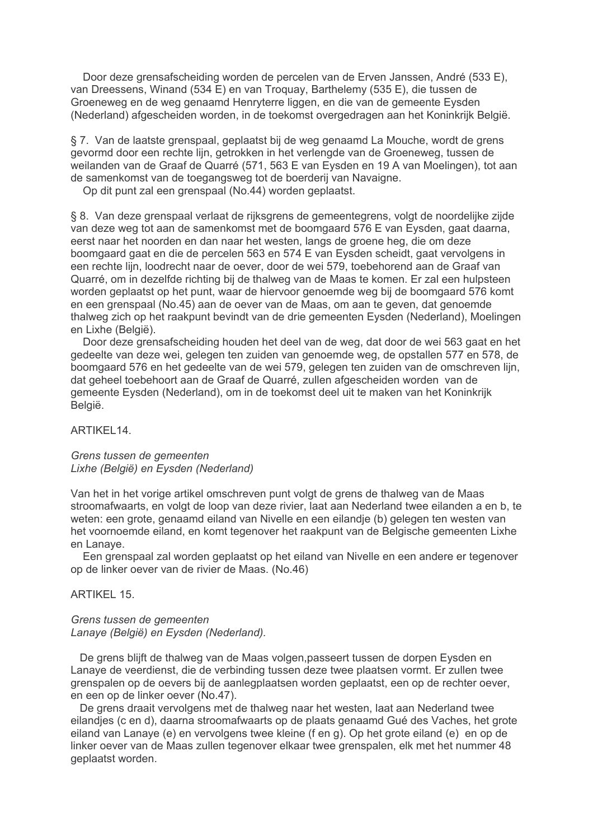Door deze grensafscheiding worden de percelen van de Erven Janssen, André (533 E), van Dreessens, Winand (534 E) en van Troguay, Barthelemy (535 E), die tussen de Groeneweg en de weg genaamd Henryterre liggen, en die van de gemeente Eysden (Nederland) afgescheiden worden, in de toekomst overgedragen aan het Koninkrijk België.

§ 7. Van de laatste grenspaal, geplaatst bij de weg genaamd La Mouche, wordt de grens gevormd door een rechte lijn, getrokken in het verlengde van de Groeneweg, tussen de weilanden van de Graaf de Quarré (571, 563 E van Eysden en 19 A van Moelingen), tot aan de samenkomst van de toegangsweg tot de boerderij van Navaigne.

Op dit punt zal een grenspaal (No.44) worden geplaatst.

§ 8. Van deze grenspaal verlaat de rijksgrens de gemeentegrens, volgt de noordelijke zijde van deze weg tot aan de samenkomst met de boomgaard 576 E van Eysden, gaat daarna, eerst naar het noorden en dan naar het westen. Jangs de groene heg, die om deze boomgaard gaat en die de percelen 563 en 574 E van Eysden scheidt, gaat vervolgens in een rechte lijn, loodrecht naar de oever, door de wei 579, toebehorend aan de Graaf van Quarré, om in dezelfde richting bij de thalweg van de Maas te komen. Er zal een hulpsteen worden geplaatst op het punt, waar de hiervoor genoemde weg bij de boomgaard 576 komt en een grenspaal (No.45) aan de oever van de Maas, om aan te geven, dat genoemde thalweg zich op het raakpunt bevindt van de drie gemeenten Eysden (Nederland), Moelingen en Lixhe (België).

Door deze grensafscheiding houden het deel van de weg, dat door de wei 563 gaat en het gedeelte van deze wei, gelegen ten zuiden van genoemde weg, de opstallen 577 en 578, de boomgaard 576 en het gedeelte van de wei 579, gelegen ten zuiden van de omschreven lijn, dat geheel toebehoort aan de Graaf de Quarré, zullen afgescheiden worden van de gemeente Eysden (Nederland), om in de toekomst deel uit te maken van het Koninkrijk België.

ARTIKEL14.

Grens tussen de gemeenten Lixhe (België) en Eysden (Nederland)

Van het in het vorige artikel omschreven punt volgt de grens de thalweg van de Maas stroomafwaarts, en volgt de loop van deze rivier, laat aan Nederland twee eilanden a en b, te weten: een grote, genaamd eiland van Nivelle en een eilandie (b) gelegen ten westen van het voornoemde eiland, en komt tegenover het raakpunt van de Belgische gemeenten Lixhe en Lanave.

Een grenspaal zal worden geplaatst op het eiland van Nivelle en een andere er tegenover op de linker oever van de rivier de Maas. (No.46)

ARTIKFI 15

## Grens tussen de gemeenten Lanaye (België) en Eysden (Nederland).

De grens blijft de thalweg van de Maas volgen, passeert tussen de dorpen Eysden en Lanaye de veerdienst, die de verbinding tussen deze twee plaatsen vormt. Er zullen twee grenspalen op de oevers bij de aanlegplaatsen worden geplaatst, een op de rechter oever. en een op de linker oever (No.47).

De grens draait vervolgens met de thalweg naar het westen, laat aan Nederland twee eilandjes (c en d), daarna stroomafwaarts op de plaats genaamd Gué des Vaches, het grote eiland van Lanaye (e) en vervolgens twee kleine (f en g). Op het grote eiland (e) en op de linker oever van de Maas zullen tegenover elkaar twee grenspalen, elk met het nummer 48 geplaatst worden.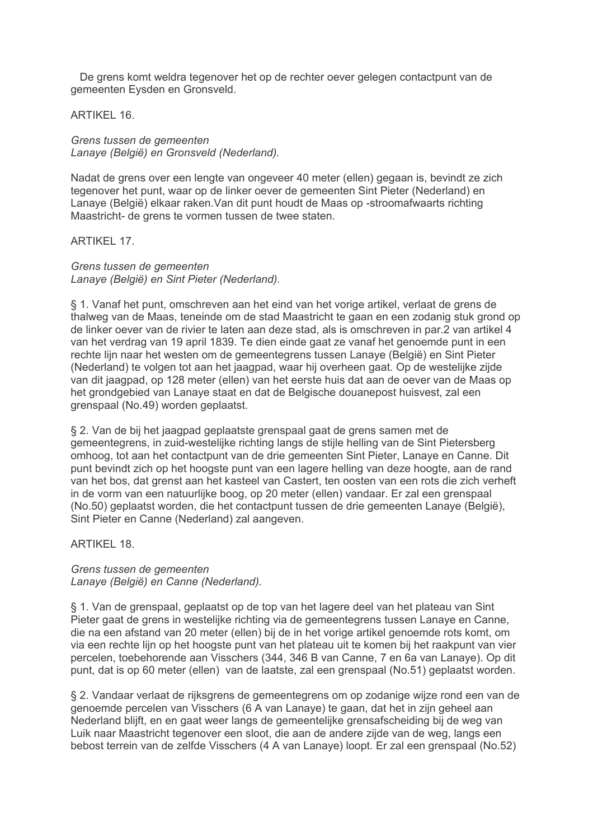De grens komt weldra tegenover het op de rechter oever gelegen contactpunt van de gemeenten Eysden en Gronsveld.

**ARTIKEL 16.** 

Grens tussen de gemeenten Lanaye (België) en Gronsveld (Nederland).

Nadat de grens over een lengte van ongeveer 40 meter (ellen) gegaan is, bevindt ze zich tegenover het punt, waar op de linker oever de gemeenten Sint Pieter (Nederland) en Lanaye (België) elkaar raken. Van dit punt houdt de Maas op -stroomafwaarts richting Maastricht- de grens te vormen tussen de twee staten.

**ARTIKEL 17.** 

Grens tussen de gemeenten Lanaye (België) en Sint Pieter (Nederland).

§ 1. Vanaf het punt, omschreven aan het eind van het vorige artikel, verlaat de grens de thalweg van de Maas, teneinde om de stad Maastricht te gaan en een zodanig stuk grond op de linker oever van de rivier te laten aan deze stad, als is omschreven in par.2 van artikel 4 van het verdrag van 19 april 1839. Te dien einde gaat ze vanaf het genoemde punt in een rechte lijn naar het westen om de gemeentegrens tussen Lanaye (België) en Sint Pieter (Nederland) te volgen tot aan het jaagpad, waar hij overheen gaat. Op de westelijke zijde van dit jaagpad, op 128 meter (ellen) van het eerste huis dat aan de oever van de Maas op het grondgebied van Lanaye staat en dat de Belgische douanepost huisvest, zal een grenspaal (No.49) worden geplaatst.

§ 2. Van de bij het jaagpad geplaatste grenspaal gaat de grens samen met de gemeentegrens, in zuid-westelijke richting langs de stijle helling van de Sint Pietersberg omhoog, tot aan het contactount van de drie gemeenten Sint Pieter. Lanave en Canne. Dit punt bevindt zich op het hoogste punt van een lagere helling van deze hoogte, aan de rand van het bos, dat grenst aan het kasteel van Castert, ten oosten van een rots die zich verheft in de vorm van een natuurlijke boog, op 20 meter (ellen) vandaar. Er zal een grenspaal (No.50) geplaatst worden, die het contactpunt tussen de drie gemeenten Lanaye (België), Sint Pieter en Canne (Nederland) zal aangeven.

ARTIKFI 18

## Grens tussen de gemeenten Lanaye (België) en Canne (Nederland).

§ 1. Van de grenspaal, geplaatst op de top van het lagere deel van het plateau van Sint Pieter gaat de grens in westelijke richting via de gemeentegrens tussen Lanaye en Canne, die na een afstand van 20 meter (ellen) bij de in het vorige artikel genoemde rots komt, om via een rechte lijn op het hoogste punt van het plateau uit te komen bij het raakpunt van vier percelen, toebehorende aan Visschers (344, 346 B van Canne, 7 en 6a van Lanaye). Op dit punt, dat is op 60 meter (ellen) van de laatste, zal een grenspaal (No.51) geplaatst worden.

§ 2. Vandaar verlaat de rijksgrens de gemeentegrens om op zodanige wijze rond een van de genoemde percelen van Visschers (6 A van Lanaye) te gaan, dat het in zijn geheel aan Nederland blijft, en en gaat weer langs de gemeentelijke grensafscheiding bij de weg van Luik naar Maastricht tegenover een sloot, die aan de andere zijde van de weg, langs een bebost terrein van de zelfde Visschers (4 A van Lanaye) loopt. Er zal een grenspaal (No.52)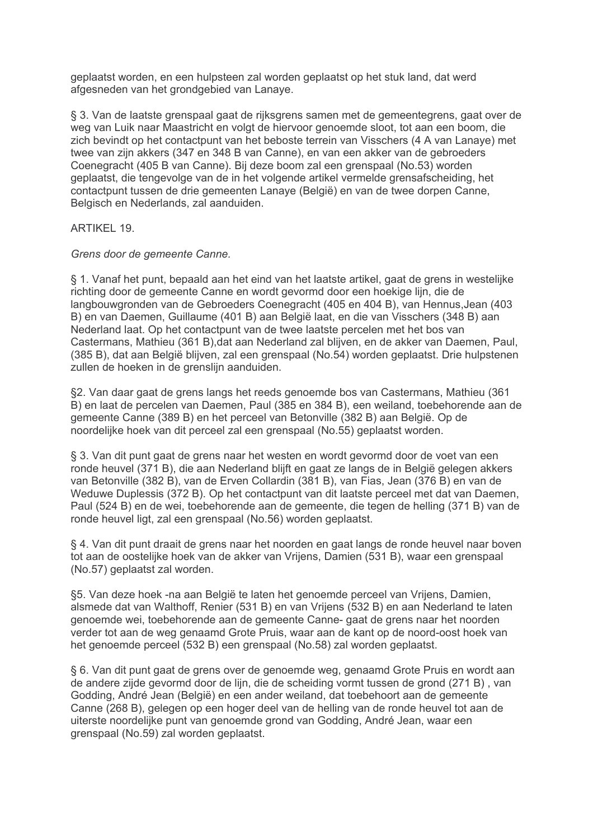geplaatst worden, en een hulpsteen zal worden geplaatst op het stuk land, dat werd afgesneden van het grondgebied van Lanaye.

§ 3. Van de laatste grenspaal gaat de rijksgrens samen met de gemeentegrens, gaat over de weg van Luik naar Maastricht en volgt de hiervoor genoemde sloot, tot aan een boom, die zich bevindt op het contactpunt van het beboste terrein van Visschers (4 A van Lanaye) met twee van zijn akkers (347 en 348 B van Canne), en van een akker van de gebroeders Coenegracht (405 B van Canne). Bij deze boom zal een grenspaal (No.53) worden geplaatst, die tengevolge van de in het volgende artikel vermelde grensafscheiding, het contactpunt tussen de drie gemeenten Lanaye (België) en van de twee dorpen Canne, Belgisch en Nederlands, zal aanduiden.

# **ARTIKEL 19.**

Grens door de gemeente Canne.

§ 1. Vanaf het punt, bepaald aan het eind van het laatste artikel, gaat de grens in westelijke richting door de gemeente Canne en wordt gevormd door een hoekige lijn, die de langbouwgronden van de Gebroeders Coenegracht (405 en 404 B), van Hennus, Jean (403 B) en van Daemen, Guillaume (401 B) aan België laat, en die van Visschers (348 B) aan Nederland laat. Op het contactpunt van de twee laatste percelen met het bos van Castermans, Mathieu (361 B), dat aan Nederland zal blijven, en de akker van Daemen, Paul, (385 B), dat aan België blijven, zal een grenspaal (No.54) worden geplaatst. Drie hulpstenen zullen de hoeken in de grenslijn aanduiden.

§2. Van daar gaat de grens langs het reeds genoemde bos van Castermans, Mathieu (361) B) en laat de percelen van Daemen, Paul (385 en 384 B), een weiland, toebehorende aan de gemeente Canne (389 B) en het perceel van Betonville (382 B) aan België. Op de noordelijke hoek van dit perceel zal een grenspaal (No.55) geplaatst worden.

§ 3. Van dit punt gaat de grens naar het westen en wordt gevormd door de voet van een ronde heuvel (371 B), die aan Nederland blijft en gaat ze langs de in België gelegen akkers van Betonville (382 B), van de Erven Collardin (381 B), van Fias, Jean (376 B) en van de Weduwe Duplessis (372 B). Op het contactpunt van dit laatste perceel met dat van Daemen, Paul (524 B) en de wei, toebehorende aan de gemeente, die tegen de helling (371 B) van de ronde heuvel ligt, zal een grenspaal (No.56) worden geplaatst.

§ 4. Van dit punt draait de grens naar het noorden en gaat langs de ronde heuvel naar boven tot aan de oostelijke hoek van de akker van Vrijens. Damien (531 B), waar een grenspaal (No.57) geplaatst zal worden.

§5. Van deze hoek -na aan België te laten het genoemde perceel van Vrijens, Damien, alsmede dat van Walthoff. Renier (531 B) en van Vrijens (532 B) en aan Nederland te laten genoemde wei, toebehorende aan de gemeente Canne- gaat de grens naar het noorden verder tot aan de weg genaamd Grote Pruis, waar aan de kant op de noord-oost hoek van het genoemde perceel (532 B) een grenspaal (No.58) zal worden geplaatst.

§ 6. Van dit punt gaat de grens over de genoemde weg, genaamd Grote Pruis en wordt aan de andere zijde gevormd door de lijn, die de scheiding vormt tussen de grond (271 B), van Godding, André Jean (België) en een ander weiland, dat toebehoort aan de gemeente Canne (268 B), gelegen op een hoger deel van de helling van de ronde heuvel tot aan de uiterste noordelijke punt van genoemde grond van Godding, André Jean, waar een grenspaal (No.59) zal worden geplaatst.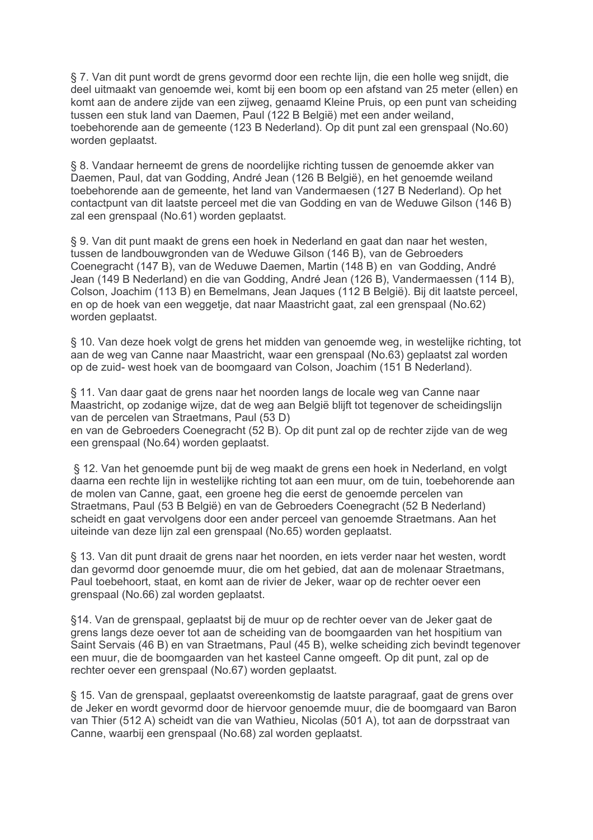§ 7. Van dit punt wordt de grens gevormd door een rechte lijn, die een holle weg snijdt, die deel uitmaakt van genoemde wei, komt bij een boom op een afstand van 25 meter (ellen) en komt aan de andere zijde van een zijweg, genaamd Kleine Pruis, op een punt van scheiding tussen een stuk land van Daemen, Paul (122 B België) met een ander weiland, toebehorende aan de gemeente (123 B Nederland). Op dit punt zal een grenspaal (No.60) worden geplaatst.

§ 8. Vandaar herneemt de grens de noordelijke richting tussen de genoemde akker van Daemen, Paul, dat van Godding, André Jean (126 B België), en het genoemde weiland toebehorende aan de gemeente, het land van Vandermaesen (127 B Nederland). Op het contactpunt van dit laatste perceel met die van Godding en van de Weduwe Gilson (146 B) zal een grenspaal (No.61) worden geplaatst.

§ 9. Van dit punt maakt de grens een hoek in Nederland en gaat dan naar het westen. tussen de landbouwgronden van de Weduwe Gilson (146 B), van de Gebroeders Coenegracht (147 B), van de Weduwe Daemen, Martin (148 B) en van Godding, André Jean (149 B Nederland) en die van Godding, André Jean (126 B), Vandermaessen (114 B), Colson, Joachim (113 B) en Bemelmans, Jean Jaques (112 B België). Bij dit laatste perceel, en op de hoek van een weggetje, dat naar Maastricht gaat, zal een grenspaal (No.62) worden geplaatst.

§ 10. Van deze hoek volgt de grens het midden van genoemde weg, in westelijke richting, tot aan de weg van Canne naar Maastricht, waar een grenspaal (No.63) geplaatst zal worden op de zuid- west hoek van de boomgaard van Colson, Joachim (151 B Nederland).

§ 11. Van daar gaat de grens naar het noorden langs de locale weg van Canne naar Maastricht, op zodanige wijze, dat de weg aan België blijft tot tegenover de scheidingslijn van de percelen van Straetmans, Paul (53 D)

en van de Gebroeders Coenegracht (52 B). Op dit punt zal op de rechter zijde van de weg een grenspaal (No.64) worden geplaatst.

§ 12. Van het genoemde punt bij de weg maakt de grens een hoek in Nederland, en volgt daarna een rechte lijn in westelijke richting tot aan een muur, om de tuin, toebehorende aan de molen van Canne, gaat, een groene heg die eerst de genoemde percelen van Straetmans, Paul (53 B België) en van de Gebroeders Coenegracht (52 B Nederland) scheidt en gaat vervolgens door een ander perceel van genoemde Straetmans. Aan het uiteinde van deze lijn zal een grenspaal (No.65) worden geplaatst.

§ 13. Van dit punt draait de grens naar het noorden, en jets verder naar het westen, wordt dan gevormd door genoemde muur, die om het gebied, dat aan de molenaar Straetmans, Paul toebehoort, staat, en komt aan de rivier de Jeker, waar op de rechter oever een grenspaal (No.66) zal worden geplaatst.

§14. Van de grenspaal, geplaatst bij de muur op de rechter oever van de Jeker gaat de grens langs deze oever tot aan de scheiding van de boomgaarden van het hospitium van Saint Servais (46 B) en van Straetmans, Paul (45 B), welke scheiding zich bevindt tegenover een muur, die de boomgaarden van het kasteel Canne omgeeft. Op dit punt, zal op de rechter oever een grenspaal (No.67) worden geplaatst.

§ 15. Van de grenspaal, geplaatst overeenkomstig de laatste paragraaf, gaat de grens over de Jeker en wordt gevormd door de hiervoor genoemde muur, die de boomgaard van Baron van Thier (512 A) scheidt van die van Wathieu, Nicolas (501 A), tot aan de dorpsstraat van Canne, waarbij een grenspaal (No.68) zal worden geplaatst.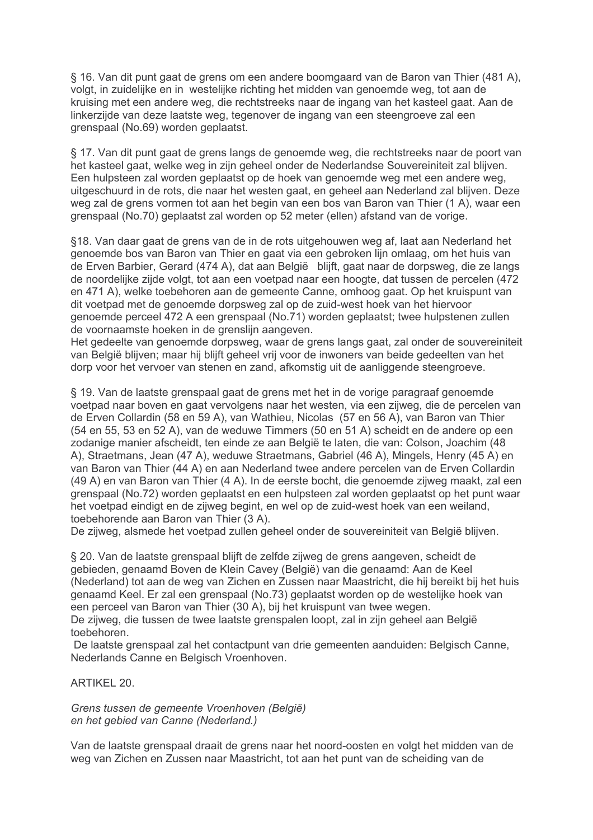§ 16. Van dit punt gaat de grens om een andere boomgaard van de Baron van Thier (481 A), volgt, in zuidelijke en in westelijke richting het midden van genoemde weg, tot aan de kruising met een andere weg, die rechtstreeks naar de ingang van het kasteel gaat. Aan de linkerzijde van deze laatste weg, tegenover de ingang van een steengroeve zal een grenspaal (No.69) worden geplaatst.

§ 17. Van dit punt gaat de grens langs de genoemde weg, die rechtstreeks naar de poort van het kasteel gaat, welke weg in zijn geheel onder de Nederlandse Souvereiniteit zal blijven. Een hulpsteen zal worden geplaatst op de hoek van genoemde weg met een andere weg, uitgeschuurd in de rots, die naar het westen gaat, en geheel aan Nederland zal blijven. Deze weg zal de grens vormen tot aan het begin van een bos van Baron van Thier (1 A), waar een grenspaal (No.70) geplaatst zal worden op 52 meter (ellen) afstand van de vorige.

§18. Van daar gaat de grens van de in de rots uitgehouwen weg af. laat aan Nederland het genoemde bos van Baron van Thier en gaat via een gebroken lijn omlaag, om het huis van de Erven Barbier, Gerard (474 A), dat aan België blijft, gaat naar de dorpsweg, die ze langs de noordelijke zijde volgt, tot aan een voetpad naar een hoogte, dat tussen de percelen (472 en 471 A), welke toebehoren aan de gemeente Canne, omhoog gaat. Op het kruispunt van dit voetpad met de genoemde dorpsweg zal op de zuid-west hoek van het hiervoor genoemde perceel 472 A een grenspaal (No.71) worden geplaatst; twee hulpstenen zullen de voornaamste hoeken in de grenslijn aangeven.

Het gedeelte van genoemde dorpsweg, waar de grens langs gaat, zal onder de souvereiniteit van België blijven; maar hij blijft geheel vrij voor de inwoners van beide gedeelten van het dorp voor het vervoer van stenen en zand, afkomstig uit de aanliggende steengroeve.

§ 19. Van de laatste grenspaal gaat de grens met het in de vorige paragraaf genoemde voetpad naar boven en gaat vervolgens naar het westen, via een zijweg, die de percelen van de Erven Collardin (58 en 59 A), van Wathieu, Nicolas (57 en 56 A), van Baron van Thier (54 en 55, 53 en 52 A), van de weduwe Timmers (50 en 51 A) scheidt en de andere op een zodanige manier afscheidt, ten einde ze aan België te laten, die van: Colson, Joachim (48 A). Straetmans. Jean (47 A), weduwe Straetmans. Gabriel (46 A). Mingels. Henry (45 A) en van Baron van Thier (44 A) en aan Nederland twee andere percelen van de Erven Collardin (49 A) en van Baron van Thier (4 A). In de eerste bocht, die genoemde zijweg maakt, zal een grenspaal (No.72) worden geplaatst en een hulpsteen zal worden geplaatst op het punt waar het voetpad eindigt en de zijweg begint, en wel op de zuid-west hoek van een weiland, toebehorende aan Baron van Thier (3 A).

De zijweg, alsmede het voetpad zullen geheel onder de souvereiniteit van België blijven.

§ 20. Van de laatste grenspaal bliift de zelfde zijweg de grens aangeven, scheidt de gebieden, genaamd Boven de Klein Cavey (België) van die genaamd: Aan de Keel (Nederland) tot aan de weg van Zichen en Zussen naar Maastricht, die hij bereikt bij het huis genaamd Keel. Er zal een grenspaal (No.73) geplaatst worden op de westelijke hoek van een perceel van Baron van Thier (30 A), bij het kruispunt van twee wegen. De zijweg, die tussen de twee laatste grenspalen loopt, zal in zijn geheel aan België toebehoren.

De laatste grenspaal zal het contactpunt van drie gemeenten aanduiden: Belgisch Canne. Nederlands Canne en Belgisch Vroenhoven.

**ARTIKEL 20.** 

Grens tussen de gemeente Vroenhoven (België) en het gebied van Canne (Nederland.)

Van de laatste grenspaal draait de grens naar het noord-oosten en volgt het midden van de weg van Zichen en Zussen naar Maastricht, tot aan het punt van de scheiding van de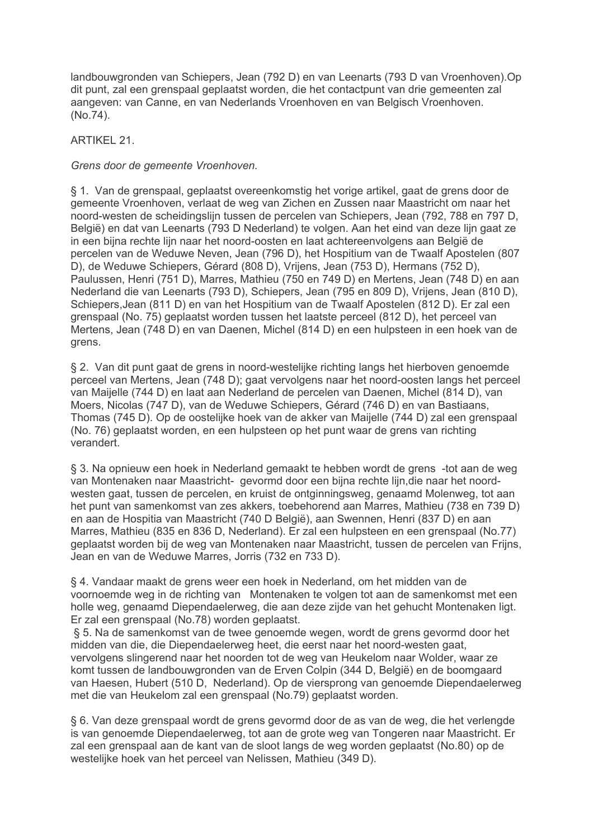landbouwgronden van Schiepers, Jean (792 D) en van Leenarts (793 D van Vroenhoven). Op dit punt, zal een grenspaal geplaatst worden, die het contactpunt van drie gemeenten zal aangeven: van Canne, en van Nederlands Vroenhoven en van Belgisch Vroenhoven. (No.74).

**ARTIKEL 21.** 

Grens door de gemeente Vroenhoven.

§ 1. Van de grenspaal, geplaatst overeenkomstig het vorige artikel, gaat de grens door de gemeente Vroenhoven, verlaat de weg van Zichen en Zussen naar Maastricht om naar het noord-westen de scheidingslijn tussen de percelen van Schiepers, Jean (792, 788 en 797 D. België) en dat van Leenarts (793 D Nederland) te volgen. Aan het eind van deze lijn gaat ze in een bijna rechte lijn naar het noord-oosten en laat achtereenvolgens aan België de percelen van de Weduwe Neven, Jean (796 D), het Hospitium van de Twaalf Apostelen (807 D), de Weduwe Schiepers, Gérard (808 D), Vrijens, Jean (753 D), Hermans (752 D), Paulussen, Henri (751 D), Marres, Mathieu (750 en 749 D) en Mertens, Jean (748 D) en aan Nederland die van Leenarts (793 D), Schiepers, Jean (795 en 809 D), Vrijens, Jean (810 D), Schiepers, Jean (811 D) en van het Hospitium van de Twaalf Apostelen (812 D). Er zal een grenspaal (No. 75) geplaatst worden tussen het laatste perceel (812 D), het perceel van Mertens, Jean (748 D) en van Daenen, Michel (814 D) en een hulpsteen in een hoek van de grens.

§ 2. Van dit punt gaat de grens in noord-westelijke richting langs het hierboven genoemde perceel van Mertens, Jean (748 D); gaat vervolgens naar het noord-oosten langs het perceel van Maijelle (744 D) en laat aan Nederland de percelen van Daenen, Michel (814 D), van Moers, Nicolas (747 D), van de Weduwe Schiepers, Gérard (746 D) en van Bastiaans, Thomas (745 D). Op de oostelijke hoek van de akker van Maijelle (744 D) zal een grenspaal (No. 76) geplaatst worden, en een hulpsteen op het punt waar de grens van richting verandert.

§ 3. Na opnieuw een hoek in Nederland gemaakt te hebben wordt de grens -tot aan de weg van Montenaken naar Maastricht- gevormd door een bijna rechte lijn, die naar het noordwesten gaat, tussen de percelen, en kruist de ontginningsweg, genaamd Molenweg, tot aan het punt van samenkomst van zes akkers, toebehorend aan Marres, Mathieu (738 en 739 D) en aan de Hospitia van Maastricht (740 D België), aan Swennen, Henri (837 D) en aan Marres, Mathieu (835 en 836 D. Nederland). Er zal een hulpsteen en een grenspaal (No.77) geplaatst worden bij de weg van Montenaken naar Maastricht, tussen de percelen van Frijns. Jean en van de Weduwe Marres, Jorris (732 en 733 D).

§ 4. Vandaar maakt de grens weer een hoek in Nederland, om het midden van de voornoemde weg in de richting van Montenaken te volgen tot aan de samenkomst met een holle weg, genaamd Diependaelerweg, die aan deze zijde van het gehucht Montenaken ligt. Er zal een grenspaal (No.78) worden geplaatst.

§ 5. Na de samenkomst van de twee genoemde wegen, wordt de grens gevormd door het midden van die, die Diependaelerweg heet, die eerst naar het noord-westen gaat. vervolgens slingerend naar het noorden tot de weg van Heukelom naar Wolder, waar ze komt tussen de landbouwgronden van de Erven Colpin (344 D, België) en de boomgaard van Haesen, Hubert (510 D. Nederland). Op de viersprong van genoemde Diependaelerweg met die van Heukelom zal een grenspaal (No.79) geplaatst worden.

§ 6. Van deze grenspaal wordt de grens gevormd door de as van de weg, die het verlengde is van genoemde Diependaelerweg, tot aan de grote weg van Tongeren naar Maastricht. Er zal een grenspaal aan de kant van de sloot langs de weg worden geplaatst (No.80) op de westelijke hoek van het perceel van Nelissen, Mathieu (349 D).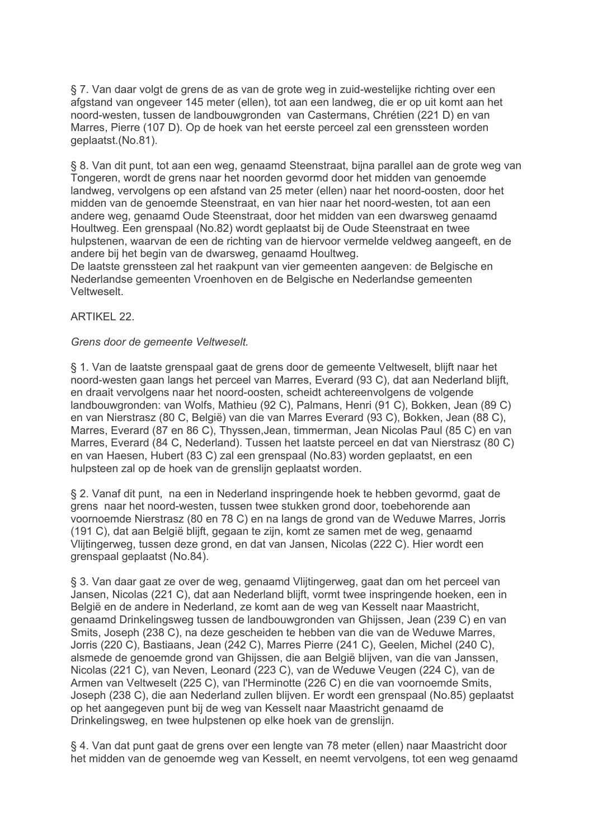§ 7. Van daar volgt de grens de as van de grote weg in zuid-westelijke richting over een afgstand van ongeveer 145 meter (ellen), tot aan een landweg, die er op uit komt aan het noord-westen, tussen de landbouwgronden van Castermans, Chrétien (221 D) en van Marres, Pierre (107 D). Op de hoek van het eerste perceel zal een grenssteen worden qeplaatst.(No.81).

§ 8. Van dit punt, tot aan een weg, genaamd Steenstraat, bijna parallel aan de grote weg van Tongeren, wordt de grens naar het noorden gevormd door het midden van genoemde landweg, vervolgens op een afstand van 25 meter (ellen) naar het noord-oosten, door het midden van de genoemde Steenstraat, en van hier naar het noord-westen, tot aan een andere weg, genaamd Oude Steenstraat, door het midden van een dwarsweg genaamd Houltweg. Een grenspaal (No.82) wordt geplaatst bij de Oude Steenstraat en twee hulpstenen, waarvan de een de richting van de hiervoor vermelde veldweg aangeeft, en de andere bij het begin van de dwarsweg, genaamd Houltweg.

De laatste grenssteen zal het raakpunt van vier gemeenten aangeven: de Belgische en Nederlandse gemeenten Vroenhoven en de Belgische en Nederlandse gemeenten Veltweselt.

**ARTIKEL 22.** 

## Grens door de gemeente Veltweselt.

§ 1. Van de laatste grenspaal gaat de grens door de gemeente Veltweselt, blijft naar het noord-westen gaan langs het perceel van Marres, Everard (93 C), dat aan Nederland blijft, en draait vervolgens naar het noord-oosten, scheidt achtereenvolgens de volgende landbouwgronden: van Wolfs, Mathieu (92 C), Palmans, Henri (91 C), Bokken, Jean (89 C) en van Nierstrasz (80 C. België) van die van Marres Everard (93 C). Bokken, Jean (88 C). Marres, Everard (87 en 86 C), Thyssen, Jean, timmerman, Jean Nicolas Paul (85 C) en van Marres, Everard (84 C, Nederland). Tussen het laatste perceel en dat van Nierstrasz (80 C) en van Haesen. Hubert (83 C) zal een grenspaal (No.83) worden geplaatst, en een hulpsteen zal op de hoek van de grenslijn geplaatst worden.

§ 2. Vanaf dit punt, na een in Nederland inspringende hoek te hebben gevormd, gaat de grens naar het noord-westen, tussen twee stukken grond door, toebehorende aan voornoemde Nierstrasz (80 en 78 C) en na langs de grond van de Weduwe Marres, Jorris (191 C), dat aan België blijft, gegaan te zijn, komt ze samen met de weg, genaamd Vliitingerweg, tussen deze grond, en dat van Jansen, Nicolas (222 C). Hier wordt een grenspaal geplaatst (No.84).

§ 3. Van daar gaat ze over de weg, genaamd Vlijtingerweg, gaat dan om het perceel van Jansen, Nicolas (221 C), dat aan Nederland blijft, vormt twee inspringende hoeken, een in België en de andere in Nederland, ze komt aan de weg van Kesselt naar Maastricht. genaamd Drinkelingsweg tussen de landbouwgronden van Ghijssen, Jean (239 C) en van Smits, Joseph (238 C), na deze gescheiden te hebben van die van de Weduwe Marres, Jorris (220 C), Bastiaans, Jean (242 C), Marres Pierre (241 C), Geelen, Michel (240 C), alsmede de genoemde grond van Ghijssen, die aan België blijven, van die van Janssen, Nicolas (221 C), van Neven, Leonard (223 C), van de Weduwe Veugen (224 C), van de Armen van Veltweselt (225 C), van l'Herminotte (226 C) en die van voornoemde Smits. Joseph (238 C), die aan Nederland zullen blijven. Er wordt een grenspaal (No.85) geplaatst op het aangegeven punt bij de weg van Kesselt naar Maastricht genaamd de Drinkelingsweg, en twee hulpstenen op elke hoek van de grenslijn.

§ 4. Van dat punt gaat de grens over een lengte van 78 meter (ellen) naar Maastricht door het midden van de genoemde weg van Kesselt, en neemt vervolgens, tot een weg genaamd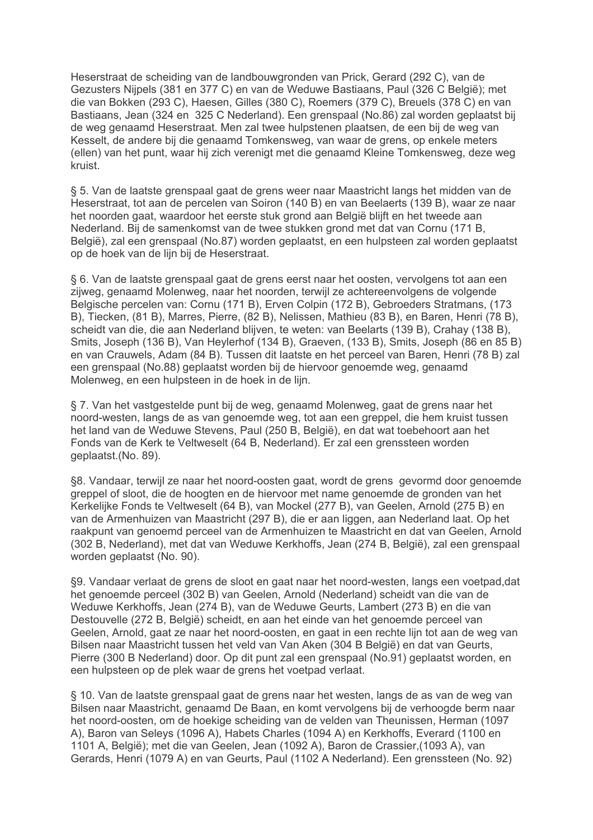Heserstraat de scheiding van de landbouwgronden van Prick, Gerard (292 C), van de Gezusters Nijpels (381 en 377 C) en van de Weduwe Bastiaans, Paul (326 C België); met die van Bokken (293 C), Haesen, Gilles (380 C), Roemers (379 C), Breuels (378 C) en van Bastiaans, Jean (324 en 325 C Nederland). Een grenspaal (No.86) zal worden geplaatst bij de weg genaamd Heserstraat. Men zal twee hulpstenen plaatsen, de een bij de weg van Kesselt, de andere bij die genaamd Tomkensweg, van waar de grens, op enkele meters (ellen) van het punt, waar hij zich verenigt met die genaamd Kleine Tomkensweg, deze weg kruist.

§ 5. Van de laatste grenspaal gaat de grens weer naar Maastricht langs het midden van de Heserstraat, tot aan de percelen van Soiron (140 B) en van Beelaerts (139 B), waar ze naar het noorden gaat, waardoor het eerste stuk grond aan België blijft en het tweede aan Nederland. Bij de samenkomst van de twee stukken grond met dat van Cornu (171 B, België), zal een grenspaal (No.87) worden geplaatst, en een hulpsteen zal worden geplaatst op de hoek van de lijn bij de Heserstraat.

§ 6. Van de laatste grenspaal gaat de grens eerst naar het oosten, vervolgens tot aan een zijweg, genaamd Molenweg, naar het noorden, terwijl ze achtereenvolgens de volgende Belgische percelen van: Cornu (171 B), Erven Colpin (172 B), Gebroeders Stratmans, (173 B), Tiecken, (81 B), Marres, Pierre, (82 B), Nelissen, Mathieu (83 B), en Baren, Henri (78 B), scheidt van die, die aan Nederland blijven, te weten: van Beelarts (139 B), Crahay (138 B), Smits, Joseph (136 B), Van Heylerhof (134 B), Graeven, (133 B), Smits, Joseph (86 en 85 B) en van Crauwels, Adam (84 B). Tussen dit laatste en het perceel van Baren, Henri (78 B) zal een grenspaal (No.88) geplaatst worden bij de hiervoor genoemde weg, genaamd Molenweg, en een hulpsteen in de hoek in de lijn.

§ 7. Van het vastgestelde punt bij de weg, genaamd Molenweg, gaat de grens naar het noord-westen, langs de as van genoemde weg, tot aan een greppel, die hem kruist tussen het land van de Weduwe Stevens, Paul (250 B, België), en dat wat toebehoort aan het Fonds van de Kerk te Veltweselt (64 B. Nederland). Er zal een grenssteen worden geplaatst.(No. 89).

§8. Vandaar, terwijl ze naar het noord-oosten gaat, wordt de grens gevormd door genoemde greppel of sloot, die de hoogten en de hiervoor met name genoemde de gronden van het Kerkelijke Fonds te Veltweselt (64 B), van Mockel (277 B), van Geelen, Arnold (275 B) en van de Armenhuizen van Maastricht (297 B), die er aan liggen, aan Nederland laat. Op het raakpunt van genoemd perceel van de Armenhuizen te Maastricht en dat van Geelen. Arnold (302 B. Nederland), met dat van Weduwe Kerkhoffs, Jean (274 B. België), zal een grenspaal worden geplaatst (No. 90).

§9. Vandaar verlaat de grens de sloot en gaat naar het noord-westen, langs een voetpad, dat het genoemde perceel (302 B) van Geelen, Arnold (Nederland) scheidt van die van de Weduwe Kerkhoffs, Jean (274 B), van de Weduwe Geurts, Lambert (273 B) en die van Destouvelle (272 B, België) scheidt, en aan het einde van het genoemde perceel van Geelen, Arnold, gaat ze naar het noord-oosten, en gaat in een rechte lijn tot aan de weg van Bilsen naar Maastricht tussen het veld van Van Aken (304 B België) en dat van Geurts, Pierre (300 B Nederland) door. Op dit punt zal een grenspaal (No.91) geplaatst worden, en een hulpsteen op de plek waar de grens het voetpad verlaat.

§ 10. Van de laatste grenspaal gaat de grens naar het westen, langs de as van de weg van Bilsen naar Maastricht, genaamd De Baan, en komt vervolgens bij de verhoogde berm naar het noord-oosten, om de hoekige scheiding van de velden van Theunissen, Herman (1097 A). Baron van Selevs (1096 A). Habets Charles (1094 A) en Kerkhoffs. Everard (1100 en 1101 A, België); met die van Geelen, Jean (1092 A), Baron de Crassier, (1093 A), van Gerards, Henri (1079 A) en van Geurts, Paul (1102 A Nederland). Een grenssteen (No. 92)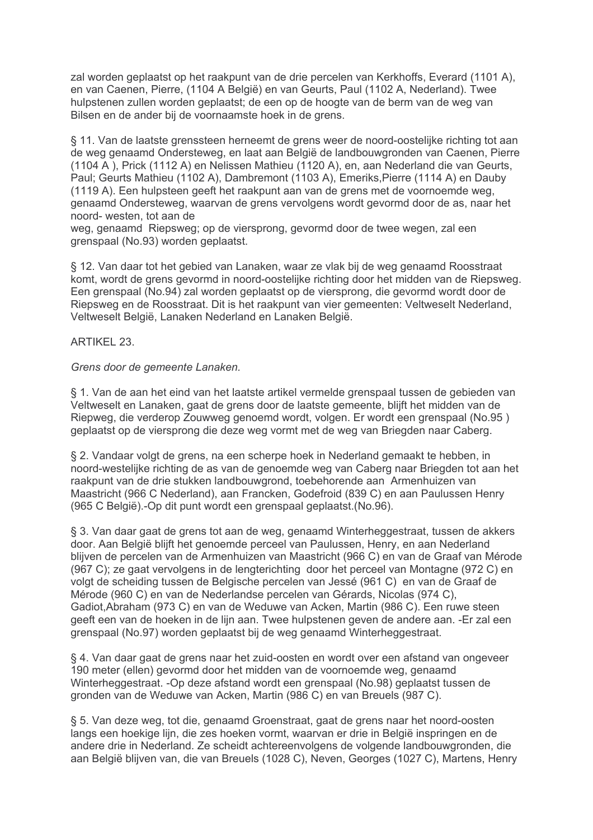zal worden geplaatst op het raakpunt van de drie percelen van Kerkhoffs, Everard (1101 A), en van Caenen, Pierre, (1104 A België) en van Geurts, Paul (1102 A, Nederland). Twee hulpstenen zullen worden geplaatst; de een op de hoogte van de berm van de weg van Bilsen en de ander bij de voornaamste hoek in de grens.

§ 11. Van de laatste grenssteen herneemt de grens weer de noord-oostelijke richting tot aan de weg genaamd Ondersteweg, en laat aan België de landbouwgronden van Caenen. Pierre (1104 A), Prick (1112 A) en Nelissen Mathieu (1120 A), en, aan Nederland die van Geurts, Paul; Geurts Mathieu (1102 A), Dambremont (1103 A), Emeriks, Pierre (1114 A) en Dauby (1119 A). Een hulpsteen geeft het raakpunt aan van de grens met de voornoemde weg, genaamd Ondersteweg, waarvan de grens vervolgens wordt gevormd door de as, naar het noord- westen, tot aan de

weg, genaamd Riepsweg; op de viersprong, gevormd door de twee wegen, zal een grenspaal (No.93) worden geplaatst.

§ 12. Van daar tot het gebied van Lanaken, waar ze vlak bij de weg genaamd Roosstraat komt, wordt de grens gevormd in noord-oostelijke richting door het midden van de Riepsweg. Een grenspaal (No.94) zal worden geplaatst op de viersprong, die gevormd wordt door de Riepsweg en de Roosstraat. Dit is het raakpunt van vier gemeenten: Veltweselt Nederland, Veltweselt België, Lanaken Nederland en Lanaken België.

# **ARTIKEL 23.**

## Grens door de gemeente Lanaken.

§ 1. Van de aan het eind van het laatste artikel vermelde grenspaal tussen de gebieden van Veltweselt en Lanaken, gaat de grens door de laatste gemeente, blijft het midden van de Riepweg, die verderop Zouwweg genoemd wordt, volgen. Er wordt een grenspaal (No.95) geplaatst op de viersprong die deze weg vormt met de weg van Briegden naar Caberg.

§ 2. Vandaar volgt de grens, na een scherpe hoek in Nederland gemaakt te hebben, in noord-westelijke richting de as van de genoemde weg van Caberg naar Briegden tot aan het raakpunt van de drie stukken landbouwgrond, toebehorende aan Armenhuizen van Maastricht (966 C Nederland), aan Francken, Godefroid (839 C) en aan Paulussen Henry (965 C België).-Op dit punt wordt een grenspaal geplaatst. (No.96).

§ 3. Van daar gaat de grens tot aan de weg, genaamd Winterheggestraat, tussen de akkers door. Aan België blijft het genoemde perceel van Paulussen. Henry, en aan Nederland blijven de percelen van de Armenhuizen van Maastricht (966 C) en van de Graaf van Mérode (967 C); ze gaat vervolgens in de lengterichting door het perceel van Montagne (972 C) en volgt de scheiding tussen de Belgische percelen van Jessé (961 C) en van de Graaf de Mérode (960 C) en van de Nederlandse percelen van Gérards, Nicolas (974 C), Gadiot. Abraham (973 C) en van de Weduwe van Acken. Martin (986 C). Een ruwe steen geeft een van de hoeken in de lijn aan. Twee hulpstenen geven de andere aan. -Er zal een grenspaal (No.97) worden geplaatst bij de weg genaamd Winterheggestraat.

§ 4. Van daar gaat de grens naar het zuid-oosten en wordt over een afstand van ongeveer 190 meter (ellen) gevormd door het midden van de voornoemde weg, genaamd Winterheggestraat. -Op deze afstand wordt een grenspaal (No.98) geplaatst tussen de gronden van de Weduwe van Acken, Martin (986 C) en van Breuels (987 C).

§ 5. Van deze weg, tot die, genaamd Groenstraat, gaat de grens naar het noord-oosten langs een hoekige lijn, die zes hoeken vormt, waarvan er drie in België inspringen en de andere drie in Nederland. Ze scheidt achtereenvolgens de volgende landbouwgronden, die aan België blijven van, die van Breuels (1028 C), Neven, Georges (1027 C), Martens, Henry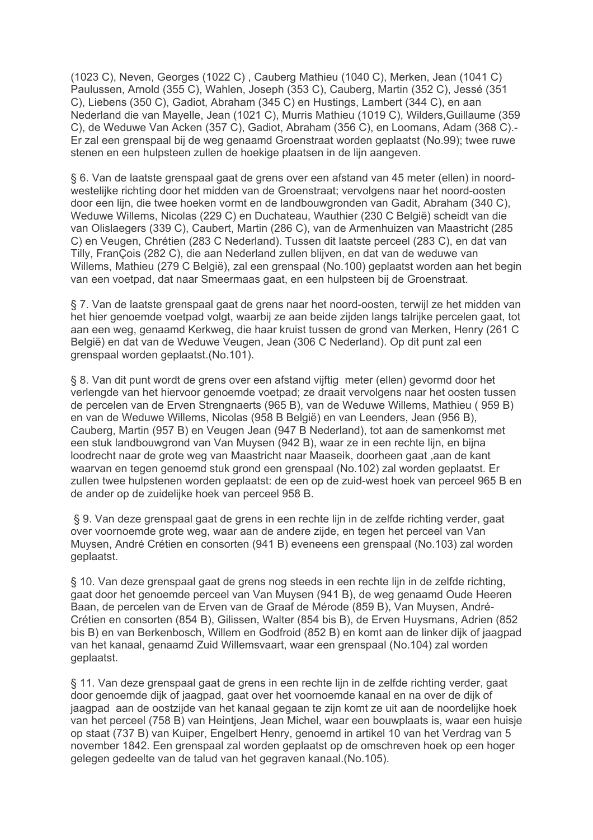(1023 C), Neven, Georges (1022 C), Cauberg Mathieu (1040 C), Merken, Jean (1041 C) Paulussen, Arnold (355 C), Wahlen, Joseph (353 C), Cauberg, Martin (352 C), Jessé (351 C), Liebens (350 C), Gadiot, Abraham (345 C) en Hustings, Lambert (344 C), en aan Nederland die van Mayelle, Jean (1021 C), Murris Mathieu (1019 C), Wilders, Guillaume (359 C), de Weduwe Van Acken (357 C), Gadiot, Abraham (356 C), en Loomans, Adam (368 C).-Er zal een grenspaal bij de weg genaamd Groenstraat worden geplaatst (No.99); twee ruwe stenen en een hulpsteen zullen de hoekige plaatsen in de lijn aangeven.

§ 6. Van de laatste grenspaal gaat de grens over een afstand van 45 meter (ellen) in noordwestelijke richting door het midden van de Groenstraat; vervolgens naar het noord-oosten door een liin, die twee hoeken vormt en de landbouwgronden van Gadit, Abraham (340 C), Weduwe Willems, Nicolas (229 C) en Duchateau, Wauthier (230 C België) scheidt van die van Olislaegers (339 C), Caubert, Martin (286 C), van de Armenhuizen van Maastricht (285 C) en Veugen, Chrétien (283 C Nederland). Tussen dit laatste perceel (283 C), en dat van Tilly, FranÇois (282 C), die aan Nederland zullen blijven, en dat van de weduwe van Willems, Mathieu (279 C België), zal een grenspaal (No.100) geplaatst worden aan het begin van een voetpad, dat naar Smeermaas gaat, en een hulpsteen bij de Groenstraat.

§ 7. Van de laatste grenspaal gaat de grens naar het noord-oosten, terwijl ze het midden van het hier genoemde voetpad volgt, waarbij ze aan beide zijden langs talrijke percelen gaat, tot aan een weg, genaamd Kerkweg, die haar kruist tussen de grond van Merken, Henry (261 C België) en dat van de Weduwe Veugen, Jean (306 C Nederland). Op dit punt zal een grenspaal worden geplaatst. (No.101).

§ 8. Van dit punt wordt de grens over een afstand vijftig meter (ellen) gevormd door het verlengde van het hiervoor genoemde voetpad; ze draait vervolgens naar het oosten tussen de percelen van de Erven Strengnaerts (965 B), van de Weduwe Willems, Mathieu (959 B) en van de Weduwe Willems, Nicolas (958 B België) en van Leenders, Jean (956 B), Cauberg, Martin (957 B) en Veugen Jean (947 B Nederland), tot aan de samenkomst met een stuk landbouwgrond van Van Muysen (942 B), waar ze in een rechte lijn, en bijna loodrecht naar de grote weg van Maastricht naar Maaseik, doorheen gaat .aan de kant waarvan en tegen genoemd stuk grond een grenspaal (No.102) zal worden geplaatst. Er zullen twee hulpstenen worden geplaatst: de een op de zuid-west hoek van perceel 965 B en de ander op de zuidelijke hoek van perceel 958 B.

§ 9. Van deze grenspaal gaat de grens in een rechte lijn in de zelfde richting verder, gaat over voornoemde grote weg, waar aan de andere zijde, en tegen het perceel van Van Muysen. André Crétien en consorten (941 B) eveneens een grenspaal (No.103) zal worden geplaatst.

§ 10. Van deze grenspaal gaat de grens nog steeds in een rechte lijn in de zelfde richting, gaat door het genoemde perceel van Van Muysen (941 B), de weg genaamd Oude Heeren Baan, de percelen van de Erven van de Graaf de Mérode (859 B). Van Muysen, André-Crétien en consorten (854 B), Gilissen, Walter (854 bis B), de Erven Huysmans, Adrien (852 bis B) en van Berkenbosch, Willem en Godfroid (852 B) en komt aan de linker dijk of jaagpad van het kanaal, genaamd Zuid Willemsvaart, waar een grenspaal (No.104) zal worden geplaatst.

§ 11. Van deze grenspaal gaat de grens in een rechte lijn in de zelfde richting verder, gaat door genoemde dijk of jaagpad, gaat over het voornoemde kanaal en na over de dijk of jaagpad aan de oostzijde van het kanaal gegaan te zijn komt ze uit aan de noordelijke hoek van het perceel (758 B) van Heintjens, Jean Michel, waar een bouwplaats is, waar een huisje op staat (737 B) van Kuiper. Engelbert Henry, genoemd in artikel 10 van het Verdrag van 5 november 1842. Een grenspaal zal worden geplaatst op de omschreven hoek op een hoger gelegen gedeelte van de talud van het gegraven kanaal. (No. 105).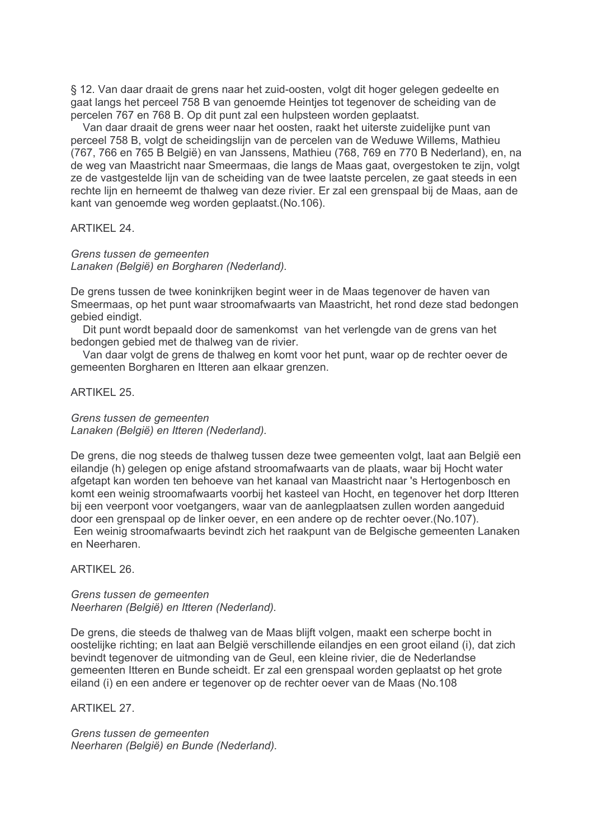§ 12. Van daar draait de grens naar het zuid-oosten, volgt dit hoger gelegen gedeelte en gaat langs het perceel 758 B van genoemde Heintjes tot tegenover de scheiding van de percelen 767 en 768 B. Op dit punt zal een hulpsteen worden geplaatst.

Van daar draait de grens weer naar het oosten, raakt het uiterste zuidelijke punt van perceel 758 B, volgt de scheidingslijn van de percelen van de Weduwe Willems, Mathieu (767, 766 en 765 B België) en van Janssens, Mathieu (768, 769 en 770 B Nederland), en, na de weg van Maastricht naar Smeermaas, die langs de Maas gaat, overgestoken te zijn, volgt ze de vastgestelde lijn van de scheiding van de twee laatste percelen, ze gaat steeds in een rechte lijn en herneemt de thalweg van deze rivier. Er zal een grenspaal bij de Maas, aan de kant van genoemde weg worden geplaatst. (No. 106).

## **ARTIKEL 24.**

## Grens tussen de gemeenten

Lanaken (België) en Borgharen (Nederland).

De grens tussen de twee koninkrijken begint weer in de Maas tegenover de haven van Smeermaas, op het punt waar stroomafwaarts van Maastricht, het rond deze stad bedongen gebied eindigt.

Dit punt wordt bepaald door de samenkomst van het verlengde van de grens van het bedongen gebied met de thalweg van de rivier.

Van daar volgt de grens de thalweg en komt voor het punt, waar op de rechter oever de gemeenten Borgharen en Itteren aan elkaar grenzen.

ARTIKFI 25

# Grens tussen de gemeenten

Lanaken (België) en Itteren (Nederland).

De grens, die nog steeds de thalweg tussen deze twee gemeenten volgt, laat aan België een eilandie (h) gelegen op enige afstand stroomafwaarts van de plaats, waar bij Hocht water afgetapt kan worden ten behoeve van het kanaal van Maastricht naar 's Hertogenbosch en komt een weinig stroomafwaarts voorbij het kasteel van Hocht, en tegenover het dorp Itteren bij een veerpont voor voetgangers, waar van de aanlegplaatsen zullen worden aangeduid door een grenspaal op de linker oever, en een andere op de rechter oever. (No.107). Een weinig stroomafwaarts bevindt zich het raakpunt van de Belgische gemeenten Lanaken en Neerharen

## ARTIKFI 26

Grens tussen de gemeenten Neerharen (België) en Itteren (Nederland).

De grens, die steeds de thalweg van de Maas blijft volgen, maakt een scherpe bocht in oostelijke richting: en laat aan België verschillende eilandies en een groot eiland (i), dat zich bevindt tegenover de uitmonding van de Geul, een kleine rivier, die de Nederlandse gemeenten Itteren en Bunde scheidt. Er zal een grenspaal worden geplaatst op het grote eiland (i) en een andere er tegenover op de rechter oever van de Maas (No.108

## **ARTIKEL 27.**

Grens tussen de gemeenten Neerharen (België) en Bunde (Nederland).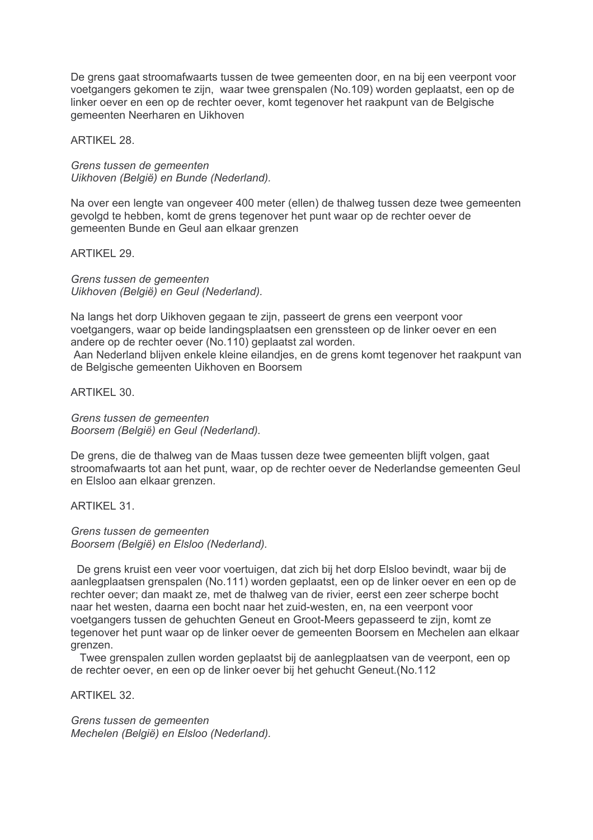De grens gaat stroomafwaarts tussen de twee gemeenten door, en na bij een veerpont voor voetgangers gekomen te zijn, waar twee grenspalen (No.109) worden geplaatst, een op de linker oever en een op de rechter oever, komt tegenover het raakpunt van de Belgische gemeenten Neerharen en Uikhoven

**ARTIKEL 28.** 

Grens tussen de gemeenten Uikhoven (België) en Bunde (Nederland).

Na over een lengte van ongeveer 400 meter (ellen) de thalweg tussen deze twee gemeenten gevolgd te hebben, komt de grens tegenover het punt waar op de rechter oever de gemeenten Bunde en Geul aan elkaar grenzen

ARTIKFI 29

Grens tussen de gemeenten Uikhoven (België) en Geul (Nederland).

Na langs het dorp Uikhoven gegaan te zijn, passeert de grens een veerpont voor voetgangers, waar op beide landingsplaatsen een grenssteen op de linker oever en een andere op de rechter oever (No.110) geplaatst zal worden.

Aan Nederland blijven enkele kleine eilandjes, en de grens komt tegenover het raakpunt van de Belgische gemeenten Uikhoven en Boorsem

ARTIKFI 30

Grens tussen de gemeenten Boorsem (België) en Geul (Nederland).

De grens, die de thalweg van de Maas tussen deze twee gemeenten blijft volgen, gaat stroomafwaarts tot aan het punt, waar, op de rechter oever de Nederlandse gemeenten Geul en Elsloo aan elkaar grenzen.

**ARTIKEL 31.** 

Grens tussen de gemeenten Boorsem (België) en Elsloo (Nederland).

De grens kruist een veer voor voertuigen, dat zich bij het dorp Elsloo bevindt, waar bij de aanlegplaatsen grenspalen (No.111) worden geplaatst, een op de linker oever en een op de rechter oever; dan maakt ze, met de thalweg van de rivier, eerst een zeer scherpe bocht naar het westen, daarna een bocht naar het zuid-westen, en, na een veerpont voor voetgangers tussen de gehuchten Geneut en Groot-Meers gepasseerd te zijn, komt ze tegenover het punt waar op de linker oever de gemeenten Boorsem en Mechelen aan elkaar arenzen.

Twee grenspalen zullen worden geplaatst bij de aanlegplaatsen van de veerpont, een op de rechter oever, en een op de linker oever bij het gehucht Geneut. (No.112

ARTIKFI 32

Grens tussen de gemeenten Mechelen (België) en Elsloo (Nederland).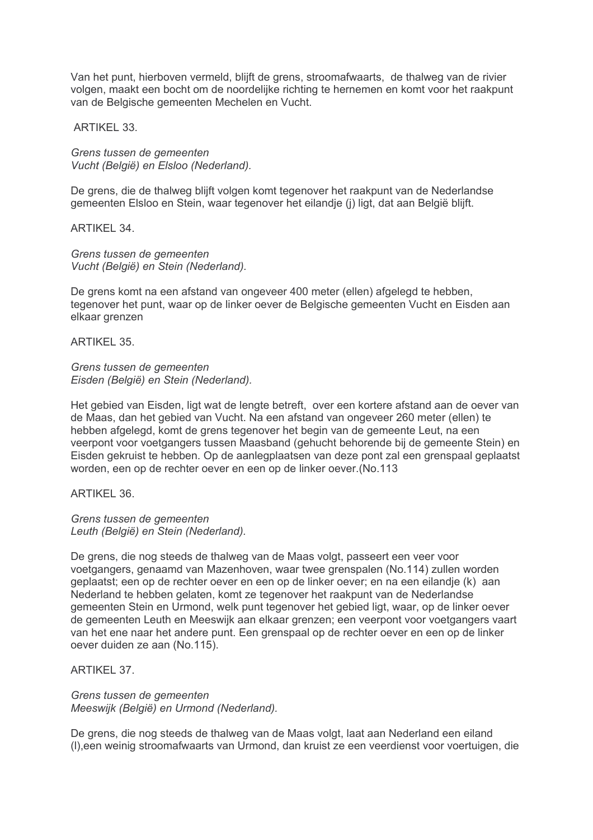Van het punt, hierboven vermeld, blijft de grens, stroomafwaarts, de thalweg van de rivier volgen, maakt een bocht om de noordelijke richting te hernemen en komt voor het raakpunt van de Belgische gemeenten Mechelen en Vucht.

**ARTIKEL 33.** 

Grens tussen de gemeenten Vucht (België) en Elsloo (Nederland).

De grens, die de thalweg blijft volgen komt tegenover het raakpunt van de Nederlandse gemeenten Elsloo en Stein, waar tegenover het eilandie (j) ligt, dat aan België blijft.

**ARTIKEL 34.** 

Grens tussen de gemeenten Vucht (België) en Stein (Nederland).

De grens komt na een afstand van ongeveer 400 meter (ellen) afgelegd te hebben. tegenover het punt, waar op de linker oever de Belgische gemeenten Vucht en Eisden aan elkaar grenzen

**ARTIKEL 35.** 

Grens tussen de gemeenten Eisden (België) en Stein (Nederland).

Het gebied van Eisden, ligt wat de lengte betreft, over een kortere afstand aan de oever van de Maas, dan het gebied van Vucht. Na een afstand van ongeveer 260 meter (ellen) te hebben afgelegd, komt de grens tegenover het begin van de gemeente Leut, na een veerpont voor voetgangers tussen Maasband (gehucht behorende bij de gemeente Stein) en Eisden gekruist te hebben. Op de aanlegplaatsen van deze pont zal een grenspaal geplaatst worden, een op de rechter oever en een op de linker oever. (No.113

ARTIKFI 36

Grens tussen de gemeenten Leuth (België) en Stein (Nederland).

De grens, die nog steeds de thalweg van de Maas volgt, passeert een veer voor voetgangers, genaamd van Mazenhoven, waar twee grenspalen (No.114) zullen worden geplaatst; een op de rechter oever en een op de linker oever; en na een eilandje (k) aan Nederland te hebben gelaten, komt ze tegenover het raakpunt van de Nederlandse gemeenten Stein en Urmond, welk punt tegenover het gebied ligt, waar, op de linker oever de gemeenten Leuth en Meeswijk aan elkaar grenzen; een veerpont voor voetgangers vaart van het ene naar het andere punt. Een grenspaal op de rechter oever en een op de linker oever duiden ze aan (No.115).

ARTIKFI 37

Grens tussen de gemeenten Meeswijk (België) en Urmond (Nederland).

De grens, die nog steeds de thalweg van de Maas volgt, laat aan Nederland een eiland (I), een weinig stroomafwaarts van Urmond, dan kruist ze een veerdienst voor voertuigen, die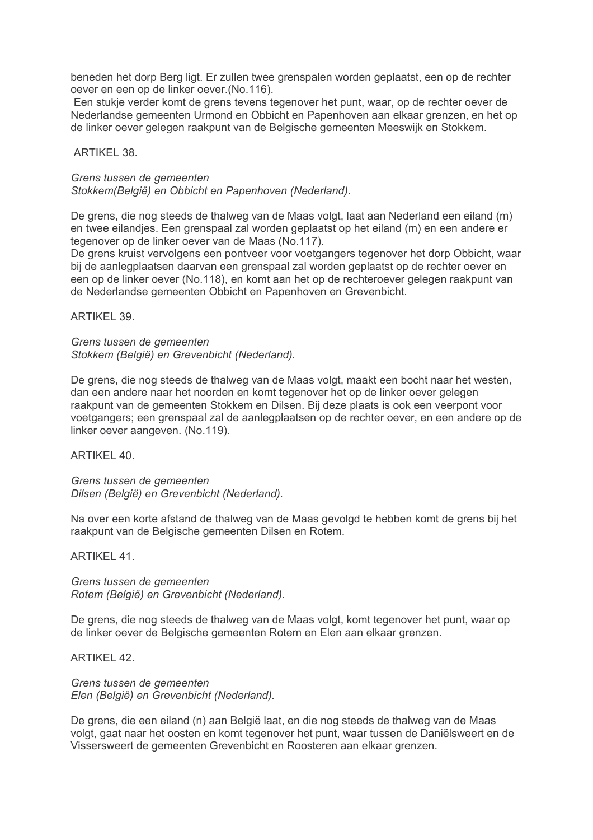beneden het dorp Berg ligt. Er zullen twee grenspalen worden geplaatst, een op de rechter oever en een op de linker oever. (No.116).

Een stukje verder komt de grens tevens tegenover het punt, waar, op de rechter oever de Nederlandse gemeenten Urmond en Obbicht en Papenhoven aan elkaar grenzen, en het op de linker oever gelegen raakpunt van de Belgische gemeenten Meeswijk en Stokkem.

#### ARTIKFI 38

#### Grens tussen de gemeenten Stokkem(België) en Obbicht en Papenhoven (Nederland).

De grens, die nog steeds de thalweg van de Maas volgt, laat aan Nederland een eiland (m) en twee eilandjes. Een grenspaal zal worden geplaatst op het eiland (m) en een andere er tegenover op de linker oever van de Maas (No.117).

De grens kruist vervolgens een pontveer voor voetgangers tegenover het dorp Obbicht, waar bij de aanlegplaatsen daarvan een grenspaal zal worden geplaatst op de rechter oever en een op de linker oever (No.118), en komt aan het op de rechteroever gelegen raakpunt van de Nederlandse gemeenten Obbicht en Papenhoven en Grevenbicht.

**ARTIKEL 39.** 

Grens tussen de gemeenten Stokkem (België) en Grevenbicht (Nederland).

De grens, die nog steeds de thalweg van de Maas volgt, maakt een bocht naar het westen. dan een andere naar het noorden en komt tegenover het op de linker oever gelegen raakpunt van de gemeenten Stokkem en Dilsen. Bij deze plaats is ook een veerpont voor voetgangers; een grenspaal zal de aanlegplaatsen op de rechter oever, en een andere op de linker oever aangeven. (No.119).

ARTIKFI 40

Grens tussen de gemeenten Dilsen (België) en Grevenbicht (Nederland).

Na over een korte afstand de thalweg van de Maas gevolgd te hebben komt de grens bij het raakpunt van de Belgische gemeenten Dilsen en Rotem.

**ARTIKEL 41.** 

Grens tussen de gemeenten Rotem (België) en Grevenbicht (Nederland).

De grens, die nog steeds de thalweg van de Maas volgt, komt tegenover het punt, waar op de linker oever de Belgische gemeenten Rotem en Elen aan elkaar grenzen.

**ARTIKEL 42.** 

Grens tussen de gemeenten Elen (België) en Grevenbicht (Nederland).

De grens, die een eiland (n) aan België laat, en die nog steeds de thalweg van de Maas volgt, gaat naar het oosten en komt tegenover het punt, waar tussen de Daniëlsweert en de Vissersweert de gemeenten Grevenbicht en Roosteren aan elkaar grenzen.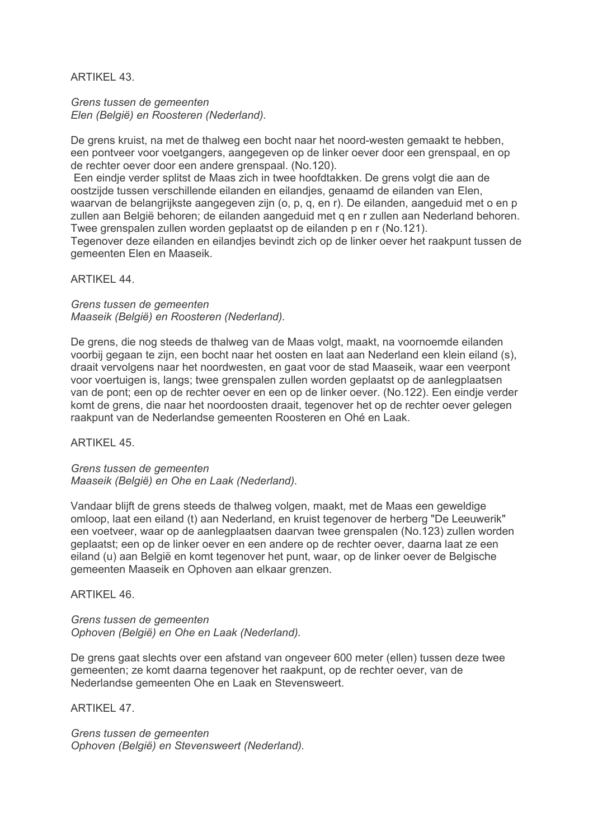# ARTIKFI 43

Grens tussen de gemeenten Elen (België) en Roosteren (Nederland).

De grens kruist, na met de thalweg een bocht naar het noord-westen gemaakt te hebben, een pontveer voor voetgangers, aangegeven op de linker oever door een grenspaal, en op de rechter oever door een andere grenspaal. (No.120).

Een eindie verder splitst de Maas zich in twee hoofdtakken. De grens volgt die aan de oostzijde tussen verschillende eilanden en eilandies, genaamd de eilanden van Elen, waarvan de belangrijkste aangegeven zijn (o. p. g. en r). De eilanden, aangeduid met o en p zullen aan België behoren; de eilanden aangeduid met g en r zullen aan Nederland behoren. Twee grenspalen zullen worden geplaatst op de eilanden p en r (No.121).

Tegenover deze eilanden en eilandies bevindt zich op de linker oever het raakpunt tussen de gemeenten Elen en Maaseik.

## ARTIKFI 44

Grens tussen de gemeenten Maaseik (België) en Roosteren (Nederland).

De grens, die nog steeds de thalweg van de Maas volgt, maakt, na voornoemde eilanden voorbij gegaan te zijn, een bocht naar het oosten en laat aan Nederland een klein eiland (s), draait vervolgens naar het noordwesten, en gaat voor de stad Maaseik, waar een veerpont voor voertuigen is, langs; twee grenspalen zullen worden geplaatst op de aanlegplaatsen van de pont; een op de rechter oever en een op de linker oever. (No.122). Een eindie verder komt de grens, die naar het noordoosten draait, tegenover het op de rechter oever gelegen raakpunt van de Nederlandse gemeenten Roosteren en Ohé en Laak.

**ARTIKEL 45.** 

Grens tussen de gemeenten Maaseik (België) en Ohe en Laak (Nederland).

Vandaar blijft de grens steeds de thalweg volgen, maakt, met de Maas een geweldige omloop, laat een eiland (t) aan Nederland, en kruist tegenover de herberg "De Leeuwerik" een voetveer, waar op de aanlegplaatsen daarvan twee grenspalen (No.123) zullen worden geplaatst; een op de linker oever en een andere op de rechter oever, daarna laat ze een eiland (u) aan België en komt tegenover het punt, waar, op de linker oever de Belgische gemeenten Maaseik en Ophoven aan elkaar grenzen.

ARTIKFI 46

Grens tussen de gemeenten Ophoven (België) en Ohe en Laak (Nederland).

De grens gaat slechts over een afstand van ongeveer 600 meter (ellen) tussen deze twee gemeenten; ze komt daarna tegenover het raakpunt, op de rechter oever, van de Nederlandse gemeenten Ohe en Laak en Stevensweert.

**ARTIKEL 47.** 

Grens tussen de gemeenten Ophoven (België) en Stevensweert (Nederland).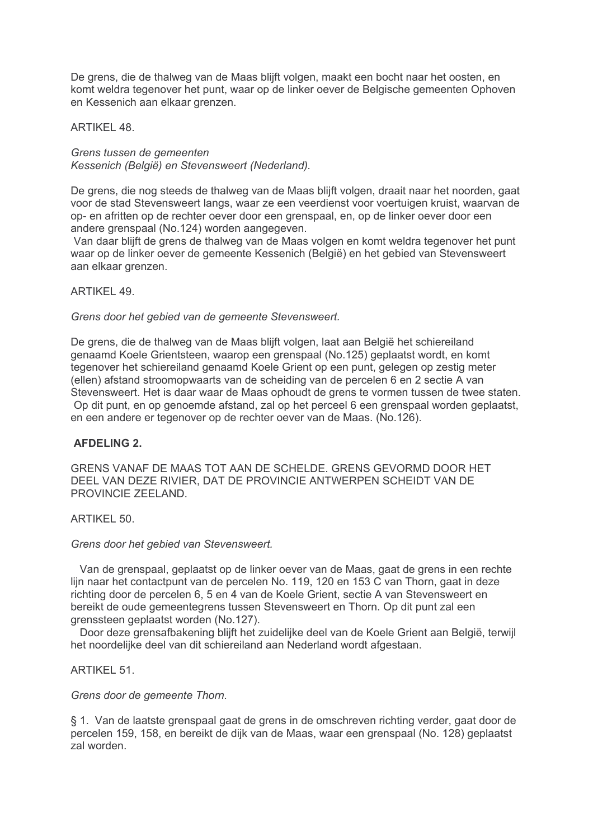De grens, die de thalweg van de Maas blijft volgen, maakt een bocht naar het oosten, en komt weldra tegenover het punt, waar op de linker oever de Belgische gemeenten Ophoven en Kessenich aan elkaar grenzen.

**ARTIKEL 48.** 

Grens tussen de gemeenten Kessenich (België) en Stevensweert (Nederland).

De grens, die nog steeds de thalweg van de Maas blijft volgen, draait naar het noorden, gaat voor de stad Stevensweert langs, waar ze een veerdienst voor voertuigen kruist, waarvan de op- en afritten op de rechter oever door een grenspaal, en, op de linker oever door een andere grenspaal (No.124) worden aangegeven.

Van daar blijft de grens de thalweg van de Maas volgen en komt weldra tegenover het punt waar op de linker oever de gemeente Kessenich (België) en het gebied van Stevensweert aan elkaar grenzen.

## **ARTIKEL 49.**

## Grens door het gebied van de gemeente Stevensweert.

De grens, die de thalweg van de Maas blijft volgen, laat aan België het schiereiland genaamd Koele Grientsteen, waarop een grenspaal (No.125) geplaatst wordt, en komt tegenover het schiereiland genaamd Koele Grient op een punt, gelegen op zestig meter (ellen) afstand stroomopwaarts van de scheiding van de percelen 6 en 2 sectie A van Stevensweert. Het is daar waar de Maas ophoudt de grens te vormen tussen de twee staten. Op dit punt, en op genoemde afstand, zal op het perceel 6 een grenspaal worden geplaatst. en een andere er tegenover op de rechter oever van de Maas. (No.126).

## **AFDELING 2.**

GRENS VANAF DE MAAS TOT AAN DE SCHELDE. GRENS GEVORMD DOOR HET DEEL VAN DEZE RIVIER. DAT DE PROVINCIE ANTWERPEN SCHEIDT VAN DE PROVINCIE ZEELAND.

## ARTIKEL 50.

## Grens door het gebied van Stevensweert.

Van de grenspaal, geplaatst op de linker oever van de Maas, gaat de grens in een rechte lijn naar het contactpunt van de percelen No. 119, 120 en 153 C van Thorn, gaat in deze richting door de percelen 6, 5 en 4 van de Koele Grient, sectie A van Stevensweert en bereikt de oude gemeentegrens tussen Stevensweert en Thorn. Op dit punt zal een grenssteen geplaatst worden (No.127).

Door deze grensafbakening blijft het zuidelijke deel van de Koele Grient aan België, terwijl het noordelijke deel van dit schiereiland aan Nederland wordt afgestaan.

ARTIKFI 51

## Grens door de gemeente Thorn.

§ 1. Van de laatste grenspaal gaat de grens in de omschreven richting verder, gaat door de percelen 159, 158, en bereikt de dijk van de Maas, waar een grenspaal (No. 128) geplaatst zal worden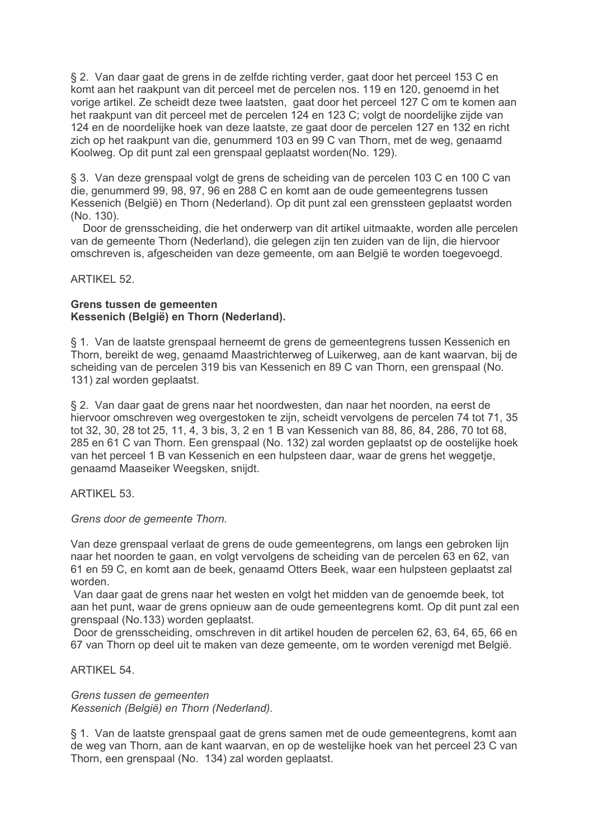§ 2. Van daar gaat de grens in de zelfde richting verder, gaat door het perceel 153 C en komt aan het raakpunt van dit perceel met de percelen nos. 119 en 120, genoemd in het vorige artikel. Ze scheidt deze twee laatsten, gaat door het perceel 127 C om te komen aan het raakpunt van dit perceel met de percelen 124 en 123 C; volgt de noordelijke zijde van 124 en de noordelijke hoek van deze laatste, ze gaat door de percelen 127 en 132 en richt zich op het raakpunt van die, genummerd 103 en 99 C van Thorn, met de weg, genaamd Koolweg. Op dit punt zal een grenspaal geplaatst worden(No. 129).

§ 3. Van deze grenspaal volgt de grens de scheiding van de percelen 103 C en 100 C van die, genummerd 99, 98, 97, 96 en 288 C en komt aan de oude gemeentegrens tussen Kessenich (België) en Thorn (Nederland). Op dit punt zal een grenssteen geplaatst worden (No. 130).

Door de grensscheiding, die het onderwerp van dit artikel uitmaakte, worden alle percelen van de gemeente Thorn (Nederland), die gelegen zijn ten zuiden van de lijn, die hiervoor omschreven is, afgescheiden van deze gemeente, om aan België te worden toegevoegd.

## **ARTIKEL 52.**

## Grens tussen de gemeenten Kessenich (België) en Thorn (Nederland).

§ 1. Van de laatste grenspaal herneemt de grens de gemeentegrens tussen Kessenich en Thorn, bereikt de weg, genaamd Maastrichterweg of Luikerweg, aan de kant waarvan, bij de scheiding van de percelen 319 bis van Kessenich en 89 C van Thorn, een grenspaal (No. 131) zal worden geplaatst.

§ 2. Van daar gaat de grens naar het noordwesten, dan naar het noorden, na eerst de hiervoor omschreven weg overgestoken te zijn, scheidt vervolgens de percelen 74 tot 71, 35 tot 32, 30, 28 tot 25, 11, 4, 3 bis, 3, 2 en 1 B van Kessenich van 88, 86, 84, 286, 70 tot 68, 285 en 61 C van Thorn. Een grenspaal (No. 132) zal worden geplaatst op de oostelijke hoek van het perceel 1 B van Kessenich en een hulpsteen daar, waar de grens het weggetie. genaamd Maaseiker Weegsken, snijdt.

## ARTIKFI 53

## Grens door de gemeente Thorn.

Van deze grenspaal verlaat de grens de oude gemeentegrens, om langs een gebroken lijn naar het noorden te gaan, en volgt vervolgens de scheiding van de percelen 63 en 62, van 61 en 59 C, en komt aan de beek, genaamd Otters Beek, waar een hulpsteen geplaatst zal worden.

Van daar gaat de grens naar het westen en volgt het midden van de genoemde beek, tot aan het punt, waar de grens opnieuw aan de oude gemeentegrens komt. Op dit punt zal een grenspaal (No.133) worden geplaatst.

Door de grensscheiding, omschreven in dit artikel houden de percelen 62, 63, 64, 65, 66 en 67 van Thorn op deel uit te maken van deze gemeente, om te worden verenigd met België.

ARTIKFI 54

Grens tussen de gemeenten Kessenich (België) en Thorn (Nederland).

§ 1. Van de laatste grenspaal gaat de grens samen met de oude gemeentegrens, komt aan de weg van Thorn, aan de kant waarvan, en op de westelijke hoek van het perceel 23 C van Thorn, een grenspaal (No. 134) zal worden geplaatst.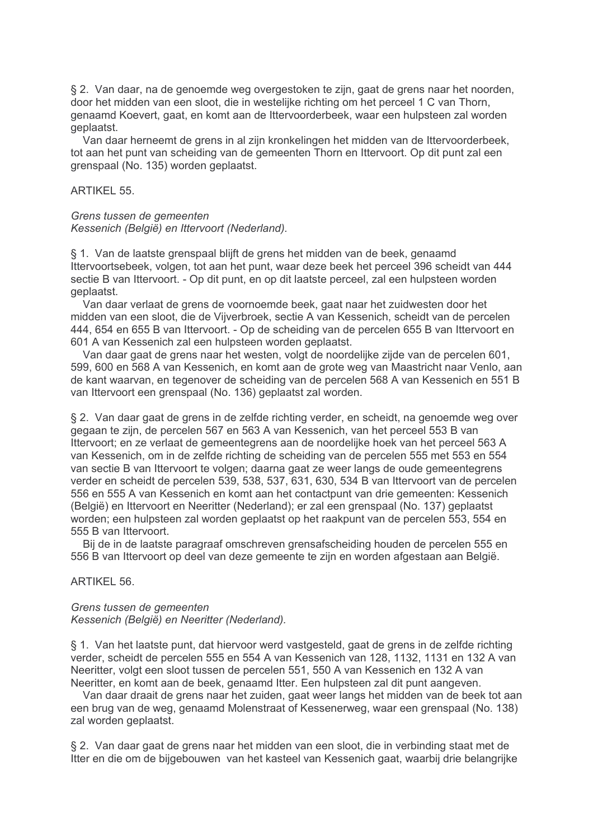§ 2. Van daar, na de genoemde weg overgestoken te zijn, gaat de grens naar het noorden, door het midden van een sloot, die in westelijke richting om het perceel 1 C van Thorn, genaamd Koevert, gaat, en komt aan de Ittervoorderbeek, waar een hulpsteen zal worden geplaatst.

Van daar herneemt de grens in al zijn kronkelingen het midden van de Ittervoorderbeek. tot aan het punt van scheiding van de gemeenten Thorn en Ittervoort. Op dit punt zal een grenspaal (No. 135) worden geplaatst.

#### **ARTIKEL 55.**

#### Grens tussen de gemeenten

Kessenich (België) en Ittervoort (Nederland).

§ 1. Van de laatste grenspaal blijft de grens het midden van de beek, genaamd Ittervoortsebeek, volgen, tot aan het punt, waar deze beek het perceel 396 scheidt van 444 sectie B van Ittervoort. - Op dit punt, en op dit laatste perceel, zal een hulpsteen worden geplaatst.

Van daar verlaat de grens de voornoemde beek, gaat naar het zuidwesten door het midden van een sloot, die de Vijverbroek, sectie A van Kessenich, scheidt van de percelen 444, 654 en 655 B van Ittervoort. - Op de scheiding van de percelen 655 B van Ittervoort en 601 A van Kessenich zal een hulpsteen worden geplaatst.

Van daar gaat de grens naar het westen, volgt de noordelijke zijde van de percelen 601, 599, 600 en 568 A van Kessenich, en komt aan de grote weg van Maastricht naar Venlo, aan de kant waarvan, en tegenover de scheiding van de percelen 568 A van Kessenich en 551 B van Ittervoort een grenspaal (No. 136) geplaatst zal worden.

§ 2. Van daar gaat de grens in de zelfde richting verder, en scheidt, na genoemde weg over gegaan te zijn, de percelen 567 en 563 A van Kessenich, van het perceel 553 B van Ittervoort: en ze verlaat de gemeentegrens aan de noordelijke hoek van het perceel 563 A van Kessenich, om in de zelfde richting de scheiding van de percelen 555 met 553 en 554 van sectie B van Ittervoort te volgen; daarna gaat ze weer langs de oude gemeentegrens verder en scheidt de percelen 539, 538, 537, 631, 630, 534 B van Ittervoort van de percelen 556 en 555 A van Kessenich en komt aan het contactpunt van drie gemeenten: Kessenich (België) en Ittervoort en Neeritter (Nederland); er zal een grenspaal (No. 137) geplaatst worden; een hulpsteen zal worden geplaatst op het raakpunt van de percelen 553, 554 en 555 B van Ittervoort.

Bij de in de laatste paragraaf omschreven grensafscheiding houden de percelen 555 en 556 B van Ittervoort op deel van deze gemeente te zijn en worden afgestaan aan België.

## **ARTIKEL 56.**

#### Grens tussen de gemeenten Kessenich (België) en Neeritter (Nederland).

§ 1. Van het laatste punt, dat hiervoor werd vastgesteld, gaat de grens in de zelfde richting verder, scheidt de percelen 555 en 554 A van Kessenich van 128, 1132, 1131 en 132 A van Neeritter, volgt een sloot tussen de percelen 551, 550 A van Kessenich en 132 A van Neeritter, en komt aan de beek, genaamd Itter. Een hulpsteen zal dit punt aangeven.

Van daar draait de grens naar het zuiden, gaat weer langs het midden van de beek tot aan een brug van de weg, genaamd Molenstraat of Kessenerweg, waar een grenspaal (No. 138) zal worden geplaatst.

§ 2. Van daar gaat de grens naar het midden van een sloot, die in verbinding staat met de Itter en die om de bijgebouwen van het kasteel van Kessenich gaat, waarbij drie belangrijke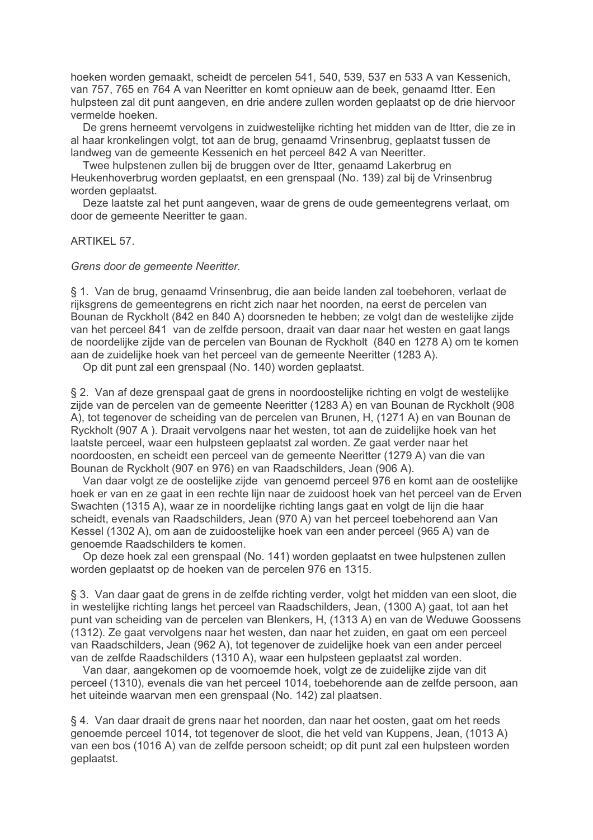hoeken worden gemaakt, scheidt de percelen 541, 540, 539, 537 en 533 A van Kessenich, van 757, 765 en 764 A van Neeritter en komt opnieuw aan de beek, genaamd Itter. Een hulpsteen zal dit punt aangeven, en drie andere zullen worden geplaatst op de drie hiervoor vermelde hoeken.

De grens herneemt vervolgens in zuidwestelijke richting het midden van de Itter, die ze in al haar kronkelingen volgt, tot aan de brug, genaamd Vrinsenbrug, geplaatst tussen de landweg van de gemeente Kessenich en het perceel 842 A van Neeritter.

Twee hulpstenen zullen bij de bruggen over de Itter, genaamd Lakerbrug en Heukenhoverbrug worden geplaatst, en een grenspaal (No. 139) zal bij de Vrinsenbrug worden geplaatst.

Deze laatste zal het punt aangeven, waar de grens de oude gemeentegrens verlaat, om door de gemeente Neeritter te gaan.

#### **ARTIKEL 57.**

Grens door de gemeente Neeritter.

§ 1. Van de brug, genaamd Vrinsenbrug, die aan beide landen zal toebehoren, verlaat de rijksgrens de gemeentegrens en richt zich naar het noorden, na eerst de percelen van Bounan de Ryckholt (842 en 840 A) doorsneden te hebben; ze volgt dan de westelijke zijde van het perceel 841 van de zelfde persoon, draait van daar naar het westen en gaat langs de noordelijke zijde van de percelen van Bounan de Ryckholt (840 en 1278 A) om te komen aan de zuidelijke hoek van het perceel van de gemeente Neeritter (1283 A).

Op dit punt zal een grenspaal (No. 140) worden geplaatst.

§ 2. Van af deze grenspaal gaat de grens in noordoostelijke richting en volgt de westelijke zijde van de percelen van de gemeente Neeritter (1283 A) en van Bounan de Ryckholt (908 A), tot tegenover de scheiding van de percelen van Brunen, H, (1271 A) en van Bounan de Ryckholt (907 A). Draait vervolgens naar het westen, tot aan de zuidelijke hoek van het laatste perceel, waar een hulpsteen geplaatst zal worden. Ze gaat verder naar het noordoosten, en scheidt een perceel van de gemeente Neeritter (1279 A) van die van Bounan de Ryckholt (907 en 976) en van Raadschilders, Jean (906 A).

Van daar volgt ze de oostelijke zijde van genoemd perceel 976 en komt aan de oostelijke hoek er van en ze gaat in een rechte lijn naar de zuidoost hoek van het perceel van de Erven Swachten (1315 A), waar ze in noordelijke richting langs gaat en volgt de lijn die haar scheidt, evenals van Raadschilders, Jean (970 A) van het perceel toebehorend aan Van Kessel (1302 A), om aan de zuidoostelijke hoek van een ander perceel (965 A) van de genoemde Raadschilders te komen.

Op deze hoek zal een grenspaal (No. 141) worden geplaatst en twee hulpstenen zullen worden geplaatst op de hoeken van de percelen 976 en 1315.

§ 3. Van daar gaat de grens in de zelfde richting verder, volgt het midden van een sloot, die in westelijke richting langs het perceel van Raadschilders, Jean. (1300 A) gaat, tot aan het punt van scheiding van de percelen van Blenkers, H, (1313 A) en van de Weduwe Goossens (1312). Ze gaat vervolgens naar het westen, dan naar het zuiden, en gaat om een perceel van Raadschilders, Jean (962 A), tot tegenover de zuidelijke hoek van een ander perceel van de zelfde Raadschilders (1310 A), waar een hulpsteen geplaatst zal worden.

Van daar, aangekomen op de voornoemde hoek, volgt ze de zuidelijke zijde van dit perceel (1310), evenals die van het perceel 1014, toebehorende aan de zelfde persoon, aan het uiteinde waarvan men een grenspaal (No. 142) zal plaatsen.

§ 4. Van daar draait de grens naar het noorden, dan naar het oosten, gaat om het reeds genoemde perceel 1014, tot tegenover de sloot, die het veld van Kuppens, Jean. (1013 A) van een bos (1016 A) van de zelfde persoon scheidt; op dit punt zal een hulpsteen worden geplaatst.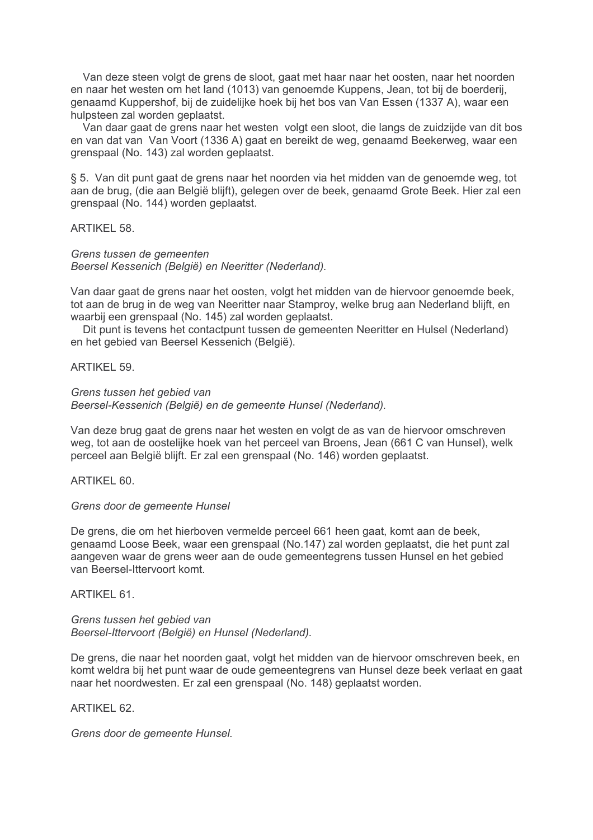Van deze steen volgt de grens de sloot, gaat met haar naar het oosten, naar het noorden en naar het westen om het land (1013) van genoemde Kuppens, Jean, tot bij de boerderij. genaamd Kuppershof, bij de zuidelijke hoek bij het bos van Van Essen (1337 A), waar een hulpsteen zal worden geplaatst.

Van daar gaat de grens naar het westen volgt een sloot, die langs de zuidzijde van dit bos en van dat van Van Voort (1336 A) gaat en bereikt de weg, genaamd Beekerweg, waar een grenspaal (No. 143) zal worden geplaatst.

§ 5. Van dit punt gaat de grens naar het noorden via het midden van de genoemde weg, tot aan de brug, (die aan België blijft), gelegen over de beek, genaamd Grote Beek. Hier zal een grenspaal (No. 144) worden geplaatst.

## **ARTIKEL 58.**

## Grens tussen de gemeenten Beersel Kessenich (België) en Neeritter (Nederland).

Van daar gaat de grens naar het oosten, volgt het midden van de hiervoor genoemde beek. tot aan de brug in de weg van Neeritter naar Stamproy, welke brug aan Nederland blijft, en waarbij een grenspaal (No. 145) zal worden geplaatst.

Dit punt is tevens het contactpunt tussen de gemeenten Neeritter en Hulsel (Nederland) en het gebied van Beersel Kessenich (België).

#### ARTIKFI 59

#### Grens tussen het gebied van

Beersel-Kessenich (België) en de gemeente Hunsel (Nederland).

Van deze brug gaat de grens naar het westen en volgt de as van de hiervoor omschreven weg, tot aan de oostelijke hoek van het perceel van Broens. Jean (661 C van Hunsel), welk perceel aan België blijft. Er zal een grenspaal (No. 146) worden geplaatst.

ARTIKEL 60.

## Grens door de gemeente Hunsel

De grens, die om het hierboven vermelde perceel 661 heen gaat, komt aan de beek. genaamd Loose Beek, waar een grenspaal (No.147) zal worden geplaatst, die het punt zal aangeven waar de grens weer aan de oude gemeentegrens tussen Hunsel en het gebied van Beersel-Ittervoort komt.

#### ARTIKFI 61

Grens tussen het gebied van Beersel-Ittervoort (België) en Hunsel (Nederland).

De grens, die naar het noorden gaat, volgt het midden van de hiervoor omschreven beek, en komt weldra bij het punt waar de oude gemeentegrens van Hunsel deze beek verlaat en gaat naar het noordwesten. Er zal een grenspaal (No. 148) geplaatst worden.

## **ARTIKEL 62.**

Grens door de gemeente Hunsel.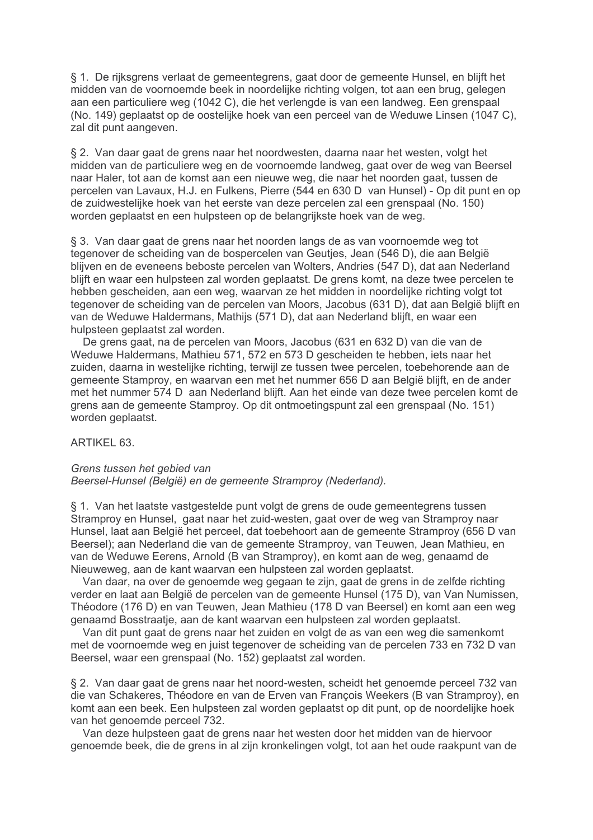§ 1. De rijksgrens verlaat de gemeentegrens, gaat door de gemeente Hunsel, en blijft het midden van de voornoemde beek in noordelijke richting volgen, tot aan een brug, gelegen aan een particuliere weg (1042 C), die het verlengde is van een landweg. Een grenspaal (No. 149) geplaatst op de oostelijke hoek van een perceel van de Weduwe Linsen (1047 C). zal dit punt aangeven.

§ 2. Van daar gaat de grens naar het noordwesten, daarna naar het westen, volgt het midden van de particuliere weg en de voornoemde landweg, gaat over de weg van Beersel naar Haler, tot aan de komst aan een nieuwe weg, die naar het noorden gaat, tussen de percelen van Lavaux, H.J. en Fulkens, Pierre (544 en 630 D van Hunsel) - Op dit punt en op de zuidwestelijke hoek van het eerste van deze percelen zal een grenspaal (No. 150) worden geplaatst en een hulpsteen op de belangrijkste hoek van de weg.

§ 3. Van daar gaat de grens naar het noorden langs de as van voornoemde weg tot tegenover de scheiding van de bospercelen van Geutjes, Jean (546 D), die aan België blijven en de eveneens beboste percelen van Wolters, Andries (547 D), dat aan Nederland blijft en waar een hulpsteen zal worden geplaatst. De grens komt, na deze twee percelen te hebben gescheiden, aan een weg, waarvan ze het midden in noordelijke richting volgt tot tegenover de scheiding van de percelen van Moors, Jacobus (631 D), dat aan België blijft en van de Weduwe Haldermans, Mathijs (571 D), dat aan Nederland blijft, en waar een hulpsteen geplaatst zal worden.

De grens gaat, na de percelen van Moors, Jacobus (631 en 632 D) van die van de Weduwe Haldermans, Mathieu 571, 572 en 573 D gescheiden te hebben, iets naar het zuiden, daarna in westelijke richting, terwijl ze tussen twee percelen, toebehorende aan de gemeente Stamproy, en waarvan een met het nummer 656 D aan België blijft, en de ander met het nummer 574 D aan Nederland blijft. Aan het einde van deze twee percelen komt de grens aan de gemeente Stamproy. Op dit ontmoetingspunt zal een grenspaal (No. 151) worden geplaatst.

ARTIKEL 63.

## Grens tussen het gebied van

Beersel-Hunsel (België) en de gemeente Stramproy (Nederland).

§ 1. Van het laatste vastgestelde punt volgt de grens de oude gemeentegrens tussen Stramproy en Hunsel, gaat naar het zuid-westen, gaat over de weg van Stramproy naar Hunsel, laat aan België het perceel, dat toebehoort aan de gemeente Stramproy (656 D van Beersel): aan Nederland die van de gemeente Stramprov, van Teuwen, Jean Mathieu, en van de Weduwe Eerens, Arnold (B van Stramprov), en komt aan de weg, genaamd de Nieuweweg, aan de kant waarvan een hulpsteen zal worden geplaatst.

Van daar, na over de genoemde weg gegaan te zijn, gaat de grens in de zelfde richting verder en laat aan België de percelen van de gemeente Hunsel (175 D), van Van Numissen, Théodore (176 D) en van Teuwen. Jean Mathieu (178 D van Beersel) en komt aan een weg genaamd Bosstraatie, aan de kant waarvan een hulpsteen zal worden geplaatst.

Van dit punt gaat de grens naar het zuiden en volgt de as van een weg die samenkomt met de voornoemde weg en juist tegenover de scheiding van de percelen 733 en 732 D van Beersel, waar een grenspaal (No. 152) geplaatst zal worden.

§ 2. Van daar gaat de grens naar het noord-westen, scheidt het genoemde perceel 732 van die van Schakeres, Théodore en van de Erven van Francois Weekers (B van Stramproy), en komt aan een beek. Een hulpsteen zal worden geplaatst op dit punt, op de noordelijke hoek van het genoemde perceel 732.

Van deze hulpsteen gaat de grens naar het westen door het midden van de hiervoor genoemde beek, die de grens in al zijn kronkelingen volgt, tot aan het oude raakpunt van de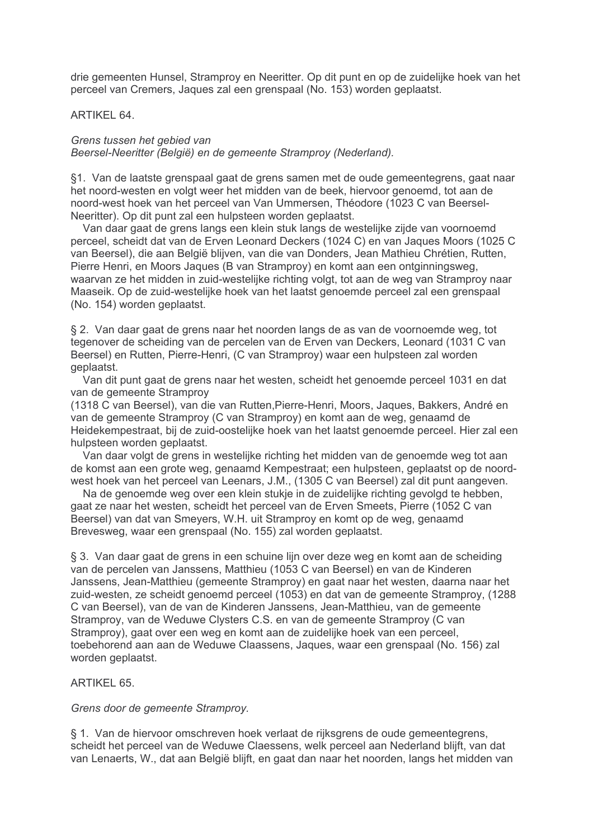drie gemeenten Hunsel, Stramproy en Neeritter. Op dit punt en op de zuidelijke hoek van het perceel van Cremers, Jaques zal een grenspaal (No. 153) worden geplaatst.

## ARTIKEL 64.

Grens tussen het gebied van Beersel-Neeritter (België) en de gemeente Stramproy (Nederland).

§1. Van de laatste grenspaal gaat de grens samen met de oude gemeentegrens, gaat naar het noord-westen en volgt weer het midden van de beek, hiervoor genoemd, tot aan de noord-west hoek van het perceel van Van Ummersen. Théodore (1023 C van Beersel-Neeritter). Op dit punt zal een hulpsteen worden geplaatst.

Van daar gaat de grens langs een klein stuk langs de westelijke zijde van voornoemd perceel, scheidt dat van de Erven Leonard Deckers (1024 C) en van Jaques Moors (1025 C van Beersel), die aan België blijven, van die van Donders, Jean Mathieu Chrétien, Rutten, Pierre Henri, en Moors Jaques (B van Stramproy) en komt aan een ontginningsweg, waarvan ze het midden in zuid-westelijke richting volgt, tot aan de weg van Stramproy naar Maaseik. Op de zuid-westelijke hoek van het laatst genoemde perceel zal een grenspaal (No. 154) worden geplaatst.

§ 2. Van daar gaat de grens naar het noorden langs de as van de voornoemde weg, tot tegenover de scheiding van de percelen van de Erven van Deckers, Leonard (1031 C van Beersel) en Rutten, Pierre-Henri, (C van Stramproy) waar een hulpsteen zal worden geplaatst.

Van dit punt gaat de grens naar het westen, scheidt het genoemde perceel 1031 en dat van de gemeente Stramprov

(1318 C van Beersel), van die van Rutten, Pierre-Henri, Moors, Jaques, Bakkers, André en van de gemeente Stramproy (C van Stramproy) en komt aan de weg, genaamd de Heidekempestraat, bij de zuid-oostelijke hoek van het laatst genoemde perceel. Hier zal een hulpsteen worden geplaatst.

Van daar volgt de grens in westelijke richting het midden van de genoemde weg tot aan de komst aan een grote weg, genaamd Kempestraat; een hulpsteen, geplaatst op de noordwest hoek van het perceel van Leenars, J.M., (1305 C van Beersel) zal dit punt aangeven.

Na de genoemde weg over een klein stukje in de zuidelijke richting gevolgd te hebben. gaat ze naar het westen, scheidt het perceel van de Erven Smeets, Pierre (1052 C van Beersel) van dat van Smeyers, W.H. uit Stramproy en komt op de weg, genaamd Brevesweg, waar een grenspaal (No. 155) zal worden geplaatst.

§ 3. Van daar gaat de grens in een schuine lijn over deze weg en komt aan de scheiding van de percelen van Janssens, Matthieu (1053 C van Beersel) en van de Kinderen Janssens, Jean-Matthieu (gemeente Stramproy) en gaat naar het westen, daarna naar het zuid-westen, ze scheidt genoemd perceel (1053) en dat van de gemeente Stramproy, (1288 C van Beersel), van de van de Kinderen Janssens, Jean-Matthieu, van de gemeente Stramproy, van de Weduwe Clysters C.S. en van de gemeente Stramproy (C van Stramproy), gaat over een weg en komt aan de zuidelijke hoek van een perceel, toebehorend aan aan de Weduwe Claassens, Jaques, waar een grenspaal (No. 156) zal worden geplaatst.

## **ARTIKEL 65.**

## Grens door de gemeente Stramproy.

§ 1. Van de hiervoor omschreven hoek verlaat de rijksgrens de oude gemeentegrens. scheidt het perceel van de Weduwe Claessens, welk perceel aan Nederland blijft, van dat van Lenaerts, W., dat aan België blijft, en gaat dan naar het noorden, langs het midden van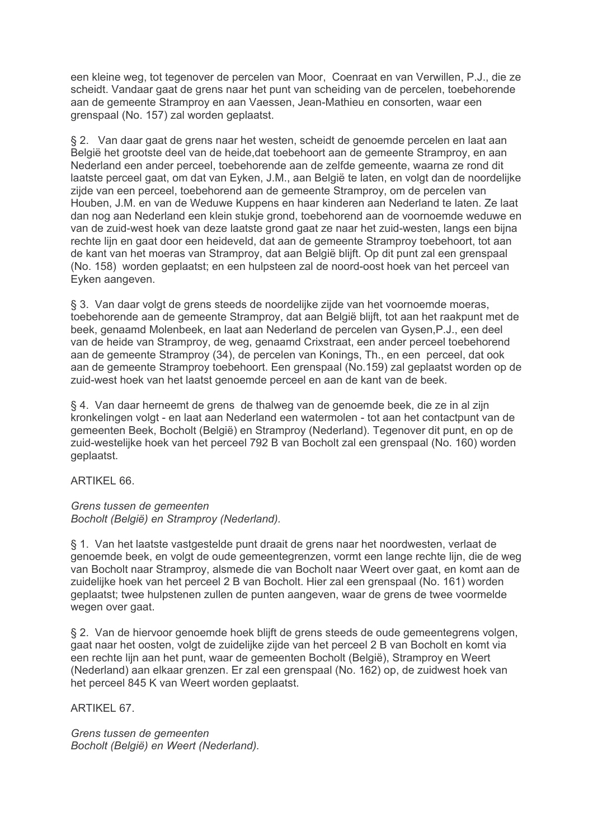een kleine weg, tot tegenover de percelen van Moor, Coenraat en van Verwillen, P.J., die ze scheidt. Vandaar gaat de grens naar het punt van scheiding van de percelen, toebehorende aan de gemeente Stramproy en aan Vaessen, Jean-Mathieu en consorten, waar een grenspaal (No. 157) zal worden geplaatst.

§ 2. Van daar gaat de grens naar het westen, scheidt de genoemde percelen en laat aan België het grootste deel van de heide dat toebehoort aan de gemeente Stramprov, en aan Nederland een ander perceel, toebehorende aan de zelfde gemeente, waarna ze rond dit laatste perceel gaat, om dat van Eyken, J.M., aan België te laten, en volgt dan de noordelijke zijde van een perceel, toebehorend aan de gemeente Stramproy, om de percelen van Houben, J.M. en van de Weduwe Kuppens en haar kinderen aan Nederland te laten. Ze laat dan nog aan Nederland een klein stukje grond, toebehorend aan de voornoemde weduwe en van de zuid-west hoek van deze laatste grond gaat ze naar het zuid-westen, langs een bijna rechte lijn en gaat door een heideveld, dat aan de gemeente Stramprov toebehoort, tot aan de kant van het moeras van Stramproy, dat aan België blijft. Op dit punt zal een grenspaal (No. 158) worden geplaatst; en een hulpsteen zal de noord-oost hoek van het perceel van Eyken aangeven.

§ 3. Van daar volgt de grens steeds de noordelijke zijde van het voornoemde moeras, toebehorende aan de gemeente Stramproy, dat aan België blijft, tot aan het raakpunt met de beek, genaamd Molenbeek, en laat aan Nederland de percelen van Gysen, P.J., een deel van de heide van Stramproy, de weg, genaamd Crixstraat, een ander perceel toebehorend aan de gemeente Stramproy (34), de percelen van Konings, Th., en een perceel, dat ook aan de gemeente Stramproy toebehoort. Een grenspaal (No.159) zal geplaatst worden op de zuid-west hoek van het laatst genoemde perceel en aan de kant van de beek.

§ 4. Van daar herneemt de grens de thalweg van de genoemde beek, die ze in al zijn kronkelingen volgt - en laat aan Nederland een watermolen - tot aan het contactpunt van de gemeenten Beek, Bocholt (België) en Stramproy (Nederland). Tegenover dit punt, en op de zuid-westelijke hoek van het perceel 792 B van Bocholt zal een grenspaal (No. 160) worden geplaatst.

ARTIKEL 66.

Grens tussen de gemeenten Bocholt (België) en Stramproy (Nederland).

§ 1. Van het laatste vastgestelde punt draait de grens naar het noordwesten, verlaat de genoemde beek, en volgt de oude gemeentegrenzen, vormt een lange rechte lijn, die de weg van Bocholt naar Stramproy, alsmede die van Bocholt naar Weert over gaat, en komt aan de zuidelijke hoek van het perceel 2 B van Bocholt. Hier zal een grenspaal (No. 161) worden geplaatst; twee hulpstenen zullen de punten aangeven, waar de grens de twee voormelde wegen over gaat.

§ 2. Van de hiervoor genoemde hoek blijft de grens steeds de oude gemeentegrens volgen, gaat naar het oosten, volgt de zuidelijke zijde van het perceel 2 B van Bocholt en komt via een rechte lijn aan het punt, waar de gemeenten Bocholt (België), Stramproy en Weert (Nederland) aan elkaar grenzen. Er zal een grenspaal (No. 162) op, de zuidwest hoek van het perceel 845 K van Weert worden geplaatst.

ARTIKEL 67.

Grens tussen de gemeenten Bocholt (België) en Weert (Nederland).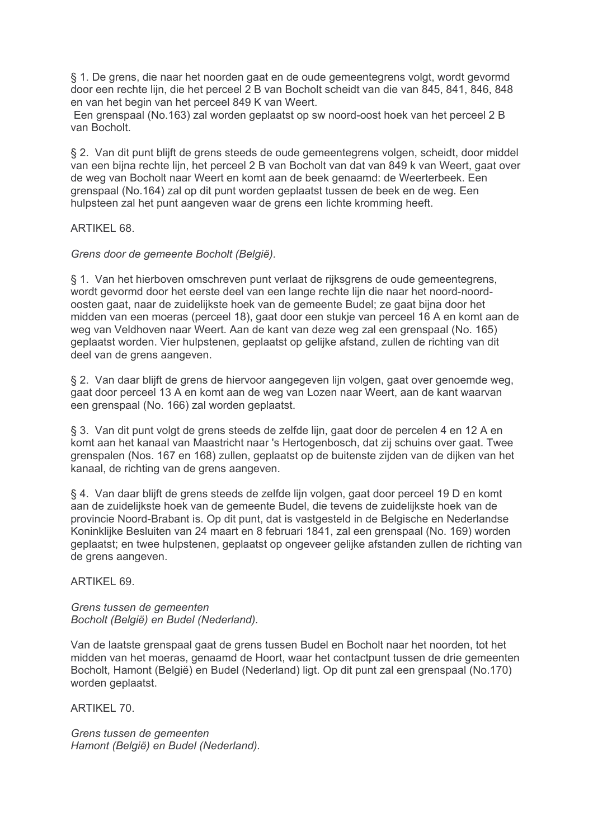§ 1. De grens, die naar het noorden gaat en de oude gemeentegrens volgt, wordt gevormd door een rechte lijn, die het perceel 2 B van Bocholt scheidt van die van 845, 841, 846, 848 en van het begin van het perceel 849 K van Weert.

Een grenspaal (No.163) zal worden geplaatst op sw noord-oost hoek van het perceel 2 B van Bocholt.

§ 2. Van dit punt bliift de grens steeds de oude gemeentegrens volgen, scheidt, door middel van een bijna rechte lijn, het perceel 2 B van Bocholt van dat van 849 k van Weert, gaat over de weg van Bocholt naar Weert en komt aan de beek genaamd: de Weerterbeek. Een grenspaal (No.164) zal op dit punt worden geplaatst tussen de beek en de weg. Een hulpsteen zal het punt aangeven waar de grens een lichte kromming heeft.

# ARTIKEL 68.

Grens door de gemeente Bocholt (België).

§ 1. Van het hierboven omschreven punt verlaat de rijksgrens de oude gemeentegrens. wordt gevormd door het eerste deel van een lange rechte lijn die naar het noord-noordoosten gaat, naar de zuidelijkste hoek van de gemeente Budel; ze gaat bijna door het midden van een moeras (perceel 18), gaat door een stukje van perceel 16 A en komt aan de weg van Veldhoven naar Weert. Aan de kant van deze weg zal een grenspaal (No. 165) geplaatst worden. Vier hulpstenen, geplaatst op gelijke afstand, zullen de richting van dit deel van de grens aangeven.

§ 2. Van daar blijft de grens de hiervoor aangegeven lijn volgen, gaat over genoemde weg. gaat door perceel 13 A en komt aan de weg van Lozen naar Weert, aan de kant waarvan een grenspaal (No. 166) zal worden geplaatst.

§ 3. Van dit punt volgt de grens steeds de zelfde lijn, gaat door de percelen 4 en 12 A en komt aan het kanaal van Maastricht naar 's Hertogenbosch, dat zij schuins over gaat. Twee grenspalen (Nos. 167 en 168) zullen, geplaatst op de buitenste zijden van de dijken van het kanaal, de richting van de grens aangeven.

§ 4. Van daar blijft de grens steeds de zelfde lijn volgen, gaat door perceel 19 D en komt aan de zuidelijkste hoek van de gemeente Budel, die tevens de zuidelijkste hoek van de provincie Noord-Brabant is. Op dit punt, dat is vastgesteld in de Belgische en Nederlandse Koninklijke Besluiten van 24 maart en 8 februari 1841, zal een grenspaal (No. 169) worden geplaatst; en twee hulpstenen, geplaatst op ongeveer gelijke afstanden zullen de richting van de grens aangeven.

**ARTIKEL 69.** 

Grens tussen de gemeenten Bocholt (België) en Budel (Nederland).

Van de laatste grenspaal gaat de grens tussen Budel en Bocholt naar het noorden, tot het midden van het moeras, genaamd de Hoort, waar het contactpunt tussen de drie gemeenten Bocholt, Hamont (België) en Budel (Nederland) ligt. Op dit punt zal een grenspaal (No.170) worden geplaatst.

**ARTIKEL 70.** 

Grens tussen de gemeenten Hamont (België) en Budel (Nederland).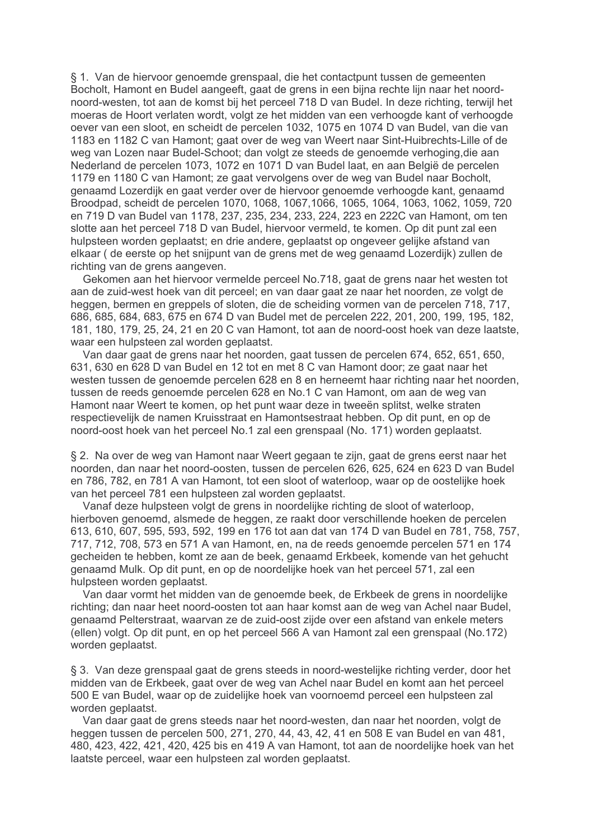§ 1. Van de hiervoor genoemde grenspaal, die het contactpunt tussen de gemeenten Bocholt, Hamont en Budel aangeeft, gaat de grens in een bijna rechte lijn naar het noordnoord-westen, tot aan de komst bij het perceel 718 D van Budel. In deze richting, terwijl het moeras de Hoort verlaten wordt, volgt ze het midden van een verhoogde kant of verhoogde oever van een sloot, en scheidt de percelen 1032, 1075 en 1074 D van Budel, van die van 1183 en 1182 C van Hamont; gaat over de weg van Weert naar Sint-Huibrechts-Lille of de weg van Lozen naar Budel-Schoot; dan volgt ze steeds de genoemde verhoging, die aan Nederland de percelen 1073, 1072 en 1071 D van Budel laat, en aan België de percelen 1179 en 1180 C van Hamont; ze gaat vervolgens over de weg van Budel naar Bocholt, genaamd Lozerdijk en gaat verder over de hiervoor genoemde verhoogde kant, genaamd Broodpad, scheidt de percelen 1070, 1068, 1067, 1066, 1065, 1064, 1063, 1062, 1059, 720 en 719 D van Budel van 1178, 237, 235, 234, 233, 224, 223 en 222C van Hamont, om ten slotte aan het perceel 718 D van Budel, hiervoor vermeld, te komen. Op dit punt zal een hulpsteen worden geplaatst: en drie andere, geplaatst op ongeveer gelijke afstand van elkaar (de eerste op het snijpunt van de grens met de weg genaamd Lozerdijk) zullen de richting van de grens aangeven.

Gekomen aan het hiervoor vermelde perceel No.718, gaat de grens naar het westen tot aan de zuid-west hoek van dit perceel; en van daar gaat ze naar het noorden, ze volgt de heggen, bermen en greppels of sloten, die de scheiding vormen van de percelen 718, 717, 686, 685, 684, 683, 675 en 674 D van Budel met de percelen 222, 201, 200, 199, 195, 182, 181, 180, 179, 25, 24, 21 en 20 C van Hamont, tot aan de noord-oost hoek van deze laatste, waar een hulpsteen zal worden geplaatst.

Van daar gaat de grens naar het noorden, gaat tussen de percelen 674, 652, 651, 650, 631, 630 en 628 D van Budel en 12 tot en met 8 C van Hamont door; ze gaat naar het westen tussen de genoemde percelen 628 en 8 en herneemt haar richting naar het noorden, tussen de reeds genoemde percelen 628 en No.1 C van Hamont, om aan de weg van Hamont naar Weert te komen, op het punt waar deze in tweeën splitst, welke straten respectievelijk de namen Kruisstraat en Hamontsestraat hebben. Op dit punt, en op de noord-oost hoek van het perceel No.1 zal een grenspaal (No. 171) worden geplaatst.

§ 2. Na over de weg van Hamont naar Weert gegaan te zijn, gaat de grens eerst naar het noorden, dan naar het noord-oosten, tussen de percelen 626, 625, 624 en 623 D van Budel en 786, 782, en 781 A van Hamont, tot een sloot of waterloop, waar op de oostelijke hoek van het perceel 781 een hulpsteen zal worden geplaatst.

Vanaf deze hulpsteen volgt de grens in noordelijke richting de sloot of waterloop, hierboven genoemd, alsmede de heggen, ze raakt door verschillende hoeken de percelen 613, 610, 607, 595, 593, 592, 199 en 176 tot aan dat van 174 D van Budel en 781, 758, 757, 717, 712, 708, 573 en 571 A van Hamont, en, na de reeds genoemde percelen 571 en 174 gecheiden te hebben, komt ze aan de beek, genaamd Erkbeek, komende van het gehucht genaamd Mulk. Op dit punt, en op de noordelijke hoek van het perceel 571, zal een hulpsteen worden geplaatst.

Van daar vormt het midden van de genoemde beek, de Erkbeek de grens in noordelijke richting: dan naar heet noord-oosten tot aan haar komst aan de weg van Achel naar Budel. genaamd Pelterstraat, waarvan ze de zuid-oost zijde over een afstand van enkele meters (ellen) volgt. Op dit punt, en op het perceel 566 A van Hamont zal een grenspaal (No.172) worden geplaatst.

§ 3. Van deze grenspaal gaat de grens steeds in noord-westelijke richting verder, door het midden van de Erkbeek, gaat over de weg van Achel naar Budel en komt aan het perceel 500 E van Budel, waar op de zuidelijke hoek van voornoemd perceel een hulpsteen zal worden geplaatst.

Van daar gaat de grens steeds naar het noord-westen, dan naar het noorden, volgt de heggen tussen de percelen 500, 271, 270, 44, 43, 42, 41 en 508 E van Budel en van 481, 480, 423, 422, 421, 420, 425 bis en 419 A van Hamont, tot aan de noordelijke hoek van het laatste perceel, waar een hulpsteen zal worden geplaatst.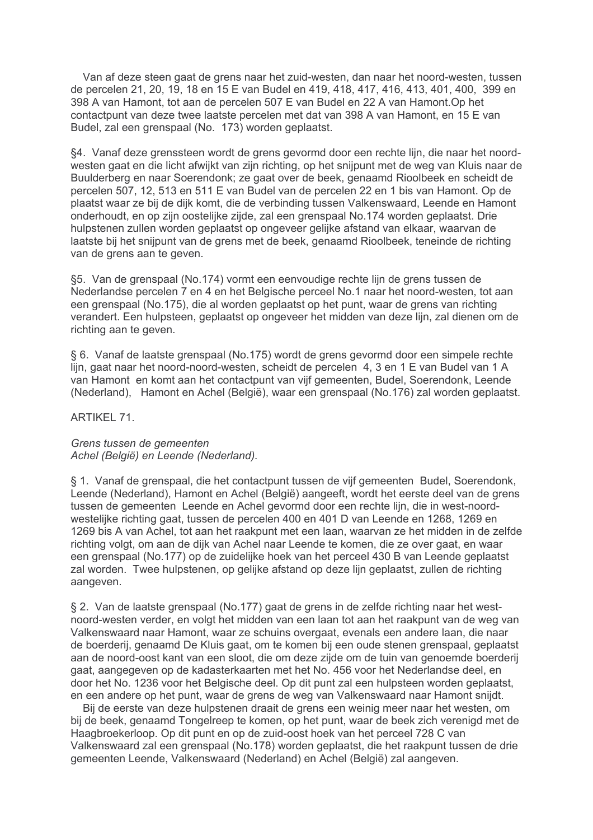Van af deze steen gaat de grens naar het zuid-westen, dan naar het noord-westen, tussen de percelen 21, 20, 19, 18 en 15 E van Budel en 419, 418, 417, 416, 413, 401, 400, 399 en 398 A van Hamont, tot aan de percelen 507 E van Budel en 22 A van Hamont. Op het contactpunt van deze twee laatste percelen met dat van 398 A van Hamont, en 15 E van Budel, zal een grenspaal (No. 173) worden geplaatst.

§4. Vanaf deze grenssteen wordt de grens gevormd door een rechte lijn, die naar het noordwesten gaat en die licht afwijkt van zijn richting, op het snijpunt met de weg van Kluis naar de Buulderberg en naar Soerendonk; ze gaat over de beek, genaamd Rioolbeek en scheidt de percelen 507, 12, 513 en 511 E van Budel van de percelen 22 en 1 bis van Hamont. Op de plaatst waar ze bij de dijk komt, die de verbinding tussen Valkenswaard, Leende en Hamont onderhoudt, en op zijn oostelijke zijde, zal een grenspaal No.174 worden geplaatst. Drie hulpstenen zullen worden geplaatst op ongeveer gelijke afstand van elkaar, waarvan de laatste bij het snijpunt van de grens met de beek, genaamd Rioolbeek, teneinde de richting van de grens aan te geven.

§5. Van de grenspaal (No.174) vormt een eenvoudige rechte lijn de grens tussen de Nederlandse percelen 7 en 4 en het Belgische perceel No.1 naar het noord-westen, tot aan een grenspaal (No.175), die al worden geplaatst op het punt, waar de grens van richting verandert. Een hulpsteen, geplaatst op ongeveer het midden van deze lijn, zal dienen om de richting aan te geven.

§ 6. Vanaf de laatste grenspaal (No.175) wordt de grens gevormd door een simpele rechte lijn, gaat naar het noord-noord-westen, scheidt de percelen 4, 3 en 1 E van Budel van 1 A van Hamont en komt aan het contactpunt van vijf gemeenten, Budel, Soerendonk, Leende (Nederland), Hamont en Achel (België), waar een grenspaal (No.176) zal worden geplaatst.

**ARTIKEL 71.** 

Grens tussen de gemeenten Achel (België) en Leende (Nederland).

§ 1. Vanaf de grenspaal, die het contactpunt tussen de vijf gemeenten Budel, Soerendonk, Leende (Nederland), Hamont en Achel (België) aangeeft, wordt het eerste deel van de grens tussen de gemeenten Leende en Achel gevormd door een rechte lijn, die in west-noordwestelijke richting gaat, tussen de percelen 400 en 401 D van Leende en 1268, 1269 en 1269 bis A van Achel, tot aan het raakpunt met een laan, waarvan ze het midden in de zelfde richting volgt, om aan de dijk van Achel naar Leende te komen, die ze over gaat, en waar een grenspaal (No.177) op de zuidelijke hoek van het perceel 430 B van Leende geplaatst zal worden. Twee hulpstenen, op gelijke afstand op deze lijn geplaatst, zullen de richting aangeven.

§ 2. Van de laatste grenspaal (No.177) gaat de grens in de zelfde richting naar het westnoord-westen verder, en volgt het midden van een laan tot aan het raakpunt van de weg van Valkenswaard naar Hamont, waar ze schuins overgaat, evenals een andere laan, die naar de boerderij, genaamd De Kluis gaat, om te komen bij een oude stenen grenspaal, geplaatst aan de noord-oost kant van een sloot, die om deze zijde om de tuin van genoemde boerderij gaat, aangegeven op de kadasterkaarten met het No. 456 voor het Nederlandse deel, en door het No. 1236 voor het Belgische deel. Op dit punt zal een hulpsteen worden geplaatst. en een andere op het punt, waar de grens de weg van Valkenswaard naar Hamont snijdt.

Bij de eerste van deze hulpstenen draait de grens een weinig meer naar het westen, om bij de beek, genaamd Tongelreep te komen, op het punt, waar de beek zich verenigd met de Haagbroekerloop. Op dit punt en op de zuid-oost hoek van het perceel 728 C van Valkenswaard zal een grenspaal (No.178) worden geplaatst, die het raakpunt tussen de drie demeenten Leende. Valkenswaard (Nederland) en Achel (België) zal aangeven.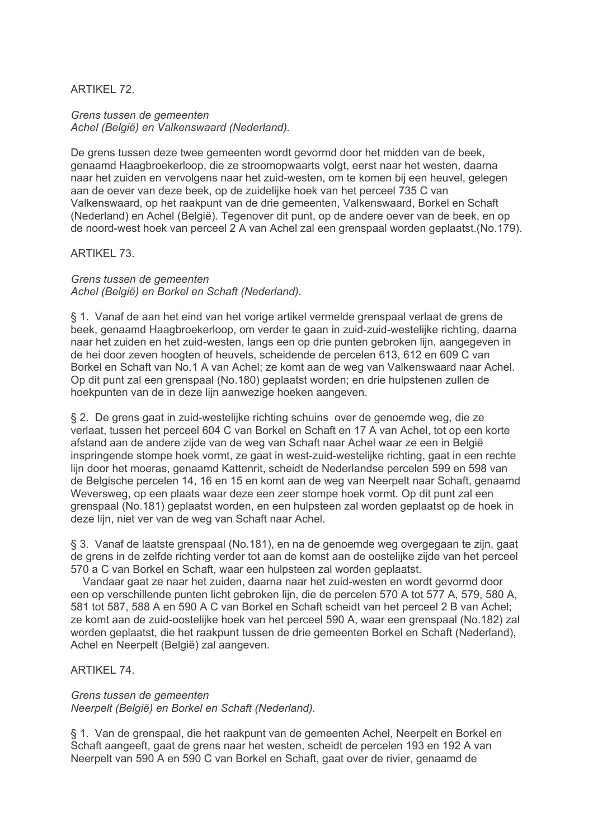**ARTIKEL 72.** 

Grens tussen de gemeenten Achel (België) en Valkenswaard (Nederland).

De grens tussen deze twee gemeenten wordt gevormd door het midden van de beek. genaamd Haagbroekerloop, die ze stroomopwaarts volgt, eerst naar het westen, daarna naar het zuiden en vervolgens naar het zuid-westen, om te komen bij een heuvel, gelegen aan de oever van deze beek, op de zuidelijke hoek van het perceel 735 C van Valkenswaard, op het raakpunt van de drie gemeenten, Valkenswaard, Borkel en Schaft (Nederland) en Achel (België). Tegenover dit punt, op de andere oever van de beek, en op de noord-west hoek van perceel 2 A van Achel zal een grenspaal worden geplaatst. (No.179).

ARTIKFI 73

Grens tussen de gemeenten Achel (België) en Borkel en Schaft (Nederland).

§ 1. Vanaf de aan het eind van het vorige artikel vermelde grenspaal verlaat de grens de beek, genaamd Haagbroekerloop, om verder te gaan in zuid-zuid-westelijke richting, daarna naar het zuiden en het zuid-westen, langs een op drie punten gebroken lijn, aangegeven in de hei door zeven hoogten of heuvels, scheidende de percelen 613, 612 en 609 C van Borkel en Schaft van No.1 A van Achel; ze komt aan de weg van Valkenswaard naar Achel. Op dit punt zal een grenspaal (No.180) geplaatst worden; en drie hulpstenen zullen de hoekpunten van de in deze lijn aanwezige hoeken aangeven.

§ 2. De grens gaat in zuid-westelijke richting schuins over de genoemde weg, die ze verlaat, tussen het perceel 604 C van Borkel en Schaft en 17 A van Achel, tot op een korte afstand aan de andere zijde van de weg van Schaft naar Achel waar ze een in België inspringende stompe hoek vormt, ze gaat in west-zuid-westelijke richting, gaat in een rechte lijn door het moeras, genaamd Kattenrit, scheidt de Nederlandse percelen 599 en 598 van de Belgische percelen 14, 16 en 15 en komt aan de weg van Neerpelt naar Schaft, genaamd Weversweg, op een plaats waar deze een zeer stompe hoek vormt. Op dit punt zal een grenspaal (No.181) geplaatst worden, en een hulpsteen zal worden geplaatst op de hoek in deze lijn, niet ver van de weg van Schaft naar Achel.

§ 3. Vanaf de laatste grenspaal (No.181), en na de genoemde weg overgegaan te zijn, gaat de grens in de zelfde richting verder tot aan de komst aan de oostelijke zijde van het perceel 570 a C van Borkel en Schaft, waar een hulpsteen zal worden geplaatst.

Vandaar gaat ze naar het zuiden, daarna naar het zuid-westen en wordt gevormd door een op verschillende punten licht gebroken lijn, die de percelen 570 A tot 577 A, 579, 580 A, 581 tot 587, 588 A en 590 A C van Borkel en Schaft scheidt van het perceel 2 B van Achel: ze komt aan de zuid-oostelijke hoek van het perceel 590 A, waar een grenspaal (No.182) zal worden geplaatst, die het raakpunt tussen de drie gemeenten Borkel en Schaft (Nederland), Achel en Neerpelt (België) zal aangeven.

## ARTIKFI 74

## Grens tussen de gemeenten

Neerpelt (België) en Borkel en Schaft (Nederland).

§ 1. Van de grenspaal, die het raakpunt van de gemeenten Achel, Neerpelt en Borkel en Schaft aangeeft, gaat de grens naar het westen, scheidt de percelen 193 en 192 A van Neerpelt van 590 A en 590 C van Borkel en Schaft, gaat over de rivier, genaamd de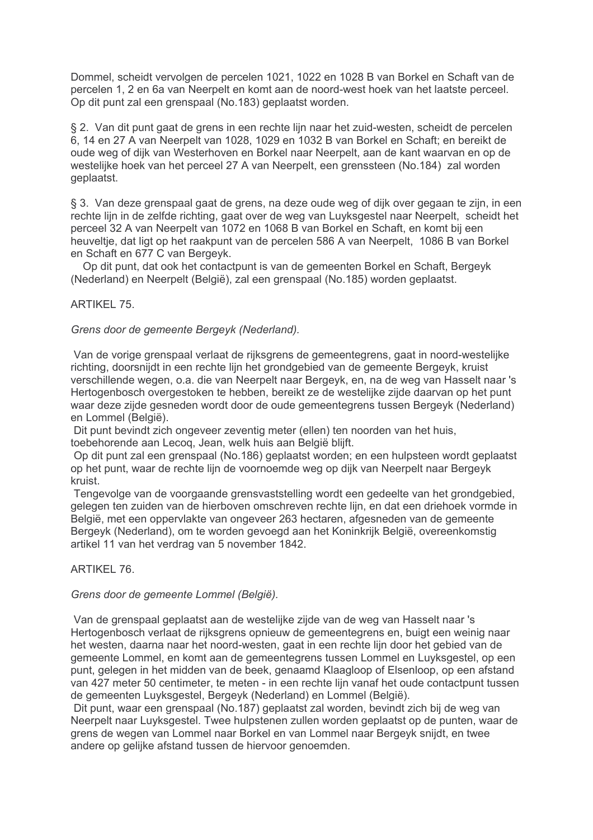Dommel, scheidt vervolgen de percelen 1021, 1022 en 1028 B van Borkel en Schaft van de percelen 1, 2 en 6a van Neerpelt en komt aan de noord-west hoek van het laatste perceel. Op dit punt zal een grenspaal (No.183) geplaatst worden.

§ 2. Van dit punt gaat de grens in een rechte lijn naar het zuid-westen, scheidt de percelen 6, 14 en 27 A van Neerpelt van 1028, 1029 en 1032 B van Borkel en Schaft; en bereikt de oude weg of dijk van Westerhoven en Borkel naar Neerpelt, aan de kant waarvan en op de westelijke hoek van het perceel 27 A van Neerpelt, een grenssteen (No.184) zal worden geplaatst.

§ 3. Van deze grenspaal gaat de grens, na deze oude weg of dijk over gegaan te zijn, in een rechte lijn in de zelfde richting, gaat over de weg van Luyksgestel naar Neerpelt, scheidt het perceel 32 A van Neerpelt van 1072 en 1068 B van Borkel en Schaft, en komt bij een heuveltie, dat ligt op het raakpunt van de percelen 586 A van Neerpelt. 1086 B van Borkel en Schaft en 677 C van Bergevk.

Op dit punt, dat ook het contactpunt is van de gemeenten Borkel en Schaft, Bergeyk (Nederland) en Neerpelt (België), zal een grenspaal (No.185) worden geplaatst.

# **ARTIKEL 75.**

## Grens door de gemeente Bergeyk (Nederland).

Van de vorige grenspaal verlaat de rijksgrens de gemeentegrens, gaat in noord-westelijke richting, doorsnijdt in een rechte lijn het grondgebied van de gemeente Bergeyk, kruist verschillende wegen, o.a. die van Neerpelt naar Bergeyk, en, na de weg van Hasselt naar 's Hertogenbosch overgestoken te hebben, bereikt ze de westelijke zijde daarvan op het punt waar deze zijde gesneden wordt door de oude gemeentegrens tussen Bergeyk (Nederland) en Lommel (België).

Dit punt bevindt zich ongeveer zeventig meter (ellen) ten noorden van het huis. toebehorende aan Lecog. Jean, welk huis aan België blijft.

Op dit punt zal een grenspaal (No.186) geplaatst worden; en een hulpsteen wordt geplaatst op het punt, waar de rechte lijn de voornoemde weg op dijk van Neerpelt naar Bergeyk kruist.

Tengevolge van de voorgaande grensvaststelling wordt een gedeelte van het grondgebied, gelegen ten zuiden van de hierboven omschreven rechte lijn, en dat een driehoek vormde in België, met een oppervlakte van ongeveer 263 hectaren, afgesneden van de gemeente Bergevk (Nederland), om te worden gevoegd aan het Koninkrijk België, overeenkomstig artikel 11 van het verdrag van 5 november 1842.

## ARTIKFI 76

## Grens door de gemeente Lommel (België).

Van de grenspaal geplaatst aan de westelijke zijde van de weg van Hasselt naar 's Hertogenbosch verlaat de rijksgrens opnieuw de gemeentegrens en, buigt een weinig naar het westen, daarna naar het noord-westen, gaat in een rechte lijn door het gebied van de gemeente Lommel, en komt aan de gemeentegrens tussen Lommel en Luyksgestel, op een punt, gelegen in het midden van de beek, genaamd Klaagloop of Elsenloop, op een afstand van 427 meter 50 centimeter, te meten - in een rechte lijn vanaf het oude contactount tussen de gemeenten Luyksgestel, Bergeyk (Nederland) en Lommel (België).

Dit punt, waar een grenspaal (No.187) geplaatst zal worden, bevindt zich bij de weg van Neerpelt naar Luyksgestel. Twee hulpstenen zullen worden geplaatst op de punten, waar de grens de wegen van Lommel naar Borkel en van Lommel naar Bergeyk snijdt, en twee andere op gelijke afstand tussen de hiervoor genoemden.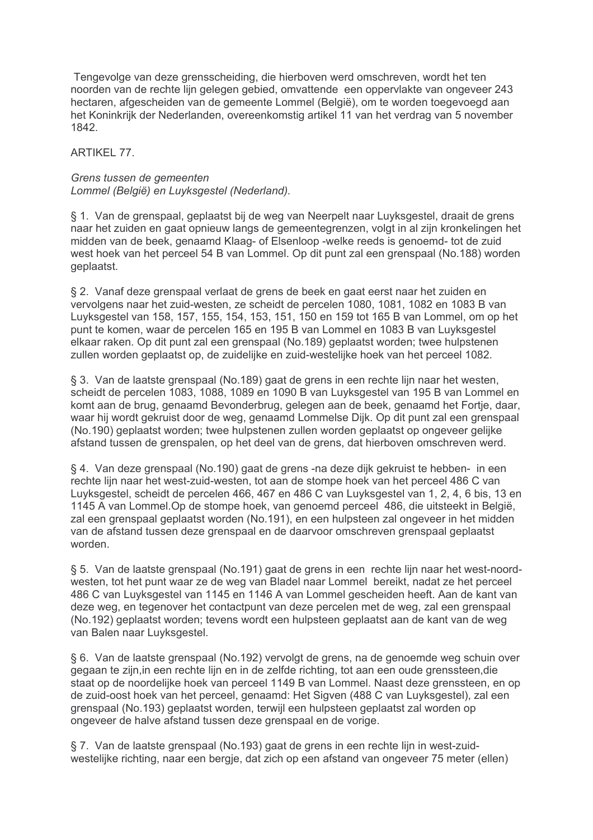Tengevolge van deze grensscheiding, die hierboven werd omschreven, wordt het ten noorden van de rechte lijn gelegen gebied, omvattende een oppervlakte van ongeveer 243 hectaren, afgescheiden van de gemeente Lommel (België), om te worden toegevoegd aan het Koninkrijk der Nederlanden, overeenkomstig artikel 11 van het verdrag van 5 november 1842.

ARTIKFI 77

# Grens tussen de gemeenten Lommel (België) en Luyksgestel (Nederland).

§ 1. Van de grenspaal, geplaatst bij de weg van Neerpelt naar Luyksgestel, draait de grens naar het zuiden en gaat opnieuw langs de gemeentegrenzen, volgt in al zijn kronkelingen het midden van de beek, genaamd Klaag- of Elsenloop -welke reeds is genoemd- tot de zuid west hoek van het perceel 54 B van Lommel. Op dit punt zal een grenspaal (No.188) worden geplaatst.

§ 2. Vanaf deze grenspaal verlaat de grens de beek en gaat eerst naar het zuiden en vervolgens naar het zuid-westen, ze scheidt de percelen 1080, 1081, 1082 en 1083 B van Luyksgestel van 158, 157, 155, 154, 153, 151, 150 en 159 tot 165 B van Lommel, om op het punt te komen, waar de percelen 165 en 195 B van Lommel en 1083 B van Luyksgestel elkaar raken. Op dit punt zal een grenspaal (No.189) geplaatst worden; twee hulpstenen zullen worden geplaatst op, de zuidelijke en zuid-westelijke hoek van het perceel 1082.

§ 3. Van de laatste grenspaal (No.189) gaat de grens in een rechte lijn naar het westen. scheidt de percelen 1083, 1088, 1089 en 1090 B van Luyksgestel van 195 B van Lommel en komt aan de brug, genaamd Bevonderbrug, gelegen aan de beek, genaamd het Fortje, daar, waar hij wordt gekruist door de weg, genaamd Lommelse Dijk. Op dit punt zal een grenspaal (No.190) geplaatst worden; twee hulpstenen zullen worden geplaatst op ongeveer gelijke afstand tussen de grenspalen, op het deel van de grens, dat hierboven omschreven werd.

§ 4. Van deze grenspaal (No.190) gaat de grens -na deze dijk gekruist te hebben- in een rechte lijn naar het west-zuid-westen, tot aan de stompe hoek van het perceel 486 C van Luyksgestel, scheidt de percelen 466, 467 en 486 C van Luyksgestel van 1, 2, 4, 6 bis, 13 en 1145 A van Lommel. Op de stompe hoek, van genoemd perceel 486, die uitsteekt in België, zal een grenspaal geplaatst worden (No.191), en een hulpsteen zal ongeveer in het midden van de afstand tussen deze grenspaal en de daarvoor omschreven grenspaal geplaatst worden

§ 5. Van de laatste grenspaal (No.191) gaat de grens in een rechte lijn naar het west-noordwesten, tot het punt waar ze de weg van Bladel naar Lommel bereikt, nadat ze het perceel 486 C van Luyksgestel van 1145 en 1146 A van Lommel gescheiden heeft. Aan de kant van deze weg, en tegenover het contactpunt van deze percelen met de weg, zal een grenspaal (No.192) geplaatst worden; tevens wordt een hulpsteen geplaatst aan de kant van de weg van Balen naar Luyksgestel.

§ 6. Van de laatste grenspaal (No.192) vervolgt de grens, na de genoemde weg schuin over gegaan te zijn, in een rechte lijn en in de zelfde richting, tot aan een oude grenssteen, die staat op de noordelijke hoek van perceel 1149 B van Lommel. Naast deze grenssteen, en op de zuid-oost hoek van het perceel, genaamd: Het Sigven (488 C van Luyksgestel), zal een grenspaal (No.193) geplaatst worden, terwijl een hulpsteen geplaatst zal worden op ongeveer de halve afstand tussen deze grenspaal en de vorige.

§ 7. Van de laatste grenspaal (No.193) gaat de grens in een rechte lijn in west-zuidwestelijke richting, naar een bergie, dat zich op een afstand van ongeveer 75 meter (ellen)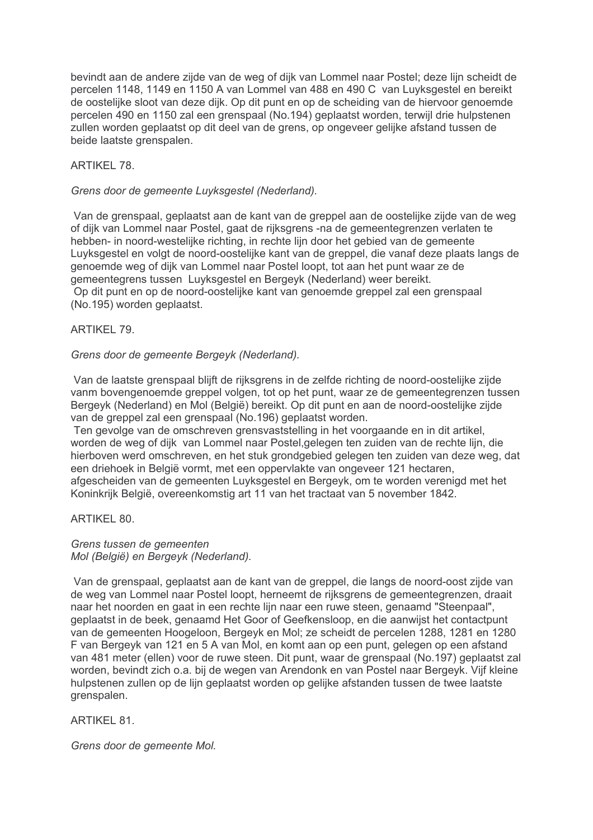bevindt aan de andere zijde van de weg of dijk van Lommel naar Postel; deze lijn scheidt de percelen 1148, 1149 en 1150 A van Lommel van 488 en 490 C van Luyksgestel en bereikt de oostelijke sloot van deze dijk. Op dit punt en op de scheiding van de hiervoor genoemde percelen 490 en 1150 zal een grenspaal (No.194) geplaatst worden, terwijl drie hulpstenen zullen worden geplaatst op dit deel van de grens, op ongeveer gelijke afstand tussen de beide laatste grenspalen.

# **ARTIKEL 78.**

# Grens door de gemeente Luyksgestel (Nederland).

Van de grenspaal, geplaatst aan de kant van de greppel aan de oostelijke zijde van de weg of dijk van Lommel naar Postel, gaat de rijksgrens -na de gemeentegrenzen verlaten te hebben- in noord-westelijke richting, in rechte lijn door het gebied van de gemeente Luvksgestel en volgt de noord-oostelijke kant van de greppel, die vanaf deze plaats langs de genoemde weg of dijk van Lommel naar Postel loopt, tot aan het punt waar ze de gemeentegrens tussen Luyksgestel en Bergeyk (Nederland) weer bereikt. Op dit punt en op de noord-oostelijke kant van genoemde greppel zal een grenspaal (No.195) worden geplaatst.

# **ARTIKEL 79.**

# Grens door de gemeente Bergeyk (Nederland).

Van de laatste grenspaal blijft de rijksgrens in de zelfde richting de noord-oostelijke zijde vanm bovengenoemde greppel volgen, tot op het punt, waar ze de gemeentegrenzen tussen Bergeyk (Nederland) en Mol (België) bereikt. Op dit punt en aan de noord-oostelijke zijde van de greppel zal een grenspaal (No.196) geplaatst worden.

Ten gevolge van de omschreven grensvaststelling in het voorgaande en in dit artikel, worden de weg of dijk van Lommel naar Postel gelegen ten zuiden van de rechte lijn, die hierboven werd omschreven, en het stuk grondgebied gelegen ten zuiden van deze weg, dat een driehoek in België vormt, met een oppervlakte van ongeveer 121 hectaren, afgescheiden van de gemeenten Luyksgestel en Bergeyk, om te worden verenigd met het Koninkrijk België, overeenkomstig art 11 van het tractaat van 5 november 1842.

ARTIKEL 80.

## Grens tussen de gemeenten Mol (België) en Bergevk (Nederland).

Van de grenspaal, geplaatst aan de kant van de greppel, die langs de noord-oost zijde van de weg van Lommel naar Postel loopt, herneemt de rijksgrens de gemeentegrenzen, draait naar het noorden en gaat in een rechte lijn naar een ruwe steen, genaamd "Steenpaal". geplaatst in de beek, genaamd Het Goor of Geefkensloop, en die aanwijst het contactpunt van de gemeenten Hoogeloon, Bergeyk en Mol; ze scheidt de percelen 1288, 1281 en 1280 F van Bergeyk van 121 en 5 A van Mol, en komt aan op een punt, gelegen op een afstand van 481 meter (ellen) voor de ruwe steen. Dit punt, waar de grenspaal (No.197) geplaatst zal worden, bevindt zich o.a. bij de wegen van Arendonk en van Postel naar Bergeyk. Vijf kleine hulpstenen zullen op de lijn geplaatst worden op gelijke afstanden tussen de twee laatste grenspalen.

# **ARTIKEL 81.**

Grens door de gemeente Mol.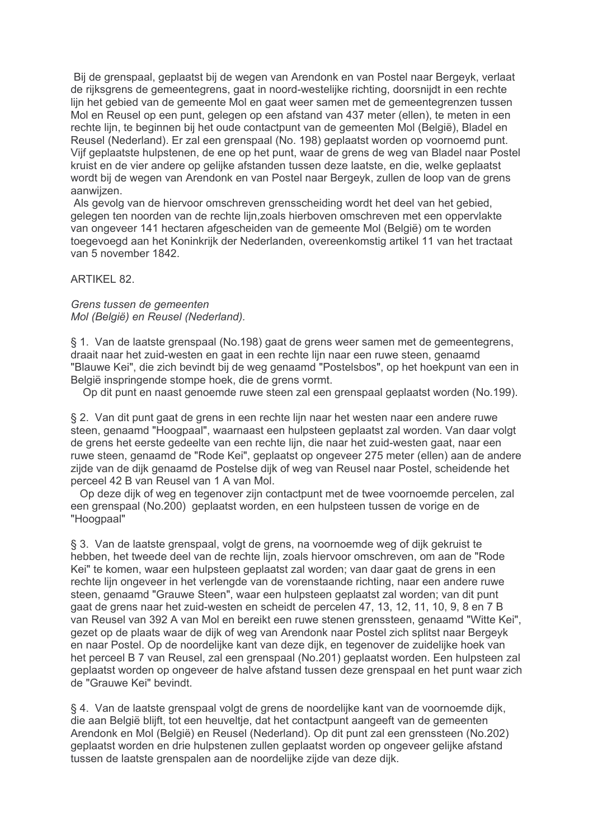Bij de grenspaal, geplaatst bij de wegen van Arendonk en van Postel naar Bergeyk, verlaat de rijksgrens de gemeentegrens, gaat in noord-westelijke richting, doorsnijdt in een rechte lijn het gebied van de gemeente Mol en gaat weer samen met de gemeentegrenzen tussen Mol en Reusel op een punt, gelegen op een afstand van 437 meter (ellen), te meten in een rechte lijn, te beginnen bij het oude contactpunt van de gemeenten Mol (België), Bladel en Reusel (Nederland). Er zal een grenspaal (No. 198) geplaatst worden op voornoemd punt. Vijf geplaatste hulpstenen, de ene op het punt, waar de grens de weg van Bladel naar Postel kruist en de vier andere op gelijke afstanden tussen deze laatste, en die, welke geplaatst wordt bij de wegen van Arendonk en van Postel naar Bergeyk, zullen de loop van de grens aanwiizen.

Als gevolg van de hiervoor omschreven grensscheiding wordt het deel van het gebied. gelegen ten noorden van de rechte lijn zoals hierboven omschreven met een oppervlakte van ongeveer 141 hectaren afgescheiden van de gemeente Mol (België) om te worden toegevoegd aan het Koninkrijk der Nederlanden, overeenkomstig artikel 11 van het tractaat van 5 november 1842.

**ARTIKEL 82.** 

Grens tussen de gemeenten Mol (België) en Reusel (Nederland).

§ 1. Van de laatste grenspaal (No.198) gaat de grens weer samen met de gemeentegrens. draait naar het zuid-westen en gaat in een rechte lijn naar een ruwe steen, genaamd "Blauwe Kei", die zich bevindt bij de weg genaamd "Postelsbos", op het hoekpunt van een in België inspringende stompe hoek, die de grens vormt.

Op dit punt en naast genoemde ruwe steen zal een grenspaal geplaatst worden (No.199).

§ 2. Van dit punt gaat de grens in een rechte lijn naar het westen naar een andere ruwe steen, genaamd "Hoogpaal", waarnaast een hulpsteen geplaatst zal worden. Van daar volgt de grens het eerste gedeelte van een rechte lijn, die naar het zuid-westen gaat, naar een ruwe steen, genaamd de "Rode Kei", geplaatst op ongeveer 275 meter (ellen) aan de andere zijde van de dijk genaamd de Postelse dijk of weg van Reusel naar Postel, scheidende het perceel 42 B van Reusel van 1 A van Mol.

Op deze dijk of weg en tegenover zijn contactpunt met de twee voornoemde percelen, zal een grenspaal (No.200) geplaatst worden, en een hulpsteen tussen de vorige en de "Hoogpaal"

§ 3. Van de laatste grenspaal, volgt de grens, na voornoemde weg of dijk gekruist te hebben, het tweede deel van de rechte lijn, zoals hiervoor omschreven, om aan de "Rode" Kei" te komen, waar een hulpsteen geplaatst zal worden; van daar gaat de grens in een rechte lijn ongeveer in het verlengde van de vorenstaande richting, naar een andere ruwe steen, genaamd "Grauwe Steen", waar een hulpsteen geplaatst zal worden; van dit punt gaat de grens naar het zuid-westen en scheidt de percelen 47, 13, 12, 11, 10, 9, 8 en 7 B van Reusel van 392 A van Mol en bereikt een ruwe stenen grenssteen, genaamd "Witte Kei", gezet op de plaats waar de dijk of weg van Arendonk naar Postel zich splitst naar Bergeyk en naar Postel. Op de noordelijke kant van deze dijk, en tegenover de zuidelijke hoek van het perceel B 7 van Reusel, zal een grenspaal (No.201) geplaatst worden. Een hulpsteen zal geplaatst worden op ongeveer de halve afstand tussen deze grenspaal en het punt waar zich de "Grauwe Kei" bevindt.

§ 4. Van de laatste grenspaal volgt de grens de noordelijke kant van de voornoemde dijk, die aan België blijft, tot een heuveltje, dat het contactpunt aangeeft van de gemeenten Arendonk en Mol (België) en Reusel (Nederland). Op dit punt zal een grenssteen (No.202) geplaatst worden en drie hulpstenen zullen geplaatst worden op ongeveer gelijke afstand tussen de laatste grenspalen aan de noordelijke zijde van deze dijk.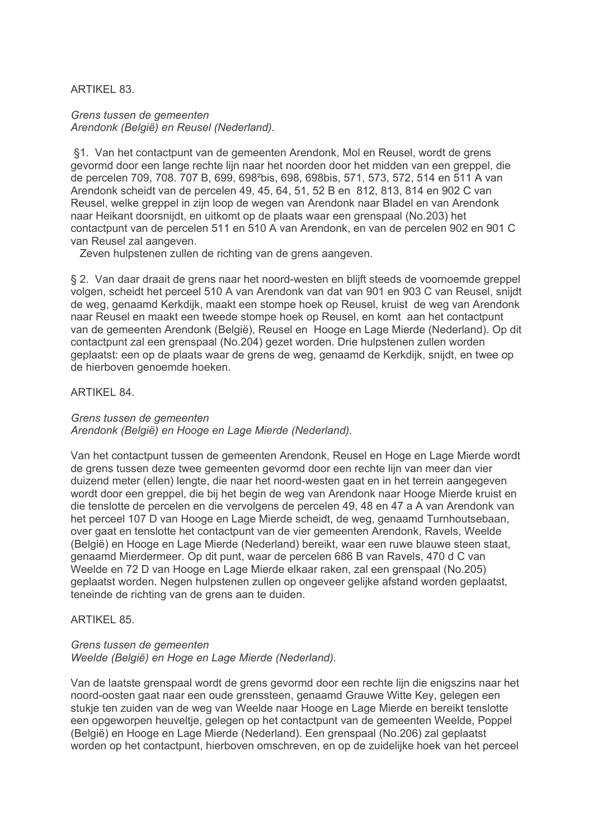# **ARTIKEL 83.**

Grens tussen de gemeenten Arendonk (België) en Reusel (Nederland).

§1. Van het contactpunt van de gemeenten Arendonk. Mol en Reusel, wordt de grens gevormd door een lange rechte lijn naar het noorden door het midden van een greppel, die de percelen 709, 708. 707 B, 699, 698<sup>2</sup>bis, 698, 698bis, 571, 573, 572, 514 en 511 A van Arendonk scheidt van de percelen 49, 45, 64, 51, 52 B en 812, 813, 814 en 902 C van Reusel, welke greppel in zijn loop de wegen van Arendonk naar Bladel en van Arendonk naar Heikant doorsnijdt, en uitkomt op de plaats waar een grenspaal (No.203) het contactpunt van de percelen 511 en 510 A van Arendonk, en van de percelen 902 en 901 C van Reusel zal aangeven.

Zeven hulpstenen zullen de richting van de grens aangeven.

§ 2. Van daar draait de grens naar het noord-westen en blijft steeds de voornoemde greppel volgen, scheidt het perceel 510 A van Arendonk van dat van 901 en 903 C van Reusel, snijdt de weg, genaamd Kerkdijk, maakt een stompe hoek op Reusel, kruist de weg van Arendonk naar Reusel en maakt een tweede stompe hoek op Reusel, en komt aan het contactpunt van de gemeenten Arendonk (België), Reusel en Hooge en Lage Mierde (Nederland). Op dit contactpunt zal een grenspaal (No.204) gezet worden. Drie hulpstenen zullen worden geplaatst: een op de plaats waar de grens de weg, genaamd de Kerkdijk, snijdt, en twee op de hierboven genoemde hoeken.

## ARTIKFI 84

#### Grens tussen de gemeenten

Arendonk (België) en Hooge en Lage Mierde (Nederland).

Van het contactpunt tussen de gemeenten Arendonk. Reusel en Hoge en Lage Mierde wordt de grens tussen deze twee gemeenten gevormd door een rechte lijn van meer dan vier duizend meter (ellen) lengte, die naar het noord-westen gaat en in het terrein aangegeven wordt door een greppel, die bij het begin de weg van Arendonk naar Hooge Mierde kruist en die tenslotte de percelen en die vervolgens de percelen 49, 48 en 47 a A van Arendonk van het perceel 107 D van Hooge en Lage Mierde scheidt, de weg, genaamd Turnhoutsebaan, over gaat en tenslotte het contactpunt van de vier gemeenten Arendonk. Ravels, Weelde (België) en Hooge en Lage Mierde (Nederland) bereikt, waar een ruwe blauwe steen staat. genaamd Mierdermeer. Op dit punt, waar de percelen 686 B van Ravels, 470 d C van Weelde en 72 D van Hooge en Lage Mierde elkaar raken, zal een grenspaal (No.205) geplaatst worden. Negen hulpstenen zullen op ongeveer gelijke afstand worden geplaatst, teneinde de richting van de grens aan te duiden.

## **ARTIKEL 85.**

## Grens tussen de gemeenten Weelde (België) en Hoge en Lage Mierde (Nederland).

Van de laatste grenspaal wordt de grens gevormd door een rechte lijn die enjoszins naar het noord-oosten gaat naar een oude grenssteen, genaamd Grauwe Witte Key, gelegen een stukje ten zuiden van de weg van Weelde naar Hooge en Lage Mierde en bereikt tenslotte een opgeworpen heuveltje, gelegen op het contactpunt van de gemeenten Weelde, Poppel (België) en Hooge en Lage Mierde (Nederland). Een grenspaal (No.206) zal geplaatst worden op het contactpunt, hierboven omschreven, en op de zuidelijke hoek van het perceel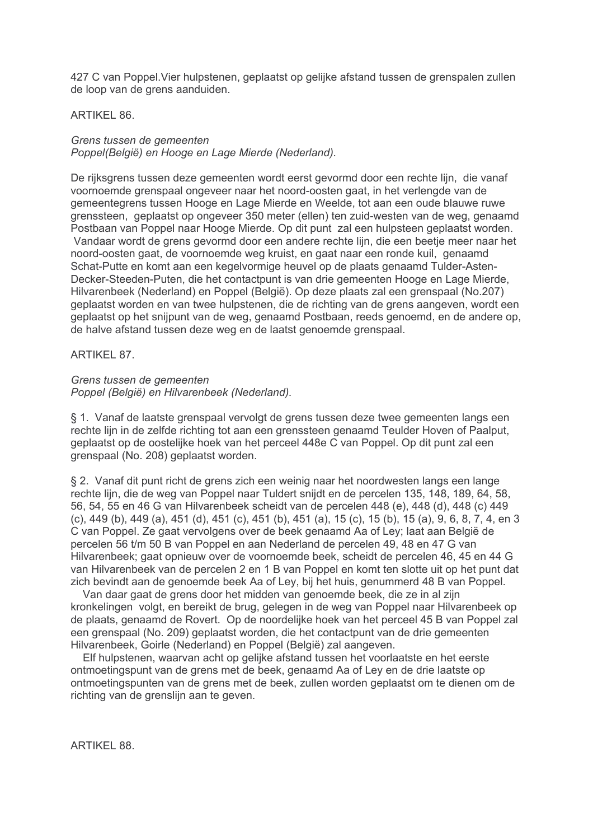427 C van Poppel. Vier hulpstenen, geplaatst op gelijke afstand tussen de grenspalen zullen de loop van de grens aanduiden.

# **ARTIKEL 86.**

Grens tussen de gemeenten Poppel(België) en Hooge en Lage Mierde (Nederland).

De rijksgrens tussen deze gemeenten wordt eerst gevormd door een rechte lijn, die vanaf voornoemde grenspaal ongeveer naar het noord-oosten gaat, in het verlengde van de gemeentegrens tussen Hooge en Lage Mierde en Weelde, tot aan een oude blauwe ruwe grenssteen, geplaatst op ongeveer 350 meter (ellen) ten zuid-westen van de weg, genaamd Postbaan van Poppel naar Hooge Mierde. Op dit punt zal een hulpsteen geplaatst worden. Vandaar wordt de grens gevormd door een andere rechte lijn, die een beetie meer naar het noord-oosten gaat, de voornoemde weg kruist, en gaat naar een ronde kuil, genaamd Schat-Putte en komt aan een kegelvormige heuvel op de plaats genaamd Tulder-Asten-Decker-Steeden-Puten, die het contactpunt is van drie gemeenten Hooge en Lage Mierde, Hilvarenbeek (Nederland) en Poppel (België). Op deze plaats zal een grenspaal (No.207) geplaatst worden en van twee hulpstenen, die de richting van de grens aangeven, wordt een geplaatst op het snijpunt van de weg, genaamd Postbaan, reeds genoemd, en de andere op, de halve afstand tussen deze weg en de laatst genoemde grenspaal.

# **ARTIKEL 87.**

# Grens tussen de gemeenten Poppel (België) en Hilvarenbeek (Nederland).

§ 1. Vanaf de laatste grenspaal vervolgt de grens tussen deze twee gemeenten langs een rechte lijn in de zelfde richting tot aan een grenssteen genaamd Teulder Hoven of Paalput, geplaatst op de oostelijke hoek van het perceel 448e C van Poppel. Op dit punt zal een grenspaal (No. 208) geplaatst worden.

§ 2. Vanaf dit punt richt de grens zich een weinig naar het noordwesten langs een lange rechte lijn, die de weg van Poppel naar Tuldert snijdt en de percelen 135, 148, 189, 64, 58, 56, 54, 55 en 46 G van Hilvarenbeek scheidt van de percelen 448 (e), 448 (d), 448 (c) 449 (c), 449 (b), 449 (a), 451 (d), 451 (c), 451 (b), 451 (a), 15 (c), 15 (b), 15 (a), 9, 6, 8, 7, 4, en 3 C van Poppel. Ze gaat vervolgens over de beek genaamd Aa of Lev: laat aan België de percelen 56 t/m 50 B van Poppel en aan Nederland de percelen 49, 48 en 47 G van Hilvarenbeek: gaat opnieuw over de voornoemde beek, scheidt de percelen 46, 45 en 44 G van Hilvarenbeek van de percelen 2 en 1 B van Poppel en komt ten slotte uit op het punt dat zich bevindt aan de genoemde beek Aa of Ley, bij het huis, genummerd 48 B van Poppel.

Van daar gaat de grens door het midden van genoemde beek, die ze in al zijn kronkelingen, volgt, en bereikt de brug, gelegen in de weg van Poppel naar Hilvarenbeek op de plaats, genaamd de Rovert. Op de noordelijke hoek van het perceel 45 B van Poppel zal een grenspaal (No. 209) geplaatst worden, die het contactpunt van de drie gemeenten Hilvarenbeek, Goirle (Nederland) en Poppel (België) zal aangeven.

Elf hulpstenen, waarvan acht op gelijke afstand tussen het voorlaatste en het eerste ontmoetingspunt van de grens met de beek, genaamd Aa of Ley en de drie laatste op ontmoetingspunten van de grens met de beek, zullen worden geplaatst om te dienen om de richting van de grenslijn aan te geven.

ARTIKFI 88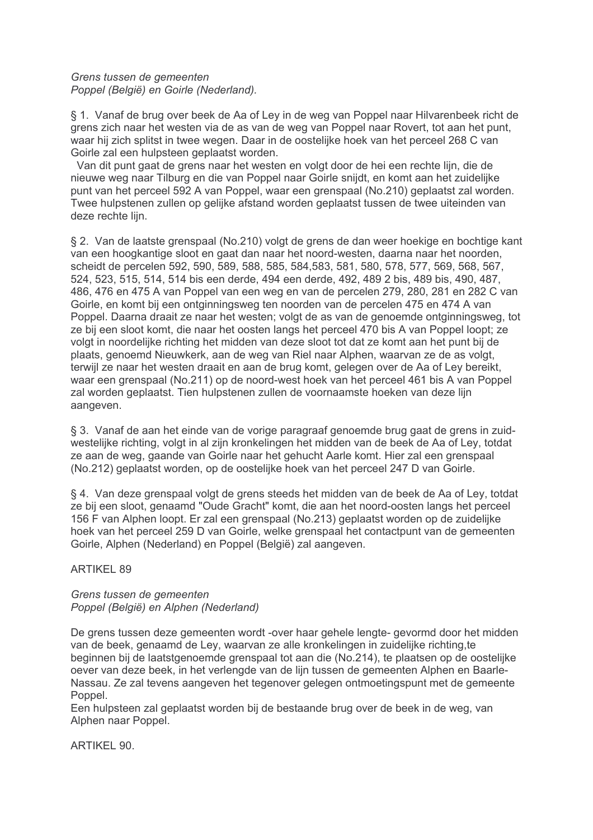# Grens tussen de gemeenten Poppel (België) en Goirle (Nederland).

§ 1. Vanaf de brug over beek de Aa of Ley in de weg van Poppel naar Hilvarenbeek richt de grens zich naar het westen via de as van de weg van Poppel naar Rovert, tot aan het punt, waar hij zich splitst in twee wegen. Daar in de oostelijke hoek van het perceel 268 C van Goirle zal een hulpsteen geplaatst worden.

Van dit punt gaat de grens naar het westen en volgt door de hei een rechte lijn, die de nieuwe weg naar Tilburg en die van Poppel naar Goirle snijdt, en komt aan het zuidelijke punt van het perceel 592 A van Poppel, waar een grenspaal (No.210) geplaatst zal worden. Twee hulpstenen zullen op gelijke afstand worden geplaatst tussen de twee uiteinden van deze rechte liin.

§ 2. Van de laatste grenspaal (No.210) volgt de grens de dan weer hoekige en bochtige kant van een hoogkantige sloot en gaat dan naar het noord-westen, daarna naar het noorden. scheidt de percelen 592, 590, 589, 588, 585, 584, 583, 581, 580, 578, 577, 569, 568, 567, 524, 523, 515, 514, 514 bis een derde, 494 een derde, 492, 489 2 bis, 489 bis, 490, 487, 486, 476 en 475 A van Poppel van een weg en van de percelen 279, 280, 281 en 282 C van Goirle, en komt bij een ontginningsweg ten noorden van de percelen 475 en 474 A van Poppel. Daarna draait ze naar het westen; volgt de as van de genoemde ontginningsweg, tot ze bij een sloot komt, die naar het oosten langs het perceel 470 bis A van Poppel loopt; ze volgt in noordelijke richting het midden van deze sloot tot dat ze komt aan het punt bij de plaats, genoemd Nieuwkerk, aan de weg van Riel naar Alphen, waarvan ze de as volgt, terwijl ze naar het westen draait en aan de brug komt, gelegen over de Aa of Ley bereikt, waar een grenspaal (No.211) op de noord-west hoek van het perceel 461 bis A van Poppel zal worden geplaatst. Tien hulpstenen zullen de voornaamste hoeken van deze lijn aangeven.

§ 3. Vanaf de aan het einde van de vorige paragraaf genoemde brug gaat de grens in zuidwestellike richting, volgt in al zijn kronkelingen het midden van de beek de Aa of Lev, totdat ze aan de weg, gaande van Goirle naar het gehucht Aarle komt. Hier zal een grenspaal (No.212) geplaatst worden, op de oostelijke hoek van het perceel 247 D van Goirle.

§ 4. Van deze grenspaal volgt de grens steeds het midden van de beek de Aa of Ley, totdat ze bij een sloot, genaamd "Oude Gracht" komt, die aan het noord-oosten langs het perceel 156 F van Alphen loopt. Er zal een grenspaal (No.213) geplaatst worden op de zuidelijke hoek van het perceel 259 D van Goirle, welke grenspaal het contactpunt van de gemeenten Goirle, Alphen (Nederland) en Poppel (België) zal aangeven.

# **ARTIKEL 89**

# Grens tussen de gemeenten Poppel (België) en Alphen (Nederland)

De grens tussen deze gemeenten wordt -over haar gehele lengte- gevormd door het midden van de beek, genaamd de Lev, waarvan ze alle kronkelingen in zuidelijke richting.te beginnen bij de laatstgenoemde grenspaal tot aan die (No.214), te plaatsen op de oostelijke oever van deze beek, in het verlengde van de lijn tussen de gemeenten Alphen en Baarle-Nassau. Ze zal tevens aangeven het tegenover gelegen ontmoetingspunt met de gemeente Poppel.

Een hulpsteen zal geplaatst worden bij de bestaande brug over de beek in de weg, van Alphen naar Poppel.

ARTIKEL 90.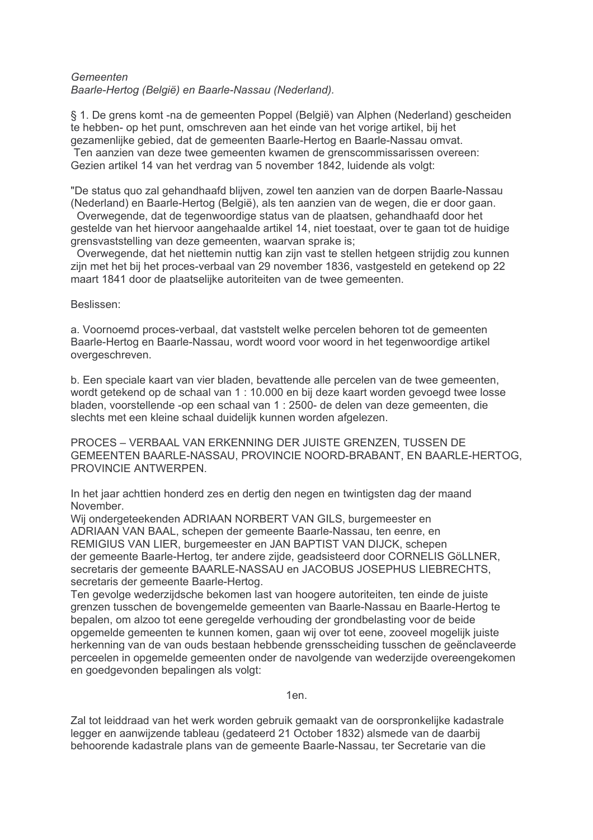## Gemeenten Baarle-Hertog (België) en Baarle-Nassau (Nederland).

§ 1. De grens komt -na de gemeenten Poppel (België) van Alphen (Nederland) gescheiden te hebben- op het punt, omschreven aan het einde van het vorige artikel, bij het gezamenlijke gebied, dat de gemeenten Baarle-Hertog en Baarle-Nassau omvat. Ten aanzien van deze twee gemeenten kwamen de grenscommissarissen overeen: Gezien artikel 14 van het verdrag van 5 november 1842, luidende als volgt:

"De status quo zal gehandhaafd blijven, zowel ten aanzien van de dorpen Baarle-Nassau (Nederland) en Baarle-Hertog (België), als ten aanzien van de wegen, die er door gaan.

Overwegende, dat de tegenwoordige status van de plaatsen, gehandhaafd door het gestelde van het hiervoor aangehaalde artikel 14, niet toestaat, over te gaan tot de huidige grensvaststelling van deze gemeenten, waarvan sprake is:

Overwegende, dat het niettemin nuttig kan zijn vast te stellen hetgeen strijdig zou kunnen zijn met het bij het proces-verbaal van 29 november 1836, vastgesteld en getekend op 22 maart 1841 door de plaatselijke autoriteiten van de twee gemeenten.

Beslissen:

a. Voornoemd proces-verbaal, dat vaststelt welke percelen behoren tot de gemeenten Baarle-Hertog en Baarle-Nassau, wordt woord voor woord in het tegenwoordige artikel overgeschreven.

b. Een speciale kaart van vier bladen, bevattende alle percelen van de twee gemeenten, wordt getekend op de schaal van 1 : 10.000 en bij deze kaart worden gevoegd twee losse bladen, voorstellende -op een schaal van 1 : 2500- de delen van deze gemeenten, die slechts met een kleine schaal duidelijk kunnen worden afgelezen.

PROCES - VERBAAL VAN ERKENNING DER JUISTE GRENZEN. TUSSEN DE GEMEENTEN BAARLE-NASSAU, PROVINCIE NOORD-BRABANT, EN BAARLE-HERTOG. PROVINCIF ANTWERPEN

In het jaar achttien honderd zes en dertig den negen en twintigsten dag der maand November.

Wij ondergeteekenden ADRIAAN NORBERT VAN GILS, burgemeester en ADRIAAN VAN BAAL, schepen der gemeente Baarle-Nassau, ten eenre, en REMIGIUS VAN LIER, burgemeester en JAN BAPTIST VAN DIJCK, schepen der gemeente Baarle-Hertog, ter andere zijde, geadsisteerd door CORNELIS GöLLNER. secretaris der gemeente BAARLE-NASSAU en JACOBUS JOSEPHUS LIEBRECHTS, secretaris der gemeente Baarle-Hertog.

Ten gevolge wederzijdsche bekomen last van hoogere autoriteiten, ten einde de juiste grenzen tusschen de bovengemelde gemeenten van Baarle-Nassau en Baarle-Hertog te bepalen, om alzoo tot eene geregelde verhouding der grondbelasting voor de beide opgemelde gemeenten te kunnen komen, gaan wij over tot eene, zooveel mogelijk juiste herkenning van de van ouds bestaan hebbende grensscheiding tusschen de geënclaveerde perceelen in opgemelde gemeenten onder de navolgende van wederzijde overeengekomen en goedgevonden bepalingen als volgt:

 $1en$ 

Zal tot leiddraad van het werk worden gebruik gemaakt van de oorspronkelijke kadastrale legger en aanwijzende tableau (gedateerd 21 October 1832) alsmede van de daarbij behoorende kadastrale plans van de gemeente Baarle-Nassau, ter Secretarie van die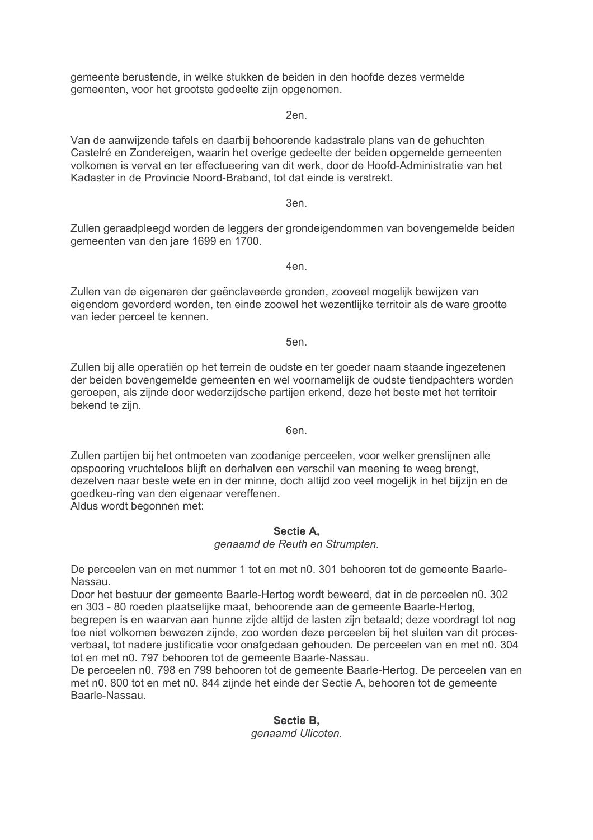gemeente berustende, in welke stukken de beiden in den hoofde dezes vermelde gemeenten, voor het grootste gedeelte zijn opgenomen.

2en.

Van de aanwijzende tafels en daarbij behoorende kadastrale plans van de gehuchten Castelré en Zondereigen, waarin het overige gedeelte der beiden opgemelde gemeenten volkomen is vervat en ter effectueering van dit werk, door de Hoofd-Administratie van het Kadaster in de Provincie Noord-Braband, tot dat einde is verstrekt.

3en.

Zullen geraadpleegd worden de leggers der grondeigendommen van bovengemelde beiden gemeenten van den jare 1699 en 1700.

Zullen van de eigenaren der geënclaveerde gronden, zooveel mogelijk bewijzen van eigendom gevorderd worden, ten einde zoowel het wezentlijke territoir als de ware grootte van ieder perceel te kennen.

5en.

Zullen bij alle operatiën op het terrein de oudste en ter goeder naam staande ingezetenen der beiden bovengemelde gemeenten en wel voornamelijk de oudste tiendpachters worden geroepen, als zijnde door wederzijdsche partijen erkend, deze het beste met het territoir bekend te zijn.

6en.

Zullen partijen bij het ontmoeten van zoodanige perceelen, voor welker grenslijnen alle opspooring vruchteloos blijft en derhalven een verschil van meening te weeg brengt. dezelven naar beste wete en in der minne, doch altijd zoo veel mogelijk in het bijzijn en de goedkeu-ring van den eigenaar vereffenen. Aldus wordt begonnen met:

# Sectie A.

genaamd de Reuth en Strumpten.

De perceelen van en met nummer 1 tot en met n0. 301 behooren tot de gemeente Baarle-Nassau.

Door het bestuur der gemeente Baarle-Hertog wordt beweerd, dat in de perceelen n0. 302 en 303 - 80 roeden plaatselijke maat, behoorende aan de gemeente Baarle-Hertog.

begrepen is en waarvan aan hunne zijde altijd de lasten zijn betaald; deze voordragt tot nog toe niet volkomen bewezen zijnde, zoo worden deze perceelen bij het sluiten van dit procesverbaal, tot nadere justificatie voor onafgedaan gehouden. De perceelen van en met n0. 304 tot en met n0. 797 behooren tot de gemeente Baarle-Nassau.

De perceelen n0. 798 en 799 behooren tot de gemeente Baarle-Hertog. De perceelen van en met n0. 800 tot en met n0. 844 zijnde het einde der Sectie A, behooren tot de gemeente Baarle-Nassau

# Sectie B. genaamd Ulicoten.

4en.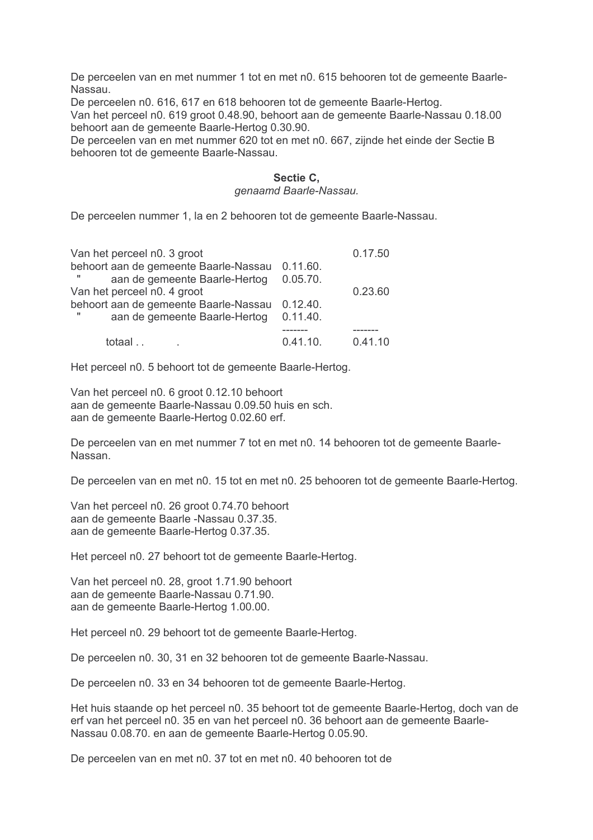De perceelen van en met nummer 1 tot en met n0. 615 behooren tot de gemeente Baarle-Nassau.

De perceelen n0. 616, 617 en 618 behooren tot de gemeente Baarle-Hertog.

Van het perceel n0. 619 groot 0.48.90, behoort aan de gemeente Baarle-Nassau 0.18.00 behoort aan de gemeente Baarle-Hertog 0.30.90.

De perceelen van en met nummer 620 tot en met n0. 667, zijnde het einde der Sectie B behooren tot de gemeente Baarle-Nassau.

# Sectie C,

#### genaamd Baarle-Nassau.

De perceelen nummer 1, la en 2 behooren tot de gemeente Baarle-Nassau.

| Van het perceel n0. 3 groot                    |          | 0.17.50 |
|------------------------------------------------|----------|---------|
| behoort aan de gemeente Baarle-Nassau 0.11.60. |          |         |
| aan de gemeente Baarle-Hertog                  | 0.05.70. |         |
| Van het perceel n0. 4 groot                    |          | 0.23.60 |
| behoort aan de gemeente Baarle-Nassau 0.12.40. |          |         |
| aan de gemeente Baarle-Hertog                  | 0.11.40. |         |
|                                                |          |         |
| totaal                                         | 0.41.10. | 0.41.10 |

Het perceel n0. 5 behoort tot de gemeente Baarle-Hertog.

Van het perceel n0. 6 groot 0.12.10 behoort aan de gemeente Baarle-Nassau 0.09.50 huis en sch. aan de gemeente Baarle-Hertog 0.02.60 erf.

De perceelen van en met nummer 7 tot en met n0, 14 behooren tot de gemeente Baarle-Nassan

De perceelen van en met n0. 15 tot en met n0. 25 behooren tot de gemeente Baarle-Hertog.

Van het perceel n0. 26 groot 0.74.70 behoort aan de gemeente Baarle -Nassau 0.37.35. aan de gemeente Baarle-Hertog 0.37.35.

Het perceel n0, 27 behoort tot de gemeente Baarle-Hertog.

Van het perceel n0. 28, groot 1.71.90 behoort aan de gemeente Baarle-Nassau 0.71.90. aan de gemeente Baarle-Hertog 1.00.00.

Het perceel n0. 29 behoort tot de gemeente Baarle-Hertog.

De perceelen n0. 30, 31 en 32 behooren tot de gemeente Baarle-Nassau.

De perceelen n0. 33 en 34 behooren tot de gemeente Baarle-Hertog.

Het huis staande op het perceel n0. 35 behoort tot de gemeente Baarle-Hertog, doch van de erf van het perceel n0. 35 en van het perceel n0. 36 behoort aan de gemeente Baarle-Nassau 0.08.70. en aan de gemeente Baarle-Hertog 0.05.90.

De perceelen van en met n0. 37 tot en met n0. 40 behooren tot de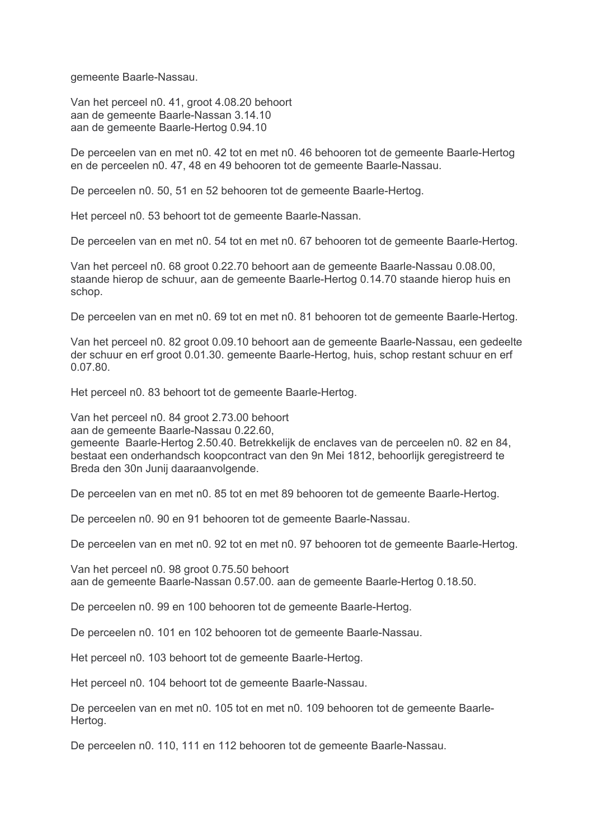gemeente Baarle-Nassau.

Van het perceel n0. 41, groot 4.08.20 behoort aan de gemeente Baarle-Nassan 3.14.10 aan de gemeente Baarle-Hertog 0.94.10

De perceelen van en met n0. 42 tot en met n0. 46 behooren tot de gemeente Baarle-Hertog en de perceelen n0. 47, 48 en 49 behooren tot de gemeente Baarle-Nassau.

De perceelen n0. 50, 51 en 52 behooren tot de gemeente Baarle-Hertog.

Het perceel n0. 53 behoort tot de gemeente Baarle-Nassan.

De perceelen van en met n0, 54 tot en met n0, 67 behooren tot de gemeente Baarle-Hertog.

Van het perceel n0. 68 groot 0.22.70 behoort aan de gemeente Baarle-Nassau 0.08.00, staande hierop de schuur, aan de gemeente Baarle-Hertog 0.14.70 staande hierop huis en schop.

De perceelen van en met n0. 69 tot en met n0. 81 behooren tot de gemeente Baarle-Hertog.

Van het perceel n0. 82 groot 0.09.10 behoort aan de gemeente Baarle-Nassau, een gedeelte der schuur en erf groot 0.01.30. gemeente Baarle-Hertog, huis, schop restant schuur en erf 0.07.80

Het perceel n0. 83 behoort tot de gemeente Baarle-Hertog.

Van het perceel n0. 84 groot 2.73.00 behoort

aan de gemeente Baarle-Nassau 0.22.60,

gemeente Baarle-Hertog 2,50,40. Betrekkelijk de enclaves van de perceelen n0, 82 en 84. bestaat een onderhandsch koopcontract van den 9n Mei 1812, behoorlijk geregistreerd te Breda den 30n Junij daaraanvolgende.

De perceelen van en met n0. 85 tot en met 89 behooren tot de gemeente Baarle-Hertog.

De perceelen n0. 90 en 91 behooren tot de gemeente Baarle-Nassau.

De perceelen van en met n0, 92 tot en met n0, 97 behooren tot de gemeente Baarle-Hertog.

Van het perceel n0. 98 groot 0.75.50 behoort aan de gemeente Baarle-Nassan 0.57.00. aan de gemeente Baarle-Hertog 0.18.50.

De perceelen n0. 99 en 100 behooren tot de gemeente Baarle-Hertog.

De perceelen n0. 101 en 102 behooren tot de gemeente Baarle-Nassau.

Het perceel n0. 103 behoort tot de gemeente Baarle-Hertog.

Het perceel n0. 104 behoort tot de gemeente Baarle-Nassau.

De perceelen van en met n0. 105 tot en met n0. 109 behooren tot de gemeente Baarle-Hertog.

De perceelen n0. 110, 111 en 112 behooren tot de gemeente Baarle-Nassau.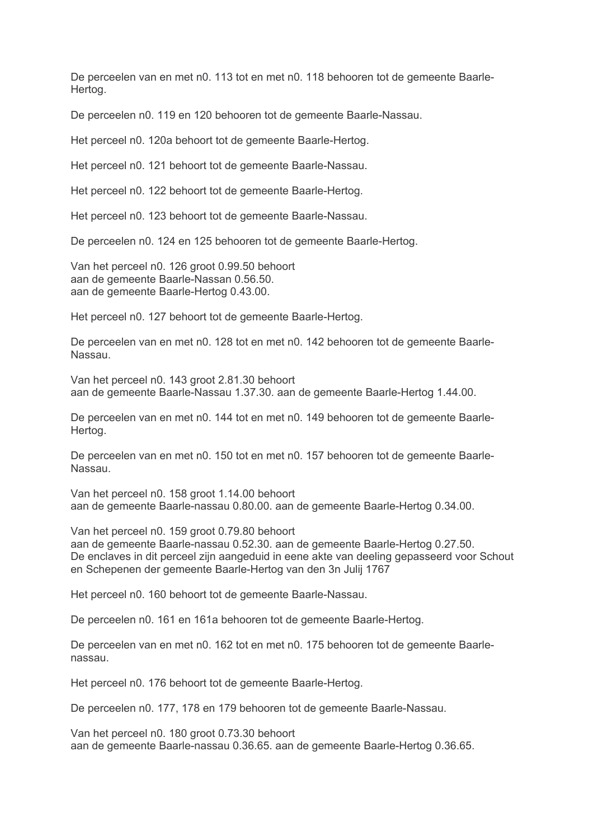De perceelen van en met n0. 113 tot en met n0. 118 behooren tot de gemeente Baarle-Hertog.

De perceelen n0. 119 en 120 behooren tot de gemeente Baarle-Nassau.

Het perceel n0. 120a behoort tot de gemeente Baarle-Hertog.

Het perceel n0. 121 behoort tot de gemeente Baarle-Nassau.

Het perceel n0. 122 behoort tot de gemeente Baarle-Hertog.

Het perceel n0. 123 behoort tot de gemeente Baarle-Nassau.

De perceelen n0. 124 en 125 behooren tot de gemeente Baarle-Hertog.

Van het perceel n0. 126 groot 0.99.50 behoort aan de gemeente Baarle-Nassan 0.56.50. aan de gemeente Baarle-Hertog 0.43.00.

Het perceel n0. 127 behoort tot de gemeente Baarle-Hertog.

De perceelen van en met n0. 128 tot en met n0. 142 behooren tot de gemeente Baarle-Nassau.

Van het perceel n0. 143 groot 2.81.30 behoort aan de gemeente Baarle-Nassau 1.37.30. aan de gemeente Baarle-Hertog 1.44.00.

De perceelen van en met n0. 144 tot en met n0. 149 behooren tot de gemeente Baarle-Hertog.

De perceelen van en met n0, 150 tot en met n0, 157 behooren tot de gemeente Baarle-Nassau

Van het perceel n0. 158 groot 1.14.00 behoort aan de gemeente Baarle-nassau 0.80.00. aan de gemeente Baarle-Hertog 0.34.00.

Van het perceel n0. 159 groot 0.79.80 behoort aan de gemeente Baarle-nassau 0.52.30. aan de gemeente Baarle-Hertog 0.27.50. De enclaves in dit perceel zijn aangeduid in eene akte van deeling gepasseerd voor Schout en Schepenen der gemeente Baarle-Hertog van den 3n Julij 1767

Het perceel n0. 160 behoort tot de gemeente Baarle-Nassau.

De perceelen n0. 161 en 161a behooren tot de gemeente Baarle-Hertog.

De perceelen van en met n0. 162 tot en met n0. 175 behooren tot de gemeente Baarlenassau.

Het perceel n0. 176 behoort tot de gemeente Baarle-Hertog.

De perceelen n0. 177, 178 en 179 behooren tot de gemeente Baarle-Nassau.

Van het perceel n0, 180 groot 0.73.30 behoort aan de gemeente Baarle-nassau 0.36.65, aan de gemeente Baarle-Hertog 0.36.65.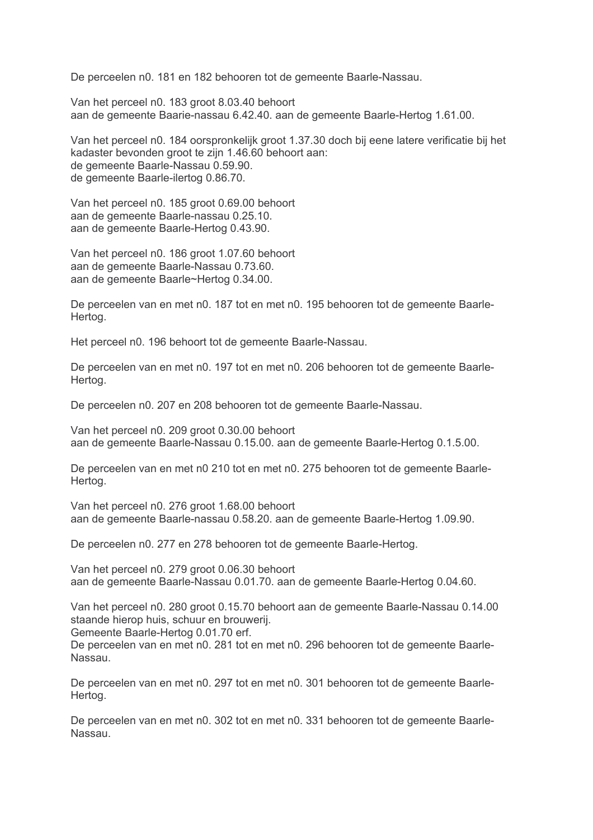De perceelen n0. 181 en 182 behooren tot de gemeente Baarle-Nassau.

Van het perceel n0. 183 groot 8.03.40 behoort aan de gemeente Baarie-nassau 6.42.40, aan de gemeente Baarle-Hertog 1.61.00.

Van het perceel n0. 184 oorspronkelijk groot 1.37.30 doch bij eene latere verificatie bij het kadaster bevonden groot te zijn 1.46.60 behoort aan: de gemeente Baarle-Nassau 0.59.90. de gemeente Baarle-ilertog 0.86.70.

Van het perceel n0. 185 groot 0.69.00 behoort aan de gemeente Baarle-nassau 0.25.10. aan de gemeente Baarle-Hertog 0.43.90.

Van het perceel n0. 186 groot 1.07.60 behoort aan de gemeente Baarle-Nassau 0.73.60. aan de gemeente Baarle~Hertog 0.34.00.

De perceelen van en met n0. 187 tot en met n0. 195 behooren tot de gemeente Baarle-Hertog.

Het perceel n0. 196 behoort tot de gemeente Baarle-Nassau.

De perceelen van en met n0. 197 tot en met n0. 206 behooren tot de gemeente Baarle-Hertog.

De perceelen n0. 207 en 208 behooren tot de gemeente Baarle-Nassau.

Van het perceel n0. 209 groot 0.30.00 behoort aan de gemeente Baarle-Nassau 0.15.00, aan de gemeente Baarle-Hertog 0.1.5.00.

De perceelen van en met n0 210 tot en met n0. 275 behooren tot de gemeente Baarle-Hertog.

Van het perceel n0. 276 groot 1.68.00 behoort aan de gemeente Baarle-nassau 0.58.20. aan de gemeente Baarle-Hertog 1.09.90.

De perceelen n0. 277 en 278 behooren tot de gemeente Baarle-Hertog.

Van het perceel n0. 279 groot 0.06.30 behoort aan de gemeente Baarle-Nassau 0.01.70. aan de gemeente Baarle-Hertog 0.04.60.

Van het perceel n0. 280 groot 0.15.70 behoort aan de gemeente Baarle-Nassau 0.14.00 staande hierop huis, schuur en brouwerij.

Gemeente Baarle-Hertog 0.01.70 erf.

De perceelen van en met n0. 281 tot en met n0. 296 behooren tot de gemeente Baarle-Nassau.

De perceelen van en met n0. 297 tot en met n0. 301 behooren tot de gemeente Baarle-Hertog.

De perceelen van en met n0. 302 tot en met n0. 331 behooren tot de gemeente Baarle-Nassau.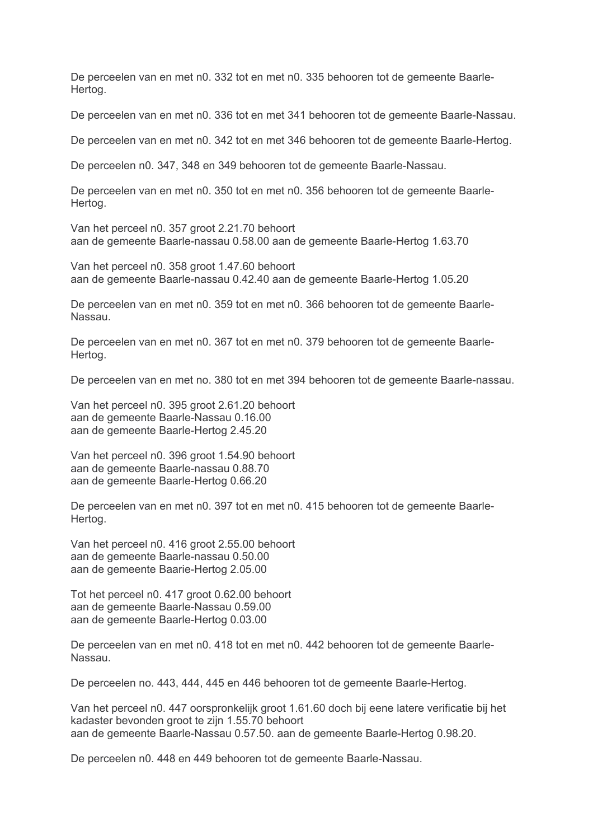De perceelen van en met n0. 332 tot en met n0. 335 behooren tot de gemeente Baarle-Hertog.

De perceelen van en met n0. 336 tot en met 341 behooren tot de gemeente Baarle-Nassau.

De perceelen van en met n0. 342 tot en met 346 behooren tot de gemeente Baarle-Hertog.

De perceelen n0. 347, 348 en 349 behooren tot de gemeente Baarle-Nassau.

De perceelen van en met n0. 350 tot en met n0. 356 behooren tot de gemeente Baarle-Hertog.

Van het perceel n0. 357 groot 2.21.70 behoort aan de gemeente Baarle-nassau 0.58.00 aan de gemeente Baarle-Hertog 1.63.70

Van het perceel n0. 358 groot 1.47.60 behoort aan de gemeente Baarle-nassau 0.42.40 aan de gemeente Baarle-Hertog 1.05.20

De perceelen van en met n0. 359 tot en met n0. 366 behooren tot de gemeente Baarle-Nassau.

De perceelen van en met n0. 367 tot en met n0. 379 behooren tot de gemeente Baarle-Hertog.

De perceelen van en met no. 380 tot en met 394 behooren tot de gemeente Baarle-nassau.

Van het perceel n0. 395 groot 2.61.20 behoort aan de gemeente Baarle-Nassau 0.16.00 aan de gemeente Baarle-Hertog 2.45.20

Van het perceel n0, 396 groot 1,54,90 behoort aan de gemeente Baarle-nassau 0.88.70 aan de gemeente Baarle-Hertog 0.66.20

De perceelen van en met n0. 397 tot en met n0. 415 behooren tot de gemeente Baarle-Hertog.

Van het perceel n0, 416 groot 2,55,00 behoort aan de gemeente Baarle-nassau 0.50.00 aan de gemeente Baarie-Hertog 2.05.00

Tot het perceel n0. 417 groot 0.62.00 behoort aan de gemeente Baarle-Nassau 0.59.00 aan de gemeente Baarle-Hertog 0.03.00

De perceelen van en met n0. 418 tot en met n0. 442 behooren tot de gemeente Baarle-Nassau.

De perceelen no. 443, 444, 445 en 446 behooren tot de gemeente Baarle-Hertog.

Van het perceel n0. 447 oorspronkelijk groot 1.61.60 doch bij eene latere verificatie bij het kadaster bevonden groot te zijn 1.55.70 behoort aan de gemeente Baarle-Nassau 0.57.50, aan de gemeente Baarle-Hertog 0.98.20.

De perceelen n0. 448 en 449 behooren tot de gemeente Baarle-Nassau.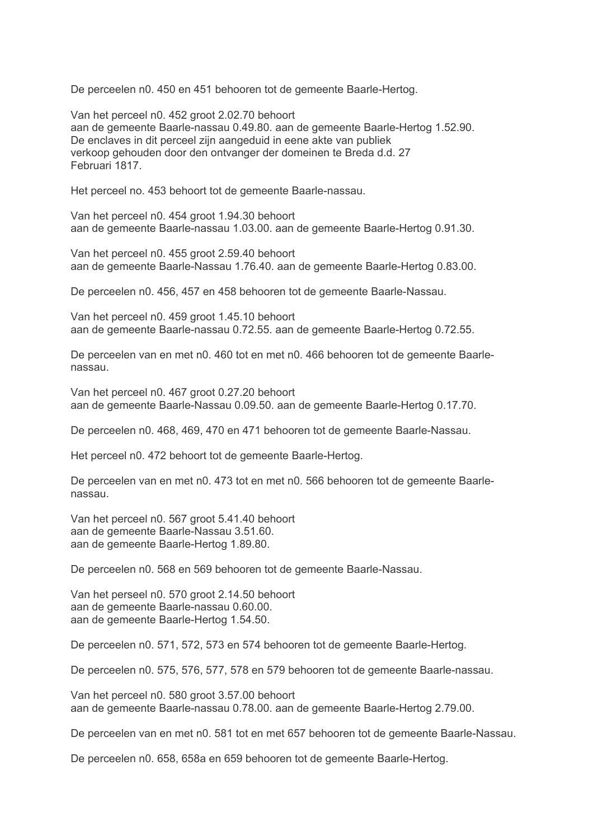De perceelen n0. 450 en 451 behooren tot de gemeente Baarle-Hertog.

Van het perceel n0. 452 groot 2.02.70 behoort aan de gemeente Baarle-nassau 0.49.80, aan de gemeente Baarle-Hertog 1.52.90. De enclaves in dit perceel zijn aangeduid in eene akte van publiek verkoop gehouden door den ontvanger der domeinen te Breda d.d. 27 Februari 1817.

Het perceel no. 453 behoort tot de gemeente Baarle-nassau.

Van het perceel n0. 454 groot 1.94.30 behoort aan de gemeente Baarle-nassau 1.03.00. aan de gemeente Baarle-Hertog 0.91.30.

Van het perceel n0. 455 groot 2.59.40 behoort aan de gemeente Baarle-Nassau 1.76.40. aan de gemeente Baarle-Hertog 0.83.00.

De perceelen n0. 456, 457 en 458 behooren tot de gemeente Baarle-Nassau.

Van het perceel n0. 459 groot 1.45.10 behoort aan de gemeente Baarle-nassau 0.72.55. aan de gemeente Baarle-Hertog 0.72.55.

De perceelen van en met n0. 460 tot en met n0. 466 behooren tot de gemeente Baarlenassau

Van het perceel n0. 467 groot 0.27.20 behoort aan de gemeente Baarle-Nassau 0.09.50, aan de gemeente Baarle-Hertog 0.17.70.

De perceelen n0. 468, 469, 470 en 471 behooren tot de gemeente Baarle-Nassau.

Het perceel n0, 472 behoort tot de gemeente Baarle-Hertog.

De perceelen van en met n0. 473 tot en met n0. 566 behooren tot de gemeente Baarlenassau

Van het perceel n0. 567 groot 5.41.40 behoort aan de gemeente Baarle-Nassau 3.51.60. aan de gemeente Baarle-Hertog 1.89.80.

De perceelen n0. 568 en 569 behooren tot de gemeente Baarle-Nassau.

Van het perseel n0. 570 groot 2.14.50 behoort aan de gemeente Baarle-nassau 0.60.00. aan de gemeente Baarle-Hertog 1.54.50.

De perceelen n0. 571, 572, 573 en 574 behooren tot de gemeente Baarle-Hertog.

De perceelen n0. 575, 576, 577, 578 en 579 behooren tot de gemeente Baarle-nassau.

Van het perceel n0. 580 groot 3.57.00 behoort aan de gemeente Baarle-nassau 0.78.00. aan de gemeente Baarle-Hertog 2.79.00.

De perceelen van en met n0. 581 tot en met 657 behooren tot de gemeente Baarle-Nassau.

De perceelen n0. 658, 658a en 659 behooren tot de gemeente Baarle-Hertog.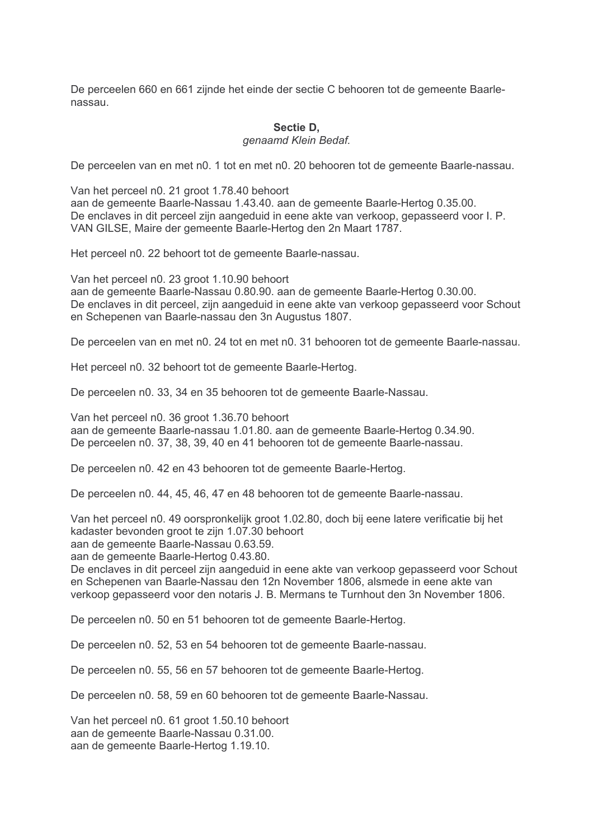De perceelen 660 en 661 zijnde het einde der sectie C behooren tot de gemeente Baarlenassau

#### Sectie D. genaamd Klein Bedaf.

De perceelen van en met n0. 1 tot en met n0. 20 behooren tot de gemeente Baarle-nassau.

Van het perceel n0. 21 groot 1.78.40 behoort

aan de gemeente Baarle-Nassau 1.43.40, aan de gemeente Baarle-Hertog 0.35.00. De enclaves in dit perceel zijn aangeduid in eene akte van verkoop, gepasseerd voor I. P. VAN GILSE, Maire der gemeente Baarle-Hertog den 2n Maart 1787.

Het perceel n0. 22 behoort tot de gemeente Baarle-nassau.

Van het perceel n0. 23 groot 1.10.90 behoort aan de gemeente Baarle-Nassau 0.80.90, aan de gemeente Baarle-Hertog 0.30.00. De enclaves in dit perceel, zijn aangeduid in eene akte van verkoop gepasseerd voor Schout en Schepenen van Baarle-nassau den 3n Augustus 1807.

De perceelen van en met n0. 24 tot en met n0. 31 behooren tot de gemeente Baarle-nassau.

Het perceel n0. 32 behoort tot de gemeente Baarle-Hertog.

De perceelen n0. 33, 34 en 35 behooren tot de gemeente Baarle-Nassau.

Van het perceel n0. 36 groot 1.36.70 behoort aan de gemeente Baarle-nassau 1.01.80. aan de gemeente Baarle-Hertog 0.34.90. De perceelen n0, 37, 38, 39, 40 en 41 behooren tot de gemeente Baarle-nassau.

De perceelen n0. 42 en 43 behooren tot de gemeente Baarle-Hertog.

De perceelen n0. 44, 45, 46, 47 en 48 behooren tot de gemeente Baarle-nassau.

Van het perceel n0. 49 oorspronkelijk groot 1.02.80, doch bij eene latere verificatie bij het kadaster bevonden groot te zijn 1.07.30 behoort

aan de gemeente Baarle-Nassau 0.63.59.

aan de gemeente Baarle-Hertog 0.43.80.

De enclaves in dit perceel zijn aangeduid in eene akte van verkoop gepasseerd voor Schout en Schepenen van Baarle-Nassau den 12n November 1806, alsmede in eene akte van verkoop gepasseerd voor den notaris J. B. Mermans te Turnhout den 3n November 1806.

De perceelen n0. 50 en 51 behooren tot de gemeente Baarle-Hertog.

De perceelen n0. 52, 53 en 54 behooren tot de gemeente Baarle-nassau.

De perceelen n0. 55, 56 en 57 behooren tot de gemeente Baarle-Hertog.

De perceelen n0. 58, 59 en 60 behooren tot de gemeente Baarle-Nassau.

Van het perceel n0. 61 groot 1.50.10 behoort aan de gemeente Baarle-Nassau 0.31.00. aan de gemeente Baarle-Hertog 1.19.10.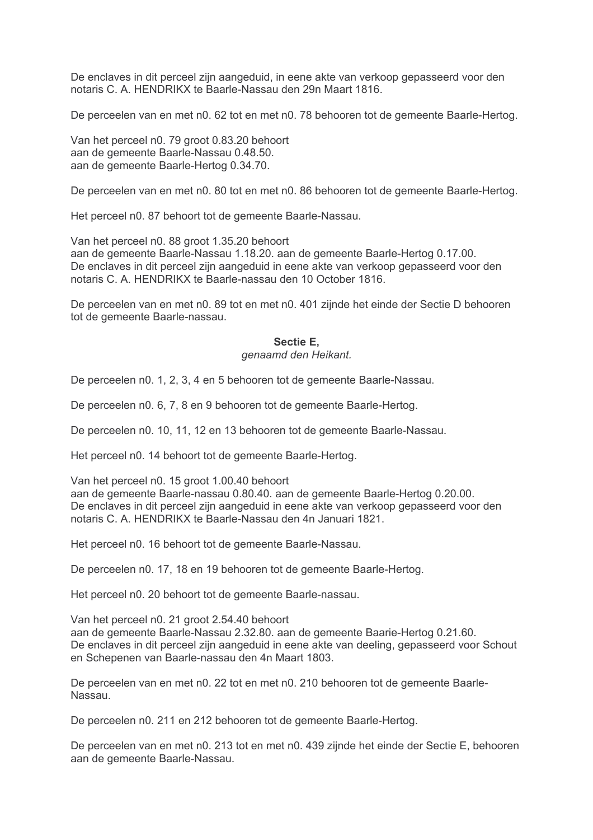De enclaves in dit perceel zijn aangeduid, in eene akte van verkoop gepasseerd voor den notaris C. A. HENDRIKX te Baarle-Nassau den 29n Maart 1816.

De perceelen van en met n0. 62 tot en met n0. 78 behooren tot de gemeente Baarle-Hertog.

Van het perceel n0. 79 groot 0.83.20 behoort aan de gemeente Baarle-Nassau 0.48.50. aan de gemeente Baarle-Hertog 0.34.70.

De perceelen van en met n0. 80 tot en met n0. 86 behooren tot de gemeente Baarle-Hertog.

Het perceel n0. 87 behoort tot de gemeente Baarle-Nassau.

Van het perceel n0, 88 groot 1.35.20 behoort aan de gemeente Baarle-Nassau 1.18.20. aan de gemeente Baarle-Hertog 0.17.00. De enclaves in dit perceel zijn aangeduid in eene akte van verkoop gepasseerd voor den notaris C. A. HENDRIKX te Baarle-nassau den 10 October 1816.

De perceelen van en met n0. 89 tot en met n0. 401 zijnde het einde der Sectie D behooren tot de gemeente Baarle-nassau.

#### Sectie E, genaamd den Heikant.

De perceelen n0. 1, 2, 3, 4 en 5 behooren tot de gemeente Baarle-Nassau.

De perceelen n0. 6, 7, 8 en 9 behooren tot de gemeente Baarle-Hertog.

De perceelen n0. 10, 11, 12 en 13 behooren tot de gemeente Baarle-Nassau.

Het perceel n0, 14 behoort tot de gemeente Baarle-Hertog.

Van het perceel n0. 15 groot 1.00.40 behoort aan de gemeente Baarle-nassau 0.80.40. aan de gemeente Baarle-Hertog 0.20.00. De enclaves in dit perceel zijn aangeduid in eene akte van verkoop gepasseerd voor den notaris C. A. HENDRIKX te Baarle-Nassau den 4n Januari 1821.

Het perceel n0. 16 behoort tot de gemeente Baarle-Nassau.

De perceelen n0. 17, 18 en 19 behooren tot de gemeente Baarle-Hertog.

Het perceel n0. 20 behoort tot de gemeente Baarle-nassau.

Van het perceel n0. 21 groot 2.54.40 behoort aan de gemeente Baarle-Nassau 2.32.80. aan de gemeente Baarie-Hertog 0.21.60. De enclaves in dit perceel zijn aangeduid in eene akte van deeling, gepasseerd voor Schout en Schepenen van Baarle-nassau den 4n Maart 1803.

De perceelen van en met n0. 22 tot en met n0. 210 behooren tot de gemeente Baarle- $N$ assau

De perceelen n0. 211 en 212 behooren tot de gemeente Baarle-Hertog.

De perceelen van en met n0. 213 tot en met n0. 439 zijnde het einde der Sectie E, behooren aan de gemeente Baarle-Nassau.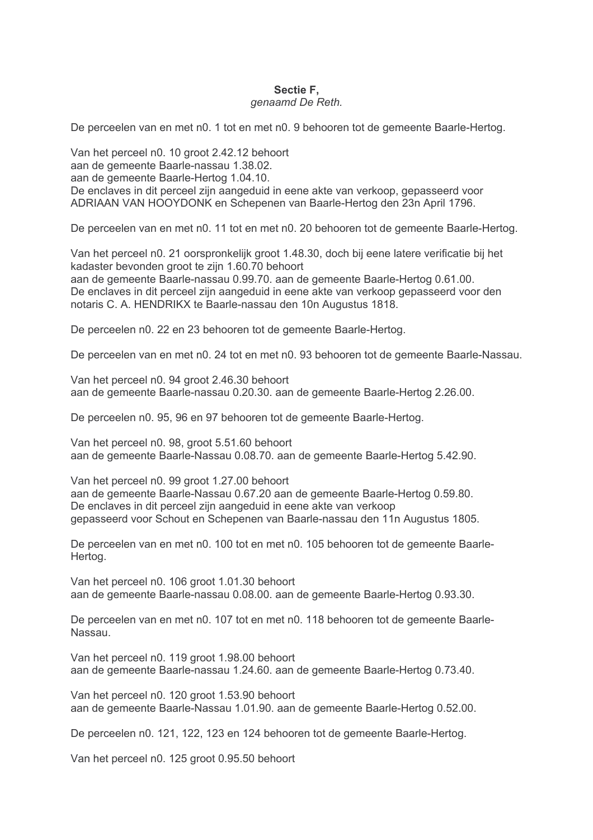# Sectie F. genaamd De Reth.

De perceelen van en met n0. 1 tot en met n0. 9 behooren tot de gemeente Baarle-Hertog.

Van het perceel n0, 10 groot 2.42.12 behoort aan de gemeente Baarle-nassau 1.38.02. aan de gemeente Baarle-Hertog 1.04.10. De enclaves in dit perceel zijn aangeduid in eene akte van verkoop, gepasseerd voor ADRIAAN VAN HOOYDONK en Schepenen van Baarle-Hertog den 23n April 1796.

De perceelen van en met n0. 11 tot en met n0. 20 behooren tot de gemeente Baarle-Hertog.

Van het perceel n0. 21 oorspronkelijk groot 1.48.30, doch bij eene latere verificatie bij het kadaster bevonden groot te zijn 1.60.70 behoort

aan de gemeente Baarle-nassau 0.99.70. aan de gemeente Baarle-Hertog 0.61.00. De enclaves in dit perceel zijn aangeduid in eene akte van verkoop gepasseerd voor den notaris C. A. HENDRIKX te Baarle-nassau den 10n Augustus 1818.

De perceelen n0. 22 en 23 behooren tot de gemeente Baarle-Hertog.

De perceelen van en met n0. 24 tot en met n0. 93 behooren tot de gemeente Baarle-Nassau.

Van het perceel n0. 94 groot 2.46.30 behoort aan de gemeente Baarle-nassau 0.20.30. aan de gemeente Baarle-Hertog 2.26.00.

De perceelen n0. 95, 96 en 97 behooren tot de gemeente Baarle-Hertog.

Van het perceel n0. 98. groot 5.51.60 behoort aan de gemeente Baarle-Nassau 0.08.70, aan de gemeente Baarle-Hertog 5.42.90.

Van het perceel n0. 99 groot 1.27.00 behoort aan de gemeente Baarle-Nassau 0.67.20 aan de gemeente Baarle-Hertog 0.59.80. De enclaves in dit perceel zijn aangeduid in eene akte van verkoop gepasseerd voor Schout en Schepenen van Baarle-nassau den 11n Augustus 1805.

De perceelen van en met n0, 100 tot en met n0, 105 behooren tot de gemeente Baarle-Hertog.

Van het perceel n0. 106 groot 1.01.30 behoort aan de gemeente Baarle-nassau 0.08.00. aan de gemeente Baarle-Hertog 0.93.30.

De perceelen van en met n0. 107 tot en met n0. 118 behooren tot de gemeente Baarle-Nassau.

Van het perceel n0. 119 groot 1.98.00 behoort aan de gemeente Baarle-nassau 1.24.60. aan de gemeente Baarle-Hertog 0.73.40.

Van het perceel n0. 120 groot 1.53.90 behoort aan de gemeente Baarle-Nassau 1.01.90. aan de gemeente Baarle-Hertog 0.52.00.

De perceelen n0. 121, 122, 123 en 124 behooren tot de gemeente Baarle-Hertog.

Van het perceel n0. 125 groot 0.95.50 behoort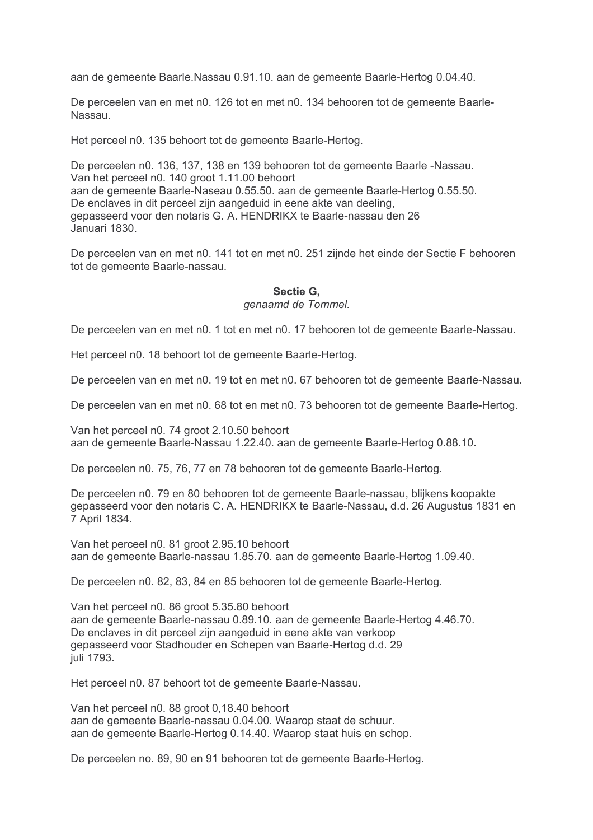aan de gemeente Baarle. Nassau 0.91.10. aan de gemeente Baarle-Hertog 0.04.40.

De perceelen van en met n0. 126 tot en met n0. 134 behooren tot de gemeente Baarle-Nassau.

Het perceel n0. 135 behoort tot de gemeente Baarle-Hertog.

De perceelen n0. 136, 137, 138 en 139 behooren tot de gemeente Baarle -Nassau. Van het perceel n0. 140 groot 1.11.00 behoort aan de gemeente Baarle-Naseau 0.55.50. aan de gemeente Baarle-Hertog 0.55.50. De enclaves in dit perceel zijn aangeduid in eene akte van deeling. gepasseerd voor den notaris G. A. HENDRIKX te Baarle-nassau den 26 Januari 1830.

De perceelen van en met n0. 141 tot en met n0. 251 zijnde het einde der Sectie F behooren tot de gemeente Baarle-nassau.

#### Sectie G. genaamd de Tommel.

De perceelen van en met n0. 1 tot en met n0. 17 behooren tot de gemeente Baarle-Nassau.

Het perceel n0. 18 behoort tot de gemeente Baarle-Hertog.

De perceelen van en met n0. 19 tot en met n0. 67 behooren tot de gemeente Baarle-Nassau.

De perceelen van en met n0. 68 tot en met n0. 73 behooren tot de gemeente Baarle-Hertog.

Van het perceel n0. 74 groot 2.10.50 behoort aan de gemeente Baarle-Nassau 1.22.40, aan de gemeente Baarle-Hertog 0.88.10.

De perceelen n0. 75, 76, 77 en 78 behooren tot de gemeente Baarle-Hertog.

De perceelen n0. 79 en 80 behooren tot de gemeente Baarle-nassau, blijkens koopakte gepasseerd voor den notaris C. A. HENDRIKX te Baarle-Nassau, d.d. 26 Augustus 1831 en 7 April 1834.

Van het perceel n0, 81 groot 2.95.10 behoort aan de gemeente Baarle-nassau 1.85.70, aan de gemeente Baarle-Hertog 1.09.40.

De perceelen n0. 82, 83, 84 en 85 behooren tot de gemeente Baarle-Hertog.

Van het perceel n0. 86 groot 5.35.80 behoort aan de gemeente Baarle-nassau 0.89.10. aan de gemeente Baarle-Hertog 4.46.70. De enclaves in dit perceel zijn aangeduid in eene akte van verkoop gepasseerd voor Stadhouder en Schepen van Baarle-Hertog d.d. 29 juli 1793.

Het perceel n0. 87 behoort tot de gemeente Baarle-Nassau.

Van het perceel n0. 88 groot 0,18.40 behoort aan de gemeente Baarle-nassau 0.04.00. Waarop staat de schuur. aan de gemeente Baarle-Hertog 0.14.40. Waarop staat huis en schop.

De perceelen no. 89, 90 en 91 behooren tot de gemeente Baarle-Hertog.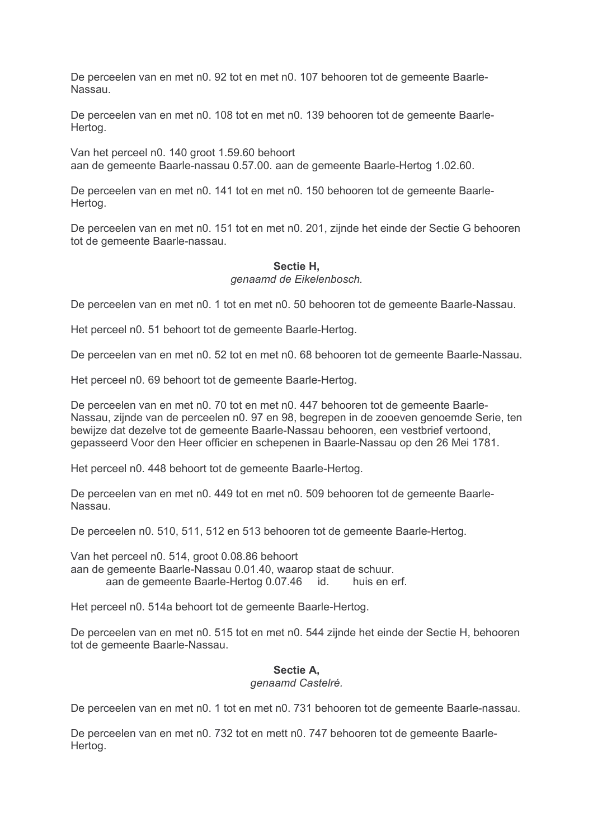De perceelen van en met n0. 92 tot en met n0. 107 behooren tot de gemeente Baarle-Nassau

De perceelen van en met n0. 108 tot en met n0. 139 behooren tot de gemeente Baarle-Hertog.

Van het perceel n0, 140 groot 1,59,60 behoort aan de gemeente Baarle-nassau 0.57.00, aan de gemeente Baarle-Hertog 1.02.60.

De perceelen van en met n0. 141 tot en met n0. 150 behooren tot de gemeente Baarle-Hertog.

De perceelen van en met n0. 151 tot en met n0. 201, zijnde het einde der Sectie G behooren tot de gemeente Baarle-nassau.

#### Sectie H. genaamd de Eikelenbosch.

De perceelen van en met n0. 1 tot en met n0. 50 behooren tot de gemeente Baarle-Nassau.

Het perceel n0. 51 behoort tot de gemeente Baarle-Hertog.

De perceelen van en met n0. 52 tot en met n0. 68 behooren tot de gemeente Baarle-Nassau.

Het perceel n0. 69 behoort tot de gemeente Baarle-Hertog.

De perceelen van en met n0. 70 tot en met n0. 447 behooren tot de gemeente Baarle-Nassau, zijnde van de perceelen n0. 97 en 98, begrepen in de zooeven genoemde Serie, ten bewijze dat dezelve tot de gemeente Baarle-Nassau behooren, een vestbrief vertoond, gepasseerd Voor den Heer officier en schepenen in Baarle-Nassau op den 26 Mei 1781.

Het perceel n0. 448 behoort tot de gemeente Baarle-Hertog.

De perceelen van en met n0. 449 tot en met n0. 509 behooren tot de gemeente Baarle-Nassau.

De perceelen n0, 510, 511, 512 en 513 behooren tot de gemeente Baarle-Hertog.

Van het perceel n0, 514, groot 0.08.86 behoort aan de gemeente Baarle-Nassau 0.01.40, waarop staat de schuur. aan de gemeente Baarle-Hertog 0.07.46 id. huis en erf.

Het perceel n0. 514a behoort tot de gemeente Baarle-Hertog.

De perceelen van en met n0. 515 tot en met n0. 544 zijnde het einde der Sectie H, behooren tot de gemeente Baarle-Nassau.

## Sectie A.

#### genaamd Castelré.

De perceelen van en met n0. 1 tot en met n0. 731 behooren tot de gemeente Baarle-nassau.

De perceelen van en met n0, 732 tot en mett n0, 747 behooren tot de gemeente Baarle-Hertog.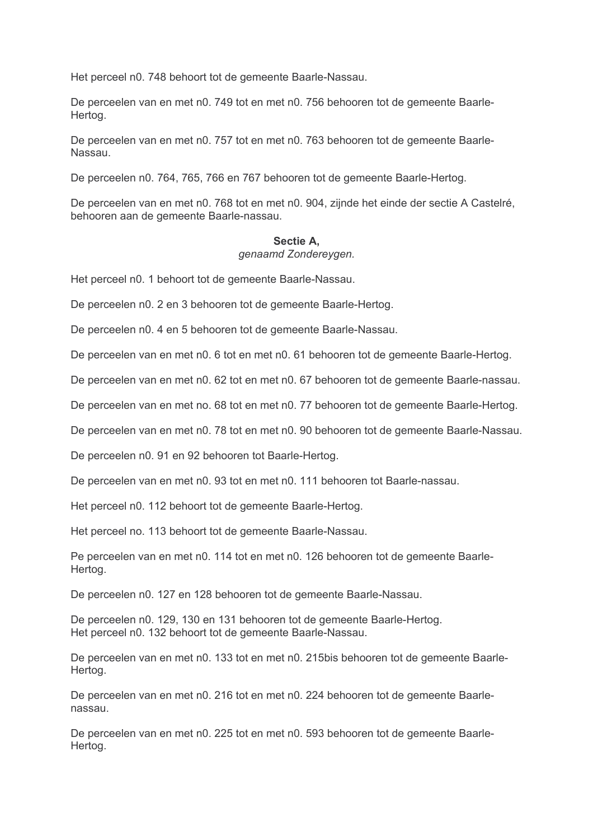Het perceel n0. 748 behoort tot de gemeente Baarle-Nassau.

De perceelen van en met n0. 749 tot en met n0. 756 behooren tot de gemeente Baarle-Hertog.

De perceelen van en met n0. 757 tot en met n0. 763 behooren tot de gemeente Baarle-Nassau

De perceelen n0. 764, 765, 766 en 767 behooren tot de gemeente Baarle-Hertog.

De perceelen van en met n0. 768 tot en met n0. 904, zijnde het einde der sectie A Castelré. behooren aan de gemeente Baarle-nassau.

#### Sectie A.

#### genaamd Zonderevgen.

Het perceel n0. 1 behoort tot de gemeente Baarle-Nassau.

De perceelen n0. 2 en 3 behooren tot de gemeente Baarle-Hertog.

De perceelen n0. 4 en 5 behooren tot de gemeente Baarle-Nassau.

De perceelen van en met n0. 6 tot en met n0. 61 behooren tot de gemeente Baarle-Hertog.

De perceelen van en met n0. 62 tot en met n0. 67 behooren tot de gemeente Baarle-nassau.

De perceelen van en met no. 68 tot en met n0. 77 behooren tot de gemeente Baarle-Hertog.

De perceelen van en met n0. 78 tot en met n0. 90 behooren tot de gemeente Baarle-Nassau.

De perceelen n0, 91 en 92 behooren tot Baarle-Hertog.

De perceelen van en met n0. 93 tot en met n0. 111 behooren tot Baarle-nassau.

Het perceel n0. 112 behoort tot de gemeente Baarle-Hertog.

Het perceel no. 113 behoort tot de gemeente Baarle-Nassau.

Pe perceelen van en met n0. 114 tot en met n0. 126 behooren tot de gemeente Baarle-Hertog.

De perceelen n0. 127 en 128 behooren tot de gemeente Baarle-Nassau.

De perceelen n0. 129, 130 en 131 behooren tot de gemeente Baarle-Hertog. Het perceel n0. 132 behoort tot de gemeente Baarle-Nassau.

De perceelen van en met n0. 133 tot en met n0. 215bis behooren tot de gemeente Baarle-Hertog.

De perceelen van en met n0. 216 tot en met n0. 224 behooren tot de gemeente Baarlenassau.

De perceelen van en met n0, 225 tot en met n0, 593 behooren tot de gemeente Baarle-Hertog.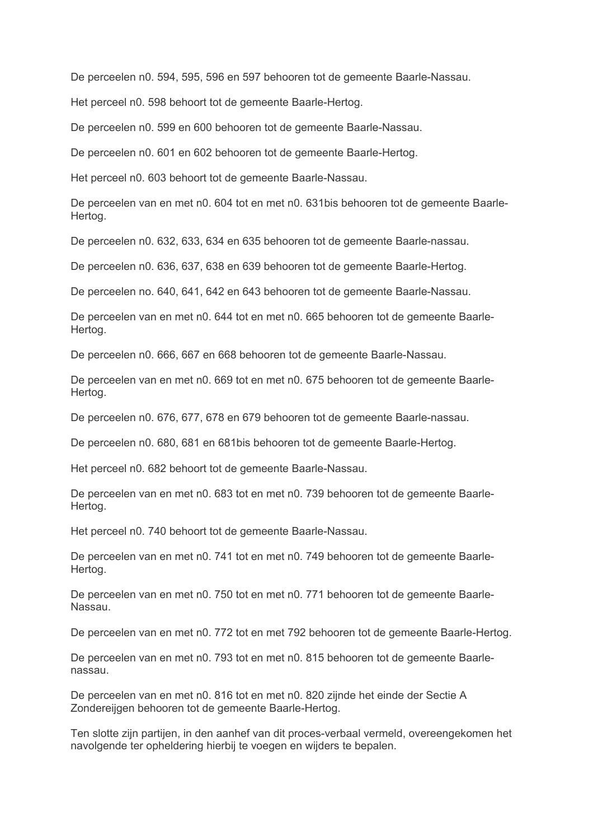De perceelen n0. 594, 595, 596 en 597 behooren tot de gemeente Baarle-Nassau.

Het perceel n0. 598 behoort tot de gemeente Baarle-Hertog.

De perceelen n0. 599 en 600 behooren tot de gemeente Baarle-Nassau.

De perceelen n0. 601 en 602 behooren tot de gemeente Baarle-Hertog.

Het perceel n0. 603 behoort tot de gemeente Baarle-Nassau.

De perceelen van en met n0. 604 tot en met n0. 631bis behooren tot de gemeente Baarle-Hertog.

De perceelen n0, 632, 633, 634 en 635 behooren tot de gemeente Baarle-nassau.

De perceelen n0. 636, 637, 638 en 639 behooren tot de gemeente Baarle-Hertog.

De perceelen no. 640, 641, 642 en 643 behooren tot de gemeente Baarle-Nassau.

De perceelen van en met n0. 644 tot en met n0. 665 behooren tot de gemeente Baarle-Hertog.

De perceelen n0. 666, 667 en 668 behooren tot de gemeente Baarle-Nassau.

De perceelen van en met n0. 669 tot en met n0. 675 behooren tot de gemeente Baarle-Hertog.

De perceelen n0. 676, 677, 678 en 679 behooren tot de gemeente Baarle-nassau.

De perceelen n0, 680, 681 en 681 bis behooren tot de gemeente Baarle-Hertog.

Het perceel n0. 682 behoort tot de gemeente Baarle-Nassau.

De perceelen van en met n0. 683 tot en met n0. 739 behooren tot de gemeente Baarle-Hertog.

Het perceel n0, 740 behoort tot de gemeente Baarle-Nassau.

De perceelen van en met n0. 741 tot en met n0. 749 behooren tot de gemeente Baarle-Hertog.

De perceelen van en met n0. 750 tot en met n0. 771 behooren tot de gemeente Baarle-Nassau.

De perceelen van en met n0. 772 tot en met 792 behooren tot de gemeente Baarle-Hertog.

De perceelen van en met n0. 793 tot en met n0. 815 behooren tot de gemeente Baarlenassau

De perceelen van en met n0. 816 tot en met n0. 820 zijnde het einde der Sectie A Zondereijgen behooren tot de gemeente Baarle-Hertog.

Ten slotte zijn partijen, in den aanhef van dit proces-verbaal vermeld, overeengekomen het navolgende ter opheldering hierbij te voegen en wijders te bepalen.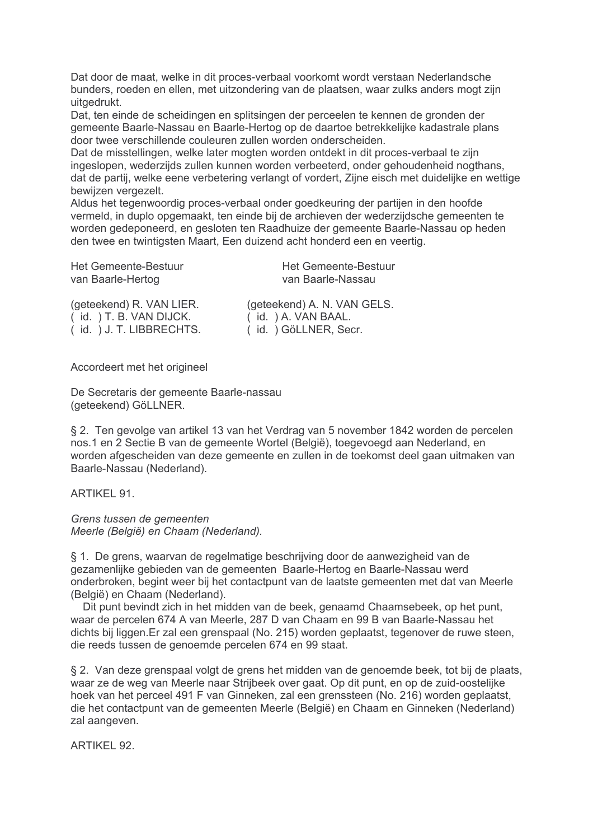Dat door de maat, welke in dit proces-verbaal voorkomt wordt verstaan Nederlandsche bunders, roeden en ellen, met uitzondering van de plaatsen, waar zulks anders mogt zijn uitgedrukt.

Dat, ten einde de scheidingen en splitsingen der perceelen te kennen de gronden der gemeente Baarle-Nassau en Baarle-Hertog op de daartoe betrekkelijke kadastrale plans door twee verschillende couleuren zullen worden onderscheiden.

Dat de misstellingen, welke later mogten worden ontdekt in dit proces-verbaal te zijn ingeslopen, wederzijds zullen kunnen worden verbeeterd, onder gehoudenheid nogthans, dat de partij, welke eene verbetering verlangt of vordert, Zijne eisch met duidelijke en wettige bewijzen vergezelt.

Aldus het tegenwoordig proces-verbaal onder goedkeuring der partijen in den hoofde vermeld, in duplo opgemaakt, ten einde bij de archieven der wederzijdsche gemeenten te worden gedeponeerd, en gesloten ten Raadhuize der gemeente Baarle-Nassau op heden den twee en twintigsten Maart. Een duizend acht honderd een en veertig.

Het Gemeente-Bestuur **Het Gemeente-Bestuur** van Baarle-Nassau van Baarle-Hertog (geteekend) A. N. VAN GELS. (geteekend) R. VAN LIER. (id. ) A. VAN BAAL.  $(id. ) T. B. VAN DIJCK.$ (id. ) J. T. LIBBRECHTS. (id.) GöLLNER, Secr.

Accordeert met het origineel

De Secretaris der gemeente Baarle-nassau (geteekend) GöLLNER.

§ 2. Ten gevolge van artikel 13 van het Verdrag van 5 november 1842 worden de percelen nos.1 en 2 Sectie B van de gemeente Wortel (België), toegevoegd aan Nederland, en worden afgescheiden van deze gemeente en zullen in de toekomst deel gaan uitmaken van Baarle-Nassau (Nederland).

ARTIKFI 91

Grens tussen de gemeenten Meerle (België) en Chaam (Nederland).

§ 1. De grens, waarvan de regelmatige beschrijving door de aanwezigheid van de gezamenlijke gebieden van de gemeenten Baarle-Hertog en Baarle-Nassau werd onderbroken, begint weer bij het contactpunt van de laatste gemeenten met dat van Meerle (België) en Chaam (Nederland).

Dit punt bevindt zich in het midden van de beek, genaamd Chaamsebeek, op het punt, waar de percelen 674 A van Meerle, 287 D van Chaam en 99 B van Baarle-Nassau het dichts bij liggen. Er zal een grenspaal (No. 215) worden geplaatst, tegenover de ruwe steen, die reeds tussen de genoemde percelen 674 en 99 staat.

§ 2. Van deze grenspaal volgt de grens het midden van de genoemde beek, tot bij de plaats, waar ze de weg van Meerle naar Strijbeek over gaat. Op dit punt, en op de zuid-oostelijke hoek van het perceel 491 F van Ginneken, zal een grenssteen (No. 216) worden geplaatst, die het contactpunt van de gemeenten Meerle (België) en Chaam en Ginneken (Nederland) zal aangeven.

ARTIKFI 92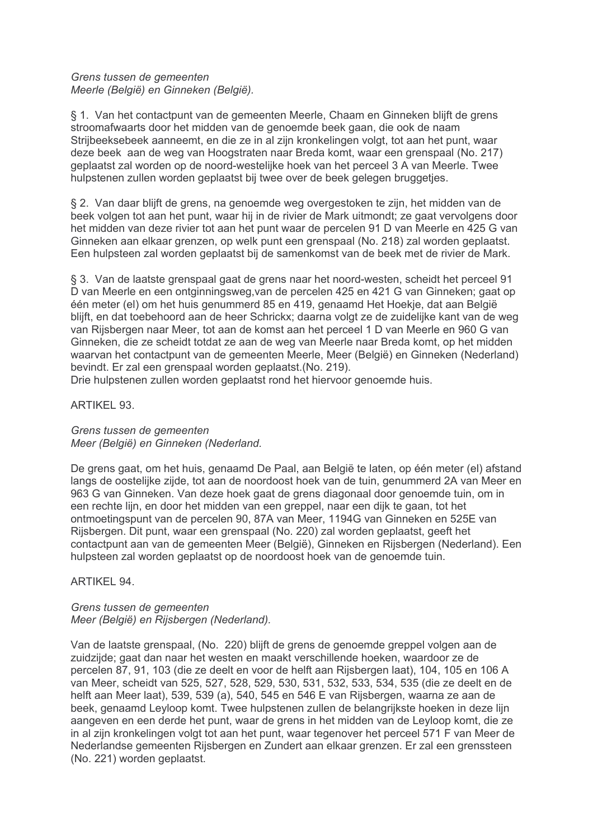# Grens tussen de gemeenten Meerle (België) en Ginneken (België).

§ 1. Van het contactpunt van de gemeenten Meerle, Chaam en Ginneken blijft de grens stroomafwaarts door het midden van de genoemde beek gaan, die ook de naam Strijbeeksebeek aanneemt, en die ze in al zijn kronkelingen volgt, tot aan het punt, waar deze beek aan de weg van Hoogstraten naar Breda komt, waar een grenspaal (No. 217) geplaatst zal worden op de noord-westelijke hoek van het perceel 3 A van Meerle. Twee hulpstenen zullen worden geplaatst bij twee over de beek gelegen bruggetjes.

§ 2. Van daar blijft de grens, na genoemde weg overgestoken te zijn, het midden van de beek volgen tot aan het punt, waar hij in de rivier de Mark uitmondt; ze gaat vervolgens door het midden van deze rivier tot aan het punt waar de percelen 91 D van Meerle en 425 G van Ginneken aan elkaar grenzen, op welk punt een grenspaal (No. 218) zal worden geplaatst. Een hulpsteen zal worden geplaatst bij de samenkomst van de beek met de rivier de Mark.

§ 3. Van de laatste grenspaal gaat de grens naar het noord-westen, scheidt het perceel 91 D van Meerle en een ontginningsweg, van de percelen 425 en 421 G van Ginneken; gaat op één meter (el) om het huis genummerd 85 en 419, genaamd Het Hoekje, dat aan België blijft, en dat toebehoord aan de heer Schrickx; daarna volgt ze de zuidelijke kant van de weg van Rijsbergen naar Meer, tot aan de komst aan het perceel 1 D van Meerle en 960 G van Ginneken, die ze scheidt totdat ze aan de weg van Meerle naar Breda komt, op het midden waarvan het contactpunt van de gemeenten Meerle, Meer (België) en Ginneken (Nederland) bevindt. Er zal een grenspaal worden geplaatst. (No. 219).

Drie hulpstenen zullen worden geplaatst rond het hiervoor genoemde huis.

**ARTIKEL 93.** 

Grens tussen de gemeenten Meer (België) en Ginneken (Nederland.

De grens gaat, om het huis, genaamd De Paal, aan België te laten, op één meter (el) afstand langs de oostelijke zijde, tot aan de noordoost hoek van de tuin, genummerd 2A van Meer en 963 G van Ginneken. Van deze hoek gaat de grens diagonaal door genoemde tuin, om in een rechte lijn, en door het midden van een greppel, naar een dijk te gaan, tot het ontmoetingspunt van de percelen 90, 87A van Meer, 1194G van Ginneken en 525E van Rijsbergen. Dit punt, waar een grenspaal (No. 220) zal worden geplaatst, geeft het contactpunt aan van de gemeenten Meer (België). Ginneken en Rijsbergen (Nederland). Een hulpsteen zal worden geplaatst op de noordoost hoek van de genoemde tuin.

**ARTIKEL 94.** 

# Grens tussen de gemeenten Meer (België) en Rijsbergen (Nederland).

Van de laatste grenspaal, (No. 220) blijft de grens de genoemde greppel volgen aan de zuidzijde; gaat dan naar het westen en maakt verschillende hoeken, waardoor ze de percelen 87, 91, 103 (die ze deelt en voor de helft aan Rijsbergen laat), 104, 105 en 106 A van Meer, scheidt van 525, 527, 528, 529, 530, 531, 532, 533, 534, 535 (die ze deelt en de helft aan Meer laat), 539, 539 (a), 540, 545 en 546 E van Rijsbergen, waarna ze aan de beek, genaamd Levloop komt. Twee hulpstenen zullen de belangrijkste hoeken in deze lijn aangeven en een derde het punt, waar de grens in het midden van de Leyloop komt, die ze in al zijn kronkelingen volgt tot aan het punt, waar tegenover het perceel 571 F van Meer de Nederlandse gemeenten Rijsbergen en Zundert aan elkaar grenzen. Er zal een grenssteen (No. 221) worden geplaatst.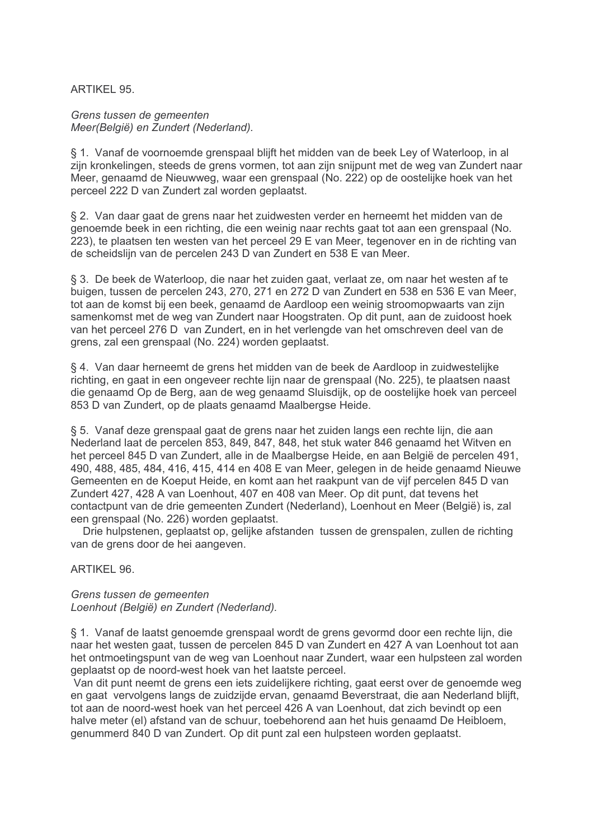# **ARTIKEL 95.**

Grens tussen de gemeenten Meer(België) en Zundert (Nederland).

§ 1. Vanaf de voornoemde grenspaal blijft het midden van de beek Lev of Waterloop, in al zijn kronkelingen, steeds de grens vormen, tot aan zijn snijpunt met de weg van Zundert naar Meer, genaamd de Nieuwweg, waar een grenspaal (No. 222) op de oostelijke hoek van het perceel 222 D van Zundert zal worden geplaatst.

§ 2. Van daar gaat de grens naar het zuidwesten verder en herneemt het midden van de genoemde beek in een richting, die een weinig naar rechts gaat tot aan een grenspaal (No. 223), te plaatsen ten westen van het perceel 29 E van Meer, tegenover en in de richting van de scheidslijn van de percelen 243 D van Zundert en 538 E van Meer.

§ 3. De beek de Waterloop, die naar het zuiden gaat, verlaat ze, om naar het westen af te buigen, tussen de percelen 243, 270, 271 en 272 D van Zundert en 538 en 536 E van Meer, tot aan de komst bij een beek, genaamd de Aardloop een weinig stroomopwaarts van zijn samenkomst met de weg van Zundert naar Hoogstraten. Op dit punt, aan de zuidoost hoek van het perceel 276 D van Zundert, en in het verlengde van het omschreven deel van de grens, zal een grenspaal (No. 224) worden geplaatst.

§ 4. Van daar herneemt de grens het midden van de beek de Aardloop in zuidwestelijke richting, en gaat in een ongeveer rechte lijn naar de grenspaal (No. 225), te plaatsen naast die genaamd Op de Berg, aan de weg genaamd Sluisdijk, op de oostelijke hoek van perceel 853 D van Zundert, op de plaats genaamd Maalbergse Heide.

§ 5. Vanaf deze grenspaal gaat de grens naar het zuiden langs een rechte lijn, die aan Nederland laat de percelen 853, 849, 847, 848, het stuk water 846 genaamd het Witven en het perceel 845 D van Zundert, alle in de Maalbergse Heide, en aan België de percelen 491. 490, 488, 485, 484, 416, 415, 414 en 408 E van Meer, gelegen in de heide genaamd Nieuwe Gemeenten en de Koeput Heide, en komt aan het raakpunt van de vijf percelen 845 D van Zundert 427, 428 A van Loenhout, 407 en 408 van Meer. Op dit punt, dat tevens het contactpunt van de drie gemeenten Zundert (Nederland), Loenhout en Meer (België) is, zal een grenspaal (No. 226) worden geplaatst.

Drie hulpstenen, geplaatst op, gelijke afstanden tussen de grenspalen, zullen de richting van de grens door de hei aangeven.

ARTIKFI 96

Grens tussen de gemeenten Loenhout (België) en Zundert (Nederland).

§ 1. Vanaf de laatst genoemde grenspaal wordt de grens gevormd door een rechte lijn, die naar het westen gaat, tussen de percelen 845 D van Zundert en 427 A van Loenhout tot aan het ontmoetingspunt van de weg van Loenhout naar Zundert, waar een hulpsteen zal worden geplaatst op de noord-west hoek van het laatste perceel.

Van dit punt neemt de grens een iets zuidelijkere richting, gaat eerst over de genoemde weg en gaat vervolgens langs de zuidzijde ervan, genaamd Beverstraat, die aan Nederland blijft, tot aan de noord-west hoek van het perceel 426 A van Loenhout, dat zich bevindt op een halve meter (el) afstand van de schuur, toebehorend aan het huis genaamd De Heibloem, genummerd 840 D van Zundert. Op dit punt zal een hulpsteen worden geplaatst.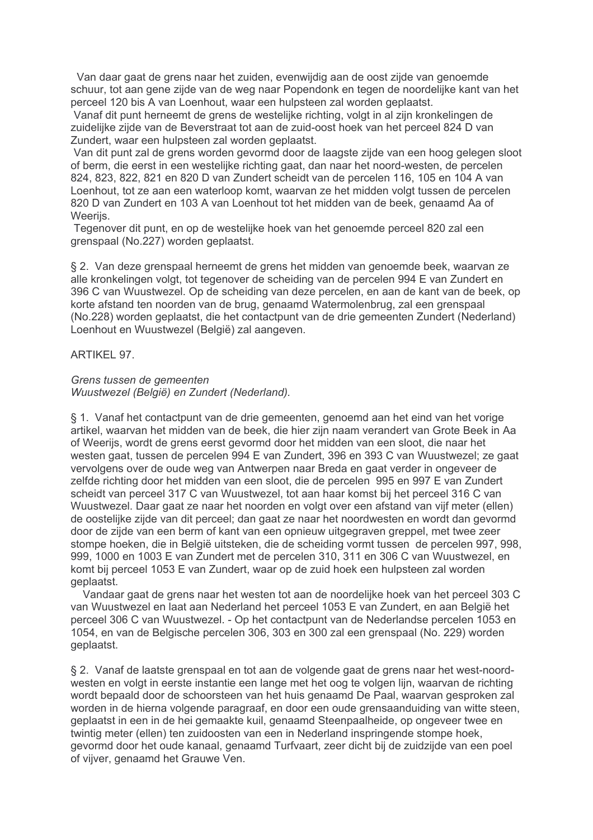Van daar gaat de grens naar het zuiden, evenwijdig aan de oost zijde van genoemde schuur, tot aan gene zijde van de weg naar Popendonk en tegen de noordelijke kant van het perceel 120 bis A van Loenhout, waar een hulpsteen zal worden geplaatst.

Vanaf dit punt herneemt de grens de westelijke richting, volgt in al zijn kronkelingen de zuidelijke zijde van de Beverstraat tot aan de zuid-oost hoek van het perceel 824 D van Zundert, waar een hulpsteen zal worden geplaatst.

Van dit punt zal de grens worden gevormd door de laagste zijde van een hoog gelegen sloot of berm, die eerst in een westelijke richting gaat, dan naar het noord-westen, de percelen 824, 823, 822, 821 en 820 D van Zundert scheidt van de percelen 116, 105 en 104 A van Loenhout, tot ze aan een waterloop komt, waarvan ze het midden volgt tussen de percelen 820 D van Zundert en 103 A van Loenhout tot het midden van de beek, genaamd Aa of **Weerijs** 

Tegenover dit punt, en op de westelijke hoek van het genoemde perceel 820 zal een grenspaal (No.227) worden geplaatst.

§ 2. Van deze grenspaal herneemt de grens het midden van genoemde beek, waarvan ze alle kronkelingen volgt, tot tegenover de scheiding van de percelen 994 E van Zundert en 396 C van Wuustwezel. Op de scheiding van deze percelen, en aan de kant van de beek, op korte afstand ten noorden van de brug, genaamd Watermolenbrug, zal een grenspaal (No.228) worden geplaatst, die het contactpunt van de drie gemeenten Zundert (Nederland) Loenhout en Wuustwezel (België) zal aangeven.

# ARTIKEL 97.

# Grens tussen de gemeenten Wuustwezel (België) en Zundert (Nederland).

§ 1. Vanaf het contactpunt van de drie gemeenten, genoemd aan het eind van het vorige artikel, waarvan het midden van de beek, die hier zijn naam verandert van Grote Beek in Aa of Weerijs, wordt de grens eerst gevormd door het midden van een sloot, die naar het westen gaat, tussen de percelen 994 E van Zundert, 396 en 393 C van Wuustwezel; ze gaat vervolgens over de oude weg van Antwerpen naar Breda en gaat verder in ongeveer de zelfde richting door het midden van een sloot, die de percelen 995 en 997 E van Zundert scheidt van perceel 317 C van Wuustwezel, tot aan haar komst bij het perceel 316 C van Wuustwezel. Daar gaat ze naar het noorden en volgt over een afstand van vijf meter (ellen) de oostelijke zijde van dit perceel; dan gaat ze naar het noordwesten en wordt dan gevormd door de zijde van een berm of kant van een opnieuw uitgegraven greppel, met twee zeer stompe hoeken, die in België uitsteken, die de scheiding vormt tussen de percelen 997, 998, 999, 1000 en 1003 E van Zundert met de percelen 310, 311 en 306 C van Wuustwezel, en komt bij perceel 1053 E van Zundert, waar op de zuid hoek een hulpsteen zal worden geplaatst.

Vandaar gaat de grens naar het westen tot aan de noordelijke hoek van het perceel 303 C van Wuustwezel en laat aan Nederland het perceel 1053 E van Zundert, en aan België het perceel 306 C van Wuustwezel. - Op het contactpunt van de Nederlandse percelen 1053 en .<br>1054, en van de Belgische percelen 306, 303 en 300 zal een grenspaal (No. 229) worden geplaatst.

§ 2. Vanaf de laatste grenspaal en tot aan de volgende gaat de grens naar het west-noordwesten en volgt in eerste instantie een lange met het oog te volgen lijn, waarvan de richting wordt bepaald door de schoorsteen van het huis genaamd De Paal, waarvan gesproken zal worden in de hierna volgende paragraaf, en door een oude grensaanduiding van witte steen. geplaatst in een in de hei gemaakte kuil, genaamd Steenpaalheide, op ongeveer twee en twintig meter (ellen) ten zuidoosten van een in Nederland inspringende stompe hoek. gevormd door het oude kanaal, genaamd Turfvaart, zeer dicht bij de zuidzijde van een poel of vijver, genaamd het Grauwe Ven.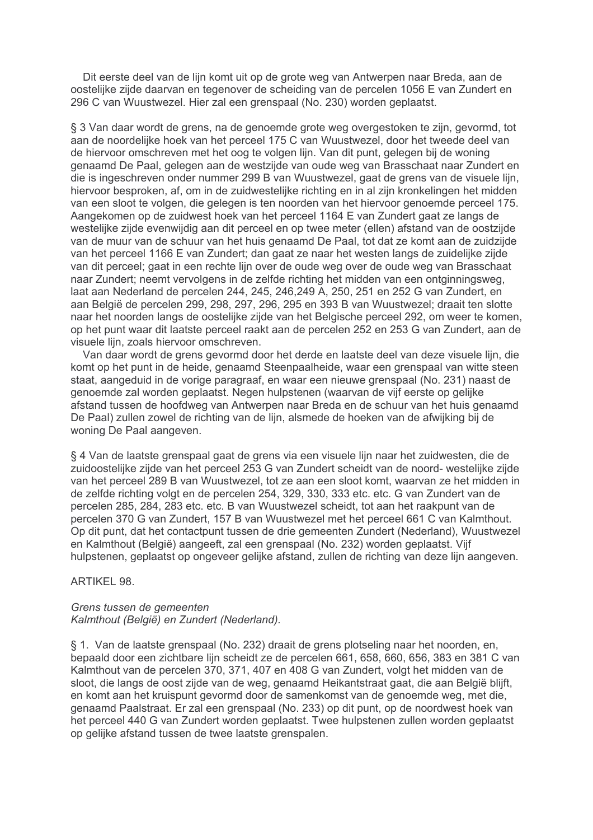Dit eerste deel van de lijn komt uit op de grote weg van Antwerpen naar Breda, aan de oostelijke zijde daarvan en tegenover de scheiding van de percelen 1056 E van Zundert en 296 C van Wuustwezel. Hier zal een grenspaal (No. 230) worden geplaatst.

§ 3 Van daar wordt de grens, na de genoemde grote weg overgestoken te zijn, gevormd, tot aan de noordelijke hoek van het perceel 175 C van Wuustwezel, door het tweede deel van de hiervoor omschreven met het oog te volgen lijn. Van dit punt, gelegen bij de woning genaamd De Paal, gelegen aan de westzijde van oude weg van Brasschaat naar Zundert en die is ingeschreven onder nummer 299 B van Wuustwezel, gaat de grens van de visuele lijn, hiervoor besproken, af, om in de zuidwestelijke richting en in al zijn kronkelingen het midden van een sloot te volgen, die gelegen is ten noorden van het hiervoor genoemde perceel 175. Aangekomen op de zuidwest hoek van het perceel 1164 E van Zundert gaat ze langs de westelijke zijde evenwijdig aan dit perceel en op twee meter (ellen) afstand van de oostzijde van de muur van de schuur van het huis genaamd De Paal, tot dat ze komt aan de zuidzijde van het perceel 1166 E van Zundert; dan gaat ze naar het westen langs de zuidelijke zijde van dit perceel; gaat in een rechte lijn over de oude weg over de oude weg van Brasschaat naar Zundert; neemt vervolgens in de zelfde richting het midden van een ontginningsweg. laat aan Nederland de percelen 244, 245, 246, 249 A, 250, 251 en 252 G van Zundert, en aan België de percelen 299, 298, 297, 296, 295 en 393 B van Wuustwezel; draait ten slotte naar het noorden langs de oostelijke zijde van het Belgische perceel 292, om weer te komen, op het punt waar dit laatste perceel raakt aan de percelen 252 en 253 G van Zundert, aan de visuele lijn, zoals hiervoor omschreven.

Van daar wordt de grens gevormd door het derde en laatste deel van deze visuele lijn, die komt op het punt in de heide, genaamd Steenpaalheide, waar een grenspaal van witte steen staat, aangeduid in de vorige paragraaf, en waar een nieuwe grenspaal (No. 231) naast de genoemde zal worden geplaatst. Negen hulpstenen (waarvan de vijf eerste op gelijke afstand tussen de hoofdweg van Antwerpen naar Breda en de schuur van het huis genaamd De Paal) zullen zowel de richting van de lijn, alsmede de hoeken van de afwijking bij de woning De Paal aangeven.

§ 4 Van de laatste grenspaal gaat de grens via een visuele lijn naar het zuidwesten, die de zuidoostelijke zijde van het perceel 253 G van Zundert scheidt van de noord- westelijke zijde van het perceel 289 B van Wuustwezel, tot ze aan een sloot komt, waarvan ze het midden in de zelfde richting volgt en de percelen 254, 329, 330, 333 etc. etc. G van Zundert van de percelen 285, 284, 283 etc. etc. B van Wuustwezel scheidt, tot aan het raakpunt van de percelen 370 G van Zundert, 157 B van Wuustwezel met het perceel 661 C van Kalmthout. Op dit punt, dat het contactpunt tussen de drie gemeenten Zundert (Nederland). Wuustwezel en Kalmthout (België) aangeeft, zal een grenspaal (No. 232) worden geplaatst. Vijf hulpstenen, geplaatst op ongeveer gelijke afstand, zullen de richting van deze lijn aangeven.

## **ARTIKEL 98.**

## Grens tussen de gemeenten Kalmthout (België) en Zundert (Nederland).

§ 1. Van de laatste grenspaal (No. 232) draait de grens plotseling naar het noorden, en. bepaald door een zichtbare lijn scheidt ze de percelen 661, 658, 660, 656, 383 en 381 C van Kalmthout van de percelen 370, 371, 407 en 408 G van Zundert, volgt het midden van de sloot, die langs de oost zijde van de weg, genaamd Heikantstraat gaat, die aan België blijft. en komt aan het kruispunt gevormd door de samenkomst van de genoemde weg, met die, genaamd Paalstraat. Er zal een grenspaal (No. 233) op dit punt, op de noordwest hoek van het perceel 440 G van Zundert worden geplaatst. Twee hulpstenen zullen worden geplaatst op gelijke afstand tussen de twee laatste grenspalen.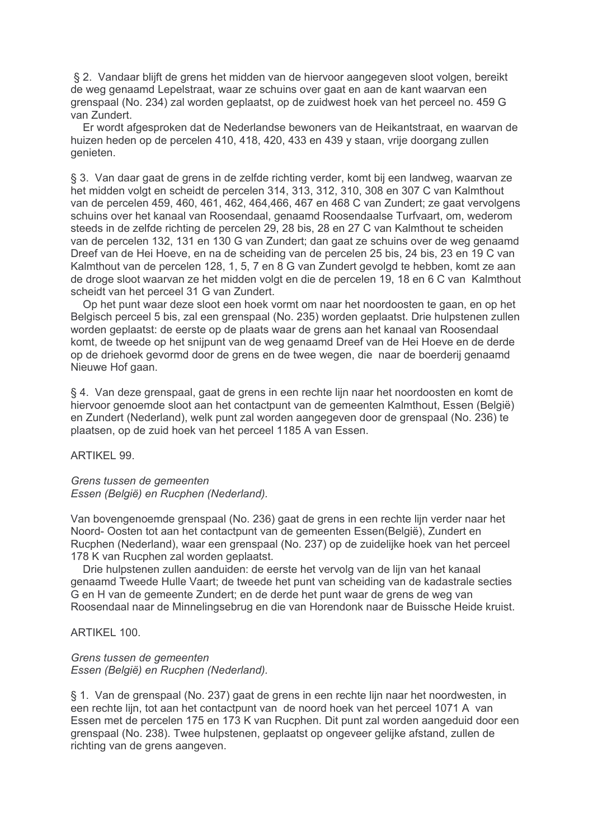§ 2. Vandaar blijft de grens het midden van de hiervoor aangegeven sloot volgen, bereikt de weg genaamd Lepelstraat, waar ze schuins over gaat en aan de kant waarvan een grenspaal (No. 234) zal worden geplaatst, op de zuidwest hoek van het perceel no. 459 G van Zundert.

Er wordt afgesproken dat de Nederlandse bewoners van de Heikantstraat, en waarvan de huizen heden op de percelen 410, 418, 420, 433 en 439 y staan, vrije doorgang zullen genieten.

§ 3. Van daar gaat de grens in de zelfde richting verder, komt bij een landweg, waarvan ze het midden volgt en scheidt de percelen 314, 313, 312, 310, 308 en 307 C van Kalmthout van de percelen 459, 460, 461, 462, 464, 466, 467 en 468 C van Zundert; ze gaat vervolgens schuins over het kanaal van Roosendaal, genaamd Roosendaalse Turfvaart, om, wederom steeds in de zelfde richting de percelen 29, 28 bis, 28 en 27 C van Kalmthout te scheiden van de percelen 132, 131 en 130 G van Zundert; dan gaat ze schuins over de weg genaamd Dreef van de Hei Hoeve, en na de scheiding van de percelen 25 bis, 24 bis, 23 en 19 C van Kalmthout van de percelen 128, 1, 5, 7 en 8 G van Zundert gevolgd te hebben, komt ze aan de droge sloot waarvan ze het midden volgt en die de percelen 19, 18 en 6 C van Kalmthout scheidt van het perceel 31 G van Zundert.

Op het punt waar deze sloot een hoek vormt om naar het noordoosten te gaan, en op het Belgisch perceel 5 bis, zal een grenspaal (No. 235) worden geplaatst. Drie hulpstenen zullen worden geplaatst: de eerste op de plaats waar de grens aan het kanaal van Roosendaal komt, de tweede op het snijpunt van de weg genaamd Dreef van de Hei Hoeve en de derde op de driehoek gevormd door de grens en de twee wegen, die naar de boerderij genaamd Nieuwe Hof gaan.

§ 4. Van deze grenspaal, gaat de grens in een rechte lijn naar het noordoosten en komt de hiervoor genoemde sloot aan het contactpunt van de gemeenten Kalmthout, Essen (België) en Zundert (Nederland), welk punt zal worden aangegeven door de grenspaal (No. 236) te plaatsen, op de zuid hoek van het perceel 1185 A van Essen.

ARTIKEL 99.

Grens tussen de gemeenten Essen (België) en Rucphen (Nederland).

Van bovengenoemde grenspaal (No. 236) gaat de grens in een rechte lijn verder naar het Noord-Oosten tot aan het contactpunt van de gemeenten Essen(België), Zundert en Rucphen (Nederland), waar een grenspaal (No. 237) op de zuidelijke hoek van het perceel 178 K van Rucphen zal worden geplaatst.

Drie hulpstenen zullen aanduiden: de eerste het vervolg van de lijn van het kanaal genaamd Tweede Hulle Vaart; de tweede het punt van scheiding van de kadastrale secties G en H van de gemeente Zundert; en de derde het punt waar de grens de weg van Roosendaal naar de Minnelingsebrug en die van Horendonk naar de Buissche Heide kruist.

ARTIKEL 100

## Grens tussen de gemeenten Essen (België) en Rucphen (Nederland).

§ 1. Van de grenspaal (No. 237) gaat de grens in een rechte lijn naar het noordwesten, in een rechte lijn, tot aan het contactpunt van de noord hoek van het perceel 1071 A van Essen met de percelen 175 en 173 K van Rucphen. Dit punt zal worden aangeduid door een grenspaal (No. 238). Twee hulpstenen, geplaatst op ongeveer gelijke afstand, zullen de richting van de grens aangeven.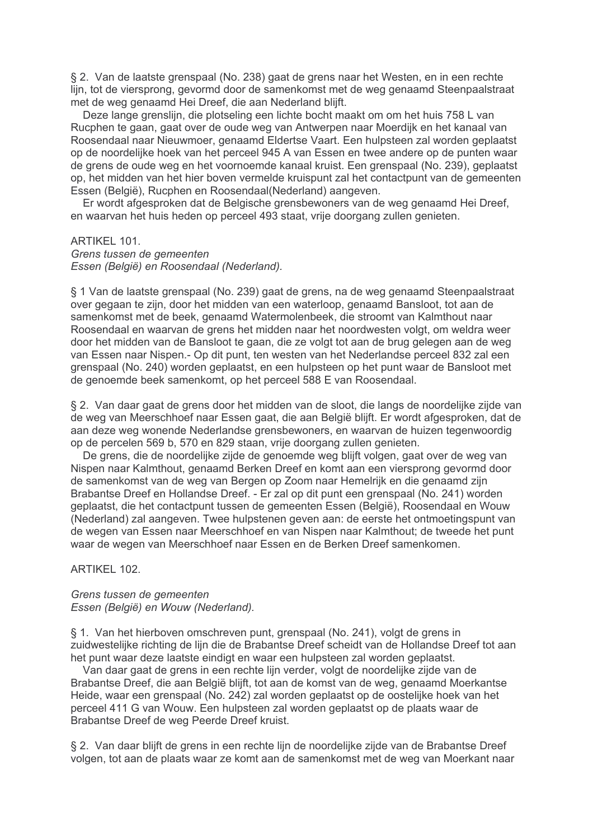§ 2. Van de laatste grenspaal (No. 238) gaat de grens naar het Westen, en in een rechte lijn, tot de viersprong, gevormd door de samenkomst met de weg genaamd Steenpaalstraat met de weg genaamd Hei Dreef, die aan Nederland blijft.

Deze lange grenslijn, die plotseling een lichte bocht maakt om om het huis 758 L van Rucphen te gaan, gaat over de oude weg van Antwerpen naar Moerdijk en het kanaal van Roosendaal naar Nieuwmoer, genaamd Eldertse Vaart. Een hulpsteen zal worden geplaatst op de noordelijke hoek van het perceel 945 A van Essen en twee andere op de punten waar de grens de oude weg en het voornoemde kanaal kruist. Een grenspaal (No. 239), geplaatst op, het midden van het hier boven vermelde kruispunt zal het contactpunt van de gemeenten Essen (België), Rucphen en Roosendaal(Nederland) aangeven.

Er wordt afgesproken dat de Belgische grensbewoners van de weg genaamd Hei Dreef. en waarvan het huis heden op perceel 493 staat, vrije doorgang zullen genieten.

#### ARTIKEL 101.

Grens tussen de gemeenten Essen (België) en Roosendaal (Nederland).

§ 1 Van de laatste grenspaal (No. 239) gaat de grens, na de weg genaamd Steenpaalstraat over gegaan te zijn, door het midden van een waterloop, genaamd Bansloot, tot aan de samenkomst met de beek, genaamd Watermolenbeek, die stroomt van Kalmthout naar Roosendaal en waarvan de grens het midden naar het noordwesten volgt, om weldra weer door het midden van de Bansloot te gaan, die ze volgt tot aan de brug gelegen aan de weg van Essen naar Nispen.- Op dit punt, ten westen van het Nederlandse perceel 832 zal een grenspaal (No. 240) worden geplaatst, en een hulpsteen op het punt waar de Bansloot met de genoemde beek samenkomt, op het perceel 588 E van Roosendaal.

§ 2. Van daar gaat de grens door het midden van de sloot, die langs de noordelijke zijde van de weg van Meerschhoef naar Essen gaat, die aan België blijft. Er wordt afgesproken, dat de aan deze weg wonende Nederlandse grensbewoners, en waarvan de huizen tegenwoordig op de percelen 569 b. 570 en 829 staan, vrije doorgang zullen genieten.

De grens, die de noordelijke zijde de genoemde weg blijft volgen, gaat over de weg van Nispen naar Kalmthout, genaamd Berken Dreef en komt aan een viersprong gevormd door de samenkomst van de weg van Bergen op Zoom naar Hemelrijk en die genaamd zijn Brabantse Dreef en Hollandse Dreef. - Er zal op dit punt een grenspaal (No. 241) worden geplaatst, die het contactpunt tussen de gemeenten Essen (België), Roosendaal en Wouw (Nederland) zal aangeven. Twee hulpstenen geven aan: de eerste het ontmoetingspunt van de wegen van Essen naar Meerschhoef en van Nispen naar Kalmthout; de tweede het punt waar de wegen van Meerschhoef naar Essen en de Berken Dreef samenkomen.

# ARTIKFI 102

## Grens tussen de gemeenten Essen (België) en Wouw (Nederland).

§ 1. Van het hierboven omschreven punt, grenspaal (No. 241), volgt de grens in zuidwestelijke richting de lijn die de Brabantse Dreef scheidt van de Hollandse Dreef tot aan het punt waar deze laatste eindigt en waar een hulpsteen zal worden geplaatst.

Van daar gaat de grens in een rechte lijn verder, volgt de noordelijke zijde van de Brabantse Dreef, die aan België blijft, tot aan de komst van de weg, genaamd Moerkantse Heide, waar een grenspaal (No. 242) zal worden geplaatst op de oostelijke hoek van het perceel 411 G van Wouw. Een hulpsteen zal worden geplaatst op de plaats waar de Brabantse Dreef de weg Peerde Dreef kruist.

§ 2. Van daar blijft de grens in een rechte lijn de noordelijke zijde van de Brabantse Dreef volgen, tot aan de plaats waar ze komt aan de samenkomst met de weg van Moerkant naar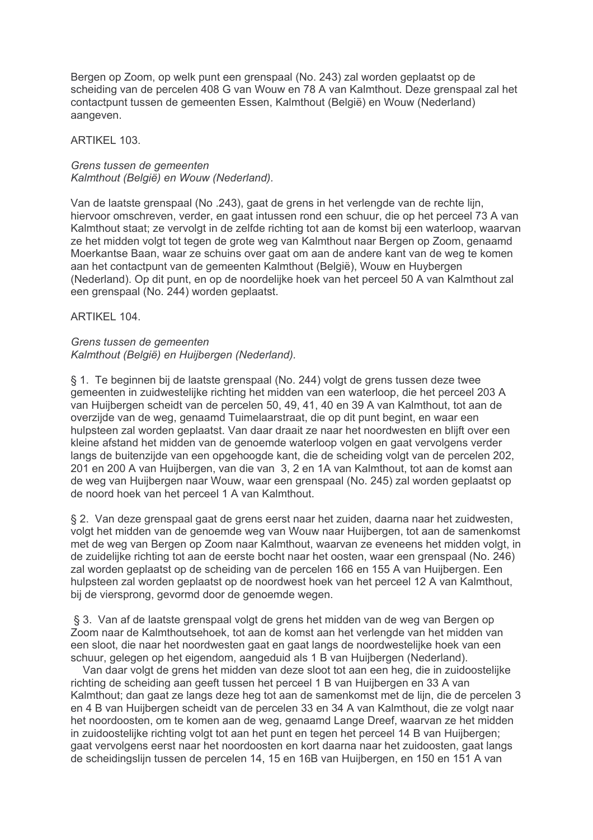Bergen op Zoom, op welk punt een grenspaal (No. 243) zal worden geplaatst op de scheiding van de percelen 408 G van Wouw en 78 A van Kalmthout. Deze grenspaal zal het contactpunt tussen de gemeenten Essen, Kalmthout (België) en Wouw (Nederland) aangeven.

ARTIKEL 103.

Grens tussen de gemeenten Kalmthout (België) en Wouw (Nederland).

Van de laatste grenspaal (No .243), gaat de grens in het verlengde van de rechte lijn, hiervoor omschreven, verder, en gaat intussen rond een schuur, die op het perceel 73 A van Kalmthout staat; ze vervolgt in de zelfde richting tot aan de komst bij een waterloop, waarvan ze het midden volgt tot tegen de grote weg van Kalmthout naar Bergen op Zoom, genaamd Moerkantse Baan, waar ze schuins over gaat om aan de andere kant van de weg te komen aan het contactpunt van de gemeenten Kalmthout (België), Wouw en Huybergen (Nederland). Op dit punt, en op de noordelijke hoek van het perceel 50 A van Kalmthout zal een grenspaal (No. 244) worden geplaatst.

ARTIKEL 104.

# Grens tussen de gemeenten Kalmthout (België) en Huijbergen (Nederland).

§ 1. Te beginnen bij de laatste grenspaal (No. 244) volgt de grens tussen deze twee gemeenten in zuidwestelijke richting het midden van een waterloop, die het perceel 203 A van Huijbergen scheidt van de percelen 50, 49, 41, 40 en 39 A van Kalmthout, tot aan de overzijde van de weg, genaamd Tuimelaarstraat, die op dit punt begint, en waar een hulpsteen zal worden geplaatst. Van daar draait ze naar het noordwesten en blijft over een kleine afstand het midden van de genoemde waterloop volgen en gaat vervolgens verder langs de buitenzijde van een opgehoogde kant, die de scheiding volgt van de percelen 202. 201 en 200 A van Huijbergen, van die van 3, 2 en 1A van Kalmthout, tot aan de komst aan de weg van Huijbergen naar Wouw, waar een grenspaal (No. 245) zal worden geplaatst op de noord hoek van het perceel 1 A van Kalmthout.

§ 2. Van deze grenspaal gaat de grens eerst naar het zuiden, daarna naar het zuidwesten, volgt het midden van de genoemde weg van Wouw naar Hujibergen, tot aan de samenkomst met de weg van Bergen op Zoom naar Kalmthout, waarvan ze eveneens het midden volgt, in de zuidelijke richting tot aan de eerste bocht naar het oosten, waar een grenspaal (No. 246) zal worden geplaatst op de scheiding van de percelen 166 en 155 A van Huijbergen. Een hulpsteen zal worden geplaatst op de noordwest hoek van het perceel 12 A van Kalmthout, bij de viersprong, gevormd door de genoemde wegen.

§ 3. Van af de laatste grenspaal volgt de grens het midden van de weg van Bergen op Zoom naar de Kalmthoutsehoek, tot aan de komst aan het verlengde van het midden van een sloot, die naar het noordwesten gaat en gaat langs de noordwestelijke hoek van een schuur, gelegen op het eigendom, aangeduid als 1 B van Huijbergen (Nederland).

Van daar volgt de grens het midden van deze sloot tot aan een heg, die in zuidoostelijke richting de scheiding aan geeft tussen het perceel 1 B van Huijbergen en 33 A van Kalmthout; dan gaat ze langs deze heg tot aan de samenkomst met de lijn, die de percelen 3 en 4 B van Hujibergen scheidt van de percelen 33 en 34 A van Kalmthout, die ze volgt naar het noordoosten, om te komen aan de weg, genaamd Lange Dreef, waarvan ze het midden in zuidoostelijke richting volgt tot aan het punt en tegen het perceel 14 B van Huijbergen: gaat vervolgens eerst naar het noordoosten en kort daarna naar het zuidoosten, gaat langs de scheidingslijn tussen de percelen 14, 15 en 16B van Huijbergen, en 150 en 151 A van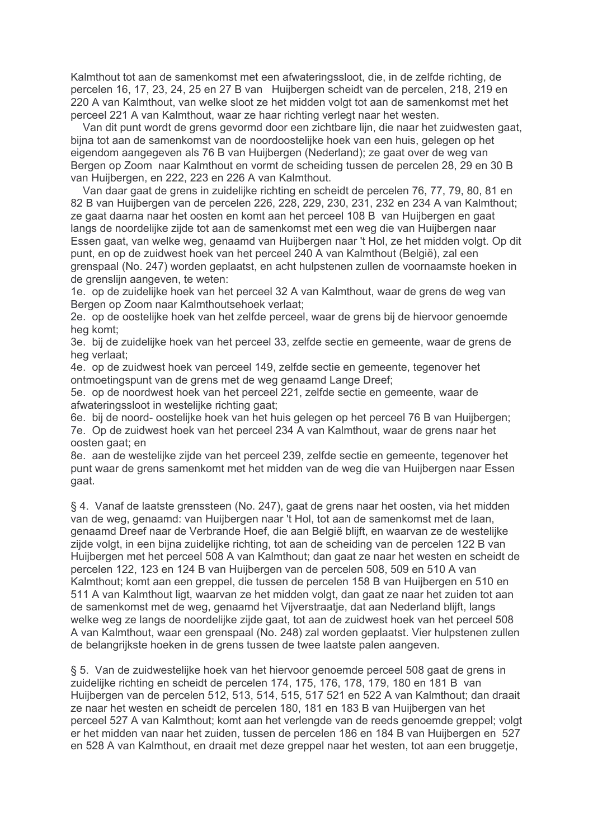Kalmthout tot aan de samenkomst met een afwateringssloot, die, in de zelfde richting, de percelen 16, 17, 23, 24, 25 en 27 B van Huijbergen scheidt van de percelen, 218, 219 en 220 A van Kalmthout, van welke sloot ze het midden volgt tot aan de samenkomst met het perceel 221 A van Kalmthout, waar ze haar richting verlegt naar het westen.

Van dit punt wordt de grens gevormd door een zichtbare lijn, die naar het zuidwesten gaat, bijna tot aan de samenkomst van de noordoostelijke hoek van een huis, gelegen op het eigendom aangegeven als 76 B van Huijbergen (Nederland); ze gaat over de weg van Bergen op Zoom naar Kalmthout en vormt de scheiding tussen de percelen 28, 29 en 30 B van Huijbergen, en 222, 223 en 226 A van Kalmthout.

Van daar gaat de grens in zuidelijke richting en scheidt de percelen 76, 77, 79, 80, 81 en 82 B van Huijbergen van de percelen 226, 228, 229, 230, 231, 232 en 234 A van Kalmthout; ze gaat daarna naar het oosten en komt aan het perceel 108 B van Hujibergen en gaat langs de noordelijke zijde tot aan de samenkomst met een weg die van Huijbergen naar Essen gaat, van welke weg, genaamd van Huijbergen naar 't Hol, ze het midden volgt. Op dit punt, en op de zuidwest hoek van het perceel 240 A van Kalmthout (België), zal een grenspaal (No. 247) worden geplaatst, en acht hulpstenen zullen de voornaamste hoeken in de grenslijn aangeven, te weten:

1e. op de zuidelijke hoek van het perceel 32 A van Kalmthout, waar de grens de weg van Bergen op Zoom naar Kalmthoutsehoek verlaat;

2e. op de oostelijke hoek van het zelfde perceel, waar de grens bij de hiervoor genoemde heg komt:

3e. bij de zuidelijke hoek van het perceel 33, zelfde sectie en gemeente, waar de grens de heg verlaat:

4e. op de zuidwest hoek van perceel 149, zelfde sectie en gemeente, tegenover het ontmoetingspunt van de grens met de weg genaamd Lange Dreef;

5e. op de noordwest hoek van het perceel 221, zelfde sectie en gemeente, waar de afwateringssloot in westelijke richting gaat;

6e. bij de noord- oostelijke hoek van het huis gelegen op het perceel 76 B van Huijbergen; 7e. Op de zuidwest hoek van het perceel 234 A van Kalmthout, waar de grens naar het oosten gaat: en

8e. aan de westelijke zijde van het perceel 239. zelfde sectie en gemeente, tegenover het punt waar de grens samenkomt met het midden van de weg die van Huijbergen naar Essen gaat.

§ 4. Vanaf de laatste grenssteen (No. 247), gaat de grens naar het oosten, via het midden van de weg, genaamd: van Huijbergen naar 't Hol, tot aan de samenkomst met de laan, genaamd Dreef naar de Verbrande Hoef, die aan België blijft, en waarvan ze de westelijke zijde volgt, in een bijna zuidelijke richting, tot aan de scheiding van de percelen 122 B van Huijbergen met het perceel 508 A van Kalmthout: dan gaat ze naar het westen en scheidt de percelen 122, 123 en 124 B van Huijbergen van de percelen 508, 509 en 510 A van Kalmthout; komt aan een greppel, die tussen de percelen 158 B van Huijbergen en 510 en 511 A van Kalmthout ligt, waarvan ze het midden volgt, dan gaat ze naar het zuiden tot aan de samenkomst met de weg, genaamd het Vijverstraatie, dat aan Nederland blijft, langs welke weg ze langs de noordelijke zijde gaat, tot aan de zuidwest hoek van het perceel 508 A van Kalmthout, waar een grenspaal (No. 248) zal worden geplaatst. Vier hulpstenen zullen de belangrijkste hoeken in de grens tussen de twee laatste palen aangeven.

§ 5. Van de zuidwestelijke hoek van het hiervoor genoemde perceel 508 gaat de grens in zuidelijke richting en scheidt de percelen 174, 175, 176, 178, 179, 180 en 181 B van Huijbergen van de percelen 512, 513, 514, 515, 517 521 en 522 A van Kalmthout; dan draait ze naar het westen en scheidt de percelen 180, 181 en 183 B van Hujibergen van het perceel 527 A van Kalmthout; komt aan het verlengde van de reeds genoemde greppel; volgt er het midden van naar het zuiden, tussen de percelen 186 en 184 B van Huijbergen en 527 en 528 A van Kalmthout, en draait met deze greppel naar het westen, tot aan een bruggetje,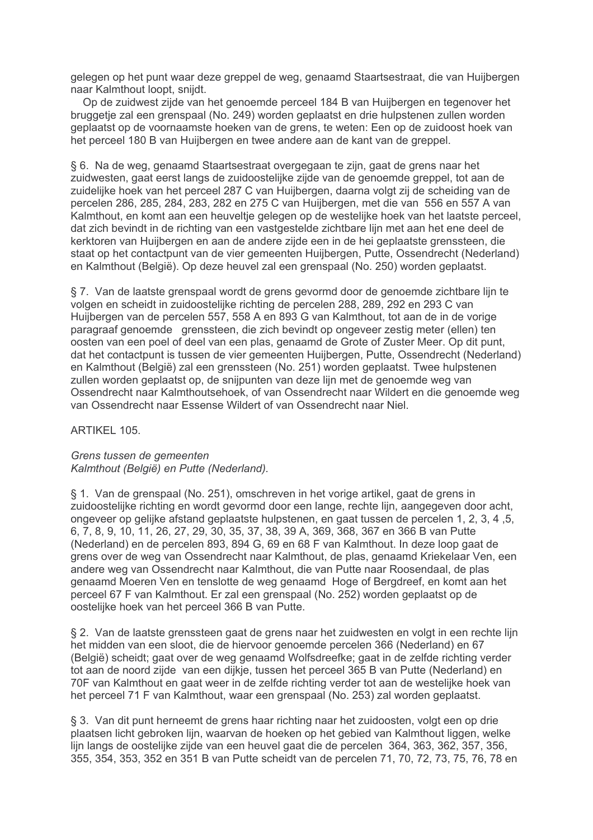gelegen op het punt waar deze greppel de weg, genaamd Staartsestraat, die van Huijbergen naar Kalmthout loopt, sniidt.

Op de zuidwest zijde van het genoemde perceel 184 B van Huijbergen en tegenover het bruggetie zal een grenspaal (No. 249) worden geplaatst en drie hulpstenen zullen worden geplaatst op de voornaamste hoeken van de grens, te weten: Een op de zuidoost hoek van het perceel 180 B van Huijbergen en twee andere aan de kant van de greppel.

§ 6. Na de weg, genaamd Staartsestraat overgegaan te zijn, gaat de grens naar het zuidwesten, gaat eerst langs de zuidoostelijke zijde van de genoemde greppel, tot aan de zuidelijke hoek van het perceel 287 C van Huijbergen, daarna volgt zij de scheiding van de percelen 286, 285, 284, 283, 282 en 275 C van Huijbergen, met die van 556 en 557 A van Kalmthout, en komt aan een heuveltje gelegen op de westelijke hoek van het laatste perceel, dat zich bevindt in de richting van een vastgestelde zichtbare lijn met aan het ene deel de kerktoren van Hujibergen en aan de andere zijde een in de hei geplaatste grenssteen, die staat op het contactpunt van de vier gemeenten Huijbergen, Putte, Ossendrecht (Nederland) en Kalmthout (België). Op deze heuvel zal een grenspaal (No. 250) worden geplaatst.

§ 7. Van de laatste grenspaal wordt de grens gevormd door de genoemde zichtbare lijn te volgen en scheidt in zuidoostelijke richting de percelen 288, 289, 292 en 293 C van Huijbergen van de percelen 557, 558 A en 893 G van Kalmthout, tot aan de in de vorige paragraaf genoemde grenssteen, die zich bevindt op ongeveer zestig meter (ellen) ten oosten van een poel of deel van een plas, genaamd de Grote of Zuster Meer. Op dit punt, dat het contactpunt is tussen de vier gemeenten Huijbergen, Putte, Ossendrecht (Nederland) en Kalmthout (België) zal een grenssteen (No. 251) worden geplaatst. Twee hulpstenen zullen worden geplaatst op, de snijpunten van deze lijn met de genoemde weg van Ossendrecht naar Kalmthoutsehoek, of van Ossendrecht naar Wildert en die genoemde weg van Ossendrecht naar Essense Wildert of van Ossendrecht naar Niel.

ARTIKEL 105.

## Grens tussen de gemeenten Kalmthout (België) en Putte (Nederland).

§ 1. Van de grenspaal (No. 251), omschreven in het vorige artikel, gaat de grens in zuidoostelijke richting en wordt gevormd door een lange, rechte lijn, aangegeven door acht, ongeveer op gelijke afstand geplaatste hulpstenen, en gaat tussen de percelen 1, 2, 3, 4, 5, 6, 7, 8, 9, 10, 11, 26, 27, 29, 30, 35, 37, 38, 39 A, 369, 368, 367 en 366 B van Putte (Nederland) en de percelen 893, 894 G, 69 en 68 F van Kalmthout. In deze loop gaat de grens over de weg van Ossendrecht naar Kalmthout, de plas, genaamd Kriekelaar Ven, een andere weg van Ossendrecht naar Kalmthout, die van Putte naar Roosendaal, de plas genaamd Moeren Ven en tenslotte de weg genaamd Hoge of Bergdreef, en komt aan het perceel 67 F van Kalmthout. Er zal een grenspaal (No. 252) worden geplaatst op de oostelijke hoek van het perceel 366 B van Putte.

§ 2. Van de laatste grenssteen gaat de grens naar het zuidwesten en volgt in een rechte lijn het midden van een sloot, die de hiervoor genoemde percelen 366 (Nederland) en 67 (België) scheidt; gaat over de weg genaamd Wolfsdreefke; gaat in de zelfde richting verder tot aan de noord zijde van een dijkje, tussen het perceel 365 B van Putte (Nederland) en 70F van Kalmthout en gaat weer in de zelfde richting verder tot aan de westelijke hoek van het perceel 71 F van Kalmthout, waar een grenspaal (No. 253) zal worden geplaatst.

§ 3. Van dit punt herneemt de grens haar richting naar het zuidoosten, volgt een op drie plaatsen licht gebroken lijn, waarvan de hoeken op het gebied van Kalmthout liggen, welke lijn langs de oostelijke zijde van een heuvel gaat die de percelen 364, 363, 362, 357, 356, 355, 354, 353, 352 en 351 B van Putte scheidt van de percelen 71, 70, 72, 73, 75, 76, 78 en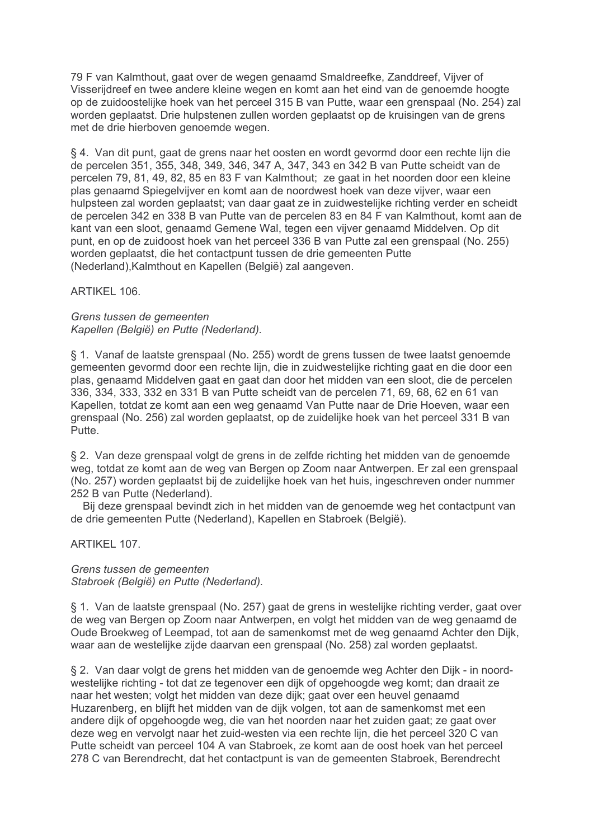79 F van Kalmthout, gaat over de wegen genaamd Smaldreefke, Zanddreef, Vijver of Visserijdreef en twee andere kleine wegen en komt aan het eind van de genoemde hoogte op de zuidoostelijke hoek van het perceel 315 B van Putte, waar een grenspaal (No. 254) zal worden geplaatst. Drie hulpstenen zullen worden geplaatst op de kruisingen van de grens met de drie hierboven genoemde wegen.

§ 4. Van dit punt, gaat de grens naar het oosten en wordt gevormd door een rechte lijn die de percelen 351, 355, 348, 349, 346, 347 A, 347, 343 en 342 B van Putte scheidt van de percelen 79, 81, 49, 82, 85 en 83 F van Kalmthout; ze gaat in het noorden door een kleine plas genaamd Spiegelvijver en komt aan de noordwest hoek van deze vijver, waar een hulpsteen zal worden geplaatst; van daar gaat ze in zuidwestelijke richting verder en scheidt de percelen 342 en 338 B van Putte van de percelen 83 en 84 F van Kalmthout, komt aan de kant van een sloot, genaamd Gemene Wal, tegen een vijver genaamd Middelven. Op dit punt, en op de zuidoost hoek van het perceel 336 B van Putte zal een grenspaal (No. 255) worden geplaatst, die het contactpunt tussen de drie gemeenten Putte (Nederland), Kalmthout en Kapellen (België) zal aangeven.

ARTIKEL 106.

# Grens tussen de gemeenten Kapellen (België) en Putte (Nederland).

§ 1. Vanaf de laatste grenspaal (No. 255) wordt de grens tussen de twee laatst genoemde gemeenten gevormd door een rechte lijn, die in zuidwestelijke richting gaat en die door een plas, genaamd Middelven gaat en gaat dan door het midden van een sloot, die de percelen 336, 334, 333, 332 en 331 B van Putte scheidt van de percelen 71, 69, 68, 62 en 61 van Kapellen, totdat ze komt aan een weg genaamd Van Putte naar de Drie Hoeven, waar een grenspaal (No. 256) zal worden geplaatst, op de zuidelijke hoek van het perceel 331 B van Putte.

§ 2. Van deze grenspaal volgt de grens in de zelfde richting het midden van de genoemde weg, totdat ze komt aan de weg van Bergen op Zoom naar Antwerpen. Er zal een grenspaal (No. 257) worden geplaatst bij de zuidelijke hoek van het huis, ingeschreven onder nummer 252 B van Putte (Nederland).

Bij deze grenspaal bevindt zich in het midden van de genoemde weg het contactpunt van de drie gemeenten Putte (Nederland), Kapellen en Stabroek (België).

ARTIKFI 107

Grens tussen de gemeenten Stabroek (België) en Putte (Nederland).

§ 1. Van de laatste grenspaal (No. 257) gaat de grens in westelijke richting verder, gaat over de weg van Bergen op Zoom naar Antwerpen, en volgt het midden van de weg genaamd de Oude Broekweg of Leempad, tot aan de samenkomst met de weg genaamd Achter den Dijk, waar aan de westelijke zijde daarvan een grenspaal (No. 258) zal worden geplaatst.

§ 2. Van daar volgt de grens het midden van de genoemde weg Achter den Dijk - in noordwestelijke richting - tot dat ze tegenover een dijk of opgehoogde weg komt; dan draait ze naar het westen; volgt het midden van deze dijk; gaat over een heuvel genaamd Huzarenberg, en blijft het midden van de dijk volgen, tot aan de samenkomst met een andere dijk of opgehoogde weg, die van het noorden naar het zuiden gaat; ze gaat over deze weg en vervolgt naar het zuid-westen via een rechte lijn, die het perceel 320 C van Putte scheidt van perceel 104 A van Stabroek, ze komt aan de oost hoek van het perceel 278 C van Berendrecht, dat het contactpunt is van de gemeenten Stabroek, Berendrecht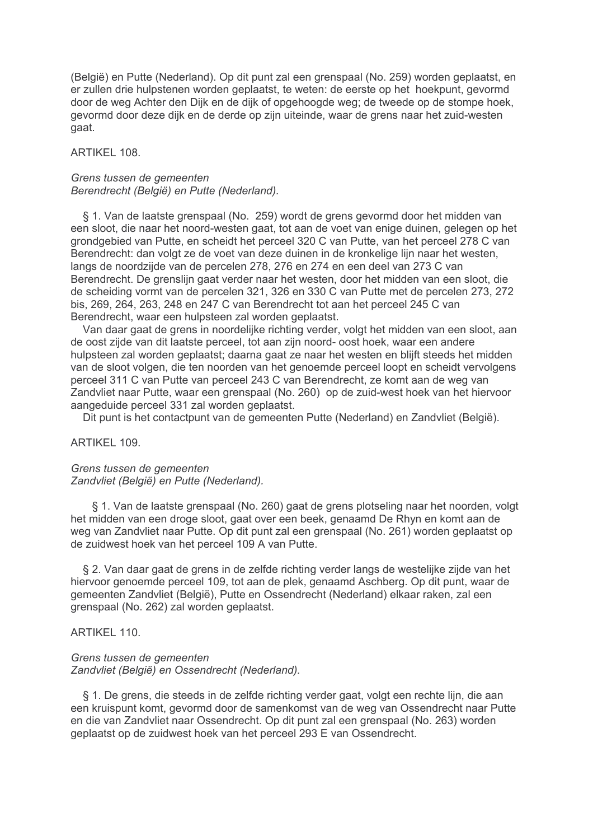(België) en Putte (Nederland). Op dit punt zal een grenspaal (No. 259) worden geplaatst, en er zullen drie hulpstenen worden geplaatst, te weten: de eerste op het hoekpunt, gevormd door de weg Achter den Dijk en de dijk of opgehoogde weg; de tweede op de stompe hoek, gevormd door deze dijk en de derde op zijn uiteinde, waar de grens naar het zuid-westen gaat.

## ARTIKEL 108

#### Grens tussen de gemeenten Berendrecht (België) en Putte (Nederland).

§ 1. Van de laatste grenspaal (No. 259) wordt de grens gevormd door het midden van een sloot, die naar het noord-westen gaat, tot aan de voet van enige duinen, gelegen op het grondgebied van Putte, en scheidt het perceel 320 C van Putte, van het perceel 278 C van Berendrecht: dan volgt ze de voet van deze duinen in de kronkelige lijn naar het westen. langs de noordzijde van de percelen 278, 276 en 274 en een deel van 273 C van Berendrecht. De grenslijn gaat verder naar het westen, door het midden van een sloot, die de scheiding vormt van de percelen 321, 326 en 330 C van Putte met de percelen 273, 272 bis, 269, 264, 263, 248 en 247 C van Berendrecht tot aan het perceel 245 C van Berendrecht, waar een hulpsteen zal worden geplaatst.

Van daar gaat de grens in noordelijke richting verder, volgt het midden van een sloot, aan de oost zijde van dit laatste perceel, tot aan zijn noord- oost hoek, waar een andere hulpsteen zal worden geplaatst; daarna gaat ze naar het westen en blijft steeds het midden van de sloot volgen, die ten noorden van het genoemde perceel loopt en scheidt vervolgens perceel 311 C van Putte van perceel 243 C van Berendrecht, ze komt aan de weg van Zandvliet naar Putte, waar een grenspaal (No. 260) op de zuid-west hoek van het hiervoor aangeduide perceel 331 zal worden geplaatst.

Dit punt is het contactpunt van de gemeenten Putte (Nederland) en Zandvliet (België).

## ARTIKEL 109.

## Grens tussen de gemeenten Zandvliet (België) en Putte (Nederland).

§ 1. Van de laatste grenspaal (No. 260) gaat de grens plotseling naar het noorden, volgt het midden van een droge sloot, gaat over een beek, genaamd De Rhyn en komt aan de weg van Zandyliet naar Putte. Op dit punt zal een grenspaal (No. 261) worden geplaatst op de zuidwest hoek van het perceel 109 A van Putte.

§ 2. Van daar gaat de grens in de zelfde richting verder langs de westelijke zijde van het hiervoor genoemde perceel 109, tot aan de plek, genaamd Aschberg. Op dit punt, waar de gemeenten Zandvliet (België), Putte en Ossendrecht (Nederland) elkaar raken, zal een grenspaal (No. 262) zal worden geplaatst.

#### ARTIKEL 110.

## Grens tussen de gemeenten Zandvliet (België) en Ossendrecht (Nederland).

§ 1. De grens, die steeds in de zelfde richting verder gaat, volgt een rechte lijn, die aan een kruispunt komt, gevormd door de samenkomst van de weg van Ossendrecht naar Putte en die van Zandvliet naar Ossendrecht. Op dit punt zal een grenspaal (No. 263) worden geplaatst op de zuidwest hoek van het perceel 293 E van Ossendrecht.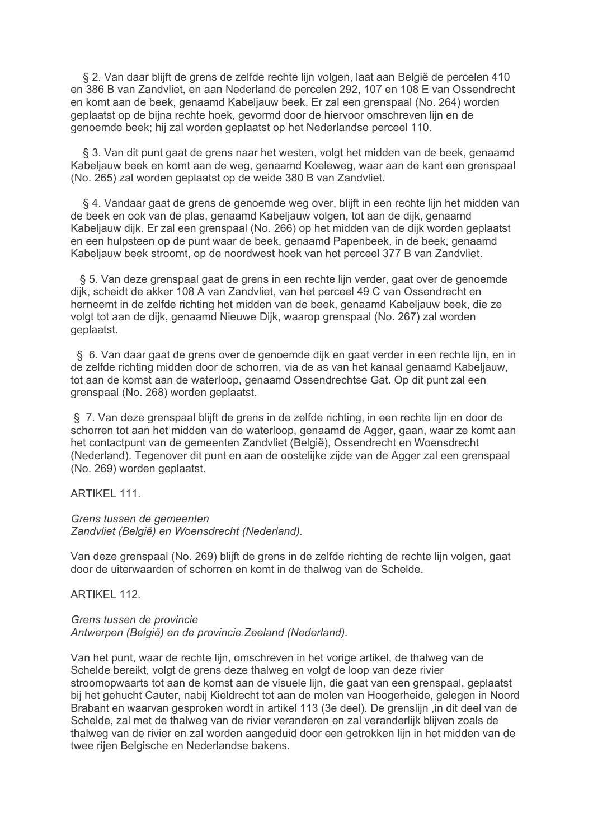§ 2. Van daar blijft de grens de zelfde rechte lijn volgen, laat aan België de percelen 410 en 386 B van Zandvliet, en aan Nederland de percelen 292, 107 en 108 E van Ossendrecht en komt aan de beek, genaamd Kabeljauw beek. Er zal een grenspaal (No. 264) worden geplaatst op de bijna rechte hoek, gevormd door de hiervoor omschreven lijn en de genoemde beek; hij zal worden geplaatst op het Nederlandse perceel 110.

§ 3. Van dit punt gaat de grens naar het westen, volgt het midden van de beek, genaamd Kabeljauw beek en komt aan de weg, genaamd Koeleweg, waar aan de kant een grenspaal (No. 265) zal worden geplaatst op de weide 380 B van Zandvliet.

§ 4. Vandaar gaat de grens de genoemde weg over, blijft in een rechte lijn het midden van de beek en ook van de plas, genaamd Kabeljauw volgen, tot aan de dijk, genaamd Kabeljauw dijk. Er zal een grenspaal (No. 266) op het midden van de dijk worden geplaatst en een hulpsteen op de punt waar de beek, genaamd Papenbeek, in de beek, genaamd Kabeljauw beek stroomt, op de noordwest hoek van het perceel 377 B van Zandvliet.

§ 5. Van deze grenspaal gaat de grens in een rechte lijn verder, gaat over de genoemde dijk, scheidt de akker 108 A van Zandvliet, van het perceel 49 C van Ossendrecht en herneemt in de zelfde richting het midden van de beek, genaamd Kabeljauw beek, die ze volgt tot aan de dijk, genaamd Nieuwe Dijk, waarop grenspaal (No. 267) zal worden geplaatst.

§ 6. Van daar gaat de grens over de genoemde dijk en gaat verder in een rechte lijn, en in de zelfde richting midden door de schorren, via de as van het kanaal genaamd Kabeljauw, tot aan de komst aan de waterloop, genaamd Ossendrechtse Gat. Op dit punt zal een grenspaal (No. 268) worden geplaatst.

§ 7. Van deze grenspaal blijft de grens in de zelfde richting, in een rechte lijn en door de schorren tot aan het midden van de waterloop, genaamd de Agger, gaan, waar ze komt aan het contactpunt van de gemeenten Zandyliet (België). Ossendrecht en Woensdrecht (Nederland). Tegenover dit punt en aan de oostelijke zijde van de Agger zal een grenspaal (No. 269) worden geplaatst.

## ARTIKFI 111

#### Grens tussen de gemeenten Zandvliet (België) en Woensdrecht (Nederland).

Van deze grenspaal (No. 269) blijft de grens in de zelfde richting de rechte lijn volgen, gaat door de uiterwaarden of schorren en komt in de thalweg van de Schelde.

## **ARTIKEL 112.**

## Grens tussen de provincie Antwerpen (België) en de provincie Zeeland (Nederland).

Van het punt, waar de rechte lijn, omschreven in het vorige artikel, de thalweg van de Schelde bereikt, volgt de grens deze thalweg en volgt de loop van deze rivier stroomopwaarts tot aan de komst aan de visuele lijn, die gaat van een grenspaal, geplaatst bij het gehucht Cauter, nabij Kieldrecht tot aan de molen van Hoogerheide, gelegen in Noord Brabant en waarvan gesproken wordt in artikel 113 (3e deel). De grenslijn .in dit deel van de Schelde, zal met de thalweg van de rivier veranderen en zal veranderlijk blijven zoals de thalweg van de rivier en zal worden aangeduid door een getrokken lijn in het midden van de twee rijen Belgische en Nederlandse bakens.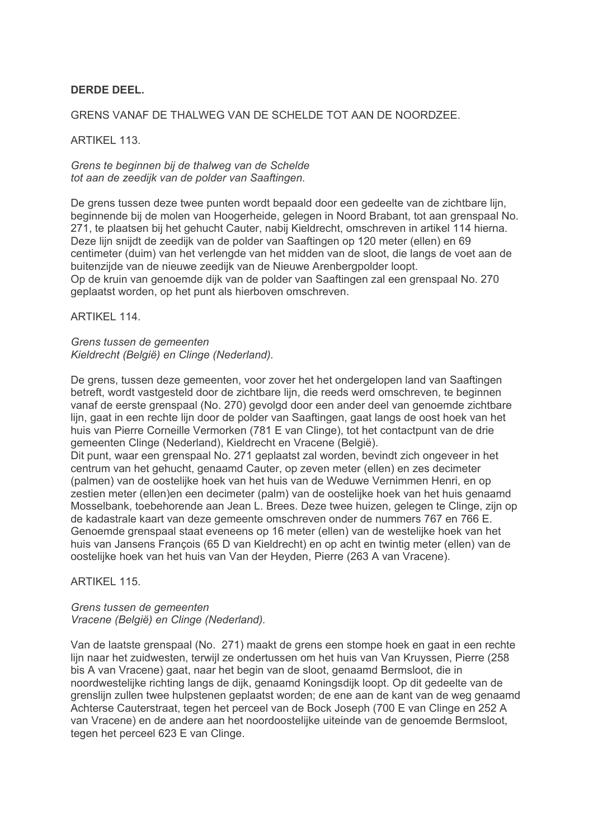# **DERDE DEEL.**

## GRENS VANAF DE THALWEG VAN DE SCHELDE TOT AAN DE NOORDZEE.

## ARTIKEL 113.

Grens te beginnen bij de thalweg van de Schelde tot aan de zeedijk van de polder van Saaftingen.

De grens tussen deze twee punten wordt bepaald door een gedeelte van de zichtbare lijn. beginnende bij de molen van Hoogerheide, gelegen in Noord Brabant, tot aan grenspaal No. 271, te plaatsen bij het gehucht Cauter, nabij Kieldrecht, omschreven in artikel 114 hierna. Deze lijn snijdt de zeedijk van de polder van Saaftingen op 120 meter (ellen) en 69 centimeter (duim) van het verlengde van het midden van de sloot, die langs de voet aan de buitenzijde van de nieuwe zeedijk van de Nieuwe Arenbergpolder loopt. Op de kruin van genoemde dijk van de polder van Saaftingen zal een grenspaal No. 270 geplaatst worden, op het punt als hierboven omschreven.

ARTIKEL 114.

Grens tussen de gemeenten Kieldrecht (België) en Clinge (Nederland).

De grens, tussen deze gemeenten, voor zover het het ondergelopen land van Saaftingen betreft, wordt vastgesteld door de zichtbare lijn, die reeds werd omschreven, te beginnen vanaf de eerste grenspaal (No. 270) gevolgd door een ander deel van genoemde zichtbare lijn, gaat in een rechte lijn door de polder van Saaftingen, gaat langs de oost hoek van het huis van Pierre Corneille Vermorken (781 E van Clinge), tot het contactpunt van de drie gemeenten Clinge (Nederland), Kieldrecht en Vracene (België).

Dit punt, waar een grenspaal No. 271 geplaatst zal worden, bevindt zich ongeveer in het centrum van het gehucht, genaamd Cauter, op zeven meter (ellen) en zes decimeter (palmen) van de oostelijke hoek van het huis van de Weduwe Vernimmen Henri, en op zestien meter (ellen)en een decimeter (palm) van de oostelijke hoek van het huis genaamd Mosselbank, toebehorende aan Jean L. Brees. Deze twee huizen, gelegen te Clinge, zijn op de kadastrale kaart van deze gemeente omschreven onder de nummers 767 en 766 E. Genoemde grenspaal staat eveneens op 16 meter (ellen) van de westelijke hoek van het huis van Jansens Francois (65 D van Kieldrecht) en op acht en twintig meter (ellen) van de oostelijke hoek van het huis van Van der Hevden. Pierre (263 A van Vracene).

**ARTIKEL 115.** 

## Grens tussen de gemeenten Vracene (België) en Clinge (Nederland).

Van de laatste grenspaal (No. 271) maakt de grens een stompe hoek en gaat in een rechte lijn naar het zuidwesten, terwijl ze ondertussen om het huis van Van Kruyssen, Pierre (258 bis A van Vracene) gaat, naar het begin van de sloot, genaamd Bermsloot, die in noordwestelijke richting langs de dijk, genaamd Koningsdijk loopt. Op dit gedeelte van de grenslijn zullen twee hulpstenen geplaatst worden; de ene aan de kant van de weg genaamd Achterse Cauterstraat, tegen het perceel van de Bock Joseph (700 E van Clinge en 252 A van Vracene) en de andere aan het noordoostelijke uiteinde van de genoemde Bermsloot, tegen het perceel 623 E van Clinge.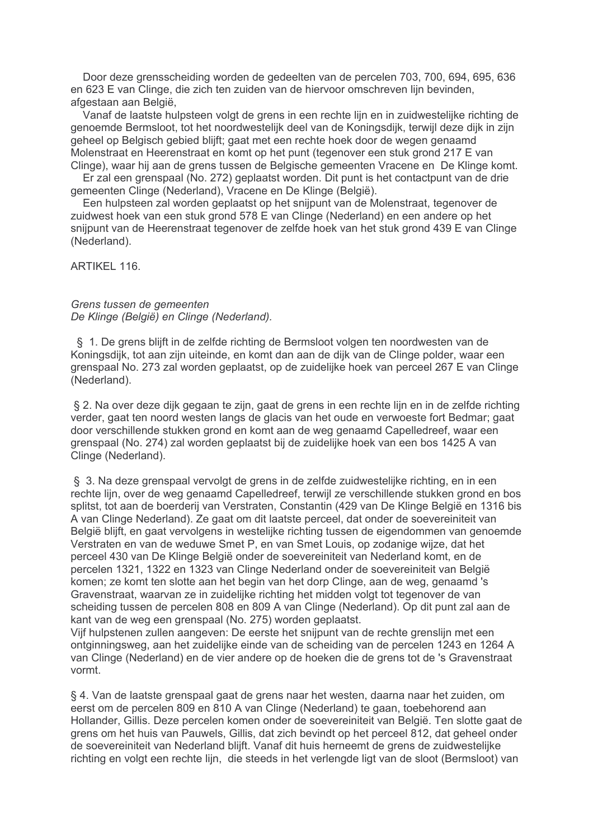Door deze grensscheiding worden de gedeelten van de percelen 703, 700, 694, 695, 636 en 623 E van Clinge, die zich ten zuiden van de hiervoor omschreven lijn bevinden, afgestaan aan België,

Vanaf de laatste hulpsteen volgt de grens in een rechte lijn en in zuidwestelijke richting de genoemde Bermsloot, tot het noordwestelijk deel van de Koningsdijk, terwijl deze dijk in zijn geheel op Belgisch gebied blijft; gaat met een rechte hoek door de wegen genaamd Molenstraat en Heerenstraat en komt op het punt (tegenover een stuk grond 217 E van Clinge), waar hij aan de grens tussen de Belgische gemeenten Vracene en De Klinge komt.

Er zal een grenspaal (No. 272) geplaatst worden. Dit punt is het contactpunt van de drie gemeenten Clinge (Nederland), Vracene en De Klinge (België).

Een hulpsteen zal worden geplaatst op het snijpunt van de Molenstraat, tegenover de zuidwest hoek van een stuk grond 578 E van Clinge (Nederland) en een andere op het snijpunt van de Heerenstraat tegenover de zelfde hoek van het stuk grond 439 E van Clinge (Nederland).

ARTIKEL 116.

## Grens tussen de gemeenten De Klinge (België) en Clinge (Nederland).

§ 1. De grens blijft in de zelfde richting de Bermsloot volgen ten noordwesten van de Koningsdijk, tot aan zijn uiteinde, en komt dan aan de dijk van de Clinge polder, waar een grenspaal No. 273 zal worden geplaatst, op de zuidelijke hoek van perceel 267 E van Clinge (Nederland).

§ 2. Na over deze dijk gegaan te zijn, gaat de grens in een rechte lijn en in de zelfde richting verder, gaat ten noord westen langs de glacis van het oude en verwoeste fort Bedmar; gaat door verschillende stukken grond en komt aan de weg genaamd Capelledreef, waar een grenspaal (No. 274) zal worden geplaatst bij de zuidelijke hoek van een bos 1425 A van Clinge (Nederland).

§ 3. Na deze grenspaal vervolgt de grens in de zelfde zuidwestelijke richting, en in een rechte lijn, over de weg genaamd Capelledreef, terwijl ze verschillende stukken grond en bos splitst, tot aan de boerderij van Verstraten, Constantin (429 van De Klinge België en 1316 bis A van Clinge Nederland). Ze gaat om dit laatste perceel, dat onder de soevereiniteit van België bliift, en gaat vervolgens in westelijke richting tussen de eigendommen van genoemde Verstraten en van de weduwe Smet P, en van Smet Louis, op zodanige wijze, dat het perceel 430 van De Klinge België onder de soevereiniteit van Nederland komt, en de percelen 1321, 1322 en 1323 van Clinge Nederland onder de soevereiniteit van België komen; ze komt ten slotte aan het begin van het dorp Clinge, aan de weg, genaamd 's Gravenstraat, waarvan ze in zuidelijke richting het midden volgt tot tegenover de van scheiding tussen de percelen 808 en 809 A van Clinge (Nederland). Op dit punt zal aan de kant van de weg een grenspaal (No. 275) worden geplaatst.

Vijf hulpstenen zullen aangeven: De eerste het snijpunt van de rechte grenslijn met een ontginningsweg, aan het zuidelijke einde van de scheiding van de percelen 1243 en 1264 A van Clinge (Nederland) en de vier andere op de hoeken die de grens tot de 's Gravenstraat vormt

§ 4. Van de laatste grenspaal gaat de grens naar het westen, daarna naar het zuiden, om eerst om de percelen 809 en 810 A van Clinge (Nederland) te gaan, toebehorend aan Hollander, Gillis. Deze percelen komen onder de soevereiniteit van België. Ten slotte gaat de grens om het huis van Pauwels, Gillis, dat zich bevindt op het perceel 812, dat geheel onder de soevereiniteit van Nederland blijft. Vanaf dit huis herneemt de grens de zuidwestelijke richting en volgt een rechte lijn, die steeds in het verlengde ligt van de sloot (Bermsloot) van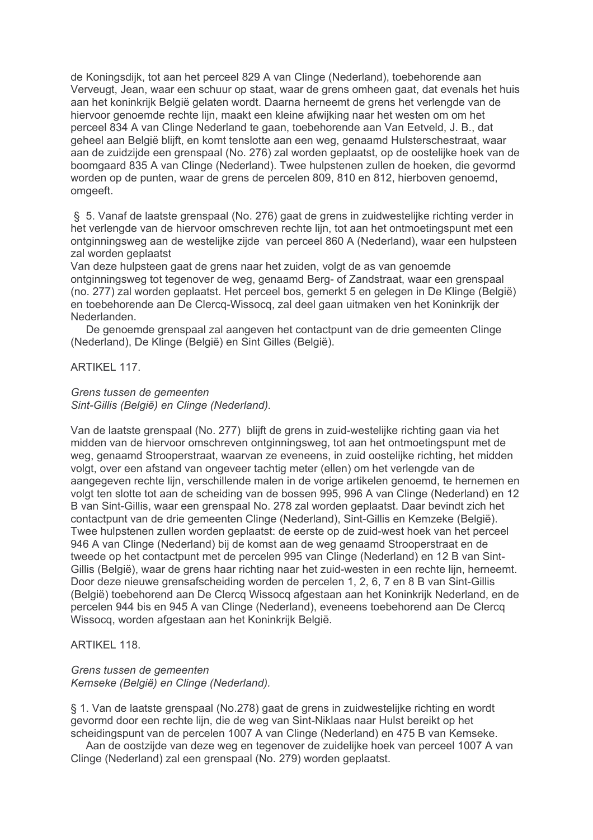de Koningsdijk, tot aan het perceel 829 A van Clinge (Nederland), toebehorende aan Verveugt, Jean, waar een schuur op staat, waar de grens omheen gaat, dat evenals het huis aan het koninkrijk België gelaten wordt. Daarna herneemt de grens het verlengde van de hiervoor genoemde rechte lijn, maakt een kleine afwijking naar het westen om om het perceel 834 A van Clinge Nederland te gaan, toebehorende aan Van Eetveld, J. B., dat geheel aan België blijft, en komt tenslotte aan een weg, genaamd Hulsterschestraat, waar aan de zuidzijde een grenspaal (No. 276) zal worden geplaatst, op de oostelijke hoek van de boomgaard 835 A van Clinge (Nederland). Twee hulpstenen zullen de hoeken, die gevormd worden op de punten, waar de grens de percelen 809, 810 en 812, hierboven genoemd, omgeeft.

§ 5. Vanaf de laatste grenspaal (No. 276) gaat de grens in zuidwestelijke richting verder in het verlengde van de hiervoor omschreven rechte lijn, tot aan het ontmoetingspunt met een ontginningsweg aan de westelijke zijde van perceel 860 A (Nederland), waar een hulpsteen zal worden geplaatst

Van deze hulpsteen gaat de grens naar het zuiden, volgt de as van genoemde ontginningsweg tot tegenover de weg, genaamd Berg- of Zandstraat, waar een grenspaal (no. 277) zal worden geplaatst. Het perceel bos, gemerkt 5 en gelegen in De Klinge (België) en toebehorende aan De Clercq-Wissocq, zal deel gaan uitmaken ven het Koninkrijk der Nederlanden.

De genoemde grenspaal zal aangeven het contactpunt van de drie gemeenten Clinge (Nederland), De Klinge (België) en Sint Gilles (België).

#### ARTIKFI 117

#### Grens tussen de gemeenten Sint-Gillis (België) en Clinge (Nederland).

Van de laatste grenspaal (No. 277) blijft de grens in zuid-westelijke richting gaan via het midden van de hiervoor omschreven ontginningsweg, tot aan het ontmoetingspunt met de weg, genaamd Strooperstraat, waarvan ze eveneens, in zuid oostelijke richting, het midden volgt, over een afstand van ongeveer tachtig meter (ellen) om het verlengde van de aangegeven rechte lijn, verschillende malen in de vorige artikelen genoemd, te hernemen en volgt ten slotte tot aan de scheiding van de bossen 995, 996 A van Clinge (Nederland) en 12 B van Sint-Gillis, waar een grenspaal No. 278 zal worden geplaatst. Daar bevindt zich het contactpunt van de drie gemeenten Clinge (Nederland), Sint-Gillis en Kemzeke (België). Twee hulpstenen zullen worden geplaatst: de eerste op de zuid-west hoek van het perceel 946 A van Clinge (Nederland) bij de komst aan de weg genaamd Strooperstraat en de tweede op het contactpunt met de percelen 995 van Clinge (Nederland) en 12 B van Sint-Gillis (België), waar de grens haar richting naar het zuid-westen in een rechte lijn, herneemt. Door deze nieuwe grensafscheiding worden de percelen 1, 2, 6, 7 en 8 B van Sint-Gillis (België) toebehorend aan De Clercq Wissocq afgestaan aan het Koninkrijk Nederland, en de percelen 944 bis en 945 A van Clinge (Nederland), eveneens toebehorend aan De Clercq Wissocq, worden afgestaan aan het Koninkrijk België.

## ARTIKFI 118

## Grens tussen de gemeenten Kemseke (België) en Clinge (Nederland).

§ 1. Van de laatste grenspaal (No.278) gaat de grens in zuidwestelijke richting en wordt gevormd door een rechte lijn, die de weg van Sint-Niklaas naar Hulst bereikt op het scheidingspunt van de percelen 1007 A van Clinge (Nederland) en 475 B van Kemseke.

Aan de oostzijde van deze weg en tegenover de zuidelijke hoek van perceel 1007 A van Clinge (Nederland) zal een grenspaal (No. 279) worden geplaatst.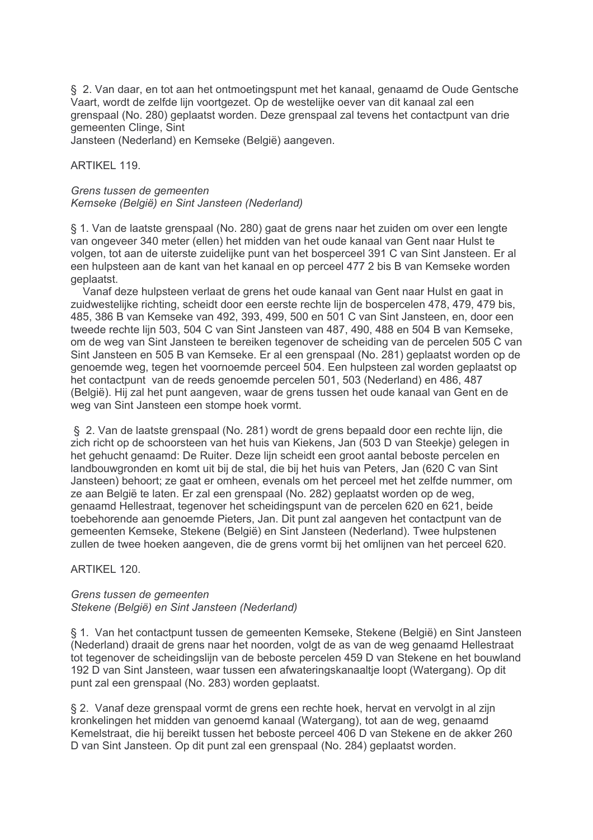§ 2. Van daar, en tot aan het ontmoetingspunt met het kanaal, genaamd de Oude Gentsche Vaart, wordt de zelfde lijn voortgezet. Op de westelijke oever van dit kanaal zal een grenspaal (No. 280) geplaatst worden. Deze grenspaal zal tevens het contactpunt van drie gemeenten Clinge, Sint

Jansteen (Nederland) en Kemseke (België) aangeven.

**ARTIKEL 119.** 

#### Grens tussen de gemeenten Kemseke (België) en Sint Jansteen (Nederland)

§ 1. Van de laatste grenspaal (No. 280) gaat de grens naar het zuiden om over een lengte van ongeveer 340 meter (ellen) het midden van het oude kanaal van Gent naar Hulst te volgen, tot aan de uiterste zuidelijke punt van het bosperceel 391 C van Sint Jansteen. Er al een hulpsteen aan de kant van het kanaal en op perceel 477 2 bis B van Kemseke worden geplaatst.

Vanaf deze hulpsteen verlaat de grens het oude kanaal van Gent naar Hulst en gaat in zuidwestelijke richting, scheidt door een eerste rechte lijn de bospercelen 478, 479, 479 bis, 485, 386 B van Kemseke van 492, 393, 499, 500 en 501 C van Sint Jansteen, en, door een tweede rechte lijn 503, 504 C van Sint Jansteen van 487, 490, 488 en 504 B van Kemseke, om de weg van Sint Jansteen te bereiken tegenover de scheiding van de percelen 505 C van Sint Jansteen en 505 B van Kemseke. Er al een grenspaal (No. 281) geplaatst worden op de genoemde weg, tegen het voornoemde perceel 504. Een hulpsteen zal worden geplaatst op het contactpunt van de reeds genoemde percelen 501, 503 (Nederland) en 486, 487 (België). Hij zal het punt aangeven, waar de grens tussen het oude kanaal van Gent en de weg van Sint Jansteen een stompe hoek vormt.

§ 2. Van de laatste grenspaal (No. 281) wordt de grens bepaald door een rechte lijn, die zich richt op de schoorsteen van het huis van Kiekens. Jan (503 D van Steekie) gelegen in het gehucht genaamd: De Ruiter. Deze lijn scheidt een groot aantal beboste percelen en landbouwgronden en komt uit bij de stal, die bij het huis van Peters, Jan (620 C van Sint Jansteen) behoort; ze gaat er omheen, evenals om het perceel met het zelfde nummer, om ze aan België te laten. Er zal een grenspaal (No. 282) geplaatst worden op de weg, genaamd Hellestraat, tegenover het scheidingspunt van de percelen 620 en 621, beide toebehorende aan genoemde Pieters, Jan. Dit punt zal aangeven het contactpunt van de gemeenten Kemseke. Stekene (België) en Sint Jansteen (Nederland). Twee hulpstenen zullen de twee hoeken aangeven, die de grens vormt bij het omlijnen van het perceel 620.

# ARTIKEL 120.

#### Grens tussen de gemeenten Stekene (België) en Sint Jansteen (Nederland)

§ 1. Van het contactpunt tussen de gemeenten Kemseke, Stekene (België) en Sint Jansteen (Nederland) draait de grens naar het noorden, volgt de as van de weg genaamd Hellestraat tot tegenover de scheidingslijn van de beboste percelen 459 D van Stekene en het bouwland 192 D van Sint Jansteen, waar tussen een afwateringskanaaltje loopt (Watergang). Op dit punt zal een grenspaal (No. 283) worden geplaatst.

§ 2. Vanaf deze grenspaal vormt de grens een rechte hoek, hervat en vervolgt in al zijn kronkelingen het midden van genoemd kanaal (Watergang), tot aan de weg, genaamd Kemelstraat, die hij bereikt tussen het beboste perceel 406 D van Stekene en de akker 260 D van Sint Jansteen. Op dit punt zal een grenspaal (No. 284) geplaatst worden.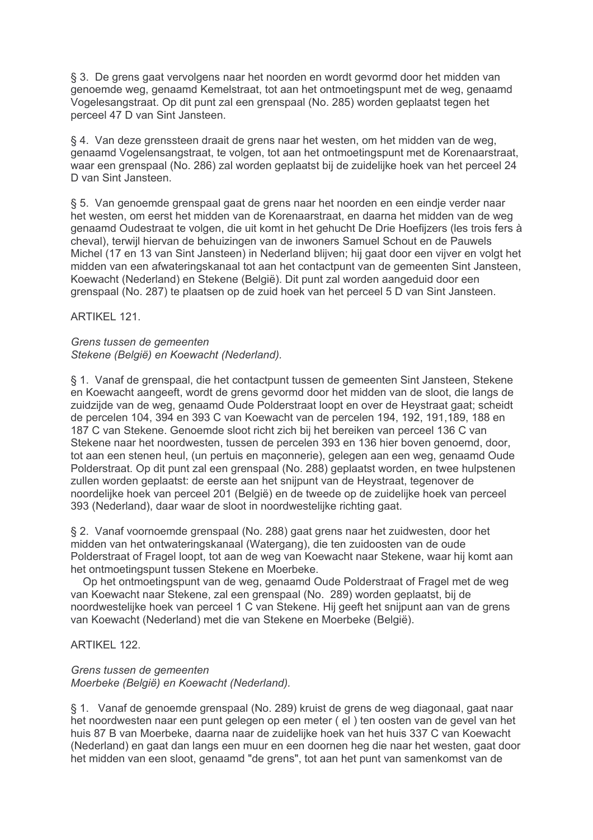§ 3. De grens gaat vervolgens naar het noorden en wordt gevormd door het midden van genoemde weg, genaamd Kemelstraat, tot aan het ontmoetingspunt met de weg, genaamd Vogelesangstraat. Op dit punt zal een grenspaal (No. 285) worden geplaatst tegen het perceel 47 D van Sint Jansteen.

§ 4. Van deze grenssteen draait de grens naar het westen, om het midden van de weg. genaamd Vogelensangstraat, te volgen, tot aan het ontmoetingspunt met de Korenaarstraat. waar een grenspaal (No. 286) zal worden geplaatst bij de zuidelijke hoek van het perceel 24 D van Sint Jansteen.

§ 5. Van genoemde grenspaal gaat de grens naar het noorden en een eindje verder naar het westen, om eerst het midden van de Korenaarstraat, en daarna het midden van de weg genaamd Oudestraat te volgen, die uit komt in het gehucht De Drie Hoefijzers (les trois fers à cheval), terwiil hiervan de behuizingen van de inwoners Samuel Schout en de Pauwels Michel (17 en 13 van Sint Jansteen) in Nederland blijven; hij gaat door een vijver en volgt het midden van een afwateringskanaal tot aan het contactpunt van de gemeenten Sint Jansteen, Koewacht (Nederland) en Stekene (België). Dit punt zal worden aangeduid door een grenspaal (No. 287) te plaatsen op de zuid hoek van het perceel 5 D van Sint Jansteen.

**ARTIKEL 121.** 

Grens tussen de gemeenten Stekene (België) en Koewacht (Nederland).

§ 1. Vanaf de grenspaal, die het contactpunt tussen de gemeenten Sint Jansteen, Stekene en Koewacht aangeeft, wordt de grens gevormd door het midden van de sloot, die langs de zuidzijde van de weg, genaamd Oude Polderstraat loopt en over de Heystraat gaat; scheidt de percelen 104, 394 en 393 C van Koewacht van de percelen 194, 192, 191, 189, 188 en 187 C van Stekene. Genoemde sloot richt zich bij het bereiken van perceel 136 C van Stekene naar het noordwesten, tussen de percelen 393 en 136 hier boven genoemd, door, tot aan een stenen heul. (un pertuis en maconnerie), gelegen aan een weg, genaamd Oude Polderstraat. Op dit punt zal een grenspaal (No. 288) geplaatst worden, en twee hulpstenen zullen worden geplaatst: de eerste aan het snijpunt van de Heystraat, tegenover de noordelijke hoek van perceel 201 (België) en de tweede op de zuidelijke hoek van perceel 393 (Nederland), daar waar de sloot in noordwestelijke richting gaat.

§ 2. Vanaf voornoemde grenspaal (No. 288) gaat grens naar het zuidwesten, door het midden van het ontwateringskanaal (Watergang), die ten zuidoosten van de oude Polderstraat of Fragel loopt, tot aan de weg van Koewacht naar Stekene, waar hij komt aan het ontmoetingspunt tussen Stekene en Moerbeke.

Op het ontmoetingspunt van de weg, genaamd Oude Polderstraat of Fragel met de weg van Koewacht naar Stekene, zal een grenspaal (No. 289) worden geplaatst, bij de noordwestelijke hoek van perceel 1 C van Stekene. Hij geeft het snijpunt aan van de grens van Koewacht (Nederland) met die van Stekene en Moerbeke (België).

ARTIKFI 122

# Grens tussen de gemeenten

Moerbeke (België) en Koewacht (Nederland).

§ 1. Vanaf de genoemde grenspaal (No. 289) kruist de grens de weg diagonaal, gaat naar het noordwesten naar een punt gelegen op een meter (el) ten oosten van de gevel van het huis 87 B van Moerbeke, daarna naar de zuidelijke hoek van het huis 337 C van Koewacht (Nederland) en gaat dan langs een muur en een doornen heg die naar het westen, gaat door het midden van een sloot, genaamd "de grens", tot aan het punt van samenkomst van de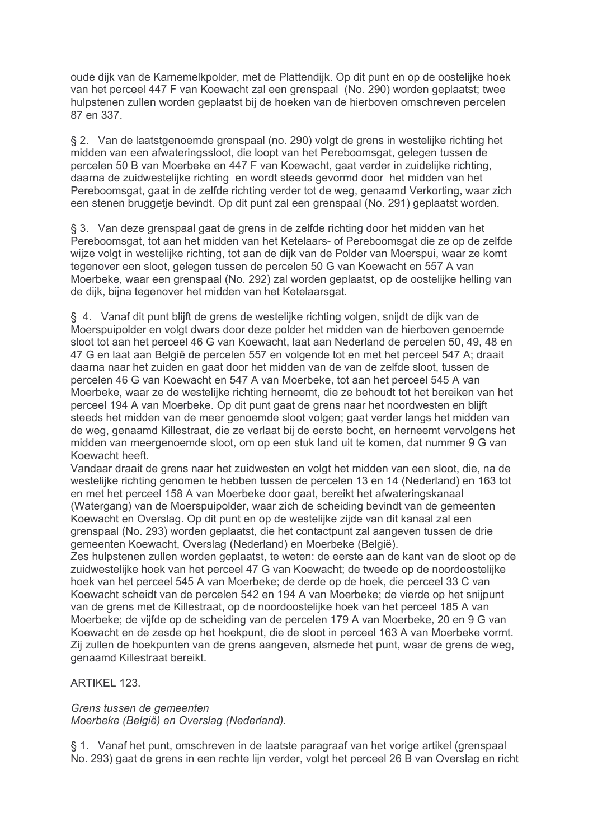oude dijk van de Karnemelkpolder, met de Plattendijk. Op dit punt en op de oostelijke hoek van het perceel 447 F van Koewacht zal een grenspaal (No. 290) worden geplaatst; twee hulpstenen zullen worden geplaatst bij de hoeken van de hierboven omschreven percelen 87 en 337.

§ 2. Van de laatstgenoemde grenspaal (no. 290) volgt de grens in westelijke richting het midden van een afwateringssloot, die loopt van het Pereboomsgat, gelegen tussen de percelen 50 B van Moerbeke en 447 F van Koewacht, gaat verder in zuidelijke richting. daarna de zuidwestelijke richting en wordt steeds gevormd door het midden van het Pereboomsgat, gaat in de zelfde richting verder tot de weg, genaamd Verkorting, waar zich een stenen bruggetie bevindt. Op dit punt zal een grenspaal (No. 291) geplaatst worden.

§ 3. Van deze grenspaal gaat de grens in de zelfde richting door het midden van het Pereboomsgat, tot aan het midden van het Ketelaars- of Pereboomsgat die ze op de zelfde wijze volgt in westelijke richting, tot aan de dijk van de Polder van Moerspui, waar ze komt tegenover een sloot, gelegen tussen de percelen 50 G van Koewacht en 557 A van Moerbeke, waar een grenspaal (No. 292) zal worden geplaatst, op de oostelijke helling van de dijk, bijna tegenover het midden van het Ketelaarsgat.

§ 4. Vanaf dit punt blijft de grens de westelijke richting volgen, snijdt de dijk van de Moerspuipolder en volgt dwars door deze polder het midden van de hierboven genoemde sloot tot aan het perceel 46 G van Koewacht, laat aan Nederland de percelen 50, 49, 48 en 47 G en laat aan België de percelen 557 en volgende tot en met het perceel 547 A; draait daarna naar het zuiden en gaat door het midden van de van de zelfde sloot, tussen de percelen 46 G van Koewacht en 547 A van Moerbeke, tot aan het perceel 545 A van Moerbeke, waar ze de westelijke richting herneemt, die ze behoudt tot het bereiken van het perceel 194 A van Moerbeke. Op dit punt gaat de grens naar het noordwesten en blijft steeds het midden van de meer genoemde sloot volgen; gaat verder langs het midden van de weg, genaamd Killestraat, die ze verlaat bij de eerste bocht, en herneemt vervolgens het midden van meergenoemde sloot, om op een stuk land uit te komen, dat nummer 9 G van Koewacht heeft.

Vandaar draait de grens naar het zuidwesten en volgt het midden van een sloot, die, na de westelijke richting genomen te hebben tussen de percelen 13 en 14 (Nederland) en 163 tot en met het perceel 158 A van Moerbeke door gaat, bereikt het afwateringskanaal (Watergang) van de Moerspuipolder, waar zich de scheiding bevindt van de gemeenten Koewacht en Overslag. Op dit punt en op de westelijke zijde van dit kanaal zal een grenspaal (No. 293) worden geplaatst, die het contactpunt zal aangeven tussen de drie gemeenten Koewacht, Overslag (Nederland) en Moerbeke (België).

Zes hulpstenen zullen worden geplaatst, te weten: de eerste aan de kant van de sloot op de zuidwestelijke hoek van het perceel 47 G van Koewacht; de tweede op de noordoostelijke hoek van het perceel 545 A van Moerbeke; de derde op de hoek, die perceel 33 C van Koewacht scheidt van de percelen 542 en 194 A van Moerbeke; de vierde op het snijpunt van de grens met de Killestraat, op de noordoostelijke hoek van het perceel 185 A van Moerbeke; de vijfde op de scheiding van de percelen 179 A van Moerbeke, 20 en 9 G van Koewacht en de zesde op het hoekpunt, die de sloot in perceel 163 A van Moerbeke vormt. Zij zullen de hoekpunten van de grens aangeven, alsmede het punt, waar de grens de weg, genaamd Killestraat bereikt.

**ARTIKEL 123.** 

Grens tussen de gemeenten Moerbeke (België) en Overslag (Nederland).

§ 1. Vanaf het punt, omschreven in de laatste paragraaf van het vorige artikel (grenspaal No. 293) gaat de grens in een rechte lijn verder, volgt het perceel 26 B van Overslag en richt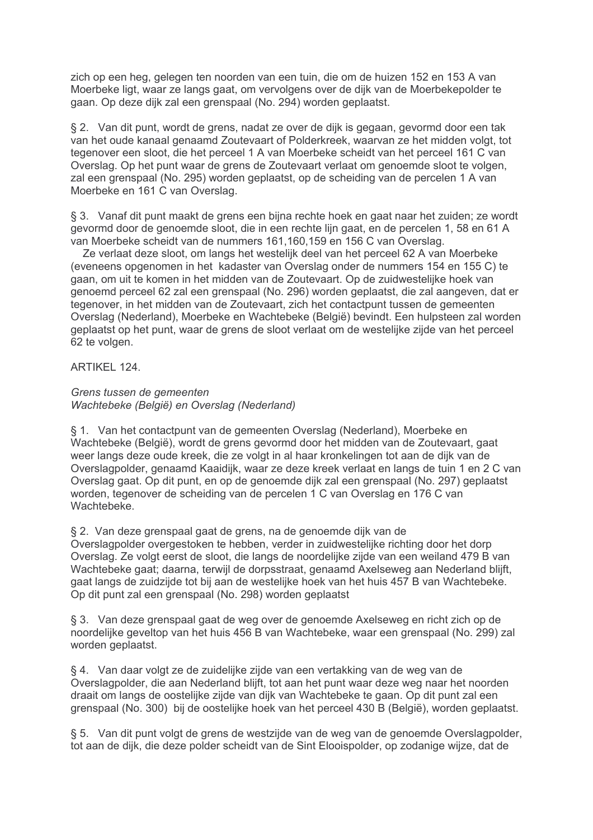zich op een heg, gelegen ten noorden van een tuin, die om de huizen 152 en 153 A van Moerbeke ligt, waar ze langs gaat, om vervolgens over de dijk van de Moerbekepolder te gaan. Op deze dijk zal een grenspaal (No. 294) worden geplaatst.

§ 2. Van dit punt, wordt de grens, nadat ze over de dijk is gegaan, gevormd door een tak van het oude kanaal genaamd Zoutevaart of Polderkreek, waarvan ze het midden volgt, tot tegenover een sloot, die het perceel 1 A van Moerbeke scheidt van het perceel 161 C van Overslag. Op het punt waar de grens de Zoutevaart verlaat om genoemde sloot te volgen, zal een grenspaal (No. 295) worden geplaatst, op de scheiding van de percelen 1 A van Moerbeke en 161 C van Overslag.

§ 3. Vanaf dit punt maakt de grens een bijna rechte hoek en gaat naar het zuiden; ze wordt gevormd door de genoemde sloot, die in een rechte lijn gaat, en de percelen 1, 58 en 61 A van Moerbeke scheidt van de nummers 161.160.159 en 156 C van Overslag.

Ze verlaat deze sloot, om langs het westelijk deel van het perceel 62 A van Moerbeke (eveneens opgenomen in het kadaster van Overslag onder de nummers 154 en 155 C) te gaan, om uit te komen in het midden van de Zoutevaart. Op de zuidwestelijke hoek van genoemd perceel 62 zal een grenspaal (No. 296) worden geplaatst, die zal aangeven, dat er tegenover, in het midden van de Zoutevaart, zich het contactpunt tussen de gemeenten Overslag (Nederland), Moerbeke en Wachtebeke (België) bevindt. Een hulpsteen zal worden geplaatst op het punt, waar de grens de sloot verlaat om de westelijke zijde van het perceel 62 te volgen.

## ARTIKFI 124

#### Grens tussen de gemeenten Wachtebeke (België) en Overslag (Nederland)

§ 1. Van het contactpunt van de gemeenten Overslag (Nederland), Moerbeke en Wachtebeke (België), wordt de grens gevormd door het midden van de Zoutevaart, gaat weer langs deze oude kreek, die ze volgt in al haar kronkelingen tot aan de dijk van de Overslagpolder, genaamd Kaaidijk, waar ze deze kreek verlaat en langs de tuin 1 en 2 C van Overslag gaat. Op dit punt, en op de genoemde dijk zal een grenspaal (No. 297) geplaatst worden, tegenover de scheiding van de percelen 1 C van Overslag en 176 C van Wachtebeke.

§ 2. Van deze grenspaal gaat de grens, na de genoemde dijk van de

Overslagpolder overgestoken te hebben, verder in zuidwestelijke richting door het dorp Overslag. Ze volgt eerst de sloot, die langs de noordelijke zijde van een weiland 479 B van Wachtebeke gaat; daarna, terwijl de dorpsstraat, genaamd Axelseweg aan Nederland blijft, gaat langs de zuidzijde tot bij aan de westelijke hoek van het huis 457 B van Wachtebeke. Op dit punt zal een grenspaal (No. 298) worden geplaatst

§ 3. Van deze grenspaal gaat de weg over de genoemde Axelseweg en richt zich op de noordelijke geveltop van het huis 456 B van Wachtebeke, waar een grenspaal (No. 299) zal worden geplaatst.

§ 4. Van daar volgt ze de zuidelijke zijde van een vertakking van de weg van de Overslagpolder, die aan Nederland blijft, tot aan het punt waar deze weg naar het noorden draait om langs de oostelijke zijde van dijk van Wachtebeke te gaan. Op dit punt zal een grenspaal (No. 300) bij de oostelijke hoek van het perceel 430 B (België), worden geplaatst.

§ 5. Van dit punt volgt de grens de westzijde van de weg van de genoemde Overslagpolder. tot aan de dijk, die deze polder scheidt van de Sint Elooispolder, op zodanige wijze, dat de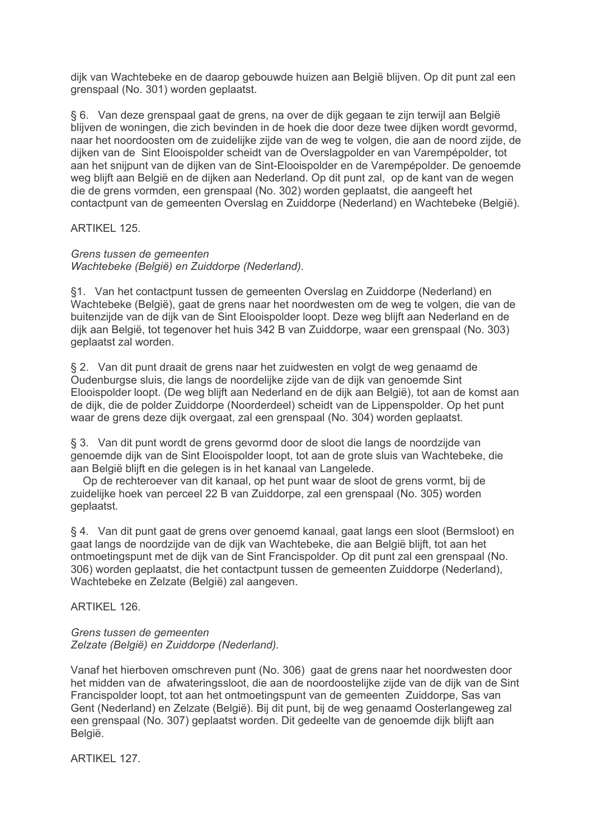dijk van Wachtebeke en de daarop gebouwde huizen aan België blijven. Op dit punt zal een grenspaal (No. 301) worden geplaatst.

§ 6. Van deze grenspaal gaat de grens, na over de dijk gegaan te zijn terwijl aan België blijven de woningen, die zich bevinden in de hoek die door deze twee dijken wordt gevormd, naar het noordoosten om de zuidelijke zijde van de weg te volgen, die aan de noord zijde, de dijken van de Sint Elooispolder scheidt van de Overslagpolder en van Varempépolder, tot aan het snijpunt van de dijken van de Sint-Elooispolder en de Varempépolder. De genoemde weg blijft aan België en de dijken aan Nederland. Op dit punt zal, op de kant van de wegen die de grens vormden, een grenspaal (No. 302) worden geplaatst, die aangeeft het contactpunt van de gemeenten Overslag en Zuiddorpe (Nederland) en Wachtebeke (België).

# ARTIKEL 125.

# Grens tussen de gemeenten

Wachtebeke (België) en Zuiddorpe (Nederland).

§1. Van het contactpunt tussen de gemeenten Overslag en Zuiddorpe (Nederland) en Wachtebeke (België), gaat de grens naar het noordwesten om de weg te volgen, die van de buitenzijde van de dijk van de Sint Elooispolder loopt. Deze weg blijft aan Nederland en de dijk aan België, tot tegenover het huis 342 B van Zuiddorpe, waar een grenspaal (No. 303) geplaatst zal worden.

§ 2. Van dit punt draait de grens naar het zuidwesten en volgt de weg genaamd de Oudenburgse sluis, die langs de noordelijke zijde van de dijk van genoemde Sint Elooispolder loopt. (De weg blijft aan Nederland en de dijk aan België), tot aan de komst aan de dijk, die de polder Zuiddorpe (Noorderdeel) scheidt van de Lippenspolder. Op het punt waar de grens deze dijk overgaat, zal een grenspaal (No. 304) worden geplaatst.

§ 3. Van dit punt wordt de grens gevormd door de sloot die langs de noordzijde van genoemde dijk van de Sint Elooispolder loopt, tot aan de grote sluis van Wachtebeke, die aan België blijft en die gelegen is in het kanaal van Langelede.

Op de rechteroever van dit kanaal, op het punt waar de sloot de grens vormt, bij de zuidelijke hoek van perceel 22 B van Zuiddorpe, zal een grenspaal (No. 305) worden geplaatst.

§ 4. Van dit punt gaat de grens over genoemd kanaal, gaat langs een sloot (Bermsloot) en gaat langs de noordzijde van de dijk van Wachtebeke, die aan België blijft, tot aan het ontmoetingspunt met de dijk van de Sint Francispolder. Op dit punt zal een grenspaal (No. 306) worden geplaatst, die het contactpunt tussen de gemeenten Zuiddorpe (Nederland), Wachtebeke en Zelzate (België) zal aangeven.

# ARTIKEL 126.

Grens tussen de gemeenten Zelzate (België) en Zuiddorpe (Nederland).

Vanaf het hierboven omschreven punt (No. 306) gaat de grens naar het noordwesten door het midden van de afwateringssloot, die aan de noordoostelijke zijde van de dijk van de Sint Francispolder loopt, tot aan het ontmoetingspunt van de gemeenten Zuiddorpe. Sas van Gent (Nederland) en Zelzate (België). Bij dit punt, bij de weg genaamd Oosterlangeweg zal een grenspaal (No. 307) geplaatst worden. Dit gedeelte van de genoemde dijk blijft aan België.

ARTIKEL 127.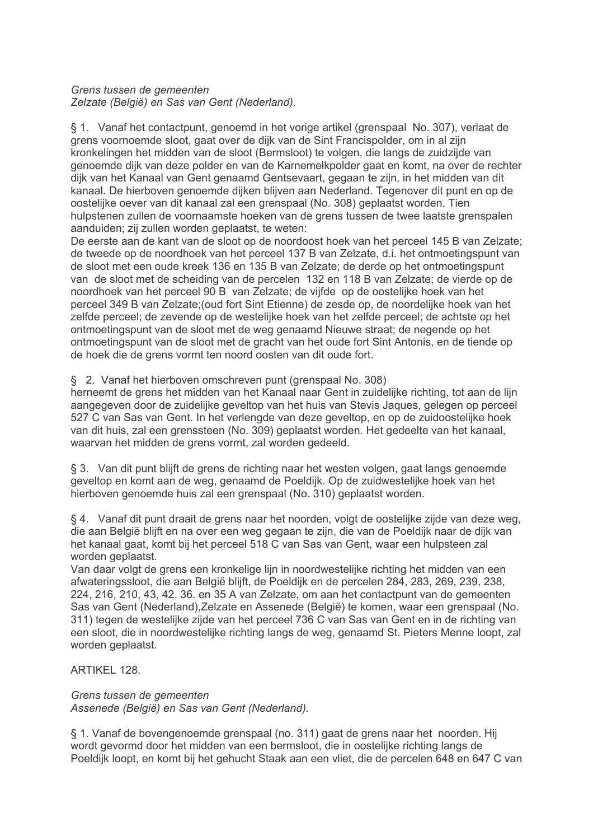## Grens tussen de gemeenten

Zelzate (België) en Sas van Gent (Nederland).

§ 1. Vanaf het contactpunt, genoemd in het vorige artikel (grenspaal No. 307), verlaat de grens voornoemde sloot, gaat over de dijk van de Sint Francispolder, om in al zijn kronkelingen het midden van de sloot (Bermsloot) te volgen, die langs de zuidzijde van genoemde dijk van deze polder en van de Karnemelkpolder gaat en komt, na over de rechter dijk van het Kanaal van Gent genaamd Gentsevaart, gegaan te zijn, in het midden van dit kanaal. De hierboven genoemde dijken blijven aan Nederland. Tegenover dit punt en op de oostelijke oever van dit kanaal zal een grenspaal (No. 308) geplaatst worden. Tien hulpstenen zullen de voornaamste hoeken van de grens tussen de twee laatste grenspalen aanduiden; zij zullen worden geplaatst, te weten:

De eerste aan de kant van de sloot op de noordoost hoek van het perceel 145 B van Zelzate: de tweede op de noordhoek van het perceel 137 B van Zelzate, d.i. het ontmoetingspunt van de sloot met een oude kreek 136 en 135 B van Zelzate; de derde op het ontmoetingspunt van de sloot met de scheiding van de percelen 132 en 118 B van Zelzate; de vierde op de noordhoek van het perceel 90 B van Zelzate; de vijfde op de oostelijke hoek van het perceel 349 B van Zelzate; (oud fort Sint Etienne) de zesde op, de noordelijke hoek van het zelfde perceel; de zevende op de westelijke hoek van het zelfde perceel; de achtste op het ontmoetingspunt van de sloot met de weg genaamd Nieuwe straat; de negende op het ontmoetingspunt van de sloot met de gracht van het oude fort Sint Antonis, en de tiende op de hoek die de grens vormt ten noord oosten van dit oude fort.

## § 2. Vanaf het hierboven omschreven punt (grenspaal No. 308)

herneemt de grens het midden van het Kanaal naar Gent in zuidelijke richting, tot aan de lijn aangegeven door de zuidelijke geveltop van het huis van Stevis Jagues, gelegen op perceel 527 C van Sas van Gent. In het verlengde van deze geveltop, en op de zuidoostelijke hoek van dit huis, zal een grenssteen (No. 309) geplaatst worden. Het gedeelte van het kanaal, waarvan het midden de grens vormt, zal worden gedeeld.

§ 3. Van dit punt blijft de grens de richting naar het westen volgen, gaat langs genoemde geveltop en komt aan de weg, genaamd de Poeldijk. Op de zuidwestelijke hoek van het hierboven genoemde huis zal een grenspaal (No. 310) geplaatst worden.

§ 4. Vanaf dit punt draait de grens naar het noorden, volgt de oostelijke zijde van deze weg, die aan België blijft en na over een weg gegaan te zijn, die van de Poeldijk naar de dijk van het kanaal gaat, komt bij het perceel 518 C van Sas van Gent, waar een hulpsteen zal worden geplaatst.

Van daar volgt de grens een kronkelige lijn in noordwestelijke richting het midden van een afwateringssloot, die aan België blijft, de Poeldijk en de percelen 284, 283, 269, 239, 238, 224, 216, 210, 43, 42. 36. en 35 A van Zelzate, om aan het contactpunt van de gemeenten Sas van Gent (Nederland). Zelzate en Assenede (België) te komen, waar een grenspaal (No. 311) tegen de westelijke zijde van het perceel 736 C van Sas van Gent en in de richting van een sloot, die in noordwestelijke richting langs de weg, genaamd St. Pieters Menne loopt, zal worden geplaatst.

ARTIKFI 128

Grens tussen de gemeenten Assenede (België) en Sas van Gent (Nederland).

§ 1. Vanaf de bovengenoemde grenspaal (no. 311) gaat de grens naar het noorden. Hij wordt gevormd door het midden van een bermsloot, die in oostelijke richting langs de Poeldijk loopt, en komt bij het gehucht Staak aan een vliet, die de percelen 648 en 647 C van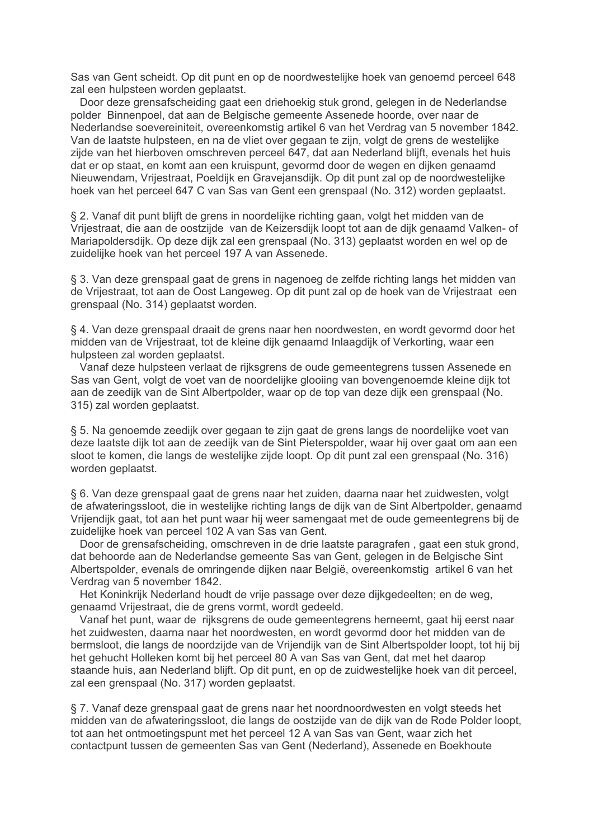Sas van Gent scheidt. Op dit punt en op de noordwestelijke hoek van genoemd perceel 648 zal een hulpsteen worden geplaatst.

Door deze grensafscheiding gaat een driehoekig stuk grond, gelegen in de Nederlandse polder Binnenpoel, dat aan de Belgische gemeente Assenede hoorde, over naar de Nederlandse soevereiniteit, overeenkomstig artikel 6 van het Verdrag van 5 november 1842. Van de laatste hulpsteen, en na de vliet over gegaan te zijn, volgt de grens de westelijke zijde van het hierboven omschreven perceel 647, dat aan Nederland blijft, evenals het huis dat er op staat, en komt aan een kruispunt, gevormd door de wegen en dijken genaamd Nieuwendam, Vrijestraat, Poeldijk en Gravejansdijk. Op dit punt zal op de noordwestelijke hoek van het perceel 647 C van Sas van Gent een grenspaal (No. 312) worden geplaatst.

§ 2. Vanaf dit punt blijft de grens in noordelijke richting gaan, volgt het midden van de Vrijestraat, die aan de oostzijde van de Keizersdijk loopt tot aan de dijk genaamd Valken- of Mariapoldersdijk. Op deze dijk zal een grenspaal (No. 313) geplaatst worden en wel op de zuidelijke hoek van het perceel 197 A van Assenede.

§ 3. Van deze grenspaal gaat de grens in nagenoeg de zelfde richting langs het midden van de Vrijestraat, tot aan de Oost Langeweg. Op dit punt zal op de hoek van de Vrijestraat een grenspaal (No. 314) geplaatst worden.

§ 4. Van deze grenspaal draait de grens naar hen noordwesten, en wordt gevormd door het midden van de Vrijestraat, tot de kleine dijk genaamd Inlaagdijk of Verkorting, waar een hulpsteen zal worden geplaatst.

Vanaf deze hulpsteen verlaat de rijksgrens de oude gemeentegrens tussen Assenede en Sas van Gent, volgt de voet van de noordelijke glooiing van bovengenoemde kleine dijk tot aan de zeedijk van de Sint Albertpolder, waar op de top van deze dijk een grenspaal (No. 315) zal worden geplaatst.

§ 5. Na genoemde zeedijk over gegaan te zijn gaat de grens langs de noordelijke voet van deze laatste dijk tot aan de zeedijk van de Sint Pieterspolder, waar hij over gaat om aan een sloot te komen, die langs de westelijke zijde loopt. Op dit punt zal een grenspaal (No. 316) worden geplaatst.

§ 6. Van deze grenspaal gaat de grens naar het zuiden, daarna naar het zuidwesten, volgt de afwateringssloot, die in westelijke richting langs de dijk van de Sint Albertpolder, genaamd Vrijendijk gaat, tot aan het punt waar hij weer samengaat met de oude gemeentegrens bij de zuidelijke hoek van perceel 102 A van Sas van Gent.

Door de grensafscheiding, omschreven in de drie laatste paragrafen, gaat een stuk grond, dat behoorde aan de Nederlandse gemeente Sas van Gent, gelegen in de Belgische Sint Albertspolder, evenals de omringende dijken naar België, overeenkomstig artikel 6 van het Verdrag van 5 november 1842.

Het Koninkrijk Nederland houdt de vrije passage over deze dijkgedeelten; en de weg, genaamd Vrijestraat, die de grens vormt, wordt gedeeld.

Vanaf het punt, waar de rijksgrens de oude gemeentegrens herneemt, gaat hij eerst naar het zuidwesten, daarna naar het noordwesten, en wordt gevormd door het midden van de bermsloot, die langs de noordzijde van de Vrijendijk van de Sint Albertspolder loopt, tot hij bij het gehucht Holleken komt bij het perceel 80 A van Sas van Gent, dat met het daarop staande huis, aan Nederland blijft. Op dit punt, en op de zuidwestelijke hoek van dit perceel, zal een grenspaal (No. 317) worden geplaatst.

§ 7. Vanaf deze grenspaal gaat de grens naar het noordnoordwesten en volgt steeds het midden van de afwateringssloot, die langs de oostzijde van de dijk van de Rode Polder loopt, tot aan het ontmoetingspunt met het perceel 12 A van Sas van Gent, waar zich het contactpunt tussen de gemeenten Sas van Gent (Nederland), Assenede en Boekhoute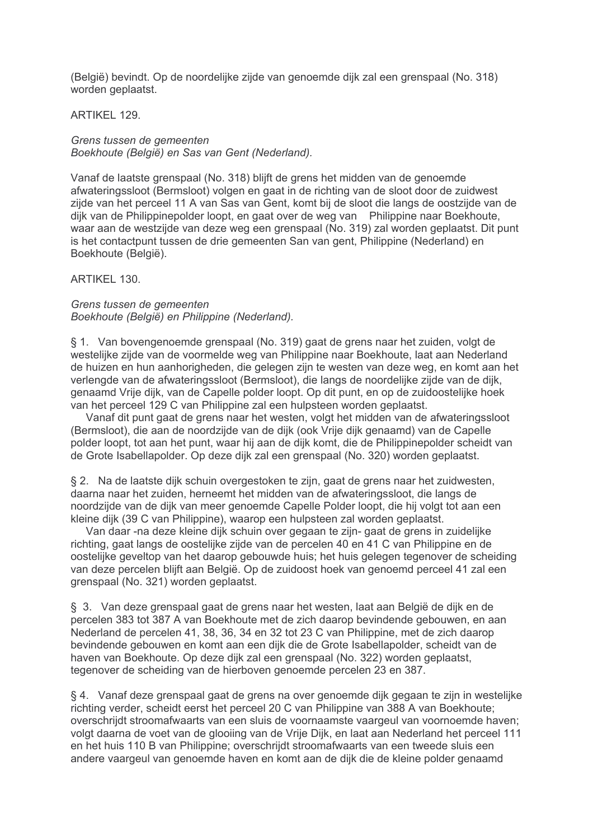(België) bevindt. Op de noordelijke zijde van genoemde dijk zal een grenspaal (No. 318) worden geplaatst.

## **ARTIKEL 129.**

## Grens tussen de gemeenten Boekhoute (België) en Sas van Gent (Nederland).

Vanaf de laatste grenspaal (No. 318) blijft de grens het midden van de genoemde afwateringssloot (Bermsloot) volgen en gaat in de richting van de sloot door de zuidwest zijde van het perceel 11 A van Sas van Gent, komt bij de sloot die langs de oostzijde van de dijk van de Philippinepolder loopt, en gaat over de weg van Philippine naar Boekhoute, waar aan de westzijde van deze weg een grenspaal (No. 319) zal worden geplaatst. Dit punt is het contactount tussen de drie gemeenten San van gent. Philippine (Nederland) en Boekhoute (België).

## ARTIKEL 130.

## Grens tussen de gemeenten Boekhoute (België) en Philippine (Nederland).

§ 1. Van bovengenoemde grenspaal (No. 319) gaat de grens naar het zuiden, volgt de westelijke zijde van de voormelde weg van Philippine naar Boekhoute, laat aan Nederland de huizen en hun aanhorigheden, die gelegen zijn te westen van deze weg, en komt aan het verlengde van de afwateringssloot (Bermsloot), die langs de noordelijke zijde van de dijk, genaamd Vrije dijk, van de Capelle polder loopt. Op dit punt, en op de zuidoostelijke hoek van het perceel 129 C van Philippine zal een hulpsteen worden geplaatst.

Vanaf dit punt gaat de grens naar het westen, volgt het midden van de afwateringssloot (Bermsloot), die aan de noordzijde van de dijk (ook Vrije dijk genaamd) van de Capelle polder loopt, tot aan het punt, waar hij aan de dijk komt, die de Philippinepolder scheidt van de Grote Isabellapolder. Op deze dijk zal een grenspaal (No. 320) worden geplaatst.

§ 2. Na de laatste dijk schuin overgestoken te zijn, gaat de grens naar het zuidwesten, daarna naar het zuiden, herneemt het midden van de afwateringssloot, die langs de noordzijde van de dijk van meer genoemde Capelle Polder loopt, die hij volgt tot aan een kleine dijk (39 C van Philippine), waarop een hulpsteen zal worden geplaatst.

Van daar -na deze kleine dijk schuin over gegaan te zijn- gaat de grens in zuidelijke richting, gaat langs de oostelijke zijde van de percelen 40 en 41 C van Philippine en de oostelijke geveltop van het daarop gebouwde huis: het huis gelegen tegenover de scheiding van deze percelen blijft aan België. Op de zuidoost hoek van genoemd perceel 41 zal een grenspaal (No. 321) worden geplaatst.

§ 3. Van deze grenspaal gaat de grens naar het westen, laat aan België de dijk en de percelen 383 tot 387 A van Boekhoute met de zich daarop bevindende gebouwen, en aan Nederland de percelen 41, 38, 36, 34 en 32 tot 23 C van Philippine, met de zich daarop bevindende gebouwen en komt aan een dijk die de Grote Isabellapolder, scheidt van de haven van Boekhoute. Op deze dijk zal een grenspaal (No. 322) worden geplaatst. tegenover de scheiding van de hierboven genoemde percelen 23 en 387.

§ 4. Vanaf deze grenspaal gaat de grens na over genoemde dijk gegaan te zijn in westelijke richting verder, scheidt eerst het perceel 20 C van Philippine van 388 A van Boekhoute; overschrijdt stroomafwaarts van een sluis de voornaamste vaargeul van voornoemde haven; volgt daarna de voet van de gloojing van de Vrije Dijk, en laat aan Nederland het perceel 111 en het huis 110 B van Philippine; overschrijdt stroomafwaarts van een tweede sluis een andere vaargeul van genoemde haven en komt aan de dijk die de kleine polder genaamd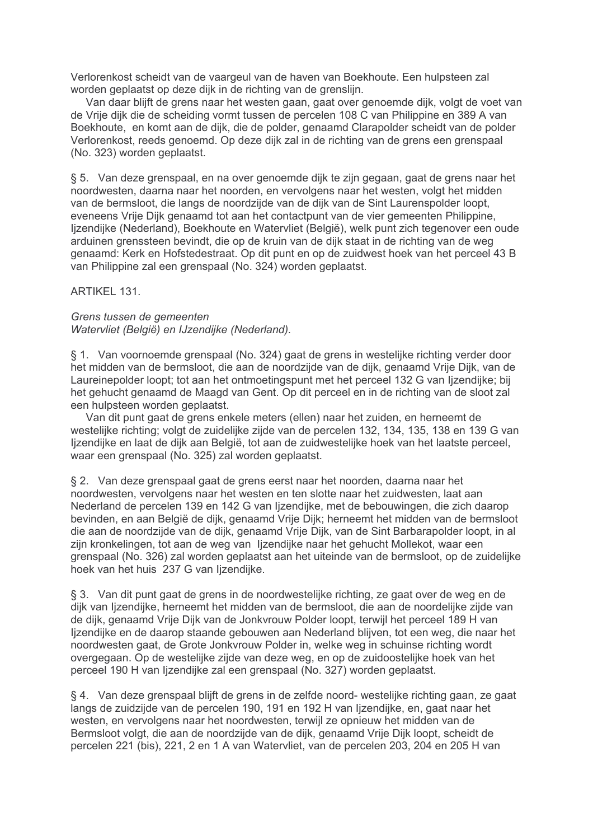Verlorenkost scheidt van de vaargeul van de haven van Boekhoute. Een hulpsteen zal worden geplaatst op deze dijk in de richting van de grenslijn.

Van daar blijft de grens naar het westen gaan, gaat over genoemde dijk, volgt de voet van de Vrije dijk die de scheiding vormt tussen de percelen 108 C van Philippine en 389 A van Boekhoute, en komt aan de dijk, die de polder, genaamd Clarapolder scheidt van de polder Verlorenkost, reeds genoemd. Op deze dijk zal in de richting van de grens een grenspaal (No. 323) worden geplaatst.

§ 5. Van deze grenspaal, en na over genoemde dijk te zijn gegaan, gaat de grens naar het noordwesten, daarna naar het noorden, en vervolgens naar het westen, volgt het midden van de bermsloot, die langs de noordzijde van de dijk van de Sint Laurenspolder loopt, eveneens Vrije Dijk genaamd tot aan het contactount van de vier gemeenten Philippine. Ijzendijke (Nederland), Boekhoute en Watervliet (België), welk punt zich tegenover een oude arduinen grenssteen bevindt, die op de kruin van de dijk staat in de richting van de weg genaamd: Kerk en Hofstedestraat. Op dit punt en op de zuidwest hoek van het perceel 43 B van Philippine zal een grenspaal (No. 324) worden geplaatst.

ARTIKEL 131

## Grens tussen de gemeenten Watervliet (België) en IJzendijke (Nederland).

§ 1. Van voornoemde grenspaal (No. 324) gaat de grens in westelijke richting verder door het midden van de bermsloot, die aan de noordzijde van de dijk, genaamd Vrije Dijk, van de Laureinepolder loopt; tot aan het ontmoetingspunt met het perceel 132 G van lizendijke; bij het gehucht genaamd de Maagd van Gent. Op dit perceel en in de richting van de sloot zal een hulpsteen worden geplaatst.

Van dit punt gaat de grens enkele meters (ellen) naar het zuiden, en herneemt de westelijke richting; volgt de zuidelijke zijde van de percelen 132, 134, 135, 138 en 139 G van lizendiike en laat de diik aan België, tot aan de zuidwestelijke hoek van het laatste perceel. waar een grenspaal (No. 325) zal worden geplaatst.

§ 2. Van deze grenspaal gaat de grens eerst naar het noorden, daarna naar het noordwesten, vervolgens naar het westen en ten slotte naar het zuidwesten, laat aan Nederland de percelen 139 en 142 G van Ijzendijke, met de bebouwingen, die zich daarop bevinden, en aan België de dijk, genaamd Vrije Dijk; herneemt het midden van de bermsloot die aan de noordzijde van de dijk, genaamd Vrije Dijk, van de Sint Barbarapolder loopt, in al zijn kronkelingen, tot aan de weg van Iizendijke naar het gehucht Mollekot, waar een grenspaal (No. 326) zal worden geplaatst aan het uiteinde van de bermsloot, op de zuidelijke hoek van het huis 237 G van lizendijke.

§ 3. Van dit punt gaat de grens in de noordwestelijke richting, ze gaat over de weg en de dijk van Ijzendijke, herneemt het midden van de bermsloot, die aan de noordelijke zijde van de dijk, genaamd Vrije Dijk van de Jonkvrouw Polder loopt, terwijl het perceel 189 H van lizendijke en de daarop staande gebouwen aan Nederland blijven, tot een weg, die naar het noordwesten gaat, de Grote Jonkyrouw Polder in, welke weg in schuinse richting wordt overgegaan. Op de westelijke zijde van deze weg, en op de zuidoostelijke hoek van het perceel 190 H van lizendijke zal een grenspaal (No. 327) worden geplaatst.

§ 4. Van deze grenspaal blijft de grens in de zelfde noord- westelijke richting gaan, ze gaat langs de zuidzijde van de percelen 190, 191 en 192 H van lizendijke, en, gaat naar het westen, en vervolgens naar het noordwesten, terwijl ze opnieuw het midden van de Bermsloot volgt, die aan de noordzijde van de dijk, genaamd Vrije Dijk loopt, scheidt de percelen 221 (bis), 221, 2 en 1 A van Watervliet, van de percelen 203, 204 en 205 H van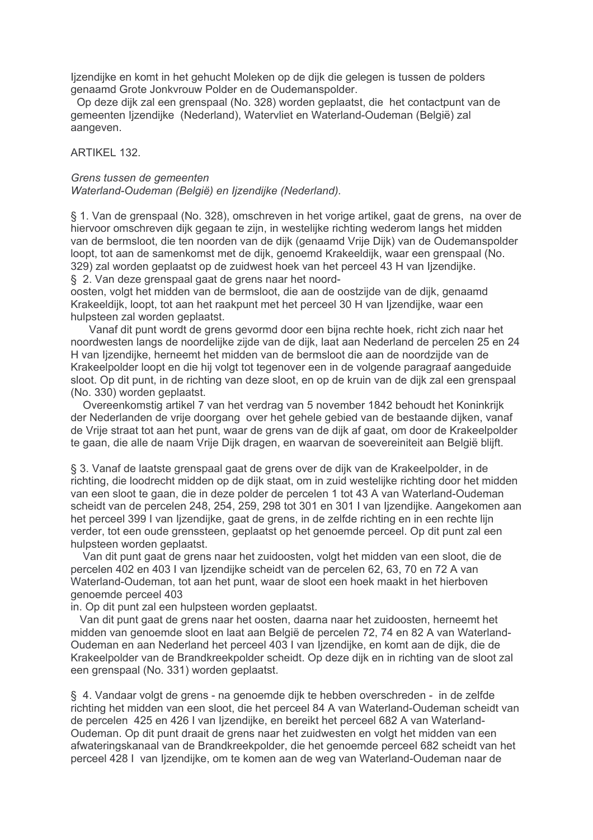Ijzendijke en komt in het gehucht Moleken op de dijk die gelegen is tussen de polders genaamd Grote Jonkvrouw Polder en de Oudemanspolder.

Op deze dijk zal een grenspaal (No. 328) worden geplaatst, die het contactpunt van de gemeenten lizendijke (Nederland), Watervliet en Waterland-Oudeman (België) zal aangeven.

## ARTIKEL 132.

#### Grens tussen de gemeenten Waterland-Oudeman (België) en ljzendijke (Nederland).

§ 1. Van de grenspaal (No. 328), omschreven in het vorige artikel, gaat de grens, na over de hiervoor omschreven dijk gegaan te zijn, in westelijke richting wederom langs het midden van de bermsloot, die ten noorden van de dijk (genaamd Vrije Dijk) van de Oudemanspolder loopt, tot aan de samenkomst met de dijk, genoemd Krakeeldijk, waar een grenspaal (No. 329) zal worden geplaatst op de zuidwest hoek van het perceel 43 H van lizendijke. § 2. Van deze grenspaal gaat de grens naar het noord-

oosten, volgt het midden van de bermsloot, die aan de oostzijde van de dijk, genaamd Krakeeldijk, loopt, tot aan het raakpunt met het perceel 30 H van lizendijke, waar een hulpsteen zal worden geplaatst.

Vanaf dit punt wordt de grens gevormd door een bijna rechte hoek, richt zich naar het noordwesten langs de noordelijke zijde van de dijk, laat aan Nederland de percelen 25 en 24 H van lizendijke, herneemt het midden van de bermsloot die aan de noordzijde van de Krakeelpolder loopt en die hij volgt tot tegenover een in de volgende paragraaf aangeduide sloot. Op dit punt, in de richting van deze sloot, en op de kruin van de dijk zal een grenspaal (No. 330) worden geplaatst.

Overeenkomstig artikel 7 van het verdrag van 5 november 1842 behoudt het Koninkrijk der Nederlanden de vrije doorgang over het gehele gebied van de bestaande dijken, vanaf de Vrije straat tot aan het punt, waar de grens van de dijk af gaat, om door de Krakeelpolder te gaan, die alle de naam Vrije Dijk dragen, en waarvan de soevereiniteit aan België blijft.

§ 3. Vanaf de laatste grenspaal gaat de grens over de dijk van de Krakeelpolder, in de richting, die loodrecht midden op de dijk staat, om in zuid westelijke richting door het midden van een sloot te gaan, die in deze polder de percelen 1 tot 43 A van Waterland-Oudeman scheidt van de percelen 248, 254, 259, 298 tot 301 en 301 I van Ijzendijke. Aangekomen aan het perceel 399 I van Ijzendijke, gaat de grens, in de zelfde richting en in een rechte lijn verder, tot een oude grenssteen, geplaatst op het genoemde perceel. Op dit punt zal een hulpsteen worden geplaatst.

Van dit punt gaat de grens naar het zuidoosten, volgt het midden van een sloot, die de percelen 402 en 403 I van Ijzendijke scheidt van de percelen 62, 63, 70 en 72 A van Waterland-Oudeman, tot aan het punt, waar de sloot een hoek maakt in het hierboven genoemde perceel 403

in. Op dit punt zal een hulpsteen worden geplaatst.

Van dit punt gaat de grens naar het oosten, daarna naar het zuidoosten, herneemt het midden van genoemde sloot en laat aan België de percelen 72, 74 en 82 A van Waterland-Oudeman en aan Nederland het perceel 403 I van Ijzendijke, en komt aan de dijk, die de Krakeelpolder van de Brandkreekpolder scheidt. Op deze dijk en in richting van de sloot zal een grenspaal (No. 331) worden geplaatst.

§ 4. Vandaar volgt de grens - na genoemde dijk te hebben overschreden - in de zelfde richting het midden van een sloot, die het perceel 84 A van Waterland-Oudeman scheidt van de percelen 425 en 426 I van Ijzendijke, en bereikt het perceel 682 A van Waterland-Oudeman. Op dit punt draait de grens naar het zuidwesten en volgt het midden van een afwateringskanaal van de Brandkreekpolder, die het genoemde perceel 682 scheidt van het perceel 428 I van lizendijke, om te komen aan de weg van Waterland-Oudeman naar de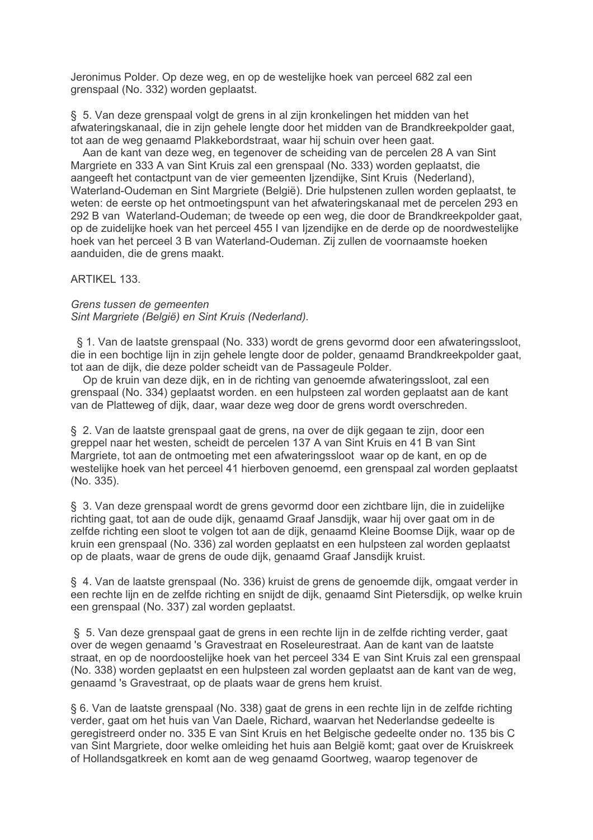Jeronimus Polder. Op deze weg, en op de westelijke hoek van perceel 682 zal een grenspaal (No. 332) worden geplaatst.

§ 5. Van deze grenspaal volgt de grens in al zijn kronkelingen het midden van het afwateringskanaal, die in zijn gehele lengte door het midden van de Brandkreekpolder gaat, tot aan de weg genaamd Plakkebordstraat, waar hij schuin over heen gaat.

Aan de kant van deze weg, en tegenover de scheiding van de percelen 28 A van Sint Margriete en 333 A van Sint Kruis zal een grenspaal (No. 333) worden geplaatst, die aangeeft het contactpunt van de vier gemeenten Ijzendijke, Sint Kruis (Nederland), Waterland-Oudeman en Sint Margriete (België). Drie hulpstenen zullen worden geplaatst, te weten: de eerste op het ontmoetingspunt van het afwateringskanaal met de percelen 293 en 292 B van Waterland-Oudeman; de tweede op een weg, die door de Brandkreekpolder gaat, op de zuidelijke hoek van het perceel 455 I van Ijzendijke en de derde op de noordwestelijke hoek van het perceel 3 B van Waterland-Oudeman. Zij zullen de voornaamste hoeken aanduiden, die de grens maakt.

ARTIKEL 133.

Grens tussen de gemeenten Sint Margriete (België) en Sint Kruis (Nederland).

§ 1. Van de laatste grenspaal (No. 333) wordt de grens gevormd door een afwateringssloot, die in een bochtige lijn in zijn gehele lengte door de polder, genaamd Brandkreekpolder gaat, tot aan de dijk, die deze polder scheidt van de Passageule Polder.

Op de kruin van deze dijk, en in de richting van genoemde afwateringssloot, zal een grenspaal (No. 334) geplaatst worden, en een hulpsteen zal worden geplaatst aan de kant van de Platteweg of dijk, daar, waar deze weg door de grens wordt overschreden.

§ 2. Van de laatste grenspaal gaat de grens, na over de dijk gegaan te zijn, door een greppel naar het westen, scheidt de percelen 137 A van Sint Kruis en 41 B van Sint Margriete, tot aan de ontmoeting met een afwateringssloot waar op de kant, en op de westelijke hoek van het perceel 41 hierboven genoemd, een grenspaal zal worden geplaatst (No. 335).

§ 3. Van deze grenspaal wordt de grens gevormd door een zichtbare lijn, die in zuidelijke richting gaat, tot aan de oude dijk, genaamd Graaf Jansdijk, waar hij over gaat om in de zelfde richting een sloot te volgen tot aan de dijk, genaamd Kleine Boomse Dijk, waar op de kruin een grenspaal (No. 336) zal worden geplaatst en een hulpsteen zal worden geplaatst op de plaats, waar de grens de oude dijk, genaamd Graaf Jansdijk kruist.

§ 4. Van de laatste grenspaal (No. 336) kruist de grens de genoemde dijk, omgaat verder in een rechte lijn en de zelfde richting en snijdt de dijk, genaamd Sint Pietersdijk, op welke kruin een grenspaal (No. 337) zal worden geplaatst.

§ 5. Van deze grenspaal gaat de grens in een rechte lijn in de zelfde richting verder, gaat over de wegen genaamd 's Gravestraat en Roseleurestraat. Aan de kant van de laatste straat, en op de noordoostelijke hoek van het perceel 334 E van Sint Kruis zal een grenspaal (No. 338) worden geplaatst en een hulpsteen zal worden geplaatst aan de kant van de weg, genaamd 's Gravestraat, op de plaats waar de grens hem kruist.

§ 6. Van de laatste grenspaal (No. 338) gaat de grens in een rechte lijn in de zelfde richting verder, gaat om het huis van Van Daele, Richard, waarvan het Nederlandse gedeelte is geregistreerd onder no. 335 E van Sint Kruis en het Belgische gedeelte onder no. 135 bis C van Sint Margriete, door welke omleiding het huis aan België komt; gaat over de Kruiskreek of Hollandsgatkreek en komt aan de weg genaamd Goortweg, waarop tegenover de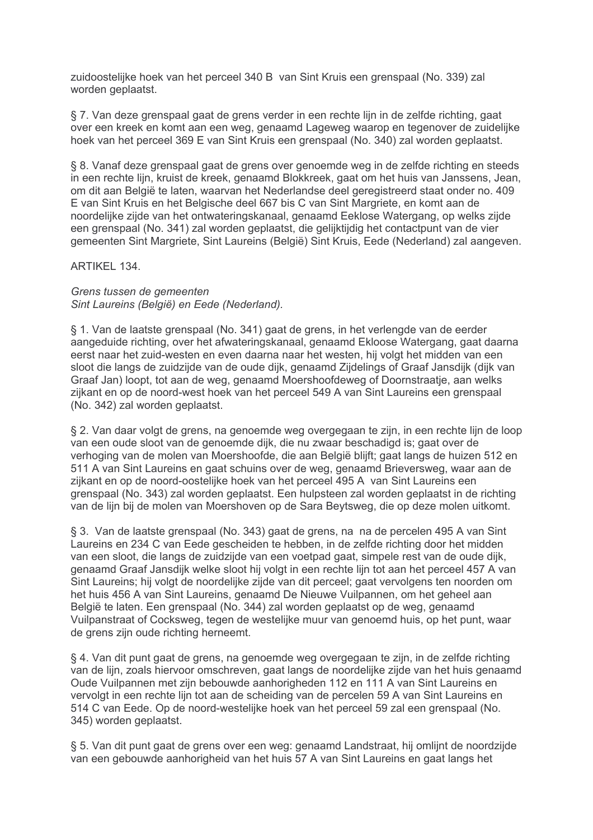zuidoostelijke hoek van het perceel 340 B van Sint Kruis een grenspaal (No. 339) zal worden geplaatst.

§ 7. Van deze grenspaal gaat de grens verder in een rechte lijn in de zelfde richting, gaat over een kreek en komt aan een weg, genaamd Lageweg waarop en tegenover de zuidelijke hoek van het perceel 369 E van Sint Kruis een grenspaal (No. 340) zal worden geplaatst.

§ 8. Vanaf deze grenspaal gaat de grens over genoemde weg in de zelfde richting en steeds in een rechte lijn, kruist de kreek, genaamd Blokkreek, gaat om het huis van Janssens, Jean, om dit aan België te laten, waarvan het Nederlandse deel geregistreerd staat onder no. 409 E van Sint Kruis en het Belgische deel 667 bis C van Sint Margriete, en komt aan de noordelijke zijde van het ontwateringskanaal, genaamd Eeklose Watergang, op welks zijde een grenspaal (No. 341) zal worden geplaatst, die gelijktijdig het contactpunt van de vier gemeenten Sint Margriete, Sint Laureins (België) Sint Kruis, Eede (Nederland) zal aangeven.

ARTIKEL 134.

Grens tussen de gemeenten Sint Laureins (België) en Eede (Nederland).

§ 1. Van de laatste grenspaal (No. 341) gaat de grens, in het verlengde van de eerder aangeduide richting, over het afwateringskanaal, genaamd Ekloose Watergang, gaat daarna eerst naar het zuid-westen en even daarna naar het westen, hij volgt het midden van een sloot die langs de zuidzijde van de oude dijk, genaamd Zijdelings of Graaf Jansdijk (dijk van Graaf Jan) loopt, tot aan de weg, genaamd Moershoofdeweg of Doornstraatie, aan welks zijkant en op de noord-west hoek van het perceel 549 A van Sint Laureins een grenspaal (No. 342) zal worden geplaatst.

§ 2. Van daar volgt de grens, na genoemde weg overgegaan te zijn, in een rechte lijn de loop van een oude sloot van de genoemde dijk, die nu zwaar beschadigd is: gaat over de verhoging van de molen van Moershoofde, die aan België blijft; gaat langs de huizen 512 en 511 A van Sint Laureins en gaat schuins over de weg, genaamd Brieversweg, waar aan de zijkant en op de noord-oostelijke hoek van het perceel 495 A van Sint Laureins een grenspaal (No. 343) zal worden geplaatst. Een hulpsteen zal worden geplaatst in de richting van de lijn bij de molen van Moershoven op de Sara Beytsweg, die op deze molen uitkomt.

§ 3. Van de laatste grenspaal (No. 343) gaat de grens, na na de percelen 495 A van Sint Laureins en 234 C van Eede gescheiden te hebben, in de zelfde richting door het midden van een sloot, die langs de zuidzijde van een voetpad gaat, simpele rest van de oude dijk. genaamd Graaf Jansdijk welke sloot hij volgt in een rechte lijn tot aan het perceel 457 A van Sint Laureins; hij volgt de noordelijke zijde van dit perceel; gaat vervolgens ten noorden om het huis 456 A van Sint Laureins, genaamd De Nieuwe Vuilpannen, om het geheel aan België te laten. Een grenspaal (No. 344) zal worden geplaatst op de weg, genaamd Vuilpanstraat of Cocksweg, tegen de westelijke muur van genoemd huis, op het punt, waar de grens zijn oude richting herneemt.

§ 4. Van dit punt gaat de grens, na genoemde weg overgegaan te zijn, in de zelfde richting van de lijn, zoals hiervoor omschreven, gaat langs de noordelijke zijde van het huis genaamd Oude Vuilpannen met zijn bebouwde aanhorigheden 112 en 111 A van Sint Laureins en vervolgt in een rechte lijn tot aan de scheiding van de percelen 59 A van Sint Laureins en 514 C van Eede. Op de noord-westelijke hoek van het perceel 59 zal een grenspaal (No. 345) worden geplaatst.

§ 5. Van dit punt gaat de grens over een weg: genaamd Landstraat, hij omlijnt de noordzijde van een gebouwde aanhorigheid van het huis 57 A van Sint Laureins en gaat langs het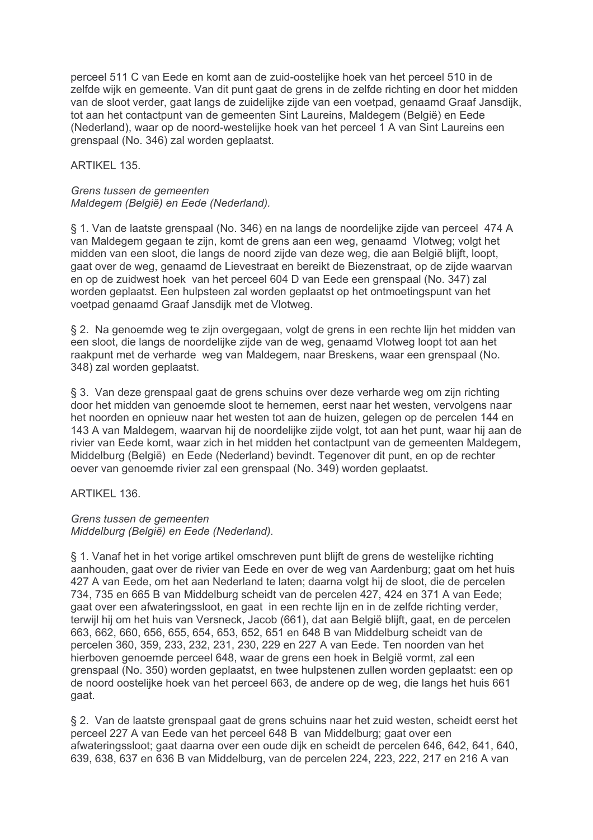perceel 511 C van Eede en komt aan de zuid-oostelijke hoek van het perceel 510 in de zelfde wijk en gemeente. Van dit punt gaat de grens in de zelfde richting en door het midden van de sloot verder, gaat langs de zuidelijke zijde van een voetpad, genaamd Graaf Jansdijk, tot aan het contactpunt van de gemeenten Sint Laureins, Maldegem (België) en Eede (Nederland), waar op de noord-westelijke hoek van het perceel 1 A van Sint Laureins een grenspaal (No. 346) zal worden geplaatst.

# ARTIKEL 135.

## Grens tussen de gemeenten Maldegem (België) en Eede (Nederland).

§ 1. Van de laatste grenspaal (No. 346) en na langs de noordelijke zijde van perceel 474 A van Maldegem gegaan te zijn, komt de grens aan een weg, genaamd Vlotweg; volgt het midden van een sloot, die langs de noord zijde van deze weg, die aan België blijft, loopt, gaat over de weg, genaamd de Lievestraat en bereikt de Biezenstraat, op de zijde waarvan en op de zuidwest hoek van het perceel 604 D van Eede een grenspaal (No. 347) zal worden geplaatst. Een hulpsteen zal worden geplaatst op het ontmoetingspunt van het voetpad genaamd Graaf Jansdijk met de Vlotweg.

§ 2. Na genoemde weg te zijn overgegaan, volgt de grens in een rechte lijn het midden van een sloot, die langs de noordelijke zijde van de weg, genaamd Vlotweg loopt tot aan het raakpunt met de verharde weg van Maldegem, naar Breskens, waar een grenspaal (No. 348) zal worden geplaatst.

§ 3. Van deze grenspaal gaat de grens schuins over deze verharde weg om zijn richting door het midden van genoemde sloot te hernemen, eerst naar het westen, vervolgens naar het noorden en opnieuw naar het westen tot aan de huizen, gelegen op de percelen 144 en 143 A van Maldegem, waarvan hij de noordelijke zijde volgt, tot aan het punt, waar hij aan de rivier van Eede komt, waar zich in het midden het contactpunt van de gemeenten Maldegem. Middelburg (België) en Eede (Nederland) bevindt. Tegenover dit punt, en op de rechter oever van genoemde rivier zal een grenspaal (No. 349) worden geplaatst.

ARTIKEL 136.

# Grens tussen de gemeenten Middelburg (België) en Eede (Nederland).

§ 1. Vanaf het in het vorige artikel omschreven punt bliift de grens de westelijke richting aanhouden, gaat over de rivier van Eede en over de weg van Aardenburg; gaat om het huis 427 A van Eede, om het aan Nederland te laten; daarna volgt hij de sloot, die de percelen 734, 735 en 665 B van Middelburg scheidt van de percelen 427, 424 en 371 A van Eede; gaat over een afwateringssloot, en gaat in een rechte lijn en in de zelfde richting verder. terwijl hij om het huis van Versneck, Jacob (661), dat aan België blijft, gaat, en de percelen 663, 662, 660, 656, 655, 654, 653, 652, 651 en 648 B van Middelburg scheidt van de percelen 360, 359, 233, 232, 231, 230, 229 en 227 A van Eede. Ten noorden van het hierboven genoemde perceel 648, waar de grens een hoek in België vormt, zal een grenspaal (No. 350) worden geplaatst, en twee hulpstenen zullen worden geplaatst: een op de noord oostelijke hoek van het perceel 663, de andere op de weg, die langs het huis 661 qaat.

§ 2. Van de laatste grenspaal gaat de grens schuins naar het zuid westen, scheidt eerst het perceel 227 A van Eede van het perceel 648 B van Middelburg; gaat over een afwateringssloot; gaat daarna over een oude dijk en scheidt de percelen 646, 642, 641, 640, 639, 638, 637 en 636 B van Middelburg, van de percelen 224, 223, 222, 217 en 216 A van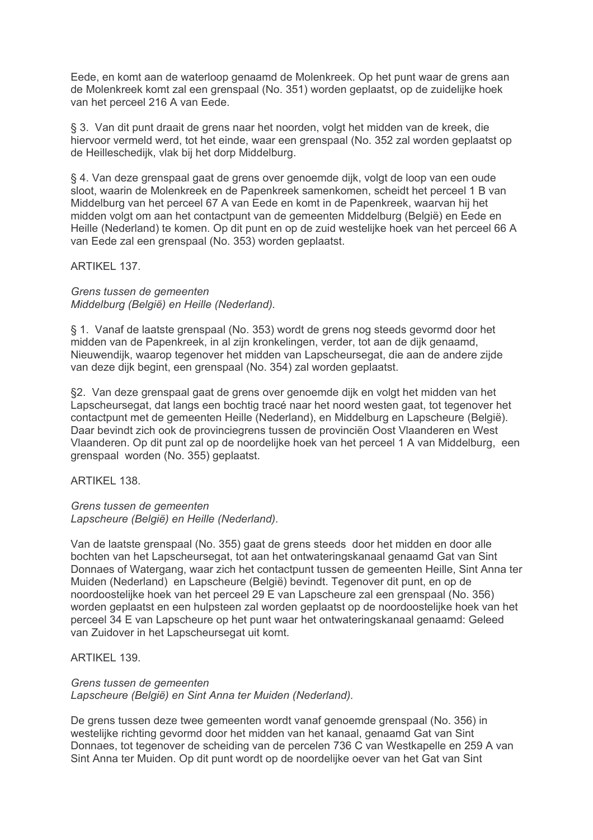Eede, en komt aan de waterloop genaamd de Molenkreek. Op het punt waar de grens aan de Molenkreek komt zal een grenspaal (No. 351) worden geplaatst, op de zuidelijke hoek van het perceel 216 A van Eede.

§ 3. Van dit punt draait de grens naar het noorden, volgt het midden van de kreek, die hiervoor vermeld werd, tot het einde, waar een grenspaal (No. 352 zal worden geplaatst op de Heilleschedijk, vlak bij het dorp Middelburg.

§ 4. Van deze grenspaal gaat de grens over genoemde dijk, volgt de loop van een oude sloot, waarin de Molenkreek en de Papenkreek samenkomen, scheidt het perceel 1 B van Middelburg van het perceel 67 A van Eede en komt in de Papenkreek, waarvan hij het midden volgt om aan het contactpunt van de gemeenten Middelburg (België) en Eede en Heille (Nederland) te komen. Op dit punt en op de zuid westelijke hoek van het perceel 66 A van Eede zal een grenspaal (No. 353) worden geplaatst.

**ARTIKEL 137.** 

Grens tussen de gemeenten Middelburg (België) en Heille (Nederland).

§ 1. Vanaf de laatste grenspaal (No. 353) wordt de grens nog steeds gevormd door het midden van de Papenkreek, in al zijn kronkelingen, verder, tot aan de dijk genaamd, Nieuwendijk, waarop tegenover het midden van Lapscheursegat, die aan de andere zijde van deze dijk begint, een grenspaal (No. 354) zal worden geplaatst.

§2. Van deze grenspaal gaat de grens over genoemde dijk en volgt het midden van het Lapscheursegat, dat langs een bochtig tracé naar het noord westen gaat, tot tegenover het contactpunt met de gemeenten Heille (Nederland), en Middelburg en Lapscheure (België). Daar bevindt zich ook de provinciegrens tussen de provinciën Oost Vlaanderen en West Vlaanderen. Op dit punt zal op de noordelijke hoek van het perceel 1 A van Middelburg, een grenspaal worden (No. 355) geplaatst.

ARTIKEL 138.

Grens tussen de gemeenten Lapscheure (België) en Heille (Nederland).

Van de laatste grenspaal (No. 355) gaat de grens steeds door het midden en door alle bochten van het Lapscheursegat, tot aan het ontwateringskanaal genaamd Gat van Sint Donnaes of Watergang, waar zich het contactpunt tussen de gemeenten Heille, Sint Anna ter Muiden (Nederland) en Lapscheure (België) bevindt. Tegenover dit punt, en op de noordoostelijke hoek van het perceel 29 E van Lapscheure zal een grenspaal (No. 356) worden geplaatst en een hulpsteen zal worden geplaatst op de noordoostelijke hoek van het perceel 34 E van Lapscheure op het punt waar het ontwateringskanaal genaamd: Geleed van Zuidover in het Lapscheursegat uit komt.

ARTIKEL 139.

Grens tussen de gemeenten Lapscheure (België) en Sint Anna ter Muiden (Nederland).

De grens tussen deze twee gemeenten wordt vanaf genoemde grenspaal (No. 356) in westelijke richting gevormd door het midden van het kanaal, genaamd Gat van Sint Donnaes, tot tegenover de scheiding van de percelen 736 C van Westkapelle en 259 A van Sint Anna ter Muiden. Op dit punt wordt op de noordelijke oever van het Gat van Sint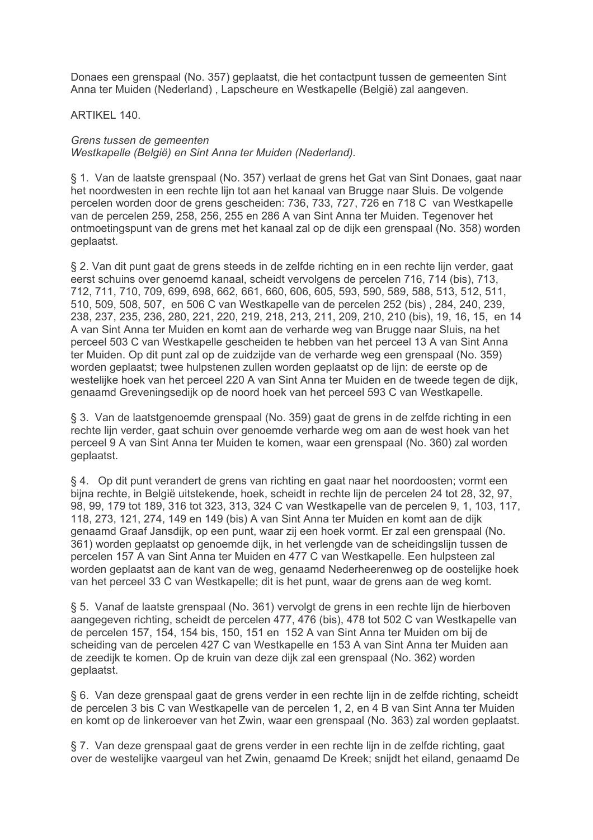Donaes een grenspaal (No. 357) geplaatst, die het contactpunt tussen de gemeenten Sint Anna ter Muiden (Nederland), Lapscheure en Westkapelle (België) zal aangeven.

ARTIKEL 140.

Grens tussen de gemeenten Westkapelle (België) en Sint Anna ter Muiden (Nederland).

§ 1. Van de laatste grenspaal (No. 357) verlaat de grens het Gat van Sint Donaes, gaat naar het noordwesten in een rechte lijn tot aan het kanaal van Brugge naar Sluis. De volgende percelen worden door de grens gescheiden: 736, 733, 727, 726 en 718 C van Westkapelle van de percelen 259, 258, 256, 255 en 286 A van Sint Anna ter Muiden. Tegenover het ontmoetingspunt van de grens met het kanaal zal op de dijk een grenspaal (No. 358) worden geplaatst.

§ 2. Van dit punt gaat de grens steeds in de zelfde richting en in een rechte lijn verder, gaat eerst schuins over genoemd kanaal, scheidt vervolgens de percelen 716, 714 (bis), 713, 712, 711, 710, 709, 699, 698, 662, 661, 660, 606, 605, 593, 590, 589, 588, 513, 512, 511, 510, 509, 508, 507, en 506 C van Westkapelle van de percelen 252 (bis), 284, 240, 239, 238, 237, 235, 236, 280, 221, 220, 219, 218, 213, 211, 209, 210, 210 (bis), 19, 16, 15, en 14 A van Sint Anna ter Muiden en komt aan de verharde weg van Brugge naar Sluis, na het perceel 503 C van Westkapelle gescheiden te hebben van het perceel 13 A van Sint Anna ter Muiden. Op dit punt zal op de zuidzijde van de verharde weg een grenspaal (No. 359) worden geplaatst; twee hulpstenen zullen worden geplaatst op de lijn; de eerste op de westelijke hoek van het perceel 220 A van Sint Anna ter Muiden en de tweede tegen de dijk, genaamd Greveningsedijk op de noord hoek van het perceel 593 C van Westkapelle.

§ 3. Van de laatstgenoemde grenspaal (No. 359) gaat de grens in de zelfde richting in een rechte lijn verder, gaat schuin over genoemde verharde weg om aan de west hoek van het perceel 9 A van Sint Anna ter Muiden te komen, waar een grenspaal (No. 360) zal worden geplaatst.

§ 4. Op dit punt verandert de grens van richting en gaat naar het noordoosten; vormt een bijna rechte, in België uitstekende, hoek, scheidt in rechte lijn de percelen 24 tot 28, 32, 97, 98, 99, 179 tot 189, 316 tot 323, 313, 324 C van Westkapelle van de percelen 9, 1, 103, 117, 118, 273, 121, 274, 149 en 149 (bis) A van Sint Anna ter Muiden en komt aan de dijk genaamd Graaf Jansdijk, op een punt, waar zij een hoek vormt. Er zal een grenspaal (No. 361) worden geplaatst op genoemde dijk, in het verlengde van de scheidingslijn tussen de percelen 157 A van Sint Anna ter Muiden en 477 C van Westkapelle. Een hulpsteen zal worden geplaatst aan de kant van de weg, genaamd Nederheerenweg op de oostelijke hoek van het perceel 33 C van Westkapelle; dit is het punt, waar de grens aan de weg komt.

§ 5. Vanaf de laatste grenspaal (No. 361) vervolgt de grens in een rechte lijn de hierboven aangegeven richting, scheidt de percelen 477, 476 (bis), 478 tot 502 C van Westkapelle van de percelen 157, 154, 154 bis, 150, 151 en 152 A van Sint Anna ter Muiden om bij de scheiding van de percelen 427 C van Westkapelle en 153 A van Sint Anna ter Muiden aan de zeedijk te komen. Op de kruin van deze dijk zal een grenspaal (No. 362) worden geplaatst.

§ 6. Van deze grenspaal gaat de grens verder in een rechte lijn in de zelfde richting, scheidt de percelen 3 bis C van Westkapelle van de percelen 1, 2, en 4 B van Sint Anna ter Muiden en komt op de linkeroever van het Zwin, waar een grenspaal (No. 363) zal worden geplaatst.

§ 7. Van deze grenspaal gaat de grens verder in een rechte lijn in de zelfde richting, gaat over de westelijke vaargeul van het Zwin, genaamd De Kreek; snijdt het eiland, genaamd De